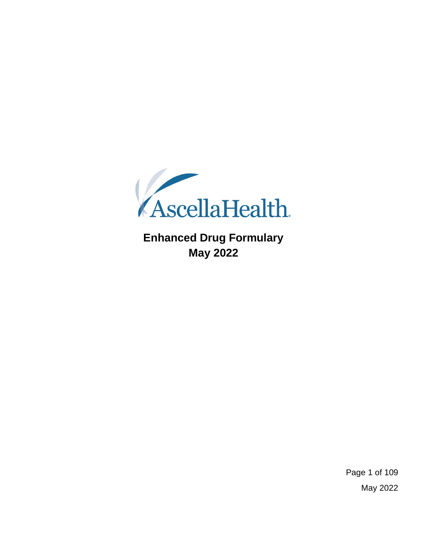

**Enhanced Drug Formulary May 2022**

> Page 1 of 109 May 2022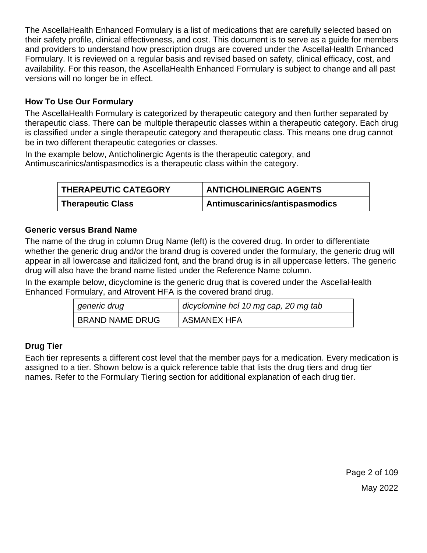The AscellaHealth Enhanced Formulary is a list of medications that are carefully selected based on their safety profile, clinical effectiveness, and cost. This document is to serve as a guide for members and providers to understand how prescription drugs are covered under the AscellaHealth Enhanced Formulary. It is reviewed on a regular basis and revised based on safety, clinical efficacy, cost, and availability. For this reason, the AscellaHealth Enhanced Formulary is subject to change and all past versions will no longer be in effect.

## **How To Use Our Formulary**

The AscellaHealth Formulary is categorized by therapeutic category and then further separated by therapeutic class. There can be multiple therapeutic classes within a therapeutic category. Each drug is classified under a single therapeutic category and therapeutic class. This means one drug cannot be in two different therapeutic categories or classes.

In the example below, Anticholinergic Agents is the therapeutic category, and Antimuscarinics/antispasmodics is a therapeutic class within the category.

| THERAPEUTIC CATEGORY | <b>ANTICHOLINERGIC AGENTS</b>  |
|----------------------|--------------------------------|
| Therapeutic Class    | Antimuscarinics/antispasmodics |

### **Generic versus Brand Name**

The name of the drug in column Drug Name (left) is the covered drug. In order to differentiate whether the generic drug and/or the brand drug is covered under the formulary, the generic drug will appear in all lowercase and italicized font, and the brand drug is in all uppercase letters. The generic drug will also have the brand name listed under the Reference Name column.

In the example below, dicyclomine is the generic drug that is covered under the AscellaHealth Enhanced Formulary, and Atrovent HFA is the covered brand drug.

| generic drug           | dicyclomine hcl 10 mg cap, 20 mg tab |
|------------------------|--------------------------------------|
| <b>BRAND NAME DRUG</b> | <b>ASMANEX HFA</b>                   |

### **Drug Tier**

Each tier represents a different cost level that the member pays for a medication. Every medication is assigned to a tier. Shown below is a quick reference table that lists the drug tiers and drug tier names. Refer to the Formulary Tiering section for additional explanation of each drug tier.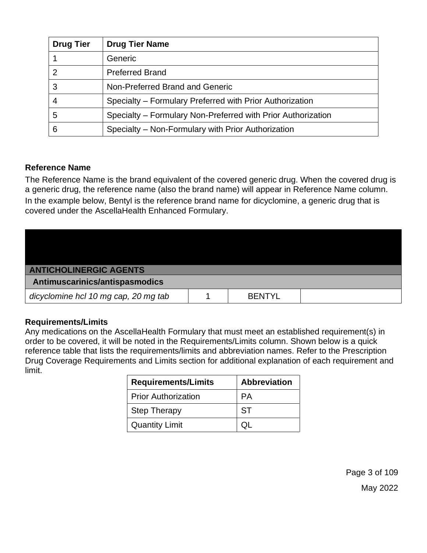| <b>Drug Tier</b> | <b>Drug Tier Name</b>                                        |
|------------------|--------------------------------------------------------------|
|                  | Generic                                                      |
| 2                | <b>Preferred Brand</b>                                       |
| 3                | Non-Preferred Brand and Generic                              |
| $\overline{4}$   | Specialty – Formulary Preferred with Prior Authorization     |
| 5                | Specialty - Formulary Non-Preferred with Prior Authorization |
| 6                | Specialty – Non-Formulary with Prior Authorization           |

### **Reference Name**

The Reference Name is the brand equivalent of the covered generic drug. When the covered drug is a generic drug, the reference name (also the brand name) will appear in Reference Name column. In the example below, Bentyl is the reference brand name for dicyclomine, a generic drug that is covered under the AscellaHealth Enhanced Formulary.

| <b>ANTICHOLINERGIC AGENTS</b>        |  |               |  |
|--------------------------------------|--|---------------|--|
| Antimuscarinics/antispasmodics       |  |               |  |
| dicyclomine hcl 10 mg cap, 20 mg tab |  | <b>BENTYL</b> |  |

#### **Requirements/Limits**

Any medications on the AscellaHealth Formulary that must meet an established requirement(s) in order to be covered, it will be noted in the Requirements/Limits column. Shown below is a quick reference table that lists the requirements/limits and abbreviation names. Refer to the Prescription Drug Coverage Requirements and Limits section for additional explanation of each requirement and limit.

| <b>Requirements/Limits</b> | <b>Abbreviation</b> |  |
|----------------------------|---------------------|--|
| <b>Prior Authorization</b> | PА                  |  |
| <b>Step Therapy</b>        | <b>ST</b>           |  |
| <b>Quantity Limit</b>      |                     |  |

Page 3 of 109 May 2022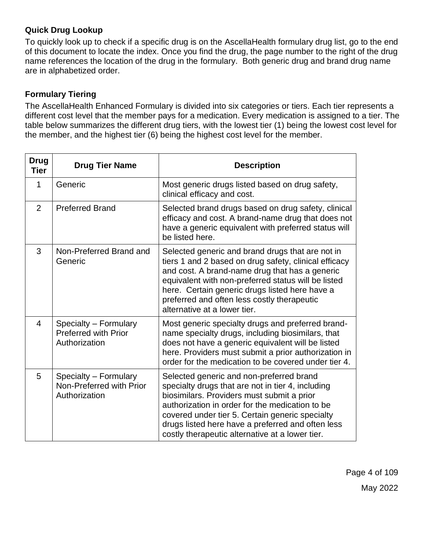## **Quick Drug Lookup**

To quickly look up to check if a specific drug is on the AscellaHealth formulary drug list, go to the end of this document to locate the index. Once you find the drug, the page number to the right of the drug name references the location of the drug in the formulary. Both generic drug and brand drug name are in alphabetized order.

# **Formulary Tiering**

The AscellaHealth Enhanced Formulary is divided into six categories or tiers. Each tier represents a different cost level that the member pays for a medication. Every medication is assigned to a tier. The table below summarizes the different drug tiers, with the lowest tier (1) being the lowest cost level for the member, and the highest tier (6) being the highest cost level for the member.

| <b>Drug</b><br><b>Tier</b> | <b>Drug Tier Name</b>                                                 | <b>Description</b>                                                                                                                                                                                                                                                                                                                                        |  |
|----------------------------|-----------------------------------------------------------------------|-----------------------------------------------------------------------------------------------------------------------------------------------------------------------------------------------------------------------------------------------------------------------------------------------------------------------------------------------------------|--|
| $\mathbf{1}$               | Generic                                                               | Most generic drugs listed based on drug safety,<br>clinical efficacy and cost.                                                                                                                                                                                                                                                                            |  |
| $\overline{2}$             | <b>Preferred Brand</b>                                                | Selected brand drugs based on drug safety, clinical<br>efficacy and cost. A brand-name drug that does not<br>have a generic equivalent with preferred status will<br>be listed here.                                                                                                                                                                      |  |
| 3                          | Non-Preferred Brand and<br>Generic                                    | Selected generic and brand drugs that are not in<br>tiers 1 and 2 based on drug safety, clinical efficacy<br>and cost. A brand-name drug that has a generic<br>equivalent with non-preferred status will be listed<br>here. Certain generic drugs listed here have a<br>preferred and often less costly therapeutic<br>alternative at a lower tier.       |  |
| $\overline{4}$             | Specialty - Formulary<br><b>Preferred with Prior</b><br>Authorization | Most generic specialty drugs and preferred brand-<br>name specialty drugs, including biosimilars, that<br>does not have a generic equivalent will be listed<br>here. Providers must submit a prior authorization in<br>order for the medication to be covered under tier 4.                                                                               |  |
| 5                          | Specialty - Formulary<br>Non-Preferred with Prior<br>Authorization    | Selected generic and non-preferred brand<br>specialty drugs that are not in tier 4, including<br>biosimilars. Providers must submit a prior<br>authorization in order for the medication to be<br>covered under tier 5. Certain generic specialty<br>drugs listed here have a preferred and often less<br>costly therapeutic alternative at a lower tier. |  |

Page 4 of 109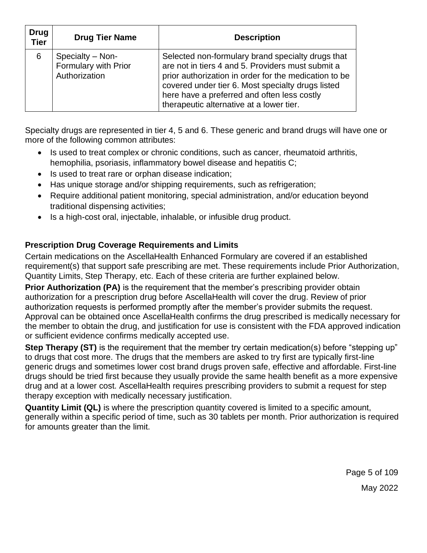| <b>Drug</b><br><b>Tier</b> | <b>Drug Tier Name</b>                                     | <b>Description</b>                                                                                                                                                                                                                                                                                              |
|----------------------------|-----------------------------------------------------------|-----------------------------------------------------------------------------------------------------------------------------------------------------------------------------------------------------------------------------------------------------------------------------------------------------------------|
| 6                          | Specialty - Non-<br>Formulary with Prior<br>Authorization | Selected non-formulary brand specialty drugs that<br>are not in tiers 4 and 5. Providers must submit a<br>prior authorization in order for the medication to be<br>covered under tier 6. Most specialty drugs listed<br>here have a preferred and often less costly<br>therapeutic alternative at a lower tier. |

Specialty drugs are represented in tier 4, 5 and 6. These generic and brand drugs will have one or more of the following common attributes:

- Is used to treat complex or chronic conditions, such as cancer, rheumatoid arthritis, hemophilia, psoriasis, inflammatory bowel disease and hepatitis C;
- Is used to treat rare or orphan disease indication;
- Has unique storage and/or shipping requirements, such as refrigeration;
- Require additional patient monitoring, special administration, and/or education beyond traditional dispensing activities;
- Is a high-cost oral, injectable, inhalable, or infusible drug product.

# **Prescription Drug Coverage Requirements and Limits**

Certain medications on the AscellaHealth Enhanced Formulary are covered if an established requirement(s) that support safe prescribing are met. These requirements include Prior Authorization, Quantity Limits, Step Therapy, etc. Each of these criteria are further explained below.

**Prior Authorization (PA)** is the requirement that the member's prescribing provider obtain authorization for a prescription drug before AscellaHealth will cover the drug. Review of prior authorization requests is performed promptly after the member's provider submits the request. Approval can be obtained once AscellaHealth confirms the drug prescribed is medically necessary for the member to obtain the drug, and justification for use is consistent with the FDA approved indication or sufficient evidence confirms medically accepted use.

**Step Therapy (ST)** is the requirement that the member try certain medication(s) before "stepping up" to drugs that cost more. The drugs that the members are asked to try first are typically first-line generic drugs and sometimes lower cost brand drugs proven safe, effective and affordable. First-line drugs should be tried first because they usually provide the same health benefit as a more expensive drug and at a lower cost. AscellaHealth requires prescribing providers to submit a request for step therapy exception with medically necessary justification.

**Quantity Limit (QL)** is where the prescription quantity covered is limited to a specific amount, generally within a specific period of time, such as 30 tablets per month. Prior authorization is required for amounts greater than the limit.

Page 5 of 109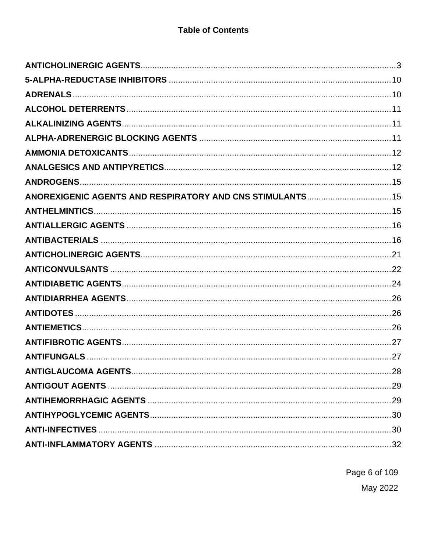| ANOREXIGENIC AGENTS AND RESPIRATORY AND CNS STIMULANTS 15 |     |
|-----------------------------------------------------------|-----|
|                                                           |     |
|                                                           |     |
|                                                           |     |
|                                                           |     |
|                                                           |     |
|                                                           |     |
|                                                           |     |
|                                                           |     |
|                                                           |     |
|                                                           |     |
|                                                           |     |
|                                                           | .28 |
|                                                           |     |
|                                                           |     |
|                                                           |     |
|                                                           |     |
|                                                           |     |

Page 6 of 109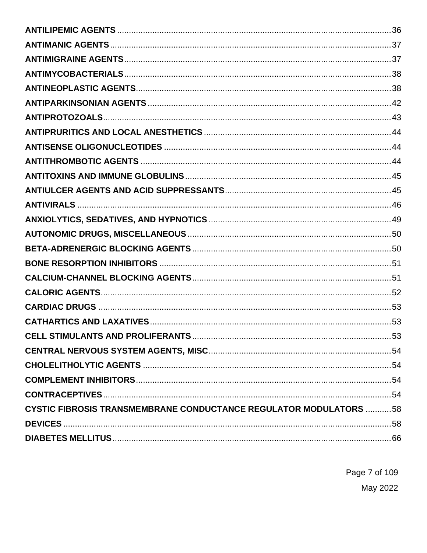|                                                                          | .53 |
|--------------------------------------------------------------------------|-----|
|                                                                          |     |
|                                                                          |     |
|                                                                          |     |
|                                                                          |     |
| <b>CYSTIC FIBROSIS TRANSMEMBRANE CONDUCTANCE REGULATOR MODULATORS 58</b> |     |
|                                                                          |     |
|                                                                          |     |

Page 7 of 109 May 2022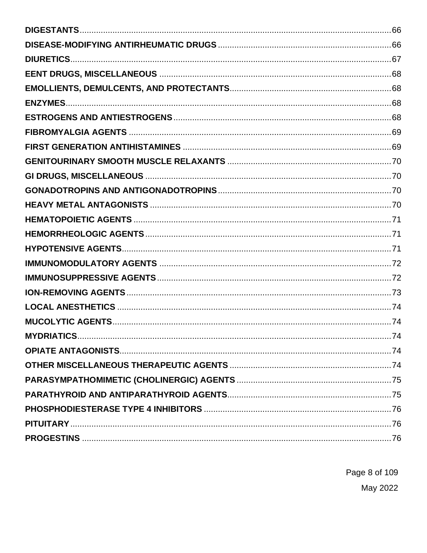Page 8 of 109 May 2022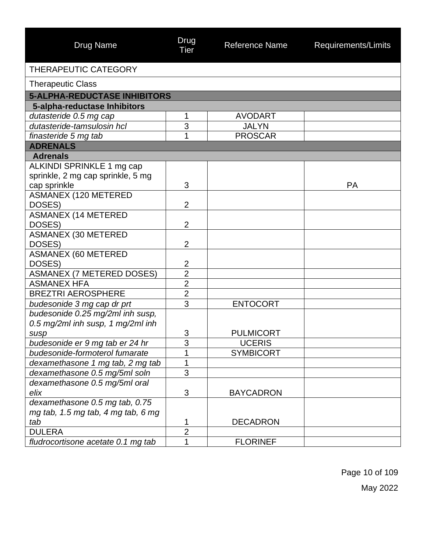| <b>Drug Name</b>                     | Drug<br>Tier        | <b>Reference Name</b> | Requirements/Limits |
|--------------------------------------|---------------------|-----------------------|---------------------|
| <b>THERAPEUTIC CATEGORY</b>          |                     |                       |                     |
| <b>Therapeutic Class</b>             |                     |                       |                     |
| <b>5-ALPHA-REDUCTASE INHIBITORS</b>  |                     |                       |                     |
| 5-alpha-reductase Inhibitors         |                     |                       |                     |
| dutasteride 0.5 mg cap               | 1                   | <b>AVODART</b>        |                     |
| dutasteride-tamsulosin hcl           | 3                   | <b>JALYN</b>          |                     |
| finasteride 5 mg tab                 | 1                   | <b>PROSCAR</b>        |                     |
| <b>ADRENALS</b>                      |                     |                       |                     |
| <b>Adrenals</b>                      |                     |                       |                     |
| ALKINDI SPRINKLE 1 mg cap            |                     |                       |                     |
| sprinkle, 2 mg cap sprinkle, 5 mg    |                     |                       |                     |
| cap sprinkle                         | 3                   |                       | <b>PA</b>           |
| <b>ASMANEX (120 METERED</b>          | $\overline{2}$      |                       |                     |
| DOSES)<br><b>ASMANEX (14 METERED</b> |                     |                       |                     |
| DOSES)                               | $\overline{2}$      |                       |                     |
| <b>ASMANEX (30 METERED</b>           |                     |                       |                     |
| DOSES)                               | $\overline{2}$      |                       |                     |
| <b>ASMANEX (60 METERED</b>           |                     |                       |                     |
| DOSES)                               | $\overline{2}$      |                       |                     |
| <b>ASMANEX (7 METERED DOSES)</b>     | $\overline{2}$      |                       |                     |
| <b>ASMANEX HFA</b>                   | $\overline{2}$      |                       |                     |
| <b>BREZTRI AEROSPHERE</b>            | $\overline{2}$      |                       |                     |
| budesonide 3 mg cap dr prt           | 3                   | <b>ENTOCORT</b>       |                     |
| budesonide 0.25 mg/2ml inh susp,     |                     |                       |                     |
| 0.5 mg/2ml inh susp, 1 mg/2ml inh    |                     |                       |                     |
| susp                                 | 3                   | <b>PULMICORT</b>      |                     |
| budesonide er 9 mg tab er 24 hr      | 3                   | <b>UCERIS</b>         |                     |
| budesonide-formoterol fumarate       | 1                   | <b>SYMBICORT</b>      |                     |
| dexamethasone 1 mg tab, 2 mg tab     | 1                   |                       |                     |
| dexamethasone 0.5 mg/5ml soln        | 3                   |                       |                     |
| dexamethasone 0.5 mg/5ml oral        |                     |                       |                     |
| elix                                 | 3                   | <b>BAYCADRON</b>      |                     |
| dexamethasone 0.5 mg tab, 0.75       |                     |                       |                     |
| mg tab, 1.5 mg tab, 4 mg tab, 6 mg   |                     | <b>DECADRON</b>       |                     |
| tab<br><b>DULERA</b>                 | 1<br>$\overline{2}$ |                       |                     |
|                                      | 1                   | <b>FLORINEF</b>       |                     |
| fludrocortisone acetate 0.1 mg tab   |                     |                       |                     |

Page 10 of 109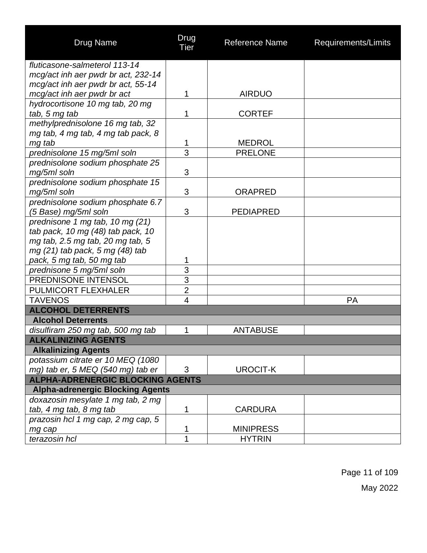| <b>Drug Name</b>                        | Drug<br>Tier   | <b>Reference Name</b> | Requirements/Limits |
|-----------------------------------------|----------------|-----------------------|---------------------|
| fluticasone-salmeterol 113-14           |                |                       |                     |
| mcg/act inh aer pwdr br act, 232-14     |                |                       |                     |
| mcg/act inh aer pwdr br act, 55-14      |                |                       |                     |
| mcg/act inh aer pwdr br act             | 1              | <b>AIRDUO</b>         |                     |
| hydrocortisone 10 mg tab, 20 mg         |                |                       |                     |
| tab, 5 mg tab                           | 1              | <b>CORTEF</b>         |                     |
| methylprednisolone 16 mg tab, 32        |                |                       |                     |
| mg tab, 4 mg tab, 4 mg tab pack, 8      |                |                       |                     |
| mg tab                                  | 1              | <b>MEDROL</b>         |                     |
| prednisolone 15 mg/5ml soln             | 3              | <b>PRELONE</b>        |                     |
| prednisolone sodium phosphate 25        |                |                       |                     |
| mg/5ml soln                             | 3              |                       |                     |
| prednisolone sodium phosphate 15        |                |                       |                     |
| mg/5ml soln                             | 3              | <b>ORAPRED</b>        |                     |
| prednisolone sodium phosphate 6.7       |                |                       |                     |
| (5 Base) mg/5ml soln                    | 3              | <b>PEDIAPRED</b>      |                     |
| prednisone 1 mg tab, 10 mg (21)         |                |                       |                     |
| tab pack, 10 mg (48) tab pack, 10       |                |                       |                     |
| mg tab, 2.5 mg tab, 20 mg tab, 5        |                |                       |                     |
| mg (21) tab pack, 5 mg (48) tab         |                |                       |                     |
| pack, 5 mg tab, 50 mg tab               | 1              |                       |                     |
| prednisone 5 mg/5ml soln                | 3              |                       |                     |
| PREDNISONE INTENSOL                     | $\overline{3}$ |                       |                     |
| PULMICORT FLEXHALER                     | $\overline{c}$ |                       |                     |
| <b>TAVENOS</b>                          | 4              |                       | PA                  |
| <b>ALCOHOL DETERRENTS</b>               |                |                       |                     |
| <b>Alcohol Deterrents</b>               |                |                       |                     |
| disulfiram 250 mg tab, 500 mg tab       | 1              | <b>ANTABUSE</b>       |                     |
| <b>ALKALINIZING AGENTS</b>              |                |                       |                     |
| <b>Alkalinizing Agents</b>              |                |                       |                     |
| potassium citrate er 10 MEQ (1080       |                |                       |                     |
| mg) tab er, 5 MEQ (540 mg) tab er       | 3              | <b>UROCIT-K</b>       |                     |
| <b>ALPHA-ADRENERGIC BLOCKING AGENTS</b> |                |                       |                     |
| <b>Alpha-adrenergic Blocking Agents</b> |                |                       |                     |
| doxazosin mesylate 1 mg tab, 2 mg       |                |                       |                     |
| tab, 4 mg tab, 8 mg tab                 | 1              | <b>CARDURA</b>        |                     |
| prazosin hcl 1 mg cap, 2 mg cap, 5      |                |                       |                     |
| mg cap                                  | 1              | <b>MINIPRESS</b>      |                     |
| terazosin hcl                           | 1              | <b>HYTRIN</b>         |                     |

Page 11 of 109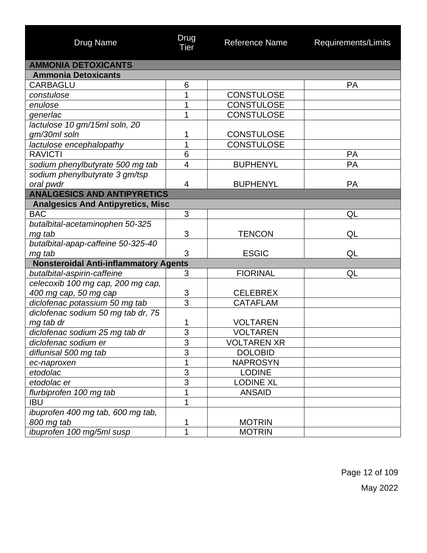| <b>Drug Name</b>                             | Drug<br>Tier   | <b>Reference Name</b> | Requirements/Limits |
|----------------------------------------------|----------------|-----------------------|---------------------|
| <b>AMMONIA DETOXICANTS</b>                   |                |                       |                     |
| <b>Ammonia Detoxicants</b>                   |                |                       |                     |
| <b>CARBAGLU</b>                              | 6              |                       | <b>PA</b>           |
| constulose                                   | 1              | <b>CONSTULOSE</b>     |                     |
| enulose                                      | 1              | <b>CONSTULOSE</b>     |                     |
| generlac                                     | 1              | <b>CONSTULOSE</b>     |                     |
| lactulose 10 gm/15ml soln, 20                |                |                       |                     |
| gm/30ml soln                                 | 1              | <b>CONSTULOSE</b>     |                     |
| lactulose encephalopathy                     | 1              | <b>CONSTULOSE</b>     |                     |
| <b>RAVICTI</b>                               | 6              |                       | <b>PA</b>           |
| sodium phenylbutyrate 500 mg tab             | 4              | <b>BUPHENYL</b>       | PA                  |
| sodium phenylbutyrate 3 gm/tsp               |                |                       |                     |
| oral pwdr                                    | 4              | <b>BUPHENYL</b>       | PA                  |
| <b>ANALGESICS AND ANTIPYRETICS</b>           |                |                       |                     |
| <b>Analgesics And Antipyretics, Misc</b>     |                |                       |                     |
| <b>BAC</b>                                   | 3              |                       | QL                  |
| butalbital-acetaminophen 50-325              |                |                       |                     |
| mg tab                                       | 3              | <b>TENCON</b>         | QL                  |
| butalbital-apap-caffeine 50-325-40           |                |                       |                     |
| mg tab                                       | 3              | <b>ESGIC</b>          | QL                  |
| <b>Nonsteroidal Anti-inflammatory Agents</b> |                |                       |                     |
| butalbital-aspirin-caffeine                  | 3              | <b>FIORINAL</b>       | QL                  |
| celecoxib 100 mg cap, 200 mg cap,            |                |                       |                     |
| 400 mg cap, 50 mg cap                        | 3              | <b>CELEBREX</b>       |                     |
| diclofenac potassium 50 mg tab               | $\overline{3}$ | <b>CATAFLAM</b>       |                     |
| diclofenac sodium 50 mg tab dr, 75           |                |                       |                     |
| mg tab dr                                    | 1              | <b>VOLTAREN</b>       |                     |
| diclofenac sodium 25 mg tab dr               | 3              | <b>VOLTAREN</b>       |                     |
| diclofenac sodium er                         | $\sim$<br>3    | <b>VOLTAREN XR</b>    |                     |
| diflunisal 500 mg tab                        | $\overline{3}$ | <b>DOLOBID</b>        |                     |
| ec-naproxen                                  | 1              | <b>NAPROSYN</b>       |                     |
| etodolac                                     | $\overline{3}$ | <b>LODINE</b>         |                     |
| etodolac er                                  | $\overline{3}$ | <b>LODINE XL</b>      |                     |
| flurbiprofen 100 mg tab                      | 1              | <b>ANSAID</b>         |                     |
| <b>IBU</b>                                   | 1              |                       |                     |
| ibuprofen 400 mg tab, 600 mg tab,            |                |                       |                     |
| 800 mg tab                                   | 1              | <b>MOTRIN</b>         |                     |
| ibuprofen 100 mg/5ml susp                    | 1              | <b>MOTRIN</b>         |                     |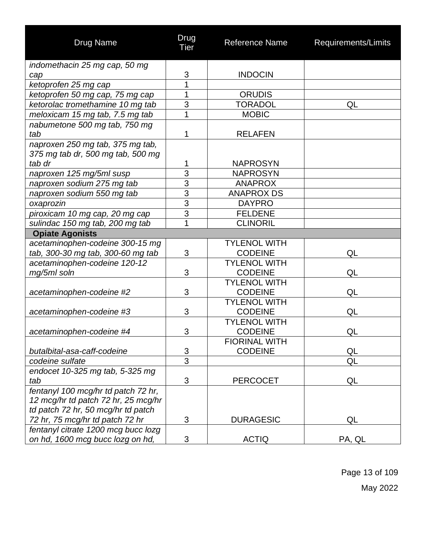| Drug Name                                                               | Drug<br>Tier   | Reference Name                         | Requirements/Limits |
|-------------------------------------------------------------------------|----------------|----------------------------------------|---------------------|
| indomethacin 25 mg cap, 50 mg                                           |                |                                        |                     |
| cap                                                                     | 3              | <b>INDOCIN</b>                         |                     |
| ketoprofen 25 mg cap                                                    | 1              |                                        |                     |
| ketoprofen 50 mg cap, 75 mg cap                                         | 1              | <b>ORUDIS</b>                          |                     |
| ketorolac tromethamine 10 mg tab                                        | $\overline{3}$ | <b>TORADOL</b>                         | QL                  |
| meloxicam 15 mg tab, 7.5 mg tab                                         | 1              | <b>MOBIC</b>                           |                     |
| nabumetone 500 mg tab, 750 mg                                           |                |                                        |                     |
| tab                                                                     | 1              | <b>RELAFEN</b>                         |                     |
| naproxen 250 mg tab, 375 mg tab,<br>375 mg tab dr, 500 mg tab, 500 mg   |                |                                        |                     |
| tab dr                                                                  | 1              | <b>NAPROSYN</b>                        |                     |
| naproxen 125 mg/5ml susp                                                | $\overline{3}$ | <b>NAPROSYN</b>                        |                     |
| naproxen sodium 275 mg tab                                              | $\overline{3}$ | <b>ANAPROX</b>                         |                     |
| naproxen sodium 550 mg tab                                              | $\overline{3}$ | <b>ANAPROX DS</b>                      |                     |
| oxaprozin                                                               | $\overline{3}$ | <b>DAYPRO</b>                          |                     |
| piroxicam 10 mg cap, 20 mg cap                                          | $\overline{3}$ | <b>FELDENE</b>                         |                     |
| sulindac 150 mg tab, 200 mg tab                                         | 1              | <b>CLINORIL</b>                        |                     |
| <b>Opiate Agonists</b>                                                  |                |                                        |                     |
| acetaminophen-codeine 300-15 mg                                         |                | <b>TYLENOL WITH</b>                    |                     |
| tab, 300-30 mg tab, 300-60 mg tab                                       | 3              | <b>CODEINE</b>                         | QL                  |
| acetaminophen-codeine 120-12                                            |                | <b>TYLENOL WITH</b>                    |                     |
| mg/5ml soln                                                             | 3              | <b>CODEINE</b>                         | QL                  |
|                                                                         |                | <b>TYLENOL WITH</b>                    |                     |
| acetaminophen-codeine #2                                                | 3              | <b>CODEINE</b>                         | QL                  |
|                                                                         |                | <b>TYLENOL WITH</b>                    |                     |
| acetaminophen-codeine #3                                                | 3              | <b>CODEINE</b>                         | QL                  |
|                                                                         |                | <b>TYLENOL WITH</b>                    |                     |
| acetaminophen-codeine #4                                                | 3              | <b>CODEINE</b>                         | QL                  |
|                                                                         |                | <b>FIORINAL WITH</b><br><b>CODEINE</b> |                     |
| butalbital-asa-caff-codeine                                             | 3<br>3         |                                        | QL                  |
| codeine sulfate                                                         |                |                                        | QL                  |
| endocet 10-325 mg tab, 5-325 mg                                         |                |                                        |                     |
| tab                                                                     | 3              | <b>PERCOCET</b>                        | QL                  |
| fentanyl 100 mcg/hr td patch 72 hr,                                     |                |                                        |                     |
| 12 mcg/hr td patch 72 hr, 25 mcg/hr                                     |                |                                        |                     |
| td patch 72 hr, 50 mcg/hr td patch                                      | 3              |                                        |                     |
| 72 hr, 75 mcg/hr td patch 72 hr                                         |                | <b>DURAGESIC</b>                       | QL                  |
| fentanyl citrate 1200 mcg bucc lozg<br>on hd, 1600 mcg bucc lozg on hd, | 3              | <b>ACTIQ</b>                           | PA, QL              |

Page 13 of 109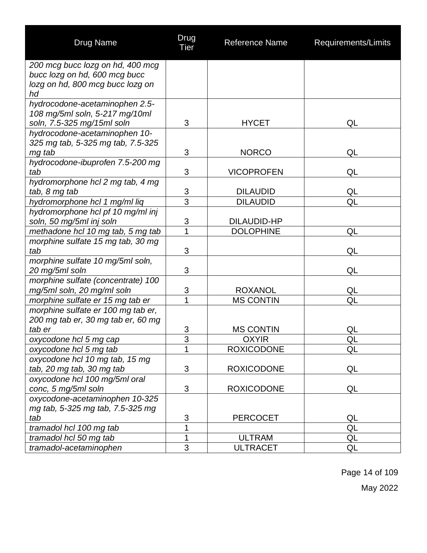| <b>Drug Name</b>                                 | Drug<br>Tier   | <b>Reference Name</b>            | Requirements/Limits |
|--------------------------------------------------|----------------|----------------------------------|---------------------|
| 200 mcg bucc lozg on hd, 400 mcg                 |                |                                  |                     |
| bucc lozg on hd, 600 mcg bucc                    |                |                                  |                     |
| lozg on hd, 800 mcg bucc lozg on                 |                |                                  |                     |
| hd                                               |                |                                  |                     |
| hydrocodone-acetaminophen 2.5-                   |                |                                  |                     |
| 108 mg/5ml soln, 5-217 mg/10ml                   |                |                                  |                     |
| soln, 7.5-325 mg/15ml soln                       | 3              | <b>HYCET</b>                     | QL                  |
| hydrocodone-acetaminophen 10-                    |                |                                  |                     |
| 325 mg tab, 5-325 mg tab, 7.5-325                | 3              | <b>NORCO</b>                     | QL                  |
| mg tab<br>hydrocodone-ibuprofen 7.5-200 mg       |                |                                  |                     |
| tab                                              | 3              | <b>VICOPROFEN</b>                | QL                  |
| hydromorphone hcl 2 mg tab, 4 mg                 |                |                                  |                     |
| tab, 8 mg tab                                    | 3              | <b>DILAUDID</b>                  | QL                  |
| hydromorphone hcl 1 mg/ml liq                    | $\overline{3}$ | <b>DILAUDID</b>                  | QL                  |
| hydromorphone hcl pf 10 mg/ml inj                |                |                                  |                     |
| soln, 50 mg/5ml inj soln                         | $\overline{3}$ | <b>DILAUDID-HP</b>               |                     |
| methadone hcl 10 mg tab, 5 mg tab                | $\overline{1}$ | <b>DOLOPHINE</b>                 | QL                  |
| morphine sulfate 15 mg tab, 30 mg                |                |                                  |                     |
| tab                                              | 3              |                                  | QL                  |
| morphine sulfate 10 mg/5ml soln,                 |                |                                  |                     |
| 20 mg/5ml soln                                   | 3              |                                  | QL                  |
| morphine sulfate (concentrate) 100               |                |                                  |                     |
| mg/5ml soln, 20 mg/ml soln                       | 3              | <b>ROXANOL</b>                   | QL                  |
| morphine sulfate er 15 mg tab er                 | 1              | <b>MS CONTIN</b>                 | QL                  |
| morphine sulfate er 100 mg tab er,               |                |                                  |                     |
| 200 mg tab er, 30 mg tab er, 60 mg               |                |                                  |                     |
| tab er                                           | 3              | <b>MS CONTIN</b>                 | QL                  |
| oxycodone hcl 5 mg cap                           | $\overline{3}$ | <b>OXYIR</b>                     | QL                  |
| oxycodone hcl 5 mg tab                           | 1              | <b>ROXICODONE</b>                | QL                  |
| oxycodone hcl 10 mg tab, 15 mg                   |                |                                  |                     |
| tab, 20 mg tab, 30 mg tab                        | 3              | <b>ROXICODONE</b>                | QL                  |
| oxycodone hcl 100 mg/5ml oral                    |                |                                  |                     |
| conc, 5 mg/5ml soln                              | 3              | <b>ROXICODONE</b>                | QL                  |
| oxycodone-acetaminophen 10-325                   |                |                                  |                     |
| mg tab, 5-325 mg tab, 7.5-325 mg                 |                |                                  |                     |
| tab                                              | 3<br>1         | <b>PERCOCET</b>                  | QL<br>QL            |
| tramadol hcl 100 mg tab                          | 1              |                                  |                     |
| tramadol hcl 50 mg tab<br>tramadol-acetaminophen | 3              | <b>ULTRAM</b><br><b>ULTRACET</b> | QL<br>QL            |
|                                                  |                |                                  |                     |

Page 14 of 109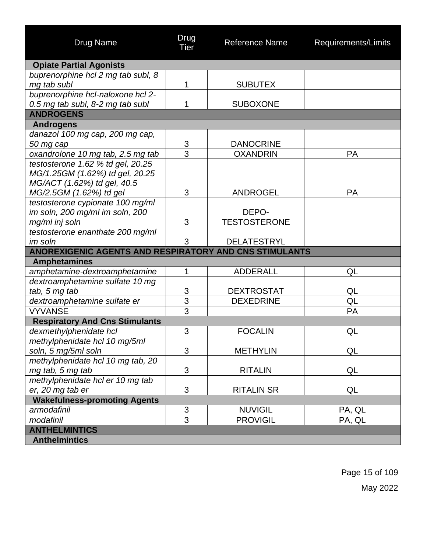| <b>Drug Name</b>                                       | Drug<br><b>Tier</b> | <b>Reference Name</b> | Requirements/Limits |  |  |
|--------------------------------------------------------|---------------------|-----------------------|---------------------|--|--|
| <b>Opiate Partial Agonists</b>                         |                     |                       |                     |  |  |
| buprenorphine hcl 2 mg tab subl, 8                     |                     |                       |                     |  |  |
| mg tab subl                                            | 1                   | <b>SUBUTEX</b>        |                     |  |  |
| buprenorphine hcl-naloxone hcl 2-                      |                     |                       |                     |  |  |
| 0.5 mg tab subl, 8-2 mg tab subl                       | 1                   | <b>SUBOXONE</b>       |                     |  |  |
| <b>ANDROGENS</b>                                       |                     |                       |                     |  |  |
| <b>Androgens</b>                                       |                     |                       |                     |  |  |
| danazol 100 mg cap, 200 mg cap,                        |                     |                       |                     |  |  |
| 50 mg cap                                              | 3                   | <b>DANOCRINE</b>      |                     |  |  |
| oxandrolone 10 mg tab, 2.5 mg tab                      | 3                   | <b>OXANDRIN</b>       | <b>PA</b>           |  |  |
| testosterone 1.62 % td gel, 20.25                      |                     |                       |                     |  |  |
| MG/1.25GM (1.62%) td gel, 20.25                        |                     |                       |                     |  |  |
| MG/ACT (1.62%) td gel, 40.5                            |                     |                       |                     |  |  |
| MG/2.5GM (1.62%) td gel                                | 3                   | <b>ANDROGEL</b>       | <b>PA</b>           |  |  |
| testosterone cypionate 100 mg/ml                       |                     |                       |                     |  |  |
| im soln, 200 mg/ml im soln, 200                        |                     | DEPO-                 |                     |  |  |
| mg/ml inj soln                                         | 3                   | <b>TESTOSTERONE</b>   |                     |  |  |
| testosterone enanthate 200 mg/ml                       |                     |                       |                     |  |  |
| im soln                                                | 3                   | <b>DELATESTRYL</b>    |                     |  |  |
| ANOREXIGENIC AGENTS AND RESPIRATORY AND CNS STIMULANTS |                     |                       |                     |  |  |
| <b>Amphetamines</b>                                    |                     |                       |                     |  |  |
| amphetamine-dextroamphetamine                          | 1                   | <b>ADDERALL</b>       | QL                  |  |  |
| dextroamphetamine sulfate 10 mg                        |                     |                       |                     |  |  |
| tab, 5 mg tab                                          | $\overline{3}$      | <b>DEXTROSTAT</b>     | QL                  |  |  |
| dextroamphetamine sulfate er                           | $\overline{3}$      | <b>DEXEDRINE</b>      | QL                  |  |  |
| <b>VYVANSE</b>                                         | $\overline{3}$      |                       | PA                  |  |  |
| <b>Respiratory And Cns Stimulants</b>                  |                     |                       |                     |  |  |
| dexmethylphenidate hcl                                 | 3                   | <b>FOCALIN</b>        | QL                  |  |  |
| methylphenidate hcl 10 mg/5ml                          |                     |                       |                     |  |  |
| soln, 5 mg/5ml soln                                    | 3                   | <b>METHYLIN</b>       | QL                  |  |  |
| methylphenidate hcl 10 mg tab, 20                      |                     |                       |                     |  |  |
| mg tab, 5 mg tab                                       | 3                   | <b>RITALIN</b>        | QL                  |  |  |
| methylphenidate hcl er 10 mg tab                       |                     |                       |                     |  |  |
| er, 20 mg tab er                                       | 3                   | <b>RITALIN SR</b>     | QL                  |  |  |
| <b>Wakefulness-promoting Agents</b>                    |                     |                       |                     |  |  |
| armodafinil                                            | $rac{3}{3}$         | <b>NUVIGIL</b>        | PA, QL              |  |  |
| modafinil                                              |                     | <b>PROVIGIL</b>       | PA, QL              |  |  |
| <b>ANTHELMINTICS</b>                                   |                     |                       |                     |  |  |
| <b>Anthelmintics</b>                                   |                     |                       |                     |  |  |

Page 15 of 109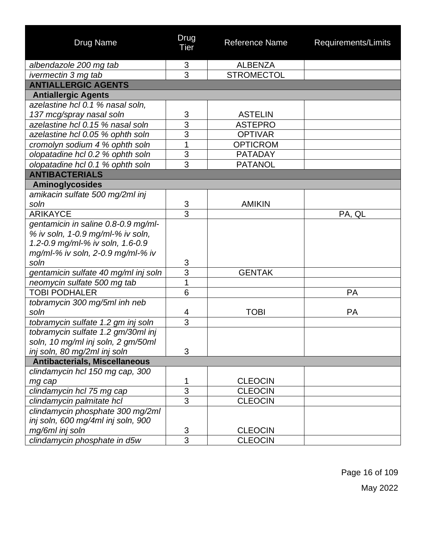| <b>Drug Name</b>                     | Drug<br>Tier   | <b>Reference Name</b> | Requirements/Limits |
|--------------------------------------|----------------|-----------------------|---------------------|
| albendazole 200 mg tab               | 3              | <b>ALBENZA</b>        |                     |
| ivermectin 3 mg tab                  | 3              | <b>STROMECTOL</b>     |                     |
| <b>ANTIALLERGIC AGENTS</b>           |                |                       |                     |
| <b>Antiallergic Agents</b>           |                |                       |                     |
| azelastine hcl 0.1 % nasal soln,     |                |                       |                     |
| 137 mcg/spray nasal soln             | 3              | <b>ASTELIN</b>        |                     |
| azelastine hcl 0.15 % nasal soln     | $\overline{3}$ | <b>ASTEPRO</b>        |                     |
| azelastine hcl 0.05 % ophth soln     | $\overline{3}$ | <b>OPTIVAR</b>        |                     |
| cromolyn sodium 4 % ophth soln       | 1              | <b>OPTICROM</b>       |                     |
| olopatadine hcl 0.2 % ophth soln     | 3              | <b>PATADAY</b>        |                     |
| olopatadine hcl 0.1 % ophth soln     | 3              | <b>PATANOL</b>        |                     |
| <b>ANTIBACTERIALS</b>                |                |                       |                     |
| <b>Aminoglycosides</b>               |                |                       |                     |
| amikacin sulfate 500 mg/2ml inj      |                |                       |                     |
| soln                                 | 3              | <b>AMIKIN</b>         |                     |
| <b>ARIKAYCE</b>                      | $\overline{3}$ |                       | PA, QL              |
| gentamicin in saline 0.8-0.9 mg/ml-  |                |                       |                     |
| % iv soln, 1-0.9 mg/ml-% iv soln,    |                |                       |                     |
| 1.2-0.9 mg/ml-% iv soln, 1.6-0.9     |                |                       |                     |
| mg/ml-% iv soln, 2-0.9 mg/ml-% iv    |                |                       |                     |
| soln                                 | 3              |                       |                     |
| gentamicin sulfate 40 mg/ml inj soln | $\overline{3}$ | <b>GENTAK</b>         |                     |
| neomycin sulfate 500 mg tab          | $\overline{1}$ |                       |                     |
| <b>TOBI PODHALER</b>                 | 6              |                       | <b>PA</b>           |
| tobramycin 300 mg/5ml inh neb        |                |                       |                     |
| soln                                 | 4              | <b>TOBI</b>           | <b>PA</b>           |
| tobramycin sulfate 1.2 gm inj soln   | $\overline{3}$ |                       |                     |
| tobramycin sulfate 1.2 gm/30ml inj   |                |                       |                     |
| soln, 10 mg/ml inj soln, 2 gm/50ml   |                |                       |                     |
| inj soln, 80 mg/2ml inj soln         | 3              |                       |                     |
| <b>Antibacterials, Miscellaneous</b> |                |                       |                     |
| clindamycin hcl 150 mg cap, 300      |                |                       |                     |
| mg cap                               | 1              | <b>CLEOCIN</b>        |                     |
| clindamycin hcl 75 mg cap            | $\overline{3}$ | <b>CLEOCIN</b>        |                     |
| clindamycin palmitate hcl            | $\overline{3}$ | <b>CLEOCIN</b>        |                     |
| clindamycin phosphate 300 mg/2ml     |                |                       |                     |
| inj soln, 600 mg/4ml inj soln, 900   |                |                       |                     |
| mg/6ml inj soln                      | 3              | <b>CLEOCIN</b>        |                     |
| clindamycin phosphate in d5w         | 3              | <b>CLEOCIN</b>        |                     |

Page 16 of 109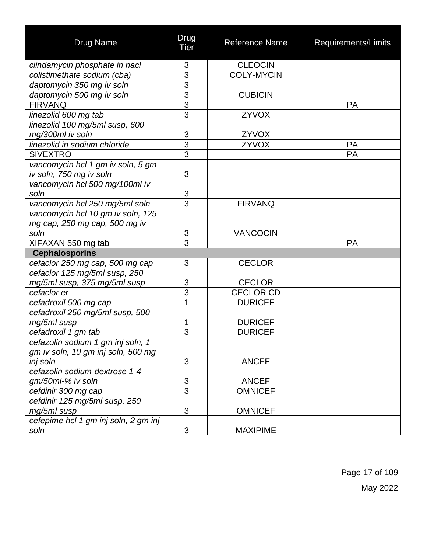| <b>Drug Name</b>                                             | Drug<br><b>Tier</b> | Reference Name    | Requirements/Limits |
|--------------------------------------------------------------|---------------------|-------------------|---------------------|
| clindamycin phosphate in nacl                                | 3                   | <b>CLEOCIN</b>    |                     |
| colistimethate sodium (cba)                                  | $\frac{3}{3}$       | <b>COLY-MYCIN</b> |                     |
| daptomycin 350 mg iv soln                                    |                     |                   |                     |
| daptomycin 500 mg iv soln                                    | $\overline{3}$      | <b>CUBICIN</b>    |                     |
| <b>FIRVANQ</b>                                               | $\overline{3}$      |                   | PA                  |
| linezolid 600 mg tab                                         | 3                   | <b>ZYVOX</b>      |                     |
| linezolid 100 mg/5ml susp, 600                               |                     |                   |                     |
| mg/300ml iv soln                                             | 3                   | ZYVOX             |                     |
| linezolid in sodium chloride                                 | $\overline{3}$      | ZYVOX             | PA                  |
| <b>SIVEXTRO</b>                                              | $\overline{3}$      |                   | PA                  |
| vancomycin hcl 1 gm iv soln, 5 gm<br>iv soln, 750 mg iv soln | 3                   |                   |                     |
| vancomycin hcl 500 mg/100ml iv                               |                     |                   |                     |
| soln                                                         | $\overline{3}$      |                   |                     |
| vancomycin hcl 250 mg/5ml soln                               | $\overline{3}$      | <b>FIRVANQ</b>    |                     |
| vancomycin hcl 10 gm iv soln, 125                            |                     |                   |                     |
| mg cap, 250 mg cap, 500 mg iv                                |                     |                   |                     |
| soln                                                         | 3                   | <b>VANCOCIN</b>   |                     |
| XIFAXAN 550 mg tab                                           | $\overline{3}$      |                   | <b>PA</b>           |
| <b>Cephalosporins</b>                                        |                     |                   |                     |
| cefaclor 250 mg cap, 500 mg cap                              | 3                   | <b>CECLOR</b>     |                     |
| cefaclor 125 mg/5ml susp, 250                                |                     |                   |                     |
| mg/5ml susp, 375 mg/5ml susp                                 | 3                   | <b>CECLOR</b>     |                     |
| cefaclor er                                                  | $\overline{3}$      | <b>CECLOR CD</b>  |                     |
| cefadroxil 500 mg cap                                        | $\overline{1}$      | <b>DURICEF</b>    |                     |
| cefadroxil 250 mg/5ml susp, 500                              |                     |                   |                     |
| mg/5ml susp                                                  | 1                   | <b>DURICEF</b>    |                     |
| cefadroxil 1 gm tab                                          | 3                   | <b>DURICEF</b>    |                     |
| cefazolin sodium 1 gm inj soln, 1                            |                     |                   |                     |
| gm iv soln, 10 gm inj soln, 500 mg                           |                     |                   |                     |
| inj soln                                                     | 3                   | <b>ANCEF</b>      |                     |
| cefazolin sodium-dextrose 1-4                                |                     |                   |                     |
| gm/50ml-% iv soln                                            | 3                   | <b>ANCEF</b>      |                     |
| cefdinir 300 mg cap                                          | $\overline{3}$      | <b>OMNICEF</b>    |                     |
| cefdinir 125 mg/5ml susp, 250                                |                     |                   |                     |
| mg/5ml susp                                                  | 3                   | <b>OMNICEF</b>    |                     |
| cefepime hcl 1 gm inj soln, 2 gm inj                         |                     |                   |                     |
| soln                                                         | 3                   | <b>MAXIPIME</b>   |                     |

Page 17 of 109 May 2022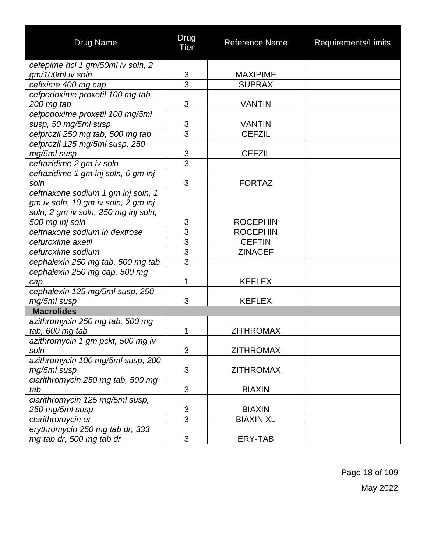| <b>Drug Name</b>                     | Drug<br>Tier              | <b>Reference Name</b> | Requirements/Limits |
|--------------------------------------|---------------------------|-----------------------|---------------------|
| cefepime hcl 1 gm/50ml iv soln, 2    |                           |                       |                     |
| gm/100ml iv soln                     | 3                         | <b>MAXIPIME</b>       |                     |
| cefixime 400 mg cap                  | $\overline{3}$            | <b>SUPRAX</b>         |                     |
| cefpodoxime proxetil 100 mg tab,     |                           |                       |                     |
| 200 mg tab                           | 3                         | <b>VANTIN</b>         |                     |
| cefpodoxime proxetil 100 mg/5ml      |                           |                       |                     |
| susp, 50 mg/5ml susp                 | $\ensuremath{\mathsf{3}}$ | <b>VANTIN</b>         |                     |
| cefprozil 250 mg tab, 500 mg tab     | $\overline{3}$            | <b>CEFZIL</b>         |                     |
| cefprozil 125 mg/5ml susp, 250       |                           |                       |                     |
| mg/5ml susp                          | $\ensuremath{\mathsf{3}}$ | <b>CEFZIL</b>         |                     |
| ceftazidime 2 gm iv soln             | $\overline{3}$            |                       |                     |
| ceftazidime 1 gm inj soln, 6 gm inj  |                           |                       |                     |
| soln                                 | 3                         | <b>FORTAZ</b>         |                     |
| ceftriaxone sodium 1 gm inj soln, 1  |                           |                       |                     |
| gm iv soln, 10 gm iv soln, 2 gm inj  |                           |                       |                     |
| soln, 2 gm iv soln, 250 mg inj soln, |                           |                       |                     |
| 500 mg inj soln                      | 3                         | <b>ROCEPHIN</b>       |                     |
| ceftriaxone sodium in dextrose       | $\overline{3}$            | <b>ROCEPHIN</b>       |                     |
| cefuroxime axetil                    | $\overline{3}$            | <b>CEFTIN</b>         |                     |
| cefuroxime sodium                    | $\overline{3}$            | <b>ZINACEF</b>        |                     |
| cephalexin 250 mg tab, 500 mg tab    | $\overline{3}$            |                       |                     |
| cephalexin 250 mg cap, 500 mg        |                           |                       |                     |
| cap                                  | 1                         | <b>KEFLEX</b>         |                     |
| cephalexin 125 mg/5ml susp, 250      |                           |                       |                     |
| mg/5ml susp                          | 3                         | <b>KEFLEX</b>         |                     |
| <b>Macrolides</b>                    |                           |                       |                     |
| azithromycin 250 mg tab, 500 mg      |                           |                       |                     |
| tab, 600 mg tab                      | 1                         | <b>ZITHROMAX</b>      |                     |
| azithromycin 1 gm pckt, 500 mg iv    |                           |                       |                     |
| soln                                 | $\mathfrak{S}$            | <b>ZITHROMAX</b>      |                     |
| azithromycin 100 mg/5ml susp, 200    |                           |                       |                     |
| mg/5ml susp                          | 3                         | <b>ZITHROMAX</b>      |                     |
| clarithromycin 250 mg tab, 500 mg    |                           |                       |                     |
| tab                                  | 3                         | <b>BIAXIN</b>         |                     |
| clarithromycin 125 mg/5ml susp,      |                           |                       |                     |
| 250 mg/5ml susp                      | $\sqrt{3}$                | <b>BIAXIN</b>         |                     |
| clarithromycin er                    | $\overline{3}$            | <b>BIAXIN XL</b>      |                     |
| erythromycin 250 mg tab dr, 333      |                           |                       |                     |
| mg tab dr, 500 mg tab dr             | 3                         | ERY-TAB               |                     |

Page 18 of 109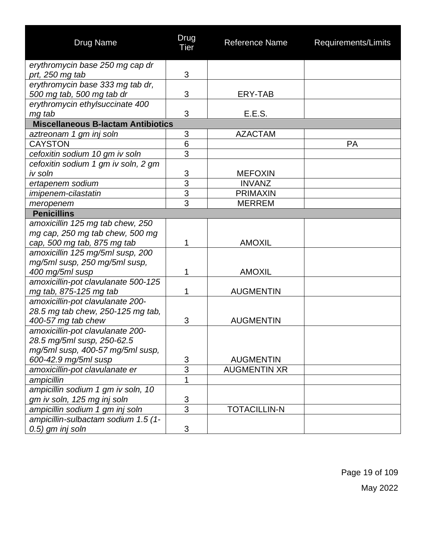| <b>Drug Name</b>                                                    | Drug<br>Tier        | Reference Name                          | Requirements/Limits |
|---------------------------------------------------------------------|---------------------|-----------------------------------------|---------------------|
| erythromycin base 250 mg cap dr                                     |                     |                                         |                     |
| prt, 250 mg tab                                                     | 3                   |                                         |                     |
| erythromycin base 333 mg tab dr,                                    |                     |                                         |                     |
| 500 mg tab, 500 mg tab dr                                           | 3                   | ERY-TAB                                 |                     |
| erythromycin ethylsuccinate 400                                     |                     |                                         |                     |
| mg tab                                                              | 3                   | E.E.S.                                  |                     |
| <b>Miscellaneous B-lactam Antibiotics</b>                           |                     |                                         |                     |
| aztreonam 1 gm inj soln                                             | 3                   | <b>AZACTAM</b>                          |                     |
| <b>CAYSTON</b>                                                      | 6                   |                                         | <b>PA</b>           |
| cefoxitin sodium 10 gm iv soln                                      | 3                   |                                         |                     |
| cefoxitin sodium 1 gm iv soln, 2 gm                                 |                     |                                         |                     |
| iv soln                                                             | 3                   | <b>MEFOXIN</b>                          |                     |
| ertapenem sodium                                                    | $\overline{3}$      | <b>INVANZ</b>                           |                     |
| imipenem-cilastatin                                                 | $\overline{3}$      | <b>PRIMAXIN</b>                         |                     |
| meropenem                                                           | 3                   | <b>MERREM</b>                           |                     |
| <b>Penicillins</b>                                                  |                     |                                         |                     |
| amoxicillin 125 mg tab chew, 250<br>mg cap, 250 mg tab chew, 500 mg |                     |                                         |                     |
| cap, 500 mg tab, 875 mg tab                                         | 1                   | <b>AMOXIL</b>                           |                     |
| amoxicillin 125 mg/5ml susp, 200                                    |                     |                                         |                     |
| mg/5ml susp, 250 mg/5ml susp,                                       |                     |                                         |                     |
| 400 mg/5ml susp                                                     | 1                   | <b>AMOXIL</b>                           |                     |
| amoxicillin-pot clavulanate 500-125                                 |                     |                                         |                     |
| mg tab, 875-125 mg tab                                              | 1                   | <b>AUGMENTIN</b>                        |                     |
| amoxicillin-pot clavulanate 200-                                    |                     |                                         |                     |
| 28.5 mg tab chew, 250-125 mg tab,                                   |                     |                                         |                     |
| 400-57 mg tab chew                                                  | 3                   | <b>AUGMENTIN</b>                        |                     |
| amoxicillin-pot clavulanate 200-                                    |                     |                                         |                     |
| 28.5 mg/5ml susp, 250-62.5                                          |                     |                                         |                     |
| mg/5ml susp, 400-57 mg/5ml susp,                                    |                     |                                         |                     |
| 600-42.9 mg/5ml susp                                                | 3<br>3              | <b>AUGMENTIN</b><br><b>AUGMENTIN XR</b> |                     |
| amoxicillin-pot clavulanate er                                      |                     |                                         |                     |
| ampicillin                                                          | 1                   |                                         |                     |
| ampicillin sodium 1 gm iv soln, 10                                  |                     |                                         |                     |
| gm iv soln, 125 mg inj soln                                         | 3<br>$\overline{3}$ |                                         |                     |
| ampicillin sodium 1 gm inj soln                                     |                     | <b>TOTACILLIN-N</b>                     |                     |
| ampicillin-sulbactam sodium 1.5 (1-                                 |                     |                                         |                     |
| 0.5) gm inj soln                                                    | 3                   |                                         |                     |

Page 19 of 109 May 2022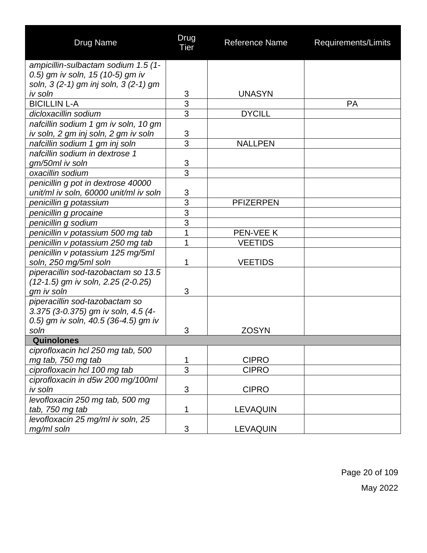| <b>Drug Name</b>                       | Drug<br><b>Tier</b> | <b>Reference Name</b> | Requirements/Limits |
|----------------------------------------|---------------------|-----------------------|---------------------|
| ampicillin-sulbactam sodium 1.5 (1-    |                     |                       |                     |
| 0.5) gm iv soln, 15 (10-5) gm iv       |                     |                       |                     |
| soln, 3 (2-1) gm inj soln, 3 (2-1) gm  |                     |                       |                     |
| iv soln                                | 3                   | <b>UNASYN</b>         |                     |
| <b>BICILLIN L-A</b>                    | $\overline{3}$      |                       | <b>PA</b>           |
| dicloxacillin sodium                   | $\overline{3}$      | <b>DYCILL</b>         |                     |
| nafcillin sodium 1 gm iv soln, 10 gm   |                     |                       |                     |
| iv soln, 2 gm inj soln, 2 gm iv soln   | 3                   |                       |                     |
| nafcillin sodium 1 gm inj soln         | 3                   | <b>NALLPEN</b>        |                     |
| nafcillin sodium in dextrose 1         |                     |                       |                     |
| gm/50ml iv soln                        | $\frac{3}{3}$       |                       |                     |
| oxacillin sodium                       |                     |                       |                     |
| penicillin g pot in dextrose 40000     |                     |                       |                     |
| unit/ml iv soln, 60000 unit/ml iv soln | 3                   |                       |                     |
| penicillin g potassium                 | $\overline{3}$      | <b>PFIZERPEN</b>      |                     |
| penicillin g procaine                  | $\overline{3}$      |                       |                     |
| penicillin g sodium                    | $\overline{3}$      |                       |                     |
| penicillin v potassium 500 mg tab      | 1                   | PEN-VEE K             |                     |
| penicillin v potassium 250 mg tab      | 1                   | <b>VEETIDS</b>        |                     |
| penicillin v potassium 125 mg/5ml      |                     |                       |                     |
| soln, 250 mg/5ml soln                  | 1                   | <b>VEETIDS</b>        |                     |
| piperacillin sod-tazobactam so 13.5    |                     |                       |                     |
| (12-1.5) gm iv soln, 2.25 (2-0.25)     |                     |                       |                     |
| gm iv soln                             | 3                   |                       |                     |
| piperacillin sod-tazobactam so         |                     |                       |                     |
| 3.375 (3-0.375) gm iv soln, 4.5 (4-    |                     |                       |                     |
| 0.5) gm iv soln, 40.5 (36-4.5) gm iv   |                     |                       |                     |
| soln                                   | 3                   | <b>ZOSYN</b>          |                     |
| Quinolones                             |                     |                       |                     |
| ciprofloxacin hcl 250 mg tab, 500      |                     |                       |                     |
| mg tab, 750 mg tab                     | 1                   | <b>CIPRO</b>          |                     |
| ciprofloxacin hcl 100 mg tab           | $\overline{3}$      | <b>CIPRO</b>          |                     |
| ciprofloxacin in d5w 200 mg/100ml      |                     |                       |                     |
| iv soln                                | 3                   | <b>CIPRO</b>          |                     |
| levofloxacin 250 mg tab, 500 mg        |                     |                       |                     |
| tab, 750 mg tab                        | 1                   | <b>LEVAQUIN</b>       |                     |
| levofloxacin 25 mg/ml iv soln, 25      |                     |                       |                     |
| mg/ml soln                             | 3                   | <b>LEVAQUIN</b>       |                     |

Page 20 of 109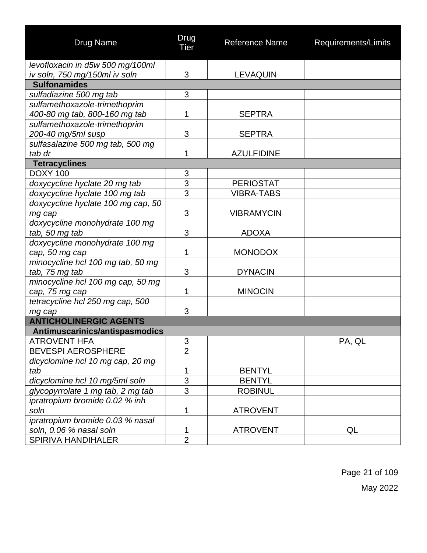| <b>Drug Name</b>                   | Drug<br><b>Tier</b> | <b>Reference Name</b> | Requirements/Limits |
|------------------------------------|---------------------|-----------------------|---------------------|
| levofloxacin in d5w 500 mg/100ml   |                     |                       |                     |
| iv soln, 750 mg/150ml iv soln      | 3                   | <b>LEVAQUIN</b>       |                     |
| <b>Sulfonamides</b>                |                     |                       |                     |
| sulfadiazine 500 mg tab            | 3                   |                       |                     |
| sulfamethoxazole-trimethoprim      |                     |                       |                     |
| 400-80 mg tab, 800-160 mg tab      | 1                   | <b>SEPTRA</b>         |                     |
| sulfamethoxazole-trimethoprim      |                     |                       |                     |
| 200-40 mg/5ml susp                 | 3                   | <b>SEPTRA</b>         |                     |
| sulfasalazine 500 mg tab, 500 mg   |                     |                       |                     |
| tab dr                             | 1                   | <b>AZULFIDINE</b>     |                     |
| <b>Tetracyclines</b>               |                     |                       |                     |
| <b>DOXY 100</b>                    | 3                   |                       |                     |
| doxycycline hyclate 20 mg tab      | 3                   | <b>PERIOSTAT</b>      |                     |
| doxycycline hyclate 100 mg tab     | $\overline{3}$      | <b>VIBRA-TABS</b>     |                     |
| doxycycline hyclate 100 mg cap, 50 |                     |                       |                     |
| mg cap                             | 3                   | <b>VIBRAMYCIN</b>     |                     |
| doxycycline monohydrate 100 mg     |                     |                       |                     |
| tab, 50 mg tab                     | 3                   | <b>ADOXA</b>          |                     |
| doxycycline monohydrate 100 mg     |                     |                       |                     |
| cap, 50 mg cap                     | 1                   | <b>MONODOX</b>        |                     |
| minocycline hcl 100 mg tab, 50 mg  |                     |                       |                     |
| tab, 75 mg tab                     | 3                   | <b>DYNACIN</b>        |                     |
| minocycline hcl 100 mg cap, 50 mg  |                     |                       |                     |
| cap, 75 mg cap                     | 1                   | <b>MINOCIN</b>        |                     |
| tetracycline hcl 250 mg cap, 500   |                     |                       |                     |
| mg cap                             | 3                   |                       |                     |
| <b>ANTICHOLINERGIC AGENTS</b>      |                     |                       |                     |
| Antimuscarinics/antispasmodics     |                     |                       |                     |
| <b>ATROVENT HFA</b>                | 3                   |                       | PA, QL              |
| <b>BEVESPI AEROSPHERE</b>          | $\overline{2}$      |                       |                     |
| dicyclomine hcl 10 mg cap, 20 mg   |                     |                       |                     |
| tab                                | 1                   | <b>BENTYL</b>         |                     |
| dicyclomine hcl 10 mg/5ml soln     | $\overline{3}$      | <b>BENTYL</b>         |                     |
| glycopyrrolate 1 mg tab, 2 mg tab  | 3                   | <b>ROBINUL</b>        |                     |
| ipratropium bromide 0.02 % inh     |                     |                       |                     |
| soln                               | 1                   | <b>ATROVENT</b>       |                     |
| ipratropium bromide 0.03 % nasal   |                     |                       |                     |
| soln, 0.06 % nasal soln            | 1                   | <b>ATROVENT</b>       | QL                  |
| <b>SPIRIVA HANDIHALER</b>          | $\overline{2}$      |                       |                     |

Page 21 of 109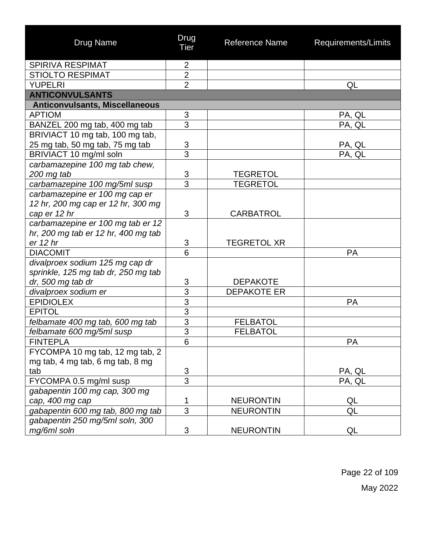| <b>Drug Name</b>                                                     | Drug<br><b>Tier</b> | <b>Reference Name</b> | Requirements/Limits |
|----------------------------------------------------------------------|---------------------|-----------------------|---------------------|
| <b>SPIRIVA RESPIMAT</b>                                              | $\overline{2}$      |                       |                     |
| <b>STIOLTO RESPIMAT</b>                                              | $\overline{2}$      |                       |                     |
| <b>YUPELRI</b>                                                       | $\overline{2}$      |                       | QL                  |
| <b>ANTICONVULSANTS</b>                                               |                     |                       |                     |
| <b>Anticonvulsants, Miscellaneous</b>                                |                     |                       |                     |
| <b>APTIOM</b>                                                        | 3                   |                       | PA, QL              |
| BANZEL 200 mg tab, 400 mg tab                                        | $\overline{3}$      |                       | PA, QL              |
| BRIVIACT 10 mg tab, 100 mg tab,                                      |                     |                       |                     |
| 25 mg tab, 50 mg tab, 75 mg tab                                      | $\overline{3}$      |                       | PA, QL              |
| BRIVIACT 10 mg/ml soln                                               | $\overline{3}$      |                       | PA, QL              |
| carbamazepine 100 mg tab chew,                                       |                     |                       |                     |
| 200 mg tab                                                           | $\frac{3}{3}$       | <b>TEGRETOL</b>       |                     |
| carbamazepine 100 mg/5ml susp                                        |                     | <b>TEGRETOL</b>       |                     |
| carbamazepine er 100 mg cap er<br>12 hr, 200 mg cap er 12 hr, 300 mg |                     |                       |                     |
| cap er 12 hr                                                         | 3                   | <b>CARBATROL</b>      |                     |
| carbamazepine er 100 mg tab er 12                                    |                     |                       |                     |
| hr, 200 mg tab er 12 hr, 400 mg tab                                  |                     |                       |                     |
| er 12 hr                                                             | 3                   | <b>TEGRETOL XR</b>    |                     |
| <b>DIACOMIT</b>                                                      | 6                   |                       | <b>PA</b>           |
| divalproex sodium 125 mg cap dr                                      |                     |                       |                     |
| sprinkle, 125 mg tab dr, 250 mg tab                                  |                     |                       |                     |
| dr, 500 mg tab dr                                                    | 3                   | <b>DEPAKOTE</b>       |                     |
| divalproex sodium er                                                 | $\overline{3}$      | <b>DEPAKOTE ER</b>    |                     |
| <b>EPIDIOLEX</b>                                                     |                     |                       | <b>PA</b>           |
| <b>EPITOL</b>                                                        | $\frac{3}{3}$       |                       |                     |
| felbamate 400 mg tab, 600 mg tab                                     |                     | <b>FELBATOL</b>       |                     |
| felbamate 600 mg/5ml susp                                            | $\frac{3}{3}$       | <b>FELBATOL</b>       |                     |
| <b>FINTEPLA</b>                                                      | $\,$ 6 $\,$         |                       | PA                  |
| FYCOMPA 10 mg tab, 12 mg tab, 2                                      |                     |                       |                     |
| mg tab, 4 mg tab, 6 mg tab, 8 mg                                     |                     |                       |                     |
| tab                                                                  | $\mathfrak{S}$      |                       | PA, QL              |
| FYCOMPA 0.5 mg/ml susp                                               | $\overline{3}$      |                       | PA, QL              |
| gabapentin 100 mg cap, 300 mg                                        |                     |                       |                     |
| cap, 400 mg cap                                                      | 1                   | <b>NEURONTIN</b>      | QL                  |
| gabapentin 600 mg tab, 800 mg tab                                    | $\overline{3}$      | <b>NEURONTIN</b>      | QL                  |
| gabapentin 250 mg/5ml soln, 300                                      |                     |                       |                     |
| mg/6ml soln                                                          | 3                   | <b>NEURONTIN</b>      | QL                  |

Page 22 of 109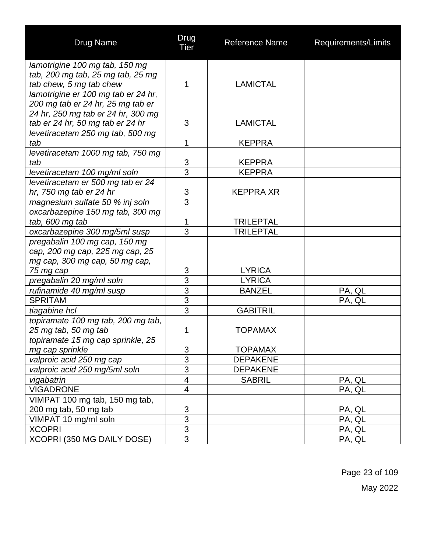| <b>Drug Name</b>                    | Drug<br><b>Tier</b>      | <b>Reference Name</b> | Requirements/Limits |
|-------------------------------------|--------------------------|-----------------------|---------------------|
| lamotrigine 100 mg tab, 150 mg      |                          |                       |                     |
| tab, 200 mg tab, 25 mg tab, 25 mg   |                          |                       |                     |
| tab chew, 5 mg tab chew             | 1                        | <b>LAMICTAL</b>       |                     |
| lamotrigine er 100 mg tab er 24 hr, |                          |                       |                     |
| 200 mg tab er 24 hr, 25 mg tab er   |                          |                       |                     |
| 24 hr, 250 mg tab er 24 hr, 300 mg  |                          |                       |                     |
| tab er 24 hr, 50 mg tab er 24 hr    | 3                        | <b>LAMICTAL</b>       |                     |
| levetiracetam 250 mg tab, 500 mg    |                          |                       |                     |
| tab                                 | 1                        | <b>KEPPRA</b>         |                     |
| levetiracetam 1000 mg tab, 750 mg   |                          |                       |                     |
| tab                                 | $\frac{3}{3}$            | <b>KEPPRA</b>         |                     |
| levetiracetam 100 mg/ml soln        |                          | <b>KEPPRA</b>         |                     |
| levetiracetam er 500 mg tab er 24   |                          |                       |                     |
| hr, 750 mg tab er 24 hr             | $\overline{3}$           | <b>KEPPRA XR</b>      |                     |
| magnesium sulfate 50 % inj soln     | $\overline{3}$           |                       |                     |
| oxcarbazepine 150 mg tab, 300 mg    |                          |                       |                     |
| tab, 600 mg tab                     | 1                        | <b>TRILEPTAL</b>      |                     |
| oxcarbazepine 300 mg/5ml susp       | 3                        | <b>TRILEPTAL</b>      |                     |
| pregabalin 100 mg cap, 150 mg       |                          |                       |                     |
| cap, 200 mg cap, 225 mg cap, 25     |                          |                       |                     |
| mg cap, 300 mg cap, 50 mg cap,      |                          |                       |                     |
| 75 mg cap                           | 3                        | <b>LYRICA</b>         |                     |
| pregabalin 20 mg/ml soln            | $\overline{3}$           | <b>LYRICA</b>         |                     |
| rufinamide 40 mg/ml susp            | $\overline{3}$           | <b>BANZEL</b>         | PA, QL              |
| <b>SPRITAM</b>                      | $\overline{3}$           |                       | PA, QL              |
| tiagabine hcl                       | $\overline{3}$           | <b>GABITRIL</b>       |                     |
| topiramate 100 mg tab, 200 mg tab,  |                          |                       |                     |
| 25 mg tab, 50 mg tab                | 1                        | <b>TOPAMAX</b>        |                     |
| topiramate 15 mg cap sprinkle, 25   |                          |                       |                     |
| mg cap sprinkle                     | 3                        | <b>TOPAMAX</b>        |                     |
| valproic acid 250 mg cap            | $\overline{3}$           | <b>DEPAKENE</b>       |                     |
| valproic acid 250 mg/5ml soln       | $\overline{3}$           | <b>DEPAKENE</b>       |                     |
| vigabatrin                          | $\overline{\mathcal{A}}$ | <b>SABRIL</b>         | PA, QL              |
| <b>VIGADRONE</b>                    | $\overline{\mathcal{A}}$ |                       | PA, QL              |
| VIMPAT 100 mg tab, 150 mg tab,      |                          |                       |                     |
| 200 mg tab, 50 mg tab               | $\mathfrak{S}$           |                       | PA, QL              |
| VIMPAT 10 mg/ml soln                | $\overline{3}$           |                       | PA, QL              |
| <b>XCOPRI</b>                       | $\overline{3}$           |                       | PA, QL              |
| XCOPRI (350 MG DAILY DOSE)          | $\overline{3}$           |                       | PA, QL              |

Page 23 of 109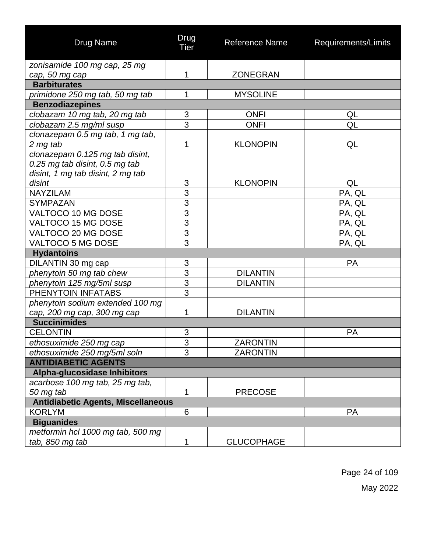| Drug Name                                 | Drug<br><b>Tier</b> | Reference Name    | Requirements/Limits |
|-------------------------------------------|---------------------|-------------------|---------------------|
| zonisamide 100 mg cap, 25 mg              |                     |                   |                     |
| cap, 50 mg cap                            | 1                   | <b>ZONEGRAN</b>   |                     |
| <b>Barbiturates</b>                       |                     |                   |                     |
| primidone 250 mg tab, 50 mg tab           | 1                   | <b>MYSOLINE</b>   |                     |
| <b>Benzodiazepines</b>                    |                     |                   |                     |
| clobazam 10 mg tab, 20 mg tab             | 3                   | <b>ONFI</b>       | QL                  |
| clobazam 2.5 mg/ml susp                   | 3                   | <b>ONFI</b>       | QL                  |
| clonazepam 0.5 mg tab, 1 mg tab,          |                     |                   |                     |
| 2 mg tab                                  | 1                   | <b>KLONOPIN</b>   | QL                  |
| clonazepam 0.125 mg tab disint,           |                     |                   |                     |
| 0.25 mg tab disint, 0.5 mg tab            |                     |                   |                     |
| disint, 1 mg tab disint, 2 mg tab         |                     |                   |                     |
| disint                                    | 3                   | <b>KLONOPIN</b>   | QL                  |
| <b>NAYZILAM</b>                           | $\overline{3}$      |                   | PA, QL              |
| <b>SYMPAZAN</b>                           | $\overline{3}$      |                   | PA, QL              |
| VALTOCO 10 MG DOSE                        | $\frac{1}{3}$       |                   | PA, QL              |
| VALTOCO 15 MG DOSE                        |                     |                   | PA, QL              |
| VALTOCO 20 MG DOSE                        | $\overline{3}$      |                   | PA, QL              |
| VALTOCO 5 MG DOSE                         | $\overline{3}$      |                   | PA, QL              |
| <b>Hydantoins</b>                         |                     |                   |                     |
| DILANTIN 30 mg cap                        | 3                   |                   | <b>PA</b>           |
| phenytoin 50 mg tab chew                  | $\overline{3}$      | <b>DILANTIN</b>   |                     |
| phenytoin 125 mg/5ml susp                 | $\overline{3}$      | <b>DILANTIN</b>   |                     |
| PHENYTOIN INFATABS                        | $\overline{3}$      |                   |                     |
| phenytoin sodium extended 100 mg          |                     |                   |                     |
| cap, 200 mg cap, 300 mg cap               | 1                   | <b>DILANTIN</b>   |                     |
| <b>Succinimides</b>                       |                     |                   |                     |
| <b>CELONTIN</b>                           | 3                   |                   | <b>PA</b>           |
| ethosuximide 250 mg cap                   | <sup>o</sup><br>J   | <b>ZARONTIN</b>   |                     |
| ethosuximide 250 mg/5ml soln              | $\overline{3}$      | <b>ZARONTIN</b>   |                     |
| <b>ANTIDIABETIC AGENTS</b>                |                     |                   |                     |
| Alpha-glucosidase Inhibitors              |                     |                   |                     |
| acarbose 100 mg tab, 25 mg tab,           |                     |                   |                     |
| 50 mg tab                                 | 1                   | <b>PRECOSE</b>    |                     |
| <b>Antidiabetic Agents, Miscellaneous</b> |                     |                   |                     |
| <b>KORLYM</b>                             | 6                   |                   | PA                  |
| <b>Biguanides</b>                         |                     |                   |                     |
| metformin hcl 1000 mg tab, 500 mg         |                     |                   |                     |
| tab, 850 mg tab                           | 1                   | <b>GLUCOPHAGE</b> |                     |

Page 24 of 109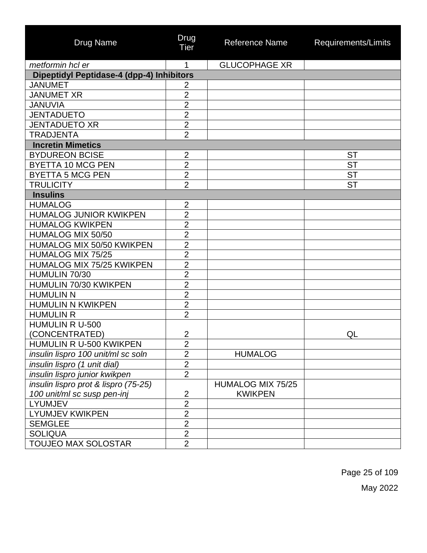| <b>Drug Name</b>                          | Drug<br>Tier   | <b>Reference Name</b> | Requirements/Limits |
|-------------------------------------------|----------------|-----------------------|---------------------|
| metformin hcl er                          | 1              | <b>GLUCOPHAGE XR</b>  |                     |
| Dipeptidyl Peptidase-4 (dpp-4) Inhibitors |                |                       |                     |
| <b>JANUMET</b>                            | $\overline{2}$ |                       |                     |
| <b>JANUMET XR</b>                         | $\overline{2}$ |                       |                     |
| <b>JANUVIA</b>                            | $\overline{2}$ |                       |                     |
| <b>JENTADUETO</b>                         | $\overline{2}$ |                       |                     |
| <b>JENTADUETO XR</b>                      | $\overline{2}$ |                       |                     |
| <b>TRADJENTA</b>                          | $\overline{2}$ |                       |                     |
| <b>Incretin Mimetics</b>                  |                |                       |                     |
| <b>BYDUREON BCISE</b>                     | $\overline{2}$ |                       | <b>ST</b>           |
| <b>BYETTA 10 MCG PEN</b>                  | $\overline{2}$ |                       | <b>ST</b>           |
| <b>BYETTA 5 MCG PEN</b>                   | $\overline{2}$ |                       | <b>ST</b>           |
| <b>TRULICITY</b>                          | $\overline{2}$ |                       | <b>ST</b>           |
| <b>Insulins</b>                           |                |                       |                     |
| <b>HUMALOG</b>                            | $\overline{2}$ |                       |                     |
| <b>HUMALOG JUNIOR KWIKPEN</b>             | $\overline{2}$ |                       |                     |
| <b>HUMALOG KWIKPEN</b>                    | $\overline{2}$ |                       |                     |
| HUMALOG MIX 50/50                         | $\overline{2}$ |                       |                     |
| HUMALOG MIX 50/50 KWIKPEN                 | $\overline{2}$ |                       |                     |
| <b>HUMALOG MIX 75/25</b>                  | $\overline{2}$ |                       |                     |
| <b>HUMALOG MIX 75/25 KWIKPEN</b>          | $\overline{2}$ |                       |                     |
| HUMULIN 70/30                             | $\overline{2}$ |                       |                     |
| HUMULIN 70/30 KWIKPEN                     | $\overline{2}$ |                       |                     |
| <b>HUMULIN N</b>                          | $\overline{2}$ |                       |                     |
| <b>HUMULIN N KWIKPEN</b>                  | $\overline{2}$ |                       |                     |
| <b>HUMULIN R</b>                          | $\overline{2}$ |                       |                     |
| <b>HUMULIN R U-500</b>                    |                |                       |                     |
| (CONCENTRATED)                            | $\overline{2}$ |                       | QL                  |
| HUMULIN R U-500 KWIKPEN                   | $\overline{2}$ |                       |                     |
| insulin lispro 100 unit/ml sc soln        | $\overline{2}$ | <b>HUMALOG</b>        |                     |
| insulin lispro (1 unit dial)              | $\overline{2}$ |                       |                     |
| insulin lispro junior kwikpen             | $\overline{2}$ |                       |                     |
| insulin lispro prot & lispro (75-25)      |                | HUMALOG MIX 75/25     |                     |
| 100 unit/ml sc susp pen-inj               | $\overline{2}$ | <b>KWIKPEN</b>        |                     |
| <b>LYUMJEV</b>                            | $\overline{2}$ |                       |                     |
| <b>LYUMJEV KWIKPEN</b>                    | $\overline{2}$ |                       |                     |
| <b>SEMGLEE</b>                            | $\overline{2}$ |                       |                     |
| <b>SOLIQUA</b>                            | $\overline{2}$ |                       |                     |
| <b>TOUJEO MAX SOLOSTAR</b>                | $\overline{2}$ |                       |                     |

Page 25 of 109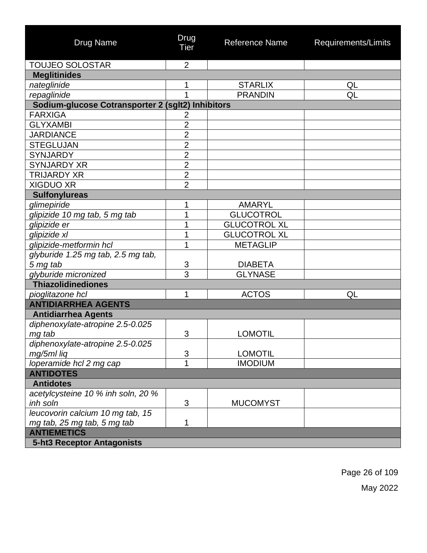| Drug Name                                         | Drug<br>Tier   | <b>Reference Name</b> | Requirements/Limits |
|---------------------------------------------------|----------------|-----------------------|---------------------|
| <b>TOUJEO SOLOSTAR</b>                            | $\overline{2}$ |                       |                     |
| <b>Meglitinides</b>                               |                |                       |                     |
| nateglinide                                       | 1              | <b>STARLIX</b>        | QL                  |
| repaglinide                                       | 1              | <b>PRANDIN</b>        | QL                  |
| Sodium-glucose Cotransporter 2 (sglt2) Inhibitors |                |                       |                     |
| <b>FARXIGA</b>                                    | $\overline{2}$ |                       |                     |
| <b>GLYXAMBI</b>                                   | $\overline{2}$ |                       |                     |
| <b>JARDIANCE</b>                                  | $\overline{2}$ |                       |                     |
| <b>STEGLUJAN</b>                                  | $\overline{2}$ |                       |                     |
| <b>SYNJARDY</b>                                   | $\overline{2}$ |                       |                     |
| <b>SYNJARDY XR</b>                                | $\overline{2}$ |                       |                     |
| <b>TRIJARDY XR</b>                                | $\overline{2}$ |                       |                     |
| <b>XIGDUO XR</b>                                  | $\overline{2}$ |                       |                     |
| <b>Sulfonylureas</b>                              |                |                       |                     |
| glimepiride                                       | 1              | <b>AMARYL</b>         |                     |
| glipizide 10 mg tab, 5 mg tab                     | 1              | <b>GLUCOTROL</b>      |                     |
| glipizide er                                      | 1              | <b>GLUCOTROL XL</b>   |                     |
| glipizide xl                                      | 1              | <b>GLUCOTROL XL</b>   |                     |
| glipizide-metformin hcl                           | 1              | <b>METAGLIP</b>       |                     |
| glyburide 1.25 mg tab, 2.5 mg tab,                |                |                       |                     |
| 5 mg tab                                          | 3              | <b>DIABETA</b>        |                     |
| glyburide micronized                              | 3              | <b>GLYNASE</b>        |                     |
| <b>Thiazolidinediones</b>                         |                |                       |                     |
| pioglitazone hcl                                  | 1              | <b>ACTOS</b>          | QL                  |
| <b>ANTIDIARRHEA AGENTS</b>                        |                |                       |                     |
| <b>Antidiarrhea Agents</b>                        |                |                       |                     |
| diphenoxylate-atropine 2.5-0.025                  |                |                       |                     |
| mg tab                                            | 3              | <b>LOMOTIL</b>        |                     |
| diphenoxylate-atropine 2.5-0.025                  |                |                       |                     |
| mg/5ml liq                                        | 3              | <b>LOMOTIL</b>        |                     |
| loperamide hcl 2 mg cap                           | $\overline{1}$ | <b>IMODIUM</b>        |                     |
| <b>ANTIDOTES</b>                                  |                |                       |                     |
| <b>Antidotes</b>                                  |                |                       |                     |
| acetylcysteine 10 % inh soln, 20 %                |                |                       |                     |
| inh soln                                          | 3              | <b>MUCOMYST</b>       |                     |
| leucovorin calcium 10 mg tab, 15                  |                |                       |                     |
| mg tab, 25 mg tab, 5 mg tab                       | 1              |                       |                     |
| <b>ANTIEMETICS</b>                                |                |                       |                     |
| 5-ht3 Receptor Antagonists                        |                |                       |                     |

Page 26 of 109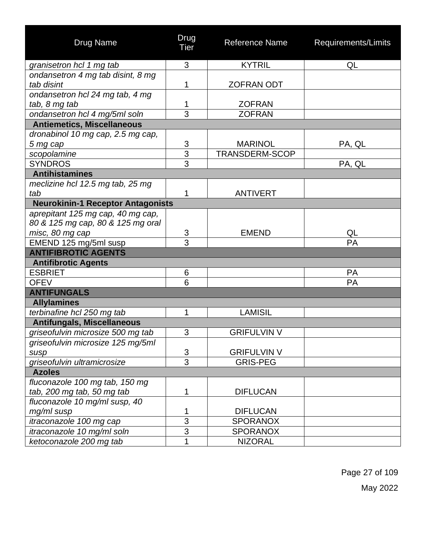| <b>Drug Name</b>                         | Drug<br>Tier   | Reference Name     | Requirements/Limits |
|------------------------------------------|----------------|--------------------|---------------------|
| granisetron hcl 1 mg tab                 | 3              | <b>KYTRIL</b>      | QL                  |
| ondansetron 4 mg tab disint, 8 mg        |                |                    |                     |
| tab disint                               | 1              | <b>ZOFRAN ODT</b>  |                     |
| ondansetron hcl 24 mg tab, 4 mg          |                |                    |                     |
| tab, 8 mg tab                            | 1              | <b>ZOFRAN</b>      |                     |
| ondansetron hcl 4 mg/5ml soln            | 3              | <b>ZOFRAN</b>      |                     |
| <b>Antiemetics, Miscellaneous</b>        |                |                    |                     |
| dronabinol 10 mg cap, 2.5 mg cap,        |                |                    |                     |
| 5 mg cap                                 |                | <b>MARINOL</b>     | PA, QL              |
| scopolamine                              | $\frac{3}{3}$  | TRANSDERM-SCOP     |                     |
| <b>SYNDROS</b>                           | $\overline{3}$ |                    | PA, QL              |
| <b>Antihistamines</b>                    |                |                    |                     |
| meclizine hcl 12.5 mg tab, 25 mg         |                |                    |                     |
| tab                                      | 1              | <b>ANTIVERT</b>    |                     |
| <b>Neurokinin-1 Receptor Antagonists</b> |                |                    |                     |
| aprepitant 125 mg cap, 40 mg cap,        |                |                    |                     |
| 80 & 125 mg cap, 80 & 125 mg oral        |                |                    |                     |
| misc, 80 mg cap                          | 3              | <b>EMEND</b>       | QL                  |
| EMEND 125 mg/5ml susp                    | 3              |                    | PA                  |
| <b>ANTIFIBROTIC AGENTS</b>               |                |                    |                     |
| <b>Antifibrotic Agents</b>               |                |                    |                     |
| <b>ESBRIET</b>                           | 6              |                    | <b>PA</b>           |
| <b>OFEV</b>                              | 6              |                    | PA                  |
| <b>ANTIFUNGALS</b>                       |                |                    |                     |
| <b>Allylamines</b>                       |                |                    |                     |
| terbinafine hcl 250 mg tab               | 1              | <b>LAMISIL</b>     |                     |
| <b>Antifungals, Miscellaneous</b>        |                |                    |                     |
| griseofulvin microsize 500 mg tab        | 3              | <b>GRIFULVIN V</b> |                     |
| griseofulvin microsize 125 mg/5ml        |                |                    |                     |
| susp                                     | 3              | <b>GRIFULVIN V</b> |                     |
| griseofulvin ultramicrosize              | $\overline{3}$ | <b>GRIS-PEG</b>    |                     |
| <b>Azoles</b>                            |                |                    |                     |
| fluconazole 100 mg tab, 150 mg           |                |                    |                     |
| tab, 200 mg tab, 50 mg tab               | 1              | <b>DIFLUCAN</b>    |                     |
| fluconazole 10 mg/ml susp, 40            |                |                    |                     |
| mg/ml susp                               | 1              | <b>DIFLUCAN</b>    |                     |
| itraconazole 100 mg cap                  | $\overline{3}$ | <b>SPORANOX</b>    |                     |
| itraconazole 10 mg/ml soln               | $\overline{3}$ | <b>SPORANOX</b>    |                     |
| ketoconazole 200 mg tab                  | 1              | <b>NIZORAL</b>     |                     |

Page 27 of 109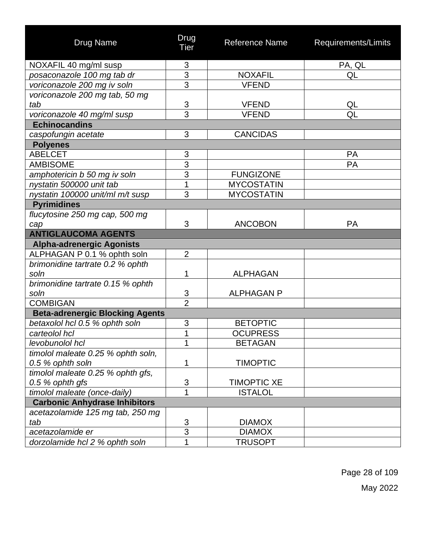| Drug Name                              | Drug<br>Tier   | Reference Name     | Requirements/Limits |
|----------------------------------------|----------------|--------------------|---------------------|
| NOXAFIL 40 mg/ml susp                  | 3              |                    | PA, QL              |
| posaconazole 100 mg tab dr             | $\overline{3}$ | <b>NOXAFIL</b>     | QL                  |
| voriconazole 200 mg iv soln            | $\overline{3}$ | <b>VFEND</b>       |                     |
| voriconazole 200 mg tab, 50 mg         |                |                    |                     |
| tab                                    | $\overline{3}$ | <b>VFEND</b>       | <u>QL</u>           |
| voriconazole 40 mg/ml susp             | $\overline{3}$ | <b>VFEND</b>       | QL                  |
| <b>Echinocandins</b>                   |                |                    |                     |
| caspofungin acetate                    | 3              | <b>CANCIDAS</b>    |                     |
| <b>Polyenes</b>                        |                |                    |                     |
| <b>ABELCET</b>                         | 3              |                    | <b>PA</b>           |
| <b>AMBISOME</b>                        | $\overline{3}$ |                    | PA                  |
| amphotericin b 50 mg iv soln           | 3              | <b>FUNGIZONE</b>   |                     |
| nystatin 500000 unit tab               | 1              | <b>MYCOSTATIN</b>  |                     |
| nystatin 100000 unit/ml m/t susp       | 3              | <b>MYCOSTATIN</b>  |                     |
| <b>Pyrimidines</b>                     |                |                    |                     |
| flucytosine 250 mg cap, 500 mg         |                |                    |                     |
| cap                                    | 3              | <b>ANCOBON</b>     | <b>PA</b>           |
| <b>ANTIGLAUCOMA AGENTS</b>             |                |                    |                     |
| <b>Alpha-adrenergic Agonists</b>       |                |                    |                     |
| ALPHAGAN P 0.1 % ophth soln            | $\overline{2}$ |                    |                     |
| brimonidine tartrate 0.2 % ophth       |                |                    |                     |
| soln                                   | 1              | <b>ALPHAGAN</b>    |                     |
| brimonidine tartrate 0.15 % ophth      |                |                    |                     |
| soln                                   | 3              | <b>ALPHAGAN P</b>  |                     |
| <b>COMBIGAN</b>                        | $\overline{2}$ |                    |                     |
| <b>Beta-adrenergic Blocking Agents</b> |                |                    |                     |
| betaxolol hcl 0.5 % ophth soln         | 3              | <b>BETOPTIC</b>    |                     |
| carteolol hcl                          | 1              | <b>OCUPRESS</b>    |                     |
| levobunolol hcl                        |                | <b>BETAGAN</b>     |                     |
| timolol maleate 0.25 % ophth soln,     |                |                    |                     |
| 0.5 % ophth soln                       | 1              | <b>TIMOPTIC</b>    |                     |
| timolol maleate 0.25 % ophth gfs,      |                |                    |                     |
| 0.5 % ophth gfs                        | 3              | <b>TIMOPTIC XE</b> |                     |
| timolol maleate (once-daily)           | 1              | <b>ISTALOL</b>     |                     |
| <b>Carbonic Anhydrase Inhibitors</b>   |                |                    |                     |
| acetazolamide 125 mg tab, 250 mg       |                |                    |                     |
| tab                                    | $\overline{3}$ | <b>DIAMOX</b>      |                     |
| acetazolamide er                       | $\overline{3}$ | <b>DIAMOX</b>      |                     |
| dorzolamide hcl 2 % ophth soln         | 1              | <b>TRUSOPT</b>     |                     |

Page 28 of 109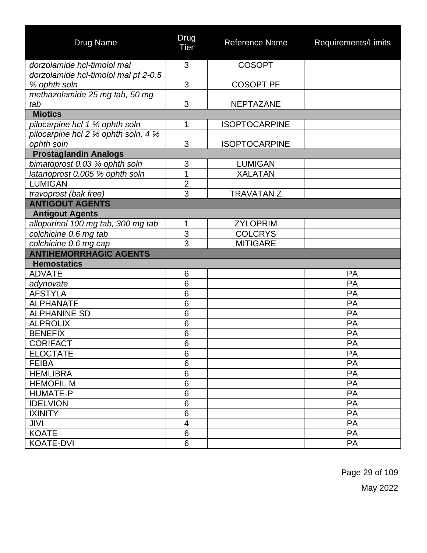| <b>Drug Name</b>                     | Drug<br>Tier   | <b>Reference Name</b> | Requirements/Limits |
|--------------------------------------|----------------|-----------------------|---------------------|
| dorzolamide hcl-timolol mal          | 3              | <b>COSOPT</b>         |                     |
| dorzolamide hcl-timolol mal pf 2-0.5 |                |                       |                     |
| % ophth soln                         | 3              | <b>COSOPT PF</b>      |                     |
| methazolamide 25 mg tab, 50 mg       |                |                       |                     |
| tab                                  | 3              | <b>NEPTAZANE</b>      |                     |
| <b>Miotics</b>                       |                |                       |                     |
| pilocarpine hcl 1 % ophth soln       | 1              | <b>ISOPTOCARPINE</b>  |                     |
| pilocarpine hcl 2 % ophth soln, 4 %  |                |                       |                     |
| ophth soln                           | 3              | <b>ISOPTOCARPINE</b>  |                     |
| <b>Prostaglandin Analogs</b>         |                |                       |                     |
| bimatoprost 0.03 % ophth soln        | 3              | <b>LUMIGAN</b>        |                     |
| latanoprost 0.005 % ophth soln       | 1              | <b>XALATAN</b>        |                     |
| <b>LUMIGAN</b>                       | $\overline{2}$ |                       |                     |
| travoprost (bak free)                | 3              | <b>TRAVATAN Z</b>     |                     |
| <b>ANTIGOUT AGENTS</b>               |                |                       |                     |
| <b>Antigout Agents</b>               |                |                       |                     |
| allopurinol 100 mg tab, 300 mg tab   | 1              | <b>ZYLOPRIM</b>       |                     |
| colchicine 0.6 mg tab                | 3              | <b>COLCRYS</b>        |                     |
| colchicine 0.6 mg cap                | 3              | <b>MITIGARE</b>       |                     |
| <b>ANTIHEMORRHAGIC AGENTS</b>        |                |                       |                     |
| <b>Hemostatics</b>                   |                |                       |                     |
| <b>ADVATE</b>                        | 6              |                       | PA                  |
| adynovate                            | 6              |                       | PA                  |
| <b>AFSTYLA</b>                       | 6              |                       | PA                  |
| <b>ALPHANATE</b>                     | 6              |                       | PA                  |
| <b>ALPHANINE SD</b>                  | 6              |                       | PA                  |
| <b>ALPROLIX</b>                      | 6              |                       | PA                  |
| <b>BENEFIX</b>                       | 6              |                       | PA                  |
| <b>CORIFACT</b>                      | 6              |                       | РA                  |
| <b>ELOCTATE</b>                      | 6              |                       | PA                  |
| <b>FEIBA</b>                         | 6              |                       | PA                  |
| <b>HEMLIBRA</b>                      | 6              |                       | PA                  |
| <b>HEMOFIL M</b>                     | 6              |                       | PA                  |
| <b>HUMATE-P</b>                      | 6              |                       | PA                  |
| <b>IDELVION</b>                      | 6              |                       | PA                  |
| <b>IXINITY</b>                       | 6              |                       | PA                  |
| JIVI                                 | 4              |                       | PA                  |
| <b>KOATE</b>                         | 6              |                       | PA                  |
| <b>KOATE-DVI</b>                     | 6              |                       | PA                  |

Page 29 of 109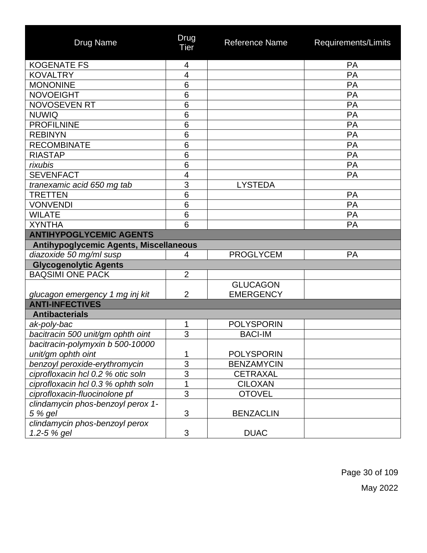| <b>Drug Name</b>                              | Drug<br>Tier            | <b>Reference Name</b> | Requirements/Limits |
|-----------------------------------------------|-------------------------|-----------------------|---------------------|
| <b>KOGENATE FS</b>                            | 4                       |                       | PA                  |
| <b>KOVALTRY</b>                               | 4                       |                       | PA                  |
| <b>MONONINE</b>                               | 6                       |                       | PA                  |
| <b>NOVOEIGHT</b>                              | 6                       |                       | <b>PA</b>           |
| <b>NOVOSEVEN RT</b>                           | 6                       |                       | PA                  |
| <b>NUWIQ</b>                                  | 6                       |                       | PA                  |
| <b>PROFILNINE</b>                             | 6                       |                       | PA                  |
| <b>REBINYN</b>                                | 6                       |                       | <b>PA</b>           |
| <b>RECOMBINATE</b>                            | 6                       |                       | PA                  |
| <b>RIASTAP</b>                                | $6\phantom{1}6$         |                       | PA                  |
| rixubis                                       | 6                       |                       | PA                  |
| <b>SEVENFACT</b>                              | $\overline{\mathbf{4}}$ |                       | PA                  |
| tranexamic acid 650 mg tab                    | 3                       | <b>LYSTEDA</b>        |                     |
| <b>TRETTEN</b>                                | 6                       |                       | <b>PA</b>           |
| <b>VONVENDI</b>                               | $6\phantom{1}6$         |                       | PA                  |
| <b>WILATE</b>                                 | 6                       |                       | PA                  |
| <b>XYNTHA</b>                                 | 6                       |                       | <b>PA</b>           |
| <b>ANTIHYPOGLYCEMIC AGENTS</b>                |                         |                       |                     |
| <b>Antihypoglycemic Agents, Miscellaneous</b> |                         |                       |                     |
| diazoxide 50 mg/ml susp                       | $\overline{4}$          | <b>PROGLYCEM</b>      | <b>PA</b>           |
| <b>Glycogenolytic Agents</b>                  |                         |                       |                     |
| <b>BAQSIMI ONE PACK</b>                       | $\overline{2}$          |                       |                     |
|                                               |                         | <b>GLUCAGON</b>       |                     |
| glucagon emergency 1 mg inj kit               | $\overline{2}$          | <b>EMERGENCY</b>      |                     |
| <b>ANTI-INFECTIVES</b>                        |                         |                       |                     |
| <b>Antibacterials</b>                         |                         |                       |                     |
| ak-poly-bac                                   | 1                       | <b>POLYSPORIN</b>     |                     |
| bacitracin 500 unit/gm ophth oint             | 3                       | <b>BACI-IM</b>        |                     |
| bacitracin-polymyxin b 500-10000              |                         |                       |                     |
| unit/gm ophth oint                            | 1                       | <b>POLYSPORIN</b>     |                     |
| benzoyl peroxide-erythromycin                 | $\overline{3}$          | <b>BENZAMYCIN</b>     |                     |
| ciprofloxacin hcl 0.2 % otic soln             | $\overline{3}$          | <b>CETRAXAL</b>       |                     |
| ciprofloxacin hcl 0.3 % ophth soln            | 1                       | <b>CILOXAN</b>        |                     |
| ciprofloxacin-fluocinolone pf                 | $\overline{3}$          | <b>OTOVEL</b>         |                     |
| clindamycin phos-benzoyl perox 1-             |                         |                       |                     |
| 5 % gel                                       | 3                       | <b>BENZACLIN</b>      |                     |
| clindamycin phos-benzoyl perox                |                         |                       |                     |
| 1.2-5 % gel                                   | $\mathfrak{S}$          | <b>DUAC</b>           |                     |

Page 30 of 109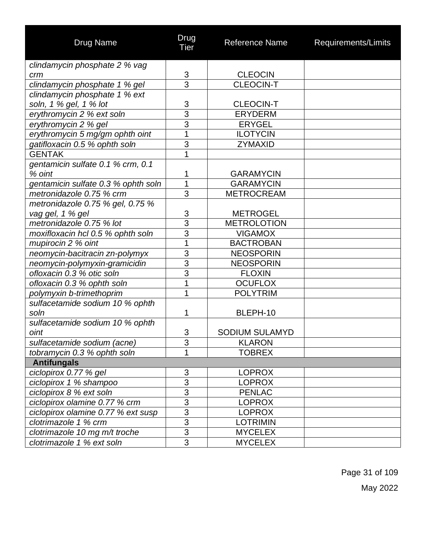| <b>Drug Name</b>                    | Drug<br>Tier   | Reference Name        | Requirements/Limits |  |  |
|-------------------------------------|----------------|-----------------------|---------------------|--|--|
| clindamycin phosphate 2 % vag       |                |                       |                     |  |  |
| crm                                 | 3              | <b>CLEOCIN</b>        |                     |  |  |
| clindamycin phosphate 1 % gel       | $\overline{3}$ | <b>CLEOCIN-T</b>      |                     |  |  |
| clindamycin phosphate 1 % ext       |                |                       |                     |  |  |
| soln, 1 % gel, 1 % lot              | $\frac{3}{3}$  | <b>CLEOCIN-T</b>      |                     |  |  |
| erythromycin 2 % ext soln           |                | <b>ERYDERM</b>        |                     |  |  |
| erythromycin 2 % gel                | 3              | <b>ERYGEL</b>         |                     |  |  |
| erythromycin 5 mg/gm ophth oint     | $\overline{1}$ | <b>ILOTYCIN</b>       |                     |  |  |
| gatifloxacin 0.5 % ophth soln       | 3              | ZYMAXID               |                     |  |  |
| <b>GENTAK</b>                       | 1              |                       |                     |  |  |
| gentamicin sulfate 0.1 % crm, 0.1   |                |                       |                     |  |  |
| % oint                              | 1              | <b>GARAMYCIN</b>      |                     |  |  |
| gentamicin sulfate 0.3 % ophth soln | $\overline{1}$ | <b>GARAMYCIN</b>      |                     |  |  |
| metronidazole 0.75 % crm            | $\overline{3}$ | <b>METROCREAM</b>     |                     |  |  |
| metronidazole 0.75 % gel, 0.75 %    |                |                       |                     |  |  |
| vag gel, 1 % gel                    | $\frac{3}{3}$  | <b>METROGEL</b>       |                     |  |  |
| metronidazole 0.75 % lot            |                | <b>METROLOTION</b>    |                     |  |  |
| moxifloxacin hcl 0.5 % ophth soln   | 3              | <b>VIGAMOX</b>        |                     |  |  |
| mupirocin 2 % oint                  | 1              | <b>BACTROBAN</b>      |                     |  |  |
| neomycin-bacitracin zn-polymyx      | 3              | <b>NEOSPORIN</b>      |                     |  |  |
| neomycin-polymyxin-gramicidin       | $\overline{3}$ | <b>NEOSPORIN</b>      |                     |  |  |
| ofloxacin 0.3 % otic soln           | 3              | <b>FLOXIN</b>         |                     |  |  |
| ofloxacin 0.3 % ophth soln          | 1              | <b>OCUFLOX</b>        |                     |  |  |
| polymyxin b-trimethoprim            | 1              | <b>POLYTRIM</b>       |                     |  |  |
| sulfacetamide sodium 10 % ophth     |                |                       |                     |  |  |
| soln                                | 1              | BLEPH-10              |                     |  |  |
| sulfacetamide sodium 10 % ophth     |                |                       |                     |  |  |
| oint                                | 3              | <b>SODIUM SULAMYD</b> |                     |  |  |
| sulfacetamide sodium (acne)         | $\sim$<br>J.   | <b>KLARON</b>         |                     |  |  |
| tobramycin 0.3 % ophth soln         | 1              | <b>TOBREX</b>         |                     |  |  |
| <b>Antifungals</b>                  |                |                       |                     |  |  |
| ciclopirox 0.77 % gel               | 3              | <b>LOPROX</b>         |                     |  |  |
| ciclopirox 1 % shampoo              | $\overline{3}$ | <b>LOPROX</b>         |                     |  |  |
| ciclopirox 8 % ext soln             | $\overline{3}$ | <b>PENLAC</b>         |                     |  |  |
| ciclopirox olamine 0.77 % crm       | $\overline{3}$ | <b>LOPROX</b>         |                     |  |  |
| ciclopirox olamine 0.77 % ext susp  | $\overline{3}$ | <b>LOPROX</b>         |                     |  |  |
| clotrimazole 1 % crm                | $\overline{3}$ | <b>LOTRIMIN</b>       |                     |  |  |
| clotrimazole 10 mg m/t troche       | $\overline{3}$ | <b>MYCELEX</b>        |                     |  |  |
| clotrimazole 1 % ext soln           | 3              | <b>MYCELEX</b>        |                     |  |  |

Page 31 of 109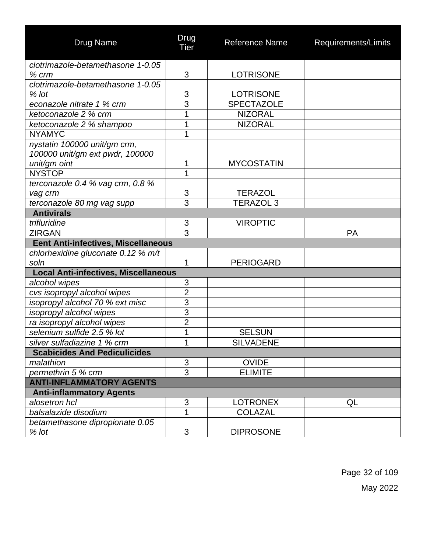| <b>Drug Name</b>                            | Drug<br>Tier   | <b>Reference Name</b> | Requirements/Limits |
|---------------------------------------------|----------------|-----------------------|---------------------|
| clotrimazole-betamethasone 1-0.05           |                |                       |                     |
| $%$ $cm$                                    | 3              | <b>LOTRISONE</b>      |                     |
| clotrimazole-betamethasone 1-0.05           |                |                       |                     |
| % lot                                       | 3              | <b>LOTRISONE</b>      |                     |
| econazole nitrate 1 % crm                   | $\overline{3}$ | <b>SPECTAZOLE</b>     |                     |
| ketoconazole 2 % crm                        | 1              | <b>NIZORAL</b>        |                     |
| ketoconazole 2 % shampoo                    | 1              | <b>NIZORAL</b>        |                     |
| <b>NYAMYC</b>                               | 1              |                       |                     |
| nystatin 100000 unit/gm crm,                |                |                       |                     |
| 100000 unit/gm ext pwdr, 100000             |                |                       |                     |
| unit/gm oint                                | 1              | <b>MYCOSTATIN</b>     |                     |
| <b>NYSTOP</b>                               | 1              |                       |                     |
| terconazole 0.4 $%$ vag crm, 0.8 $%$        |                |                       |                     |
| vag crm                                     | 3              | <b>TERAZOL</b>        |                     |
| terconazole 80 mg vag supp                  | 3              | <b>TERAZOL 3</b>      |                     |
| <b>Antivirals</b>                           |                |                       |                     |
| trifluridine                                | $\mathfrak{S}$ | <b>VIROPTIC</b>       |                     |
| <b>ZIRGAN</b>                               | $\overline{3}$ |                       | PA                  |
| <b>Eent Anti-infectives, Miscellaneous</b>  |                |                       |                     |
| chlorhexidine gluconate 0.12 % m/t          |                |                       |                     |
| soln                                        | 1              | <b>PERIOGARD</b>      |                     |
| <b>Local Anti-infectives, Miscellaneous</b> |                |                       |                     |
| alcohol wipes                               | 3              |                       |                     |
| cvs isopropyl alcohol wipes                 | $\overline{2}$ |                       |                     |
| isopropyl alcohol 70 % ext misc             | 3              |                       |                     |
| isopropyl alcohol wipes                     | 3              |                       |                     |
| ra isopropyl alcohol wipes                  | $\overline{2}$ |                       |                     |
| selenium sulfide 2.5 % lot                  | 1              | <b>SELSUN</b>         |                     |
| silver sulfadiazine 1 % crm                 | $\overline{A}$ | <b>SILVADENE</b>      |                     |
| <b>Scabicides And Pediculicides</b>         |                |                       |                     |
| malathion                                   | $\mathfrak{S}$ | <b>OVIDE</b>          |                     |
| permethrin 5 % crm                          | $\overline{3}$ | <b>ELIMITE</b>        |                     |
| <b>ANTI-INFLAMMATORY AGENTS</b>             |                |                       |                     |
| <b>Anti-inflammatory Agents</b>             |                |                       |                     |
| alosetron hcl                               | 3              | <b>LOTRONEX</b>       | QL                  |
| balsalazide disodium                        | 1              | <b>COLAZAL</b>        |                     |
| betamethasone dipropionate 0.05             |                |                       |                     |
| $%$ lot                                     | 3              | <b>DIPROSONE</b>      |                     |

Page 32 of 109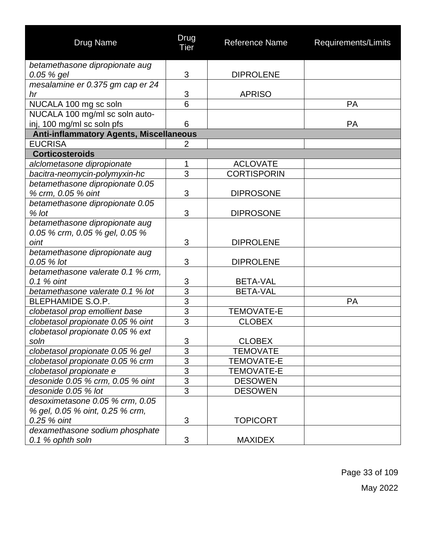| <b>Drug Name</b>                                                 | Drug<br>Tier                 | Reference Name     | Requirements/Limits |
|------------------------------------------------------------------|------------------------------|--------------------|---------------------|
| betamethasone dipropionate aug                                   |                              |                    |                     |
| 0.05 % gel                                                       | 3                            | <b>DIPROLENE</b>   |                     |
| mesalamine er 0.375 gm cap er 24                                 |                              |                    |                     |
| hr                                                               | $\sqrt{3}$<br>$\overline{6}$ | <b>APRISO</b>      | PA                  |
| NUCALA 100 mg sc soln<br>NUCALA 100 mg/ml sc soln auto-          |                              |                    |                     |
| inj, 100 mg/ml sc soln pfs                                       | 6                            |                    | PA                  |
| <b>Anti-inflammatory Agents, Miscellaneous</b>                   |                              |                    |                     |
| <b>EUCRISA</b>                                                   | $\overline{2}$               |                    |                     |
| <b>Corticosteroids</b>                                           |                              |                    |                     |
| alclometasone dipropionate                                       | 1                            | <b>ACLOVATE</b>    |                     |
| bacitra-neomycin-polymyxin-hc                                    | 3                            | <b>CORTISPORIN</b> |                     |
| betamethasone dipropionate 0.05                                  |                              |                    |                     |
| % crm, 0.05 % oint                                               | 3                            | <b>DIPROSONE</b>   |                     |
| betamethasone dipropionate 0.05                                  |                              |                    |                     |
| $%$ lot                                                          | 3                            | <b>DIPROSONE</b>   |                     |
| betamethasone dipropionate aug<br>0.05 % crm, 0.05 % gel, 0.05 % |                              |                    |                     |
| oint                                                             | 3                            | <b>DIPROLENE</b>   |                     |
| betamethasone dipropionate aug                                   |                              |                    |                     |
| 0.05 % lot                                                       | 3                            | <b>DIPROLENE</b>   |                     |
| betamethasone valerate 0.1 % crm,                                |                              |                    |                     |
| 0.1 % oint                                                       | 3                            | <b>BETA-VAL</b>    |                     |
| betamethasone valerate 0.1 % lot                                 | $\overline{3}$               | <b>BETA-VAL</b>    |                     |
| <b>BLEPHAMIDE S.O.P.</b>                                         | $\overline{3}$               |                    | <b>PA</b>           |
| clobetasol prop emollient base                                   | $\overline{3}$               | <b>TEMOVATE-E</b>  |                     |
| clobetasol propionate 0.05 % oint                                | $\overline{3}$               | <b>CLOBEX</b>      |                     |
| clobetasol propionate 0.05 % ext                                 |                              |                    |                     |
| soln                                                             | 3                            | <b>CLOBEX</b>      |                     |
| clobetasol propionate 0.05 % gel                                 | $\overline{3}$               | TEMOVATE           |                     |
| clobetasol propionate 0.05 % crm                                 | 3                            | <b>TEMOVATE-E</b>  |                     |
| clobetasol propionate e                                          | $\overline{3}$               | <b>TEMOVATE-E</b>  |                     |
| desonide 0.05 % crm, 0.05 % oint                                 | $\overline{3}$               | <b>DESOWEN</b>     |                     |
| desonide 0.05 % lot                                              | $\overline{3}$               | <b>DESOWEN</b>     |                     |
| desoximetasone 0.05 % crm, 0.05                                  |                              |                    |                     |
| % gel, 0.05 % oint, 0.25 % crm,                                  |                              |                    |                     |
| 0.25 % oint                                                      | 3                            | <b>TOPICORT</b>    |                     |
| dexamethasone sodium phosphate<br>0.1 % ophth soln               | 3                            | <b>MAXIDEX</b>     |                     |
|                                                                  |                              |                    |                     |

Page 33 of 109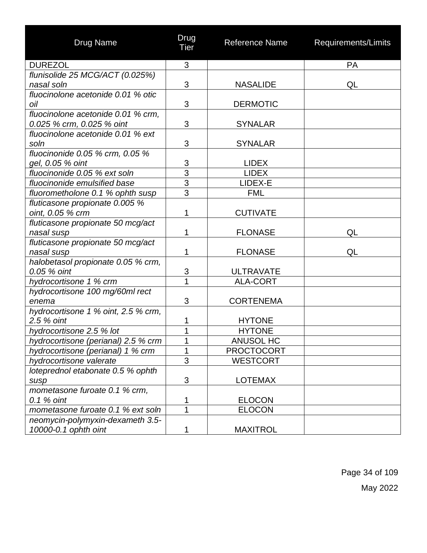| Drug Name                           | Drug<br><b>Tier</b> | <b>Reference Name</b> | Requirements/Limits |
|-------------------------------------|---------------------|-----------------------|---------------------|
| <b>DUREZOL</b>                      | 3                   |                       | PA                  |
| flunisolide 25 MCG/ACT (0.025%)     |                     |                       |                     |
| nasal soln                          | 3                   | <b>NASALIDE</b>       | QL                  |
| fluocinolone acetonide 0.01 % otic  |                     |                       |                     |
| oil                                 | 3                   | <b>DERMOTIC</b>       |                     |
| fluocinolone acetonide 0.01 % crm.  |                     |                       |                     |
| 0.025 % crm, 0.025 % oint           | 3                   | <b>SYNALAR</b>        |                     |
| fluocinolone acetonide 0.01 % ext   |                     |                       |                     |
| soln                                | 3                   | <b>SYNALAR</b>        |                     |
| fluocinonide $0.05$ % crm, $0.05$ % |                     |                       |                     |
| gel, 0.05 % oint                    | $\frac{3}{3}$       | <b>LIDEX</b>          |                     |
| fluocinonide 0.05 % ext soln        |                     | <b>LIDEX</b>          |                     |
| fluocinonide emulsified base        | $\frac{3}{3}$       | LIDEX-E               |                     |
| fluorometholone 0.1 % ophth susp    |                     | <b>FML</b>            |                     |
| fluticasone propionate 0.005 %      |                     |                       |                     |
| oint, 0.05 % crm                    | 1                   | <b>CUTIVATE</b>       |                     |
| fluticasone propionate 50 mcg/act   |                     |                       |                     |
| nasal susp                          | 1                   | <b>FLONASE</b>        | QL                  |
| fluticasone propionate 50 mcg/act   |                     |                       |                     |
| nasal susp                          | 1                   | <b>FLONASE</b>        | QL                  |
| halobetasol propionate 0.05 % crm,  |                     |                       |                     |
| 0.05 % oint                         | 3                   | <b>ULTRAVATE</b>      |                     |
| hydrocortisone 1 % crm              | 1                   | <b>ALA-CORT</b>       |                     |
| hydrocortisone 100 mg/60ml rect     |                     |                       |                     |
| enema                               | 3                   | <b>CORTENEMA</b>      |                     |
| hydrocortisone 1 % oint, 2.5 % crm, |                     |                       |                     |
| 2.5 % oint                          | 1                   | <b>HYTONE</b>         |                     |
| hydrocortisone 2.5 % lot            | 1                   | <b>HYTONE</b>         |                     |
| hydrocortisone (perianal) 2.5 % crm | 1                   | ANUSOL HC             |                     |
| hydrocortisone (perianal) 1 % crm   | 1                   | <b>PROCTOCORT</b>     |                     |
| hydrocortisone valerate             | $\overline{3}$      | <b>WESTCORT</b>       |                     |
| loteprednol etabonate 0.5 % ophth   |                     |                       |                     |
| susp                                | 3                   | <b>LOTEMAX</b>        |                     |
| mometasone furoate 0.1 % crm,       |                     |                       |                     |
| 0.1 % oint                          | 1                   | <b>ELOCON</b>         |                     |
| mometasone furoate 0.1 % ext soln   | 1                   | <b>ELOCON</b>         |                     |
| neomycin-polymyxin-dexameth 3.5-    |                     |                       |                     |
| 10000-0.1 ophth oint                |                     | <b>MAXITROL</b>       |                     |

Page 34 of 109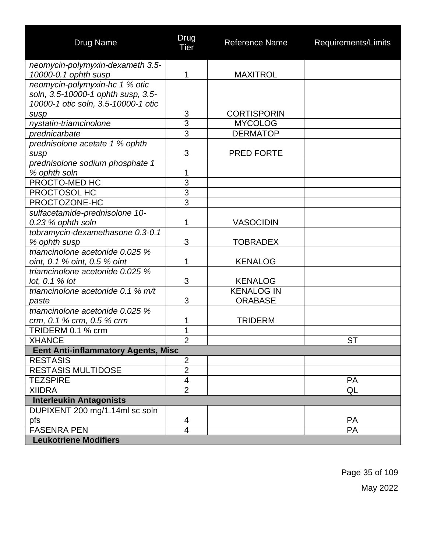| <b>Drug Name</b>                                                | Drug<br><b>Tier</b>     | <b>Reference Name</b> | Requirements/Limits |
|-----------------------------------------------------------------|-------------------------|-----------------------|---------------------|
| neomycin-polymyxin-dexameth 3.5-                                |                         |                       |                     |
| 10000-0.1 ophth susp                                            | 1                       | <b>MAXITROL</b>       |                     |
| neomycin-polymyxin-hc 1 % otic                                  |                         |                       |                     |
| soln, 3.5-10000-1 ophth susp, 3.5-                              |                         |                       |                     |
| 10000-1 otic soln, 3.5-10000-1 otic                             |                         |                       |                     |
| susp                                                            | 3                       | <b>CORTISPORIN</b>    |                     |
| nystatin-triamcinolone                                          | $\overline{3}$          | <b>MYCOLOG</b>        |                     |
| prednicarbate                                                   | 3                       | <b>DERMATOP</b>       |                     |
| prednisolone acetate 1 % ophth                                  |                         |                       |                     |
| susp                                                            | 3                       | <b>PRED FORTE</b>     |                     |
| prednisolone sodium phosphate 1                                 |                         |                       |                     |
| % ophth soln                                                    | 1                       |                       |                     |
| PROCTO-MED HC                                                   | $\overline{3}$          |                       |                     |
| PROCTOSOL HC                                                    | $\frac{3}{3}$           |                       |                     |
| PROCTOZONE-HC                                                   |                         |                       |                     |
| sulfacetamide-prednisolone 10-                                  |                         |                       |                     |
| 0.23 % ophth soln                                               | 1                       | <b>VASOCIDIN</b>      |                     |
| tobramycin-dexamethasone 0.3-0.1                                |                         |                       |                     |
| % ophth susp<br>triamcinolone acetonide 0.025 %                 | 3                       | <b>TOBRADEX</b>       |                     |
|                                                                 | 1                       | <b>KENALOG</b>        |                     |
| oint, 0.1 % oint, 0.5 % oint<br>triamcinolone acetonide 0.025 % |                         |                       |                     |
| lot, $0.1%$ lot                                                 | 3                       | <b>KENALOG</b>        |                     |
| triamcinolone acetonide 0.1 % m/t                               |                         | <b>KENALOG IN</b>     |                     |
| paste                                                           | 3                       | <b>ORABASE</b>        |                     |
| triamcinolone acetonide 0.025 %                                 |                         |                       |                     |
| crm, 0.1 % crm, 0.5 % crm                                       | 1                       | <b>TRIDERM</b>        |                     |
| TRIDERM 0.1 % crm                                               | 1                       |                       |                     |
| <b>XHANCE</b>                                                   | $\overline{2}$          |                       | <b>ST</b>           |
| <b>Eent Anti-inflammatory Agents, Misc</b>                      |                         |                       |                     |
| <b>RESTASIS</b>                                                 | $\overline{2}$          |                       |                     |
| <b>RESTASIS MULTIDOSE</b>                                       | $\overline{2}$          |                       |                     |
| <b>TEZSPIRE</b>                                                 | $\overline{\mathbf{4}}$ |                       | PA                  |
| <b>XIIDRA</b>                                                   | $\overline{2}$          |                       | QL                  |
| <b>Interleukin Antagonists</b>                                  |                         |                       |                     |
| DUPIXENT 200 mg/1.14ml sc soln                                  |                         |                       |                     |
| pfs                                                             | 4                       |                       | <b>PA</b>           |
| <b>FASENRA PEN</b>                                              | $\overline{4}$          |                       | PA                  |
| <b>Leukotriene Modifiers</b>                                    |                         |                       |                     |

Page 35 of 109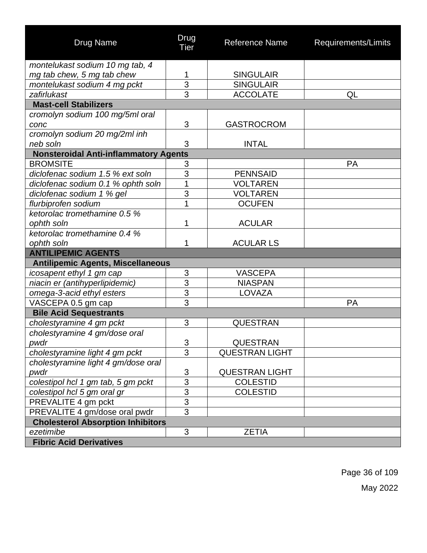| <b>Drug Name</b>                             | Drug<br>Tier              | <b>Reference Name</b> | Requirements/Limits |  |  |
|----------------------------------------------|---------------------------|-----------------------|---------------------|--|--|
| montelukast sodium 10 mg tab, 4              |                           |                       |                     |  |  |
| mg tab chew, 5 mg tab chew                   | 1                         | <b>SINGULAIR</b>      |                     |  |  |
| montelukast sodium 4 mg pckt                 | $\overline{3}$            | <b>SINGULAIR</b>      |                     |  |  |
| zafirlukast                                  | 3                         | <b>ACCOLATE</b>       | QL                  |  |  |
| <b>Mast-cell Stabilizers</b>                 |                           |                       |                     |  |  |
| cromolyn sodium 100 mg/5ml oral              |                           |                       |                     |  |  |
| conc                                         | 3                         | <b>GASTROCROM</b>     |                     |  |  |
| cromolyn sodium 20 mg/2ml inh                |                           |                       |                     |  |  |
| neb soln                                     | 3                         | <b>INTAL</b>          |                     |  |  |
| <b>Nonsteroidal Anti-inflammatory Agents</b> |                           |                       |                     |  |  |
| <b>BROMSITE</b>                              | $\ensuremath{\mathsf{3}}$ |                       | PA                  |  |  |
| diclofenac sodium 1.5 % ext soln             | 3                         | <b>PENNSAID</b>       |                     |  |  |
| diclofenac sodium 0.1 % ophth soln           | 1                         | <b>VOLTAREN</b>       |                     |  |  |
| diclofenac sodium 1 % gel                    | $\overline{3}$            | <b>VOLTAREN</b>       |                     |  |  |
| flurbiprofen sodium                          | 1                         | <b>OCUFEN</b>         |                     |  |  |
| ketorolac tromethamine 0.5 %                 |                           |                       |                     |  |  |
| ophth soln                                   | 1                         | <b>ACULAR</b>         |                     |  |  |
| ketorolac tromethamine 0.4 %                 |                           |                       |                     |  |  |
| ophth soln                                   | 1                         | <b>ACULAR LS</b>      |                     |  |  |
| <b>ANTILIPEMIC AGENTS</b>                    |                           |                       |                     |  |  |
| <b>Antilipemic Agents, Miscellaneous</b>     |                           |                       |                     |  |  |
| icosapent ethyl 1 gm cap                     | $\ensuremath{\mathsf{3}}$ | <b>VASCEPA</b>        |                     |  |  |
| niacin er (antihyperlipidemic)               | $\overline{3}$            | <b>NIASPAN</b>        |                     |  |  |
| omega-3-acid ethyl esters                    | $\overline{3}$            | <b>LOVAZA</b>         |                     |  |  |
| VASCEPA 0.5 gm cap                           | $\overline{3}$            |                       | PA                  |  |  |
| <b>Bile Acid Sequestrants</b>                |                           |                       |                     |  |  |
| cholestyramine 4 gm pckt                     | 3                         | <b>QUESTRAN</b>       |                     |  |  |
| cholestyramine 4 gm/dose oral                |                           |                       |                     |  |  |
| pwdr                                         | 3                         | QUESTRAN              |                     |  |  |
| cholestyramine light 4 gm pckt               | 3                         | <b>QUESTRAN LIGHT</b> |                     |  |  |
| cholestyramine light 4 gm/dose oral          |                           |                       |                     |  |  |
| pwdr                                         | $\ensuremath{\mathsf{3}}$ | <b>QUESTRAN LIGHT</b> |                     |  |  |
| colestipol hcl 1 gm tab, 5 gm pckt           | $\overline{3}$            | <b>COLESTID</b>       |                     |  |  |
| colestipol hcl 5 gm oral gr                  | $\overline{3}$            | <b>COLESTID</b>       |                     |  |  |
| PREVALITE 4 gm pckt                          | $\frac{3}{3}$             |                       |                     |  |  |
| PREVALITE 4 gm/dose oral pwdr                |                           |                       |                     |  |  |
| <b>Cholesterol Absorption Inhibitors</b>     |                           |                       |                     |  |  |
| ezetimibe                                    | 3                         | <b>ZETIA</b>          |                     |  |  |
| <b>Fibric Acid Derivatives</b>               |                           |                       |                     |  |  |

Page 36 of 109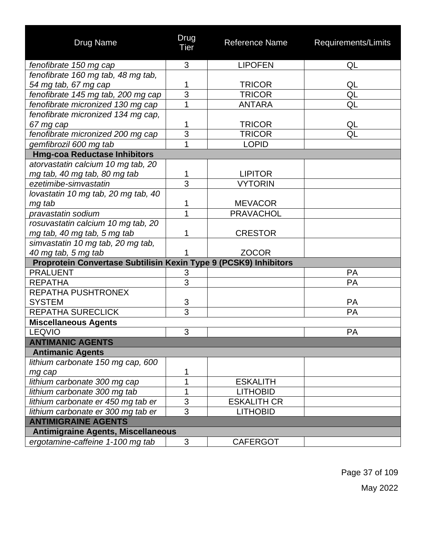| <b>Drug Name</b>                                                 | Drug<br>Tier   | <b>Reference Name</b> | Requirements/Limits |
|------------------------------------------------------------------|----------------|-----------------------|---------------------|
| fenofibrate 150 mg cap                                           | 3              | <b>LIPOFEN</b>        | QL                  |
| fenofibrate 160 mg tab, 48 mg tab,                               |                |                       |                     |
| 54 mg tab, 67 mg cap                                             | 1              | <b>TRICOR</b>         | QL                  |
| fenofibrate 145 mg tab, 200 mg cap                               | 3              | <b>TRICOR</b>         | QL                  |
| fenofibrate micronized 130 mg cap                                | 1              | <b>ANTARA</b>         | QL                  |
| fenofibrate micronized 134 mg cap,                               |                |                       |                     |
| 67 mg cap                                                        | 1              | <b>TRICOR</b>         | QL                  |
| fenofibrate micronized 200 mg cap                                | $\overline{3}$ | <b>TRICOR</b>         | QL                  |
| gemfibrozil 600 mg tab                                           | 1              | <b>LOPID</b>          |                     |
| <b>Hmg-coa Reductase Inhibitors</b>                              |                |                       |                     |
| atorvastatin calcium 10 mg tab, 20                               |                |                       |                     |
| mg tab, 40 mg tab, 80 mg tab                                     | 1              | <b>LIPITOR</b>        |                     |
| ezetimibe-simvastatin                                            | 3              | <b>VYTORIN</b>        |                     |
| lovastatin 10 mg tab, 20 mg tab, 40                              |                |                       |                     |
| mg tab                                                           | 1              | <b>MEVACOR</b>        |                     |
| pravastatin sodium                                               | 1              | <b>PRAVACHOL</b>      |                     |
| rosuvastatin calcium 10 mg tab, 20                               |                |                       |                     |
| mg tab, 40 mg tab, 5 mg tab                                      | 1              | <b>CRESTOR</b>        |                     |
| simvastatin 10 mg tab, 20 mg tab,                                |                |                       |                     |
| 40 mg tab, 5 mg tab                                              |                | <b>ZOCOR</b>          |                     |
| Proprotein Convertase Subtilisin Kexin Type 9 (PCSK9) Inhibitors |                |                       |                     |
| <b>PRALUENT</b>                                                  | 3              |                       | PA                  |
| <b>REPATHA</b>                                                   | 3              |                       | PA                  |
| REPATHA PUSHTRONEX                                               |                |                       |                     |
| <b>SYSTEM</b>                                                    | 3              |                       | <b>PA</b>           |
| <b>REPATHA SURECLICK</b>                                         | $\overline{3}$ |                       | PA                  |
| <b>Miscellaneous Agents</b>                                      |                |                       |                     |
| <b>LEQVIO</b>                                                    | 3              |                       | PA                  |
| <b>ANTIMANIC AGENTS</b>                                          |                |                       |                     |
| <b>Antimanic Agents</b>                                          |                |                       |                     |
| lithium carbonate 150 mg cap, 600                                |                |                       |                     |
| mg cap                                                           | 1              |                       |                     |
| lithium carbonate 300 mg cap                                     | 1              | <b>ESKALITH</b>       |                     |
| lithium carbonate 300 mg tab                                     | 1              | <b>LITHOBID</b>       |                     |
| lithium carbonate er 450 mg tab er                               | $\overline{3}$ | <b>ESKALITH CR</b>    |                     |
| lithium carbonate er 300 mg tab er                               | 3              | <b>LITHOBID</b>       |                     |
| <b>ANTIMIGRAINE AGENTS</b>                                       |                |                       |                     |
| <b>Antimigraine Agents, Miscellaneous</b>                        |                |                       |                     |
| ergotamine-caffeine 1-100 mg tab                                 | 3              | <b>CAFERGOT</b>       |                     |

Page 37 of 109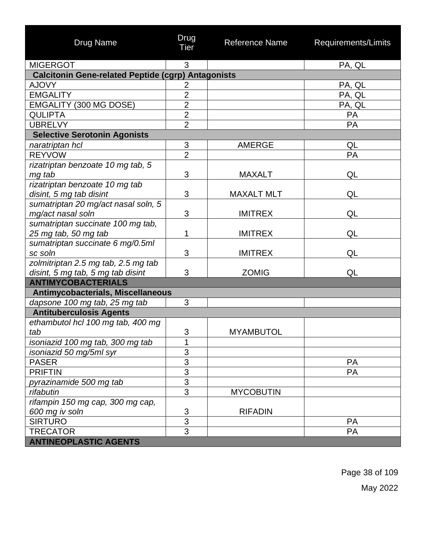| Drug Name                                                 | Drug<br>Tier              | Reference Name    | Requirements/Limits |  |  |
|-----------------------------------------------------------|---------------------------|-------------------|---------------------|--|--|
| <b>MIGERGOT</b>                                           | 3                         |                   | PA, QL              |  |  |
| <b>Calcitonin Gene-related Peptide (cgrp) Antagonists</b> |                           |                   |                     |  |  |
| <b>AJOVY</b>                                              | $\overline{2}$            |                   | PA, QL              |  |  |
| <b>EMGALITY</b>                                           | $\overline{2}$            |                   | PA, QL              |  |  |
| EMGALITY (300 MG DOSE)                                    | $\overline{2}$            |                   | PA, QL              |  |  |
| <b>QULIPTA</b>                                            | $\overline{2}$            |                   | PA                  |  |  |
| <b>UBRELVY</b>                                            | $\overline{2}$            |                   | PA                  |  |  |
| <b>Selective Serotonin Agonists</b>                       |                           |                   |                     |  |  |
| naratriptan hcl                                           | $\ensuremath{\mathsf{3}}$ | <b>AMERGE</b>     | QL                  |  |  |
| <b>REYVOW</b>                                             | $\overline{2}$            |                   | PA                  |  |  |
| rizatriptan benzoate 10 mg tab, 5                         |                           |                   |                     |  |  |
| mg tab                                                    | 3                         | <b>MAXALT</b>     | QL                  |  |  |
| rizatriptan benzoate 10 mg tab                            |                           |                   |                     |  |  |
| disint, 5 mg tab disint                                   | 3                         | <b>MAXALT MLT</b> | QL                  |  |  |
| sumatriptan 20 mg/act nasal soln, 5                       |                           |                   |                     |  |  |
| mg/act nasal soln                                         | 3                         | <b>IMITREX</b>    | QL                  |  |  |
| sumatriptan succinate 100 mg tab,                         |                           |                   |                     |  |  |
| 25 mg tab, 50 mg tab                                      | 1                         | <b>IMITREX</b>    | QL                  |  |  |
| sumatriptan succinate 6 mg/0.5ml                          |                           |                   |                     |  |  |
| sc soln                                                   | 3                         | <b>IMITREX</b>    | QL                  |  |  |
| zolmitriptan 2.5 mg tab, 2.5 mg tab                       |                           |                   |                     |  |  |
| disint, 5 mg tab, 5 mg tab disint                         | 3                         | <b>ZOMIG</b>      | QL                  |  |  |
| <b>ANTIMYCOBACTERIALS</b>                                 |                           |                   |                     |  |  |
| Antimycobacterials, Miscellaneous                         |                           |                   |                     |  |  |
| dapsone 100 mg tab, 25 mg tab                             | 3                         |                   |                     |  |  |
| <b>Antituberculosis Agents</b>                            |                           |                   |                     |  |  |
| ethambutol hcl 100 mg tab, 400 mg                         |                           |                   |                     |  |  |
| tab                                                       | 3                         | <b>MYAMBUTOL</b>  |                     |  |  |
| isoniazid 100 mg tab, 300 mg tab                          | 1                         |                   |                     |  |  |
| isoniazid 50 mg/5ml syr                                   | 3                         |                   |                     |  |  |
| <b>PASER</b>                                              | $\overline{3}$            |                   | <b>PA</b>           |  |  |
| <b>PRIFTIN</b>                                            | $\overline{3}$            |                   | PA                  |  |  |
| pyrazinamide 500 mg tab                                   | $\overline{3}$            |                   |                     |  |  |
| rifabutin                                                 | $\overline{3}$            | <b>MYCOBUTIN</b>  |                     |  |  |
| rifampin 150 mg cap, 300 mg cap,                          |                           |                   |                     |  |  |
| 600 mg iv soln                                            | 3                         | <b>RIFADIN</b>    |                     |  |  |
| <b>SIRTURO</b>                                            | 3                         |                   | <b>PA</b>           |  |  |
| <b>TRECATOR</b>                                           | $\overline{3}$            |                   | PA                  |  |  |
| <b>ANTINEOPLASTIC AGENTS</b>                              |                           |                   |                     |  |  |

Page 38 of 109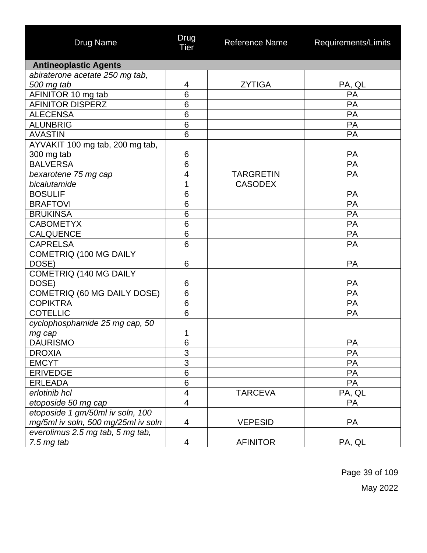| <b>Drug Name</b>                    | Drug<br><b>Tier</b>      | <b>Reference Name</b> | Requirements/Limits |
|-------------------------------------|--------------------------|-----------------------|---------------------|
| <b>Antineoplastic Agents</b>        |                          |                       |                     |
| abiraterone acetate 250 mg tab,     |                          |                       |                     |
| 500 mg tab                          | 4                        | <b>ZYTIGA</b>         | PA, QL              |
| AFINITOR 10 mg tab                  | 6                        |                       | PA                  |
| <b>AFINITOR DISPERZ</b>             | 6                        |                       | PA                  |
| <b>ALECENSA</b>                     | 6                        |                       | PA                  |
| <b>ALUNBRIG</b>                     | $6\phantom{1}6$          |                       | PA                  |
| <b>AVASTIN</b>                      | 6                        |                       | PA                  |
| AYVAKIT 100 mg tab, 200 mg tab,     |                          |                       |                     |
| 300 mg tab                          | 6                        |                       | PA                  |
| <b>BALVERSA</b>                     | 6                        |                       | PA                  |
| bexarotene 75 mg cap                | $\overline{\mathcal{A}}$ | <b>TARGRETIN</b>      | PA                  |
| bicalutamide                        | 1                        | <b>CASODEX</b>        |                     |
| <b>BOSULIF</b>                      | 6                        |                       | <b>PA</b>           |
| <b>BRAFTOVI</b>                     | 6                        |                       | PA                  |
| <b>BRUKINSA</b>                     | 6                        |                       | PA                  |
| <b>CABOMETYX</b>                    | $6\phantom{1}6$          |                       | PA                  |
| <b>CALQUENCE</b>                    | 6                        |                       | PA                  |
| <b>CAPRELSA</b>                     | 6                        |                       | PA                  |
| COMETRIQ (100 MG DAILY              |                          |                       |                     |
| DOSE)                               | 6                        |                       | PA                  |
| COMETRIQ (140 MG DAILY              |                          |                       |                     |
| DOSE)                               | 6                        |                       | PA                  |
| <b>COMETRIQ (60 MG DAILY DOSE)</b>  | 6                        |                       | PA                  |
| <b>COPIKTRA</b>                     | 6                        |                       | <b>PA</b>           |
| <b>COTELLIC</b>                     | 6                        |                       | PA                  |
| cyclophosphamide 25 mg cap, 50      |                          |                       |                     |
| mg cap                              | 1                        |                       |                     |
| <b>DAURISMO</b>                     | 6                        |                       | PA                  |
| <b>DROXIA</b>                       | $\overline{3}$           |                       | PA                  |
| <b>EMCYT</b>                        | $\overline{3}$           |                       | PA                  |
| <b>ERIVEDGE</b>                     | $\overline{6}$           |                       | PA                  |
| <b>ERLEADA</b>                      | $\,6$                    |                       | PA                  |
| erlotinib hcl                       | $\overline{\mathcal{A}}$ | <b>TARCEVA</b>        | PA, QL              |
| etoposide 50 mg cap                 | $\overline{\mathcal{A}}$ |                       | PA                  |
| etoposide 1 gm/50ml iv soln, 100    |                          |                       |                     |
| mg/5ml iv soln, 500 mg/25ml iv soln | 4                        | <b>VEPESID</b>        | <b>PA</b>           |
| everolimus 2.5 mg tab, 5 mg tab,    |                          |                       |                     |
| $7.5$ mg tab                        | 4                        | <b>AFINITOR</b>       | PA, QL              |

Page 39 of 109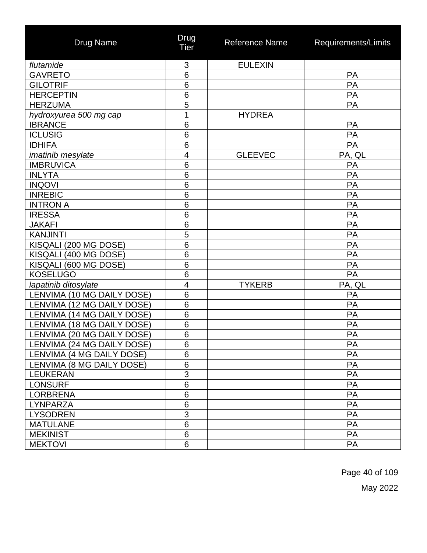| <b>Drug Name</b>           | Drug<br><b>Tier</b> | <b>Reference Name</b> | Requirements/Limits |
|----------------------------|---------------------|-----------------------|---------------------|
| flutamide                  | 3                   | <b>EULEXIN</b>        |                     |
| <b>GAVRETO</b>             | 6                   |                       | PA                  |
| <b>GILOTRIF</b>            | 6                   |                       | PA                  |
| <b>HERCEPTIN</b>           | 6                   |                       | PA                  |
| <b>HERZUMA</b>             | $\overline{5}$      |                       | PA                  |
| hydroxyurea 500 mg cap     | 1                   | <b>HYDREA</b>         |                     |
| <b>IBRANCE</b>             | 6                   |                       | PA                  |
| <b>ICLUSIG</b>             | 6                   |                       | PA                  |
| <b>IDHIFA</b>              | $6\phantom{1}6$     |                       | PA                  |
| imatinib mesylate          | 4                   | <b>GLEEVEC</b>        | PA, QL              |
| <b>IMBRUVICA</b>           | 6                   |                       | PA                  |
| <b>INLYTA</b>              | 6                   |                       | PA                  |
| <b>INQOVI</b>              | 6                   |                       | PA                  |
| <b>INREBIC</b>             | 6                   |                       | PA                  |
| <b>INTRON A</b>            | 6                   |                       | PA                  |
| <b>IRESSA</b>              | 6                   |                       | PA                  |
| <b>JAKAFI</b>              | 6                   |                       | PA                  |
| <b>KANJINTI</b>            | 5                   |                       | PA                  |
| KISQALI (200 MG DOSE)      | 6                   |                       | PA                  |
| KISQALI (400 MG DOSE)      | 6                   |                       | PA                  |
| KISQALI (600 MG DOSE)      | 6                   |                       | PA                  |
| <b>KOSELUGO</b>            | 6                   |                       | PA                  |
| lapatinib ditosylate       | 4                   | <b>TYKERB</b>         | PA, QL              |
| LENVIMA (10 MG DAILY DOSE) | 6                   |                       | PA                  |
| LENVIMA (12 MG DAILY DOSE) | 6                   |                       | PA                  |
| LENVIMA (14 MG DAILY DOSE) | 6                   |                       | PA                  |
| LENVIMA (18 MG DAILY DOSE) | 6                   |                       | PA                  |
| LENVIMA (20 MG DAILY DOSE) | 6                   |                       | PA                  |
| LENVIMA (24 MG DAILY DOSE) | 6                   |                       | PA                  |
| LENVIMA (4 MG DAILY DOSE)  | 6                   |                       | PA                  |
| LENVIMA (8 MG DAILY DOSE)  | 6                   |                       | PA                  |
| <b>LEUKERAN</b>            | 3                   |                       | PA                  |
| <b>LONSURF</b>             | 6                   |                       | PA                  |
| <b>LORBRENA</b>            | 6                   |                       | PA                  |
| <b>LYNPARZA</b>            | $\,6\,$             |                       | PA                  |
| <b>LYSODREN</b>            | 3                   |                       | PA                  |
| <b>MATULANE</b>            | 6                   |                       | PA                  |
| <b>MEKINIST</b>            | 6                   |                       | PA                  |
| <b>MEKTOVI</b>             | 6                   |                       | PA                  |

Page 40 of 109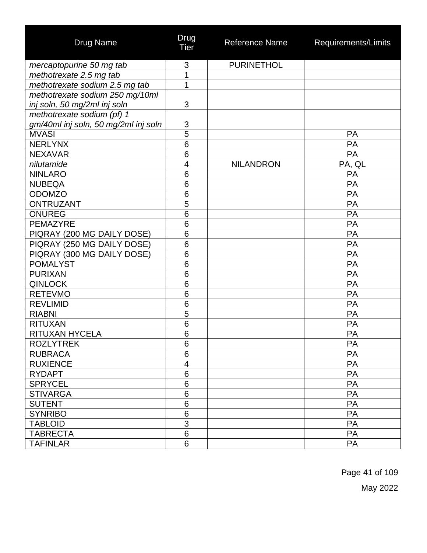| <b>Drug Name</b>                     | Drug<br>Tier    | <b>Reference Name</b> | Requirements/Limits |
|--------------------------------------|-----------------|-----------------------|---------------------|
| mercaptopurine 50 mg tab             | 3               | <b>PURINETHOL</b>     |                     |
| methotrexate 2.5 mg tab              | 1               |                       |                     |
| methotrexate sodium 2.5 mg tab       | 1               |                       |                     |
| methotrexate sodium 250 mg/10ml      |                 |                       |                     |
| inj soln, 50 mg/2ml inj soln         | 3               |                       |                     |
| methotrexate sodium (pf) 1           |                 |                       |                     |
| gm/40ml inj soln, 50 mg/2ml inj soln | 3               |                       |                     |
| <b>MVASI</b>                         | $\overline{5}$  |                       | PA                  |
| <b>NERLYNX</b>                       | 6               |                       | PA                  |
| <b>NEXAVAR</b>                       | $6\phantom{1}6$ |                       | PA                  |
| nilutamide                           | 4               | <b>NILANDRON</b>      | PA, QL              |
| <b>NINLARO</b>                       | 6               |                       | PA                  |
| <b>NUBEQA</b>                        | 6               |                       | PA                  |
| <b>ODOMZO</b>                        | 6               |                       | PA                  |
| <b>ONTRUZANT</b>                     | $\overline{5}$  |                       | PA                  |
| <b>ONUREG</b>                        | 6               |                       | PA                  |
| <b>PEMAZYRE</b>                      | 6               |                       | PA                  |
| PIQRAY (200 MG DAILY DOSE)           | 6               |                       | PA                  |
| PIQRAY (250 MG DAILY DOSE)           | 6               |                       | PA                  |
| PIQRAY (300 MG DAILY DOSE)           | 6               |                       | PA                  |
| <b>POMALYST</b>                      | 6               |                       | PA                  |
| <b>PURIXAN</b>                       | 6               |                       | PA                  |
| <b>QINLOCK</b>                       | 6               |                       | PA                  |
| <b>RETEVMO</b>                       | 6               |                       | PA                  |
| <b>REVLIMID</b>                      | 6               |                       | PA                  |
| <b>RIABNI</b>                        | 5               |                       | PA                  |
| <b>RITUXAN</b>                       | 6               |                       | PA                  |
| RITUXAN HYCELA                       | 6               |                       | PA                  |
| <b>ROZLYTREK</b>                     | 6               |                       | PA                  |
| <b>RUBRACA</b>                       | 6               |                       | PA                  |
| <b>RUXIENCE</b>                      | 4               |                       | PA                  |
| <b>RYDAPT</b>                        | 6               |                       | PA                  |
| <b>SPRYCEL</b>                       | 6               |                       | <b>PA</b>           |
| <b>STIVARGA</b>                      | 6               |                       | PA                  |
| <b>SUTENT</b>                        | 6               |                       | PA                  |
| <b>SYNRIBO</b>                       | 6               |                       | <b>PA</b>           |
| <b>TABLOID</b>                       | 3               |                       | PA                  |
| <b>TABRECTA</b>                      | 6               |                       | PA                  |
| <b>TAFINLAR</b>                      | 6               |                       | PA                  |

Page 41 of 109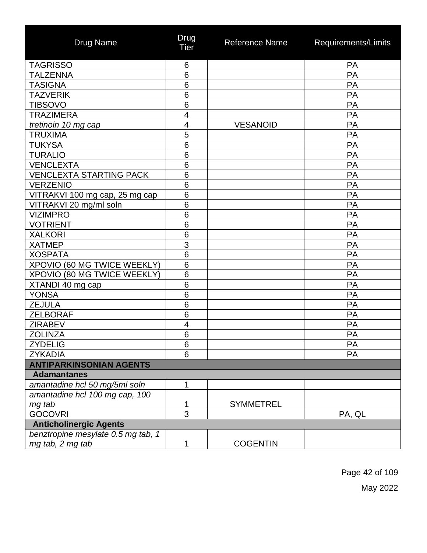| <b>Drug Name</b>                   | Drug<br>Tier             | Reference Name   | Requirements/Limits |
|------------------------------------|--------------------------|------------------|---------------------|
| <b>TAGRISSO</b>                    | 6                        |                  | PA                  |
| <b>TALZENNA</b>                    | 6                        |                  | PA                  |
| <b>TASIGNA</b>                     | 6                        |                  | PA                  |
| <b>TAZVERIK</b>                    | 6                        |                  | PA                  |
| <b>TIBSOVO</b>                     | 6                        |                  | PA                  |
| <b>TRAZIMERA</b>                   | $\overline{\mathcal{A}}$ |                  | PA                  |
| tretinoin 10 mg cap                | 4                        | <b>VESANOID</b>  | PA                  |
| <b>TRUXIMA</b>                     | 5                        |                  | PA                  |
| <b>TUKYSA</b>                      | 6                        |                  | PA                  |
| <b>TURALIO</b>                     | 6                        |                  | PA                  |
| <b>VENCLEXTA</b>                   | 6                        |                  | PA                  |
| <b>VENCLEXTA STARTING PACK</b>     | 6                        |                  | PA                  |
| <b>VERZENIO</b>                    | 6                        |                  | PA                  |
| VITRAKVI 100 mg cap, 25 mg cap     | 6                        |                  | PA                  |
| VITRAKVI 20 mg/ml soln             | 6                        |                  | PA                  |
| <b>VIZIMPRO</b>                    | 6                        |                  | PA                  |
| <b>VOTRIENT</b>                    | 6                        |                  | PA                  |
| <b>XALKORI</b>                     | 6                        |                  | PA                  |
| <b>XATMEP</b>                      | 3                        |                  | PA                  |
| <b>XOSPATA</b>                     | 6                        |                  | PA                  |
| XPOVIO (60 MG TWICE WEEKLY)        | 6                        |                  | PA                  |
| XPOVIO (80 MG TWICE WEEKLY)        | 6                        |                  | PA                  |
| XTANDI 40 mg cap                   | 6                        |                  | PA                  |
| <b>YONSA</b>                       | 6                        |                  | PA                  |
| <b>ZEJULA</b>                      | 6                        |                  | PA                  |
| <b>ZELBORAF</b>                    | 6                        |                  | PA                  |
| <b>ZIRABEV</b>                     | $\overline{\mathcal{A}}$ |                  | PA                  |
| <b>ZOLINZA</b>                     | 6                        |                  | PA                  |
| <b>ZYDELIG</b>                     | 6                        |                  | PA                  |
| <b>ZYKADIA</b>                     | 6                        |                  | PA                  |
| <b>ANTIPARKINSONIAN AGENTS</b>     |                          |                  |                     |
| <b>Adamantanes</b>                 |                          |                  |                     |
| amantadine hcl 50 mg/5ml soln      | 1                        |                  |                     |
| amantadine hcl 100 mg cap, 100     |                          |                  |                     |
| mg tab                             | 1                        | <b>SYMMETREL</b> |                     |
| <b>GOCOVRI</b>                     | $\overline{3}$           |                  | PA, QL              |
| <b>Anticholinergic Agents</b>      |                          |                  |                     |
| benztropine mesylate 0.5 mg tab, 1 |                          |                  |                     |
| mg tab, 2 mg tab                   | 1                        | <b>COGENTIN</b>  |                     |

Page 42 of 109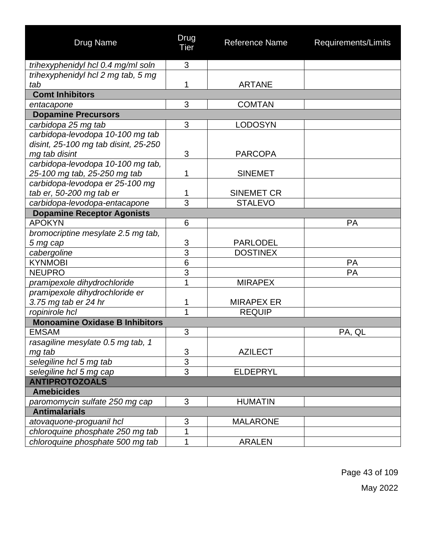| <b>Drug Name</b>                      | Drug<br><b>Tier</b> | <b>Reference Name</b> | Requirements/Limits |
|---------------------------------------|---------------------|-----------------------|---------------------|
| trihexyphenidyl hcl 0.4 mg/ml soln    | 3                   |                       |                     |
| trihexyphenidyl hcl 2 mg tab, 5 mg    |                     |                       |                     |
| tab                                   | 1                   | <b>ARTANE</b>         |                     |
| <b>Comt Inhibitors</b>                |                     |                       |                     |
| entacapone                            | 3                   | <b>COMTAN</b>         |                     |
| <b>Dopamine Precursors</b>            |                     |                       |                     |
| carbidopa 25 mg tab                   | 3                   | <b>LODOSYN</b>        |                     |
| carbidopa-levodopa 10-100 mg tab      |                     |                       |                     |
| disint, 25-100 mg tab disint, 25-250  |                     |                       |                     |
| mg tab disint                         | 3                   | <b>PARCOPA</b>        |                     |
| carbidopa-levodopa 10-100 mg tab,     |                     |                       |                     |
| 25-100 mg tab, 25-250 mg tab          | 1                   | <b>SINEMET</b>        |                     |
| carbidopa-levodopa er 25-100 mg       |                     |                       |                     |
| tab er, 50-200 mg tab er              | 1                   | <b>SINEMET CR</b>     |                     |
| carbidopa-levodopa-entacapone         | 3                   | <b>STALEVO</b>        |                     |
| <b>Dopamine Receptor Agonists</b>     |                     |                       |                     |
| <b>APOKYN</b>                         | 6                   |                       | PA                  |
| bromocriptine mesylate 2.5 mg tab,    |                     |                       |                     |
| 5 mg cap                              | 3                   | <b>PARLODEL</b>       |                     |
| cabergoline                           | $\overline{3}$      | <b>DOSTINEX</b>       |                     |
| <b>KYNMOBI</b>                        | 6                   |                       | PA                  |
| <b>NEUPRO</b>                         | $\overline{3}$      |                       | PA                  |
| pramipexole dihydrochloride           | 1                   | <b>MIRAPEX</b>        |                     |
| pramipexole dihydrochloride er        |                     |                       |                     |
| 3.75 mg tab er 24 hr                  | 1                   | <b>MIRAPEX ER</b>     |                     |
| ropinirole hcl                        | 1                   | <b>REQUIP</b>         |                     |
| <b>Monoamine Oxidase B Inhibitors</b> |                     |                       |                     |
| <b>EMSAM</b>                          | 3                   |                       | PA, QL              |
| rasagiline mesylate 0.5 mg tab, 1     |                     |                       |                     |
| mg tab                                | 3                   | <b>AZILECT</b>        |                     |
| selegiline hcl 5 mg tab               | $\overline{3}$      |                       |                     |
| selegiline hcl 5 mg cap               | $\overline{3}$      | <b>ELDEPRYL</b>       |                     |
| <b>ANTIPROTOZOALS</b>                 |                     |                       |                     |
| <b>Amebicides</b>                     |                     |                       |                     |
| paromomycin sulfate 250 mg cap        | 3                   | <b>HUMATIN</b>        |                     |
| <b>Antimalarials</b>                  |                     |                       |                     |
| atovaquone-proguanil hcl              | 3                   | <b>MALARONE</b>       |                     |
| chloroquine phosphate 250 mg tab      | 1                   |                       |                     |
| chloroquine phosphate 500 mg tab      | 1                   | <b>ARALEN</b>         |                     |

Page 43 of 109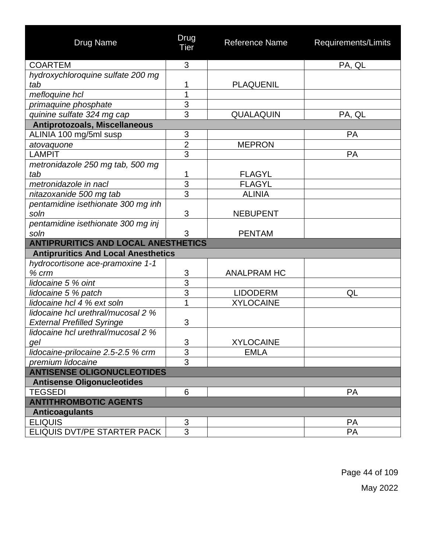| Drug Name                                  | Drug<br>Tier   | Reference Name     | Requirements/Limits |
|--------------------------------------------|----------------|--------------------|---------------------|
| <b>COARTEM</b>                             | 3              |                    | PA, QL              |
| hydroxychloroquine sulfate 200 mg          |                |                    |                     |
| tab                                        | 1              | <b>PLAQUENIL</b>   |                     |
| mefloquine hcl                             | $\overline{1}$ |                    |                     |
| primaquine phosphate                       | 3              |                    |                     |
| quinine sulfate 324 mg cap                 | 3              | QUALAQUIN          | PA, QL              |
| Antiprotozoals, Miscellaneous              |                |                    |                     |
| ALINIA 100 mg/5ml susp                     | 3              |                    | <b>PA</b>           |
| atovaquone                                 | $\overline{c}$ | <b>MEPRON</b>      |                     |
| <b>LAMPIT</b>                              | $\overline{3}$ |                    | <b>PA</b>           |
| metronidazole 250 mg tab, 500 mg           |                |                    |                     |
| tab                                        | 1              | <b>FLAGYL</b>      |                     |
| metronidazole in nacl                      | $\overline{3}$ | <b>FLAGYL</b>      |                     |
| nitazoxanide 500 mg tab                    | $\overline{3}$ | <b>ALINIA</b>      |                     |
| pentamidine isethionate 300 mg inh         |                |                    |                     |
| soln                                       | 3              | <b>NEBUPENT</b>    |                     |
| pentamidine isethionate 300 mg inj         |                |                    |                     |
| soln                                       | 3              | <b>PENTAM</b>      |                     |
| <b>ANTIPRURITICS AND LOCAL ANESTHETICS</b> |                |                    |                     |
| <b>Antipruritics And Local Anesthetics</b> |                |                    |                     |
| hydrocortisone ace-pramoxine 1-1<br>% crm  | 3              | <b>ANALPRAM HC</b> |                     |
| lidocaine 5 % oint                         | $\overline{3}$ |                    |                     |
| lidocaine 5 % patch                        | $\overline{3}$ | <b>LIDODERM</b>    | QL                  |
| lidocaine hcl 4 % ext soln                 | 1              | <b>XYLOCAINE</b>   |                     |
| lidocaine hcl urethral/mucosal 2 %         |                |                    |                     |
| <b>External Prefilled Syringe</b>          | 3              |                    |                     |
| lidocaine hcl urethral/mucosal 2 %         |                |                    |                     |
| gel                                        | $\overline{3}$ | <b>XYLOCAINE</b>   |                     |
| lidocaine-prilocaine 2.5-2.5 % crm         | 3              | <b>EMLA</b>        |                     |
| premium lidocaine                          | $\overline{3}$ |                    |                     |
| <b>ANTISENSE OLIGONUCLEOTIDES</b>          |                |                    |                     |
| <b>Antisense Oligonucleotides</b>          |                |                    |                     |
| <b>TEGSEDI</b>                             | 6              |                    | <b>PA</b>           |
| <b>ANTITHROMBOTIC AGENTS</b>               |                |                    |                     |
| <b>Anticoagulants</b>                      |                |                    |                     |
| <b>ELIQUIS</b>                             | $\mathfrak{S}$ |                    | <b>PA</b>           |
| ELIQUIS DVT/PE STARTER PACK                | 3              |                    | <b>PA</b>           |

Page 44 of 109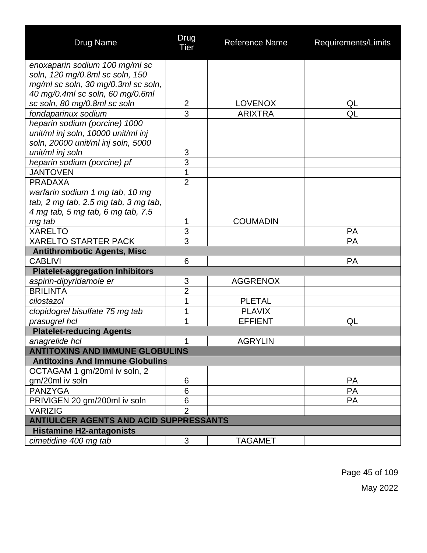| <b>Drug Name</b>                                                          | Drug<br>Tier   | <b>Reference Name</b> | Requirements/Limits |
|---------------------------------------------------------------------------|----------------|-----------------------|---------------------|
| enoxaparin sodium 100 mg/ml sc                                            |                |                       |                     |
| soln, 120 mg/0.8ml sc soln, 150                                           |                |                       |                     |
| mg/ml sc soln, 30 mg/0.3ml sc soln,                                       |                |                       |                     |
| 40 mg/0.4ml sc soln, 60 mg/0.6ml                                          |                |                       |                     |
| sc soln, 80 mg/0.8ml sc soln                                              | $\mathbf{2}$   | <b>LOVENOX</b>        | QL                  |
| fondaparinux sodium                                                       | $\overline{3}$ | <b>ARIXTRA</b>        | QL                  |
| heparin sodium (porcine) 1000                                             |                |                       |                     |
| unit/ml inj soln, 10000 unit/ml inj<br>soln, 20000 unit/ml inj soln, 5000 |                |                       |                     |
| unit/ml inj soln                                                          | 3              |                       |                     |
| heparin sodium (porcine) pf                                               | 3              |                       |                     |
| <b>JANTOVEN</b>                                                           | 1              |                       |                     |
| <b>PRADAXA</b>                                                            | $\overline{2}$ |                       |                     |
| warfarin sodium 1 mg tab, 10 mg                                           |                |                       |                     |
| tab, 2 mg tab, 2.5 mg tab, 3 mg tab,                                      |                |                       |                     |
| 4 mg tab, 5 mg tab, 6 mg tab, 7.5                                         |                |                       |                     |
| mg tab                                                                    | 1              | <b>COUMADIN</b>       |                     |
| <b>XARELTO</b>                                                            | $\overline{3}$ |                       | <b>PA</b>           |
| <b>XARELTO STARTER PACK</b>                                               | 3              |                       | PA                  |
| <b>Antithrombotic Agents, Misc</b>                                        |                |                       |                     |
| <b>CABLIVI</b>                                                            | 6              |                       | <b>PA</b>           |
| <b>Platelet-aggregation Inhibitors</b>                                    |                |                       |                     |
| aspirin-dipyridamole er                                                   | 3              | <b>AGGRENOX</b>       |                     |
| <b>BRILINTA</b>                                                           | $\overline{2}$ |                       |                     |
| cilostazol                                                                | 1              | <b>PLETAL</b>         |                     |
| clopidogrel bisulfate 75 mg tab                                           | 1              | <b>PLAVIX</b>         |                     |
| prasugrel hcl                                                             | 1              | <b>EFFIENT</b>        | QL                  |
| <b>Platelet-reducing Agents</b>                                           |                |                       |                     |
| anagrelide hcl                                                            | 1              | <b>AGRYLIN</b>        |                     |
| <b>ANTITOXINS AND IMMUNE GLOBULINS</b>                                    |                |                       |                     |
| <b>Antitoxins And Immune Globulins</b>                                    |                |                       |                     |
| OCTAGAM 1 gm/20ml iv soln, 2                                              |                |                       |                     |
| gm/20ml iv soln                                                           | 6              |                       | <b>PA</b>           |
| <b>PANZYGA</b>                                                            | 6              |                       | PA                  |
| PRIVIGEN 20 gm/200ml iv soln                                              | 6              |                       | PA                  |
| <b>VARIZIG</b>                                                            | $\overline{2}$ |                       |                     |
| ANTIULCER AGENTS AND ACID SUPPRESSANTS                                    |                |                       |                     |
| <b>Histamine H2-antagonists</b>                                           |                |                       |                     |
| cimetidine 400 mg tab                                                     | 3              | <b>TAGAMET</b>        |                     |

Page 45 of 109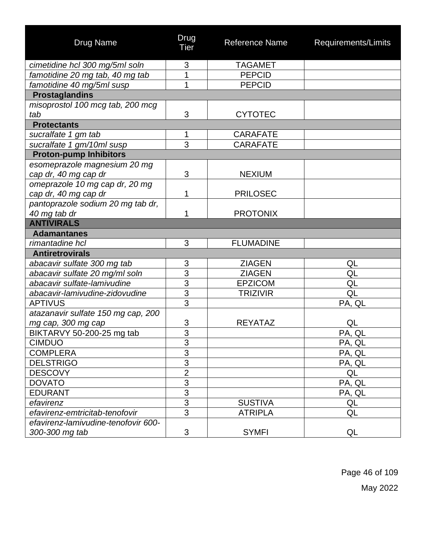| <b>Drug Name</b>                    | Drug<br>Tier   | Reference Name   | Requirements/Limits |
|-------------------------------------|----------------|------------------|---------------------|
| cimetidine hcl 300 mg/5ml soln      | 3              | <b>TAGAMET</b>   |                     |
| famotidine 20 mg tab, 40 mg tab     | 1              | <b>PEPCID</b>    |                     |
| famotidine 40 mg/5ml susp           | 1              | <b>PEPCID</b>    |                     |
| <b>Prostaglandins</b>               |                |                  |                     |
| misoprostol 100 mcg tab, 200 mcg    |                |                  |                     |
| tab                                 | 3              | <b>CYTOTEC</b>   |                     |
| <b>Protectants</b>                  |                |                  |                     |
| sucralfate 1 gm tab                 | 1              | <b>CARAFATE</b>  |                     |
| sucralfate 1 gm/10ml susp           | 3              | <b>CARAFATE</b>  |                     |
| <b>Proton-pump Inhibitors</b>       |                |                  |                     |
| esomeprazole magnesium 20 mg        |                |                  |                     |
| cap dr, 40 mg cap dr                | 3              | <b>NEXIUM</b>    |                     |
| omeprazole 10 mg cap dr, 20 mg      |                |                  |                     |
| cap dr, 40 mg cap dr                | 1              | <b>PRILOSEC</b>  |                     |
| pantoprazole sodium 20 mg tab dr,   |                |                  |                     |
| 40 mg tab dr                        | 1              | <b>PROTONIX</b>  |                     |
| <b>ANTIVIRALS</b>                   |                |                  |                     |
| <b>Adamantanes</b>                  |                |                  |                     |
| rimantadine hcl                     | 3              | <b>FLUMADINE</b> |                     |
| <b>Antiretrovirals</b>              |                |                  |                     |
| abacavir sulfate 300 mg tab         | 3              | <b>ZIAGEN</b>    | QL                  |
| abacavir sulfate 20 mg/ml soln      | $\overline{3}$ | <b>ZIAGEN</b>    | QL                  |
| abacavir sulfate-lamivudine         | $\overline{3}$ | <b>EPZICOM</b>   | QL                  |
| abacavir-lamivudine-zidovudine      | $\overline{3}$ | <b>TRIZIVIR</b>  | QL                  |
| <b>APTIVUS</b>                      | $\overline{3}$ |                  | PA, QL              |
| atazanavir sulfate 150 mg cap, 200  |                |                  |                     |
| mg cap, 300 mg cap                  | 3              | <b>REYATAZ</b>   | QL                  |
| BIKTARVY 50-200-25 mg tab           | $\overline{3}$ |                  | PA, QL              |
| <b>CIMDUO</b>                       | $\sim$<br>3    |                  | PA, QL              |
| <b>COMPLERA</b>                     | $\overline{3}$ |                  | PA, QL              |
| <b>DELSTRIGO</b>                    | $\overline{3}$ |                  | PA, QL              |
| <b>DESCOVY</b>                      | $\overline{2}$ |                  | QL                  |
| <b>DOVATO</b>                       | $\overline{3}$ |                  | PA, QL              |
| <b>EDURANT</b>                      | $\overline{3}$ |                  | PA, QL              |
| efavirenz                           | 3              | <b>SUSTIVA</b>   | QL                  |
| efavirenz-emtricitab-tenofovir      | $\overline{3}$ | <b>ATRIPLA</b>   | QL                  |
| efavirenz-lamivudine-tenofovir 600- |                |                  |                     |
| 300-300 mg tab                      | 3              | <b>SYMFI</b>     | QL                  |

Page 46 of 109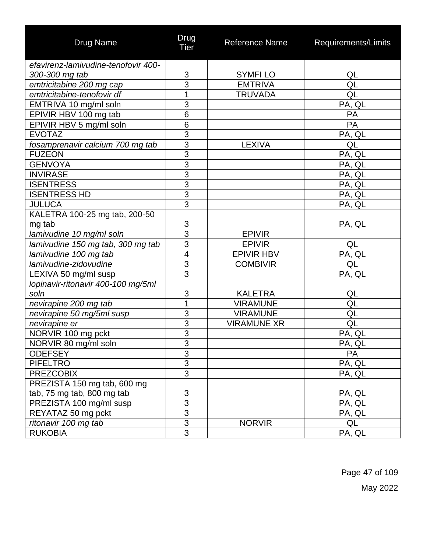| <b>Drug Name</b>                    | Drug<br><b>Tier</b> | Reference Name     | Requirements/Limits |
|-------------------------------------|---------------------|--------------------|---------------------|
| efavirenz-lamivudine-tenofovir 400- |                     |                    |                     |
| 300-300 mg tab                      | $\mathsf 3$         | <b>SYMFILO</b>     | QL                  |
| emtricitabine 200 mg cap            | $\overline{3}$      | <b>EMTRIVA</b>     | QL                  |
| emtricitabine-tenofovir df          | 1                   | <b>TRUVADA</b>     | QL                  |
| EMTRIVA 10 mg/ml soln               | $\overline{3}$      |                    | PA, QL              |
| EPIVIR HBV 100 mg tab               | 6                   |                    | PA                  |
| EPIVIR HBV 5 mg/ml soln             | 6                   |                    | PA                  |
| <b>EVOTAZ</b>                       | $\overline{3}$      |                    | PA, QL              |
| fosamprenavir calcium 700 mg tab    | $\overline{3}$      | <b>LEXIVA</b>      | QL                  |
| <b>FUZEON</b>                       | $\overline{3}$      |                    | PA, QL              |
| <b>GENVOYA</b>                      | $\overline{3}$      |                    | PA, QL              |
| <b>INVIRASE</b>                     | $\overline{3}$      |                    | PA, QL              |
| <b>ISENTRESS</b>                    | $\overline{3}$      |                    | PA, QL              |
| <b>ISENTRESS HD</b>                 | $\overline{3}$      |                    | PA, QL              |
| <b>JULUCA</b>                       | $\overline{3}$      |                    | PA, QL              |
| KALETRA 100-25 mg tab, 200-50       |                     |                    |                     |
| mg tab                              | 3                   |                    | PA, QL              |
| lamivudine 10 mg/ml soln            | $\overline{3}$      | <b>EPIVIR</b>      |                     |
| lamivudine 150 mg tab, 300 mg tab   | $\overline{3}$      | <b>EPIVIR</b>      | QL                  |
| lamivudine 100 mg tab               | $\overline{4}$      | <b>EPIVIR HBV</b>  | PA, QL              |
| lamivudine-zidovudine               | $\overline{3}$      | <b>COMBIVIR</b>    | QL                  |
| LEXIVA 50 mg/ml susp                | $\overline{3}$      |                    | PA, QL              |
| lopinavir-ritonavir 400-100 mg/5ml  |                     |                    |                     |
| soln                                | 3                   | <b>KALETRA</b>     | QL                  |
| nevirapine 200 mg tab               | 1                   | <b>VIRAMUNE</b>    | QL                  |
| nevirapine 50 mg/5ml susp           | 3                   | <b>VIRAMUNE</b>    | QL                  |
| nevirapine er                       | $\overline{3}$      | <b>VIRAMUNE XR</b> | QL                  |
| NORVIR 100 mg pckt                  | $\overline{3}$      |                    | PA, QL              |
| NORVIR 80 mg/ml soln                | $\frac{3}{3}$       |                    | PA, QL              |
| <b>ODEFSEY</b>                      |                     |                    | PA                  |
| <b>PIFELTRO</b>                     | $\overline{3}$      |                    | PA, QL              |
| <b>PREZCOBIX</b>                    | $\overline{3}$      |                    | PA, QL              |
| PREZISTA 150 mg tab, 600 mg         |                     |                    |                     |
| tab, 75 mg tab, 800 mg tab          | $\frac{3}{3}$       |                    | PA, QL              |
| PREZISTA 100 mg/ml susp             |                     |                    | PA, QL              |
| REYATAZ 50 mg pckt                  | 3                   |                    | PA, QL              |
| ritonavir 100 mg tab                | $\overline{3}$      | <b>NORVIR</b>      | QL                  |
| <b>RUKOBIA</b>                      | 3                   |                    | PA, QL              |

Page 47 of 109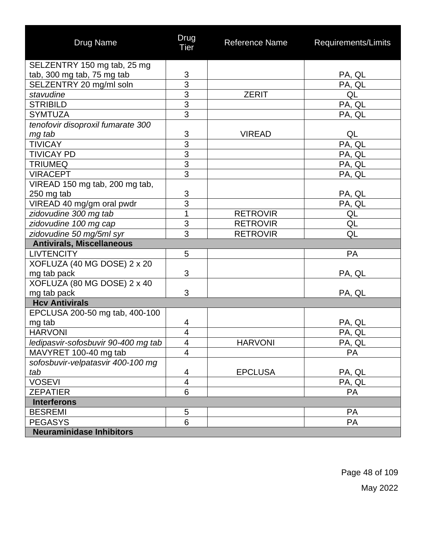| <b>Drug Name</b>                    | Drug<br><b>Tier</b>     | Reference Name  | Requirements/Limits |
|-------------------------------------|-------------------------|-----------------|---------------------|
| SELZENTRY 150 mg tab, 25 mg         |                         |                 |                     |
| tab, 300 mg tab, 75 mg tab          | 3                       |                 | PA, QL              |
| SELZENTRY 20 mg/ml soln             | $\overline{3}$          |                 | PA, QL              |
| stavudine                           | $\frac{3}{3}$           | <b>ZERIT</b>    | QL                  |
| <b>STRIBILD</b>                     |                         |                 | PA, QL              |
| <b>SYMTUZA</b>                      | $\overline{3}$          |                 | PA, QL              |
| tenofovir disoproxil fumarate 300   |                         |                 |                     |
| mg tab                              |                         | <b>VIREAD</b>   | QL                  |
| <b>TIVICAY</b>                      | $\frac{3}{3}$           |                 | PA, QL              |
| <b>TIVICAY PD</b>                   | $\overline{3}$          |                 | PA, QL              |
| <b>TRIUMEQ</b>                      | $\overline{3}$          |                 | PA, QL              |
| <b>VIRACEPT</b>                     | 3                       |                 | PA, QL              |
| VIREAD 150 mg tab, 200 mg tab,      |                         |                 |                     |
| 250 mg tab                          | 3                       |                 | <u>PA, QL</u>       |
| VIREAD 40 mg/gm oral pwdr           | $\overline{3}$          |                 | PA, QL              |
| zidovudine 300 mg tab               | 1                       | <b>RETROVIR</b> | QL                  |
| zidovudine 100 mg cap               | $\overline{3}$          | <b>RETROVIR</b> | QL                  |
| zidovudine 50 mg/5ml syr            | $\overline{3}$          | <b>RETROVIR</b> | QL                  |
| <b>Antivirals, Miscellaneous</b>    |                         |                 |                     |
| <b>LIVTENCITY</b>                   | 5                       |                 | PA                  |
| XOFLUZA (40 MG DOSE) 2 x 20         |                         |                 |                     |
| mg tab pack                         | 3                       |                 | PA, QL              |
| XOFLUZA (80 MG DOSE) 2 x 40         |                         |                 |                     |
| mg tab pack                         | 3                       |                 | PA, QL              |
| <b>Hcv Antivirals</b>               |                         |                 |                     |
| EPCLUSA 200-50 mg tab, 400-100      |                         |                 |                     |
| mg tab                              | 4                       |                 | PA, QL              |
| <b>HARVONI</b>                      | 4                       |                 | PA, QL              |
| ledipasvir-sofosbuvir 90-400 mg tab | $\overline{\mathbf{4}}$ | <b>HARVONI</b>  | PA, QL              |
| MAVYRET 100-40 mg tab               | $\overline{4}$          |                 | <b>PA</b>           |
| sofosbuvir-velpatasvir 400-100 mg   |                         |                 |                     |
| tab                                 | 4                       | <b>EPCLUSA</b>  | PA, QL              |
| <b>VOSEVI</b>                       | $\overline{\mathbf{4}}$ |                 | PA, QL              |
| <b>ZEPATIER</b>                     | 6                       |                 | <b>PA</b>           |
| <b>Interferons</b>                  |                         |                 |                     |
| <b>BESREMI</b>                      | 5                       |                 | <b>PA</b>           |
| <b>PEGASYS</b>                      | 6                       |                 | <b>PA</b>           |
| <b>Neuraminidase Inhibitors</b>     |                         |                 |                     |

Page 48 of 109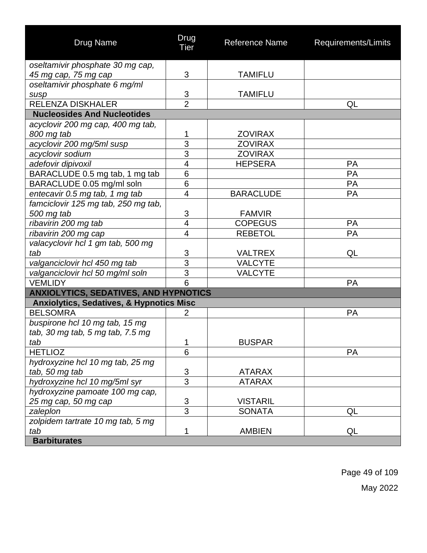| <b>Drug Name</b>                                    | Drug<br><b>Tier</b>      | <b>Reference Name</b> | Requirements/Limits |
|-----------------------------------------------------|--------------------------|-----------------------|---------------------|
| oseltamivir phosphate 30 mg cap,                    |                          |                       |                     |
| 45 mg cap, 75 mg cap                                | 3                        | <b>TAMIFLU</b>        |                     |
| oseltamivir phosphate 6 mg/ml                       |                          |                       |                     |
| susp                                                | 3                        | <b>TAMIFLU</b>        |                     |
| <b>RELENZA DISKHALER</b>                            | $\overline{2}$           |                       | QL                  |
| <b>Nucleosides And Nucleotides</b>                  |                          |                       |                     |
| acyclovir 200 mg cap, 400 mg tab,                   |                          |                       |                     |
| 800 mg tab                                          | 1                        | <b>ZOVIRAX</b>        |                     |
| acyclovir 200 mg/5ml susp                           | 3                        | <b>ZOVIRAX</b>        |                     |
| acyclovir sodium                                    | 3                        | <b>ZOVIRAX</b>        |                     |
| adefovir dipivoxil                                  | $\overline{\mathcal{A}}$ | <b>HEPSERA</b>        | <b>PA</b>           |
| BARACLUDE 0.5 mg tab, 1 mg tab                      | 6                        |                       | PA                  |
| BARACLUDE 0.05 mg/ml soln                           | 6                        |                       | <b>PA</b>           |
| entecavir 0.5 mg tab, 1 mg tab                      | $\overline{\mathbf{4}}$  | <b>BARACLUDE</b>      | PA                  |
| famciclovir 125 mg tab, 250 mg tab,                 |                          |                       |                     |
| 500 mg tab                                          | 3                        | <b>FAMVIR</b>         |                     |
| ribavirin 200 mg tab                                | 4                        | <b>COPEGUS</b>        | PA                  |
| ribavirin 200 mg cap                                | $\overline{4}$           | <b>REBETOL</b>        | PA                  |
| valacyclovir hcl 1 gm tab, 500 mg                   |                          |                       |                     |
| tab                                                 | 3                        | <b>VALTREX</b>        | QL                  |
| valganciclovir hcl 450 mg tab                       | $\overline{3}$           | <b>VALCYTE</b>        |                     |
| valganciclovir hcl 50 mg/ml soln                    | $\overline{3}$           | <b>VALCYTE</b>        |                     |
| <b>VEMLIDY</b>                                      | 6                        |                       | PA                  |
| <b>ANXIOLYTICS, SEDATIVES, AND HYPNOTICS</b>        |                          |                       |                     |
| <b>Anxiolytics, Sedatives, &amp; Hypnotics Misc</b> |                          |                       |                     |
| <b>BELSOMRA</b>                                     | $\overline{2}$           |                       | PA                  |
| buspirone hcl 10 mg tab, 15 mg                      |                          |                       |                     |
| tab, 30 mg tab, 5 mg tab, 7.5 mg                    |                          |                       |                     |
| tab                                                 | $\mathbf 1$              | <b>BUSPAR</b>         |                     |
| <b>HETLIOZ</b>                                      | 6                        |                       | <b>PA</b>           |
| hydroxyzine hcl 10 mg tab, 25 mg                    |                          |                       |                     |
| tab, 50 mg tab                                      | 3                        | <b>ATARAX</b>         |                     |
| hydroxyzine hcl 10 mg/5ml syr                       | $\overline{3}$           | <b>ATARAX</b>         |                     |
| hydroxyzine pamoate 100 mg cap,                     |                          |                       |                     |
| 25 mg cap, 50 mg cap                                | 3                        | <b>VISTARIL</b>       |                     |
| zaleplon                                            | $\overline{3}$           | <b>SONATA</b>         | QL                  |
| zolpidem tartrate 10 mg tab, 5 mg                   |                          |                       |                     |
| tab                                                 | 1                        | <b>AMBIEN</b>         | QL                  |
| <b>Barbiturates</b>                                 |                          |                       |                     |

Page 49 of 109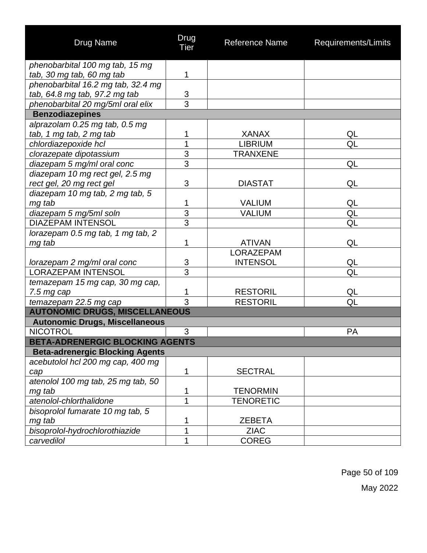| Drug Name                                                | Drug<br><b>Tier</b>              | Reference Name                      | Requirements/Limits |
|----------------------------------------------------------|----------------------------------|-------------------------------------|---------------------|
| phenobarbital 100 mg tab, 15 mg                          |                                  |                                     |                     |
| tab, 30 mg tab, 60 mg tab                                | 1                                |                                     |                     |
| phenobarbital 16.2 mg tab, 32.4 mg                       |                                  |                                     |                     |
| tab, 64.8 mg tab, 97.2 mg tab                            | $\frac{3}{3}$                    |                                     |                     |
| phenobarbital 20 mg/5ml oral elix                        |                                  |                                     |                     |
| <b>Benzodiazepines</b>                                   |                                  |                                     |                     |
| alprazolam 0.25 mg tab, 0.5 mg                           |                                  |                                     |                     |
| tab, 1 mg tab, 2 mg tab                                  | 1                                | <b>XANAX</b>                        | QL                  |
| chlordiazepoxide hcl                                     | 1                                | <b>LIBRIUM</b>                      | QL                  |
| clorazepate dipotassium                                  | 3                                | <b>TRANXENE</b>                     |                     |
| diazepam 5 mg/ml oral conc                               | $\overline{3}$                   |                                     | QL                  |
| diazepam 10 mg rect gel, 2.5 mg                          |                                  |                                     |                     |
| rect gel, 20 mg rect gel                                 | 3                                | <b>DIASTAT</b>                      | QL                  |
| diazepam 10 mg tab, 2 mg tab, 5                          |                                  |                                     |                     |
| mg tab                                                   | 1                                | <b>VALIUM</b>                       | QL                  |
| diazepam 5 mg/5ml soln                                   | $\overline{3}$<br>$\overline{3}$ | VALIUM                              | QL                  |
| <b>DIAZEPAM INTENSOL</b>                                 |                                  |                                     | QL                  |
| lorazepam 0.5 mg tab, 1 mg tab, 2                        |                                  |                                     |                     |
| mg tab                                                   | 1                                | <b>ATIVAN</b>                       | QL                  |
|                                                          |                                  | <b>LORAZEPAM</b><br><b>INTENSOL</b> |                     |
| lorazepam 2 mg/ml oral conc<br><b>LORAZEPAM INTENSOL</b> | 3<br>$\overline{3}$              |                                     | QL<br>QL            |
| temazepam 15 mg cap, 30 mg cap,                          |                                  |                                     |                     |
| $7.5$ mg cap                                             | 1                                | <b>RESTORIL</b>                     | QL                  |
| temazepam 22.5 mg cap                                    | 3                                | <b>RESTORIL</b>                     | QL                  |
| <b>AUTONOMIC DRUGS, MISCELLANEOUS</b>                    |                                  |                                     |                     |
| <b>Autonomic Drugs, Miscellaneous</b>                    |                                  |                                     |                     |
| <b>NICOTROL</b>                                          | 3                                |                                     | <b>PA</b>           |
| <b>BETA-ADRENERGIC BLOCKING AGENTS</b>                   |                                  |                                     |                     |
| <b>Beta-adrenergic Blocking Agents</b>                   |                                  |                                     |                     |
| acebutolol hcl 200 mg cap, 400 mg                        |                                  |                                     |                     |
| cap                                                      | 1                                | <b>SECTRAL</b>                      |                     |
| atenolol 100 mg tab, 25 mg tab, 50                       |                                  |                                     |                     |
| mg tab                                                   | 1                                | <b>TENORMIN</b>                     |                     |
| atenolol-chlorthalidone                                  | 1                                | <b>TENORETIC</b>                    |                     |
| bisoprolol fumarate 10 mg tab, 5                         |                                  |                                     |                     |
| mg tab                                                   | 1                                | <b>ZEBETA</b>                       |                     |
| bisoprolol-hydrochlorothiazide                           | 1                                | <b>ZIAC</b>                         |                     |
| carvedilol                                               | 1                                | <b>COREG</b>                        |                     |

Page 50 of 109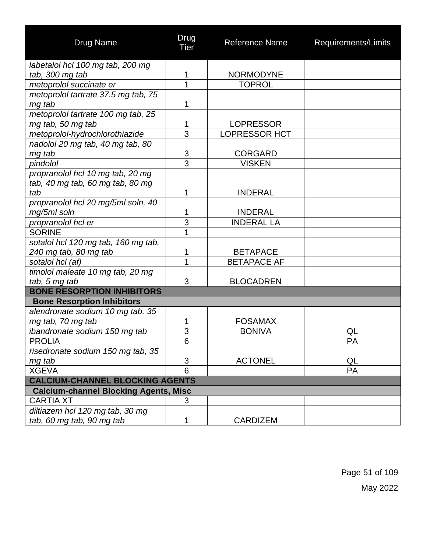| <b>Drug Name</b>                             | Drug<br>Tier              | <b>Reference Name</b> | Requirements/Limits |
|----------------------------------------------|---------------------------|-----------------------|---------------------|
| labetalol hcl 100 mg tab, 200 mg             |                           |                       |                     |
| tab, 300 mg tab                              | 1                         | <b>NORMODYNE</b>      |                     |
| metoprolol succinate er                      | 1                         | <b>TOPROL</b>         |                     |
| metoprolol tartrate 37.5 mg tab, 75          |                           |                       |                     |
| mg tab                                       | 1                         |                       |                     |
| metoprolol tartrate 100 mg tab, 25           |                           |                       |                     |
| mg tab, 50 mg tab                            | 1                         | <b>LOPRESSOR</b>      |                     |
| metoprolol-hydrochlorothiazide               | $\overline{3}$            | <b>LOPRESSOR HCT</b>  |                     |
| nadolol 20 mg tab, 40 mg tab, 80             |                           |                       |                     |
| mg tab                                       | $\ensuremath{\mathsf{3}}$ | <b>CORGARD</b>        |                     |
| pindolol                                     | $\overline{3}$            | <b>VISKEN</b>         |                     |
| propranolol hcl 10 mg tab, 20 mg             |                           |                       |                     |
| tab, 40 mg tab, 60 mg tab, 80 mg             |                           |                       |                     |
| tab                                          | 1                         | <b>INDERAL</b>        |                     |
| propranolol hcl 20 mg/5ml soln, 40           |                           |                       |                     |
| mg/5ml soln                                  | 1                         | <b>INDERAL</b>        |                     |
| propranolol hcl er                           | $\overline{3}$            | <b>INDERAL LA</b>     |                     |
| <b>SORINE</b>                                | 1                         |                       |                     |
| sotalol hcl 120 mg tab, 160 mg tab,          |                           |                       |                     |
| 240 mg tab, 80 mg tab                        | 1                         | <b>BETAPACE</b>       |                     |
| sotalol hcl (af)                             | 1                         | <b>BETAPACE AF</b>    |                     |
| timolol maleate 10 mg tab, 20 mg             |                           |                       |                     |
| tab, 5 mg tab                                | 3                         | <b>BLOCADREN</b>      |                     |
| <b>BONE RESORPTION INHIBITORS</b>            |                           |                       |                     |
| <b>Bone Resorption Inhibitors</b>            |                           |                       |                     |
| alendronate sodium 10 mg tab, 35             |                           |                       |                     |
| mg tab, 70 mg tab                            | 1                         | <b>FOSAMAX</b>        |                     |
| ibandronate sodium 150 mg tab                | 3                         | <b>BONIVA</b>         | QL                  |
| <b>PROLIA</b>                                | 6                         |                       | PA                  |
| risedronate sodium 150 mg tab, 35            |                           |                       |                     |
| mg tab                                       | 3                         | <b>ACTONEL</b>        | QL                  |
| <b>XGEVA</b>                                 | 6                         |                       | PA                  |
| <b>CALCIUM-CHANNEL BLOCKING AGENTS</b>       |                           |                       |                     |
| <b>Calcium-channel Blocking Agents, Misc</b> |                           |                       |                     |
| <b>CARTIA XT</b>                             | 3                         |                       |                     |
| diltiazem hcl 120 mg tab, 30 mg              |                           |                       |                     |
| tab, 60 mg tab, 90 mg tab                    | 1                         | <b>CARDIZEM</b>       |                     |

Page 51 of 109 May 2022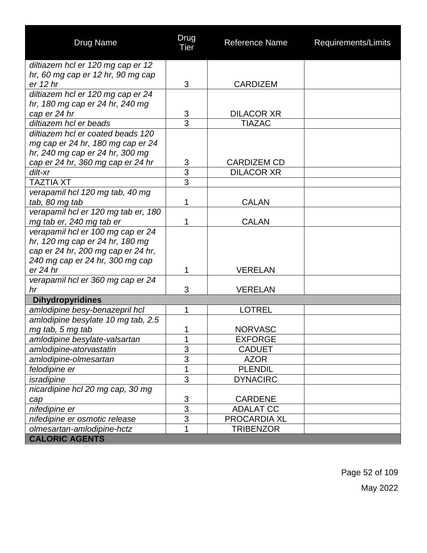| <b>Drug Name</b>                    | Drug<br><b>Tier</b> | <b>Reference Name</b> | Requirements/Limits |
|-------------------------------------|---------------------|-----------------------|---------------------|
| diltiazem hcl er 120 mg cap er 12   |                     |                       |                     |
| hr, 60 mg cap er 12 hr, 90 mg cap   |                     |                       |                     |
| er 12 hr                            | 3                   | <b>CARDIZEM</b>       |                     |
| diltiazem hcl er 120 mg cap er 24   |                     |                       |                     |
| hr, 180 mg cap er 24 hr, 240 mg     |                     |                       |                     |
| cap er 24 hr                        | 3                   | <b>DILACOR XR</b>     |                     |
| diltiazem hcl er beads              | $\overline{3}$      | <b>TIAZAC</b>         |                     |
| diltiazem hcl er coated beads 120   |                     |                       |                     |
| mg cap er 24 hr, 180 mg cap er 24   |                     |                       |                     |
| hr, 240 mg cap er 24 hr, 300 mg     |                     |                       |                     |
| cap er 24 hr, 360 mg cap er 24 hr   | $\overline{3}$      | <b>CARDIZEM CD</b>    |                     |
| dilt-xr                             | $\overline{3}$      | <b>DILACOR XR</b>     |                     |
| <b>TAZTIA XT</b>                    | 3                   |                       |                     |
| verapamil hcl 120 mg tab, 40 mg     |                     |                       |                     |
| tab, 80 mg tab                      | 1                   | <b>CALAN</b>          |                     |
| verapamil hcl er 120 mg tab er, 180 |                     |                       |                     |
| mg tab er, 240 mg tab er            | 1                   | <b>CALAN</b>          |                     |
| verapamil hcl er 100 mg cap er 24   |                     |                       |                     |
| hr, 120 mg cap er 24 hr, 180 mg     |                     |                       |                     |
| cap er 24 hr, 200 mg cap er 24 hr,  |                     |                       |                     |
| 240 mg cap er 24 hr, 300 mg cap     |                     |                       |                     |
| er 24 hr                            | 1                   | <b>VERELAN</b>        |                     |
| verapamil hcl er 360 mg cap er 24   |                     |                       |                     |
| hr                                  | 3                   | <b>VERELAN</b>        |                     |
| <b>Dihydropyridines</b>             |                     |                       |                     |
| amlodipine besy-benazepril hcl      | 1                   | <b>LOTREL</b>         |                     |
| amlodipine besylate 10 mg tab, 2.5  |                     |                       |                     |
| mg tab, 5 mg tab                    | 1                   | <b>NORVASC</b>        |                     |
| amlodipine besylate-valsartan       | 1                   | <b>EXFORGE</b>        |                     |
| amlodipine-atorvastatin             | 3                   | <b>CADUET</b>         |                     |
| amlodipine-olmesartan               | 3                   | <b>AZOR</b>           |                     |
| felodipine er                       | 1                   | <b>PLENDIL</b>        |                     |
| isradipine                          | $\overline{3}$      | <b>DYNACIRC</b>       |                     |
| nicardipine hcl 20 mg cap, 30 mg    |                     |                       |                     |
| cap                                 | 3                   | <b>CARDENE</b>        |                     |
| nifedipine er                       | $\overline{3}$      | <b>ADALAT CC</b>      |                     |
| nifedipine er osmotic release       | $\overline{3}$      | <b>PROCARDIA XL</b>   |                     |
| olmesartan-amlodipine-hctz          | 1                   | <b>TRIBENZOR</b>      |                     |
| <b>CALORIC AGENTS</b>               |                     |                       |                     |

Page 52 of 109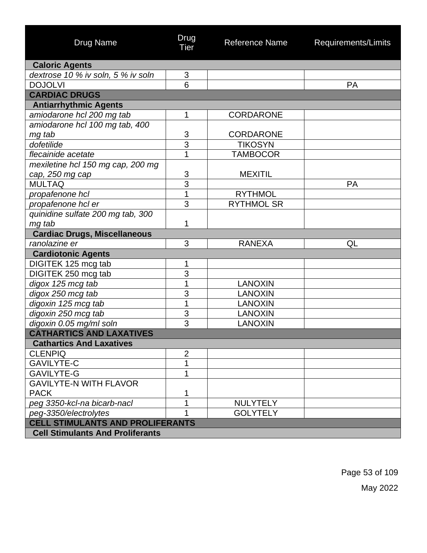| Drug Name                               | Drug<br>Tier   | Reference Name    | Requirements/Limits |
|-----------------------------------------|----------------|-------------------|---------------------|
| <b>Caloric Agents</b>                   |                |                   |                     |
| dextrose 10 % iv soln, 5 % iv soln      | 3              |                   |                     |
| <b>DOJOLVI</b>                          | 6              |                   | PA                  |
| <b>CARDIAC DRUGS</b>                    |                |                   |                     |
| <b>Antiarrhythmic Agents</b>            |                |                   |                     |
| amiodarone hcl 200 mg tab               | 1              | <b>CORDARONE</b>  |                     |
| amiodarone hcl 100 mg tab, 400          |                |                   |                     |
| mg tab                                  | 3              | <b>CORDARONE</b>  |                     |
| dofetilide                              | 3              | <b>TIKOSYN</b>    |                     |
| flecainide acetate                      | 1              | <b>TAMBOCOR</b>   |                     |
| mexiletine hcl 150 mg cap, 200 mg       |                |                   |                     |
| cap, 250 mg cap                         | 3              | <b>MEXITIL</b>    |                     |
| <b>MULTAQ</b>                           | $\overline{3}$ |                   | PA                  |
| propafenone hcl                         | $\overline{1}$ | <b>RYTHMOL</b>    |                     |
| propafenone hcl er                      | 3              | <b>RYTHMOL SR</b> |                     |
| quinidine sulfate 200 mg tab, 300       |                |                   |                     |
| mg tab                                  | 1              |                   |                     |
| <b>Cardiac Drugs, Miscellaneous</b>     |                |                   |                     |
| ranolazine er                           | 3              | <b>RANEXA</b>     | QL                  |
| <b>Cardiotonic Agents</b>               |                |                   |                     |
| DIGITEK 125 mcg tab                     | 1              |                   |                     |
| DIGITEK 250 mcg tab                     | 3              |                   |                     |
| digox 125 mcg tab                       | 1              | <b>LANOXIN</b>    |                     |
| digox 250 mcg tab                       | 3              | <b>LANOXIN</b>    |                     |
| digoxin 125 mcg tab                     | 1              | <b>LANOXIN</b>    |                     |
| digoxin 250 mcg tab                     | 3              | <b>LANOXIN</b>    |                     |
| digoxin 0.05 mg/ml soln                 | 3              | <b>LANOXIN</b>    |                     |
| <b>CATHARTICS AND LAXATIVES</b>         |                |                   |                     |
| <b>Cathartics And Laxatives</b>         |                |                   |                     |
| <b>CLENPIQ</b>                          | $\overline{2}$ |                   |                     |
| <b>GAVILYTE-C</b>                       | 1              |                   |                     |
| <b>GAVILYTE-G</b>                       | 1              |                   |                     |
| <b>GAVILYTE-N WITH FLAVOR</b>           |                |                   |                     |
| <b>PACK</b>                             | 1              |                   |                     |
| peg 3350-kcl-na bicarb-nacl             | 1              | <b>NULYTELY</b>   |                     |
| peg-3350/electrolytes                   | 1              | <b>GOLYTELY</b>   |                     |
| <b>CELL STIMULANTS AND PROLIFERANTS</b> |                |                   |                     |
| <b>Cell Stimulants And Proliferants</b> |                |                   |                     |

Page 53 of 109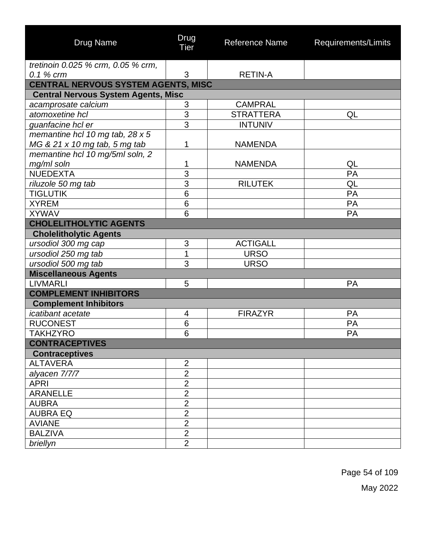| <b>Drug Name</b>                           | <b>Drug</b><br><b>Tier</b> | <b>Reference Name</b> | Requirements/Limits |
|--------------------------------------------|----------------------------|-----------------------|---------------------|
| tretinoin 0.025 % crm, 0.05 % crm,         |                            |                       |                     |
| 0.1 % crm                                  | 3                          | <b>RETIN-A</b>        |                     |
| <b>CENTRAL NERVOUS SYSTEM AGENTS, MISC</b> |                            |                       |                     |
| <b>Central Nervous System Agents, Misc</b> |                            |                       |                     |
| acamprosate calcium                        | $\sqrt{3}$                 | <b>CAMPRAL</b>        |                     |
| atomoxetine hcl                            | $\overline{3}$             | <b>STRATTERA</b>      | QL                  |
| quanfacine hcl er                          | $\overline{3}$             | <b>INTUNIV</b>        |                     |
| memantine hcl 10 mg tab, 28 x 5            |                            |                       |                     |
| MG & 21 x 10 mg tab, 5 mg tab              | 1                          | <b>NAMENDA</b>        |                     |
| memantine hcl 10 mg/5ml soln, 2            |                            |                       |                     |
| mg/ml soln                                 | 1                          | <b>NAMENDA</b>        | QL                  |
| <b>NUEDEXTA</b>                            | $\overline{3}$             |                       | PA                  |
| riluzole 50 mg tab                         | $\overline{3}$             | <b>RILUTEK</b>        | QL                  |
| <b>TIGLUTIK</b>                            | $6\phantom{1}6$            |                       | PA                  |
| <b>XYREM</b>                               | 6                          |                       | PA                  |
| <b>XYWAV</b>                               | 6                          |                       | PA                  |
| <b>CHOLELITHOLYTIC AGENTS</b>              |                            |                       |                     |
| <b>Cholelitholytic Agents</b>              |                            |                       |                     |
| ursodiol 300 mg cap                        | 3                          | <b>ACTIGALL</b>       |                     |
| ursodiol 250 mg tab                        | 1                          | <b>URSO</b>           |                     |
| ursodiol 500 mg tab                        | 3                          | <b>URSO</b>           |                     |
| <b>Miscellaneous Agents</b>                |                            |                       |                     |
| <b>LIVMARLI</b>                            | 5                          |                       | PA                  |
| <b>COMPLEMENT INHIBITORS</b>               |                            |                       |                     |
| <b>Complement Inhibitors</b>               |                            |                       |                     |
| icatibant acetate                          | 4                          | <b>FIRAZYR</b>        | PA                  |
| <b>RUCONEST</b>                            | $6\phantom{1}6$            |                       | PA                  |
| <b>TAKHZYRO</b>                            | 6                          |                       | PA                  |
| <b>CONTRACEPTIVES</b>                      |                            |                       |                     |
| <b>Contraceptives</b>                      |                            |                       |                     |
| <b>ALTAVERA</b>                            | $\overline{2}$             |                       |                     |
| alyacen 7/7/7                              | $\overline{2}$             |                       |                     |
| <b>APRI</b>                                | $\overline{2}$             |                       |                     |
| <b>ARANELLE</b>                            | $\overline{2}$             |                       |                     |
| <b>AUBRA</b>                               | $\overline{2}$             |                       |                     |
| <b>AUBRA EQ</b>                            | $\overline{2}$             |                       |                     |
| <b>AVIANE</b>                              | $\overline{2}$             |                       |                     |
| <b>BALZIVA</b>                             | $\overline{2}$             |                       |                     |
| briellyn                                   | $\overline{2}$             |                       |                     |

Page 54 of 109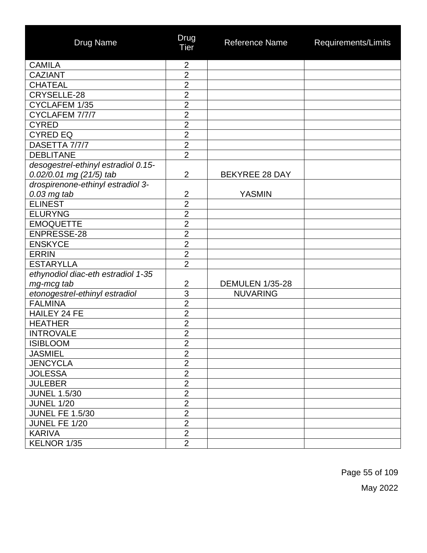| <b>Drug Name</b>                    | Drug<br><b>Tier</b> | Reference Name         | Requirements/Limits |
|-------------------------------------|---------------------|------------------------|---------------------|
| <b>CAMILA</b>                       | $\overline{2}$      |                        |                     |
| <b>CAZIANT</b>                      | $\overline{2}$      |                        |                     |
| <b>CHATEAL</b>                      | $\overline{2}$      |                        |                     |
| CRYSELLE-28                         | $\overline{2}$      |                        |                     |
| CYCLAFEM 1/35                       | $\overline{2}$      |                        |                     |
| CYCLAFEM 7/7/7                      | $\overline{2}$      |                        |                     |
| <b>CYRED</b>                        | $\overline{2}$      |                        |                     |
| <b>CYRED EQ</b>                     | $\overline{2}$      |                        |                     |
| DASETTA 7/7/7                       | $\overline{2}$      |                        |                     |
| <b>DEBLITANE</b>                    | $\overline{2}$      |                        |                     |
| desogestrel-ethinyl estradiol 0.15- |                     |                        |                     |
| 0.02/0.01 mg (21/5) tab             | $\overline{2}$      | <b>BEKYREE 28 DAY</b>  |                     |
| drospirenone-ethinyl estradiol 3-   |                     |                        |                     |
| $0.03$ mg tab                       | $\overline{2}$      | <b>YASMIN</b>          |                     |
| <b>ELINEST</b>                      | $\overline{2}$      |                        |                     |
| <b>ELURYNG</b>                      | $\overline{2}$      |                        |                     |
| <b>EMOQUETTE</b>                    | $\overline{2}$      |                        |                     |
| ENPRESSE-28                         | $\overline{2}$      |                        |                     |
| <b>ENSKYCE</b>                      | $\overline{2}$      |                        |                     |
| <b>ERRIN</b>                        | $\overline{2}$      |                        |                     |
| <b>ESTARYLLA</b>                    | $\overline{2}$      |                        |                     |
| ethynodiol diac-eth estradiol 1-35  |                     |                        |                     |
| mg-mcg tab                          | $\overline{c}$      | <b>DEMULEN 1/35-28</b> |                     |
| etonogestrel-ethinyl estradiol      | $\overline{3}$      | <b>NUVARING</b>        |                     |
| <b>FALMINA</b>                      | $\overline{2}$      |                        |                     |
| <b>HAILEY 24 FE</b>                 | $\overline{2}$      |                        |                     |
| <b>HEATHER</b>                      | $\overline{2}$      |                        |                     |
| <b>INTROVALE</b>                    | $\overline{2}$      |                        |                     |
| <b>ISIBLOOM</b>                     | 2                   |                        |                     |
| <b>JASMIEL</b>                      | $\overline{2}$      |                        |                     |
| <b>JENCYCLA</b>                     | $\overline{2}$      |                        |                     |
| <b>JOLESSA</b>                      | $\overline{2}$      |                        |                     |
| <b>JULEBER</b>                      | $\overline{2}$      |                        |                     |
| <b>JUNEL 1.5/30</b>                 | $\overline{2}$      |                        |                     |
| <b>JUNEL 1/20</b>                   | $\overline{2}$      |                        |                     |
| <b>JUNEL FE 1.5/30</b>              | $\overline{2}$      |                        |                     |
| JUNEL FE 1/20                       | $\overline{2}$      |                        |                     |
| <b>KARIVA</b>                       | $\overline{2}$      |                        |                     |
| KELNOR 1/35                         | $\overline{2}$      |                        |                     |

Page 55 of 109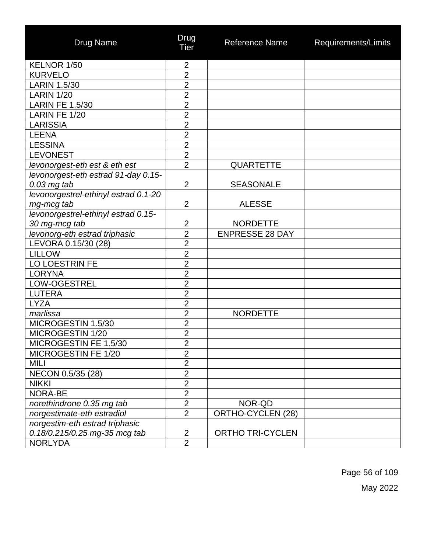| <b>Drug Name</b>                     | Drug<br>Tier   | <b>Reference Name</b>    | Requirements/Limits |
|--------------------------------------|----------------|--------------------------|---------------------|
| KELNOR 1/50                          | $\overline{2}$ |                          |                     |
| <b>KURVELO</b>                       | $\overline{2}$ |                          |                     |
| <b>LARIN 1.5/30</b>                  | $\overline{2}$ |                          |                     |
| <b>LARIN 1/20</b>                    | $\overline{2}$ |                          |                     |
| <b>LARIN FE 1.5/30</b>               | $\overline{2}$ |                          |                     |
| LARIN FE 1/20                        | $\overline{2}$ |                          |                     |
| <b>LARISSIA</b>                      | $\overline{2}$ |                          |                     |
| <b>LEENA</b>                         | $\overline{2}$ |                          |                     |
| <b>LESSINA</b>                       | $\overline{2}$ |                          |                     |
| <b>LEVONEST</b>                      | $\overline{2}$ |                          |                     |
| levonorgest-eth est & eth est        | $\overline{2}$ | <b>QUARTETTE</b>         |                     |
| levonorgest-eth estrad 91-day 0.15-  |                |                          |                     |
| $0.03$ mg tab                        | $\overline{2}$ | <b>SEASONALE</b>         |                     |
| levonorgestrel-ethinyl estrad 0.1-20 |                |                          |                     |
| mg-mcg tab                           | $\overline{2}$ | <b>ALESSE</b>            |                     |
| levonorgestrel-ethinyl estrad 0.15-  |                |                          |                     |
| 30 mg-mcg tab                        | $\overline{2}$ | <b>NORDETTE</b>          |                     |
| levonorg-eth estrad triphasic        | $\overline{2}$ | <b>ENPRESSE 28 DAY</b>   |                     |
| LEVORA 0.15/30 (28)                  | $\overline{2}$ |                          |                     |
| <b>LILLOW</b>                        | $\overline{2}$ |                          |                     |
| LO LOESTRIN FE                       | $\overline{2}$ |                          |                     |
| <b>LORYNA</b>                        | $\overline{2}$ |                          |                     |
| LOW-OGESTREL                         | $\overline{2}$ |                          |                     |
| <b>LUTERA</b>                        | $\overline{2}$ |                          |                     |
| <b>LYZA</b>                          | $\overline{2}$ |                          |                     |
| marlissa                             | $\overline{2}$ | <b>NORDETTE</b>          |                     |
| MICROGESTIN 1.5/30                   | $\overline{2}$ |                          |                     |
| MICROGESTIN 1/20                     | $\overline{2}$ |                          |                     |
| MICROGESTIN FE 1.5/30                | $\overline{2}$ |                          |                     |
| MICROGESTIN FE 1/20                  | $\overline{2}$ |                          |                     |
| MILI                                 | $\overline{2}$ |                          |                     |
| NECON 0.5/35 (28)                    | $\overline{2}$ |                          |                     |
| <b>NIKKI</b>                         | $\overline{2}$ |                          |                     |
| <b>NORA-BE</b>                       | $\overline{2}$ |                          |                     |
| norethindrone 0.35 mg tab            | $\overline{2}$ | NOR-QD                   |                     |
| norgestimate-eth estradiol           | $\overline{2}$ | <b>ORTHO-CYCLEN (28)</b> |                     |
| norgestim-eth estrad triphasic       |                |                          |                     |
| 0.18/0.215/0.25 mg-35 mcg tab        | $\overline{2}$ | <b>ORTHO TRI-CYCLEN</b>  |                     |
| <b>NORLYDA</b>                       | $\overline{2}$ |                          |                     |

Page 56 of 109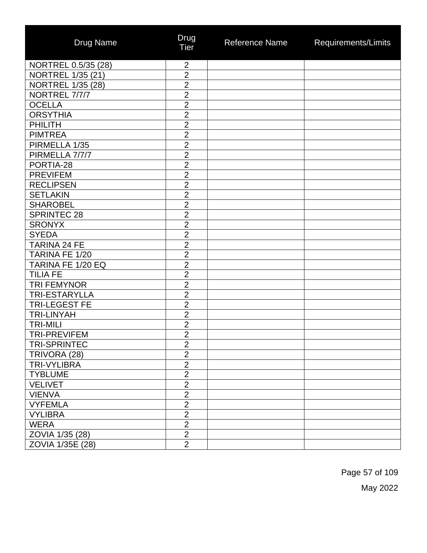| <b>Drug Name</b>         | Drug<br><b>Tier</b> | Reference Name | Requirements/Limits |
|--------------------------|---------------------|----------------|---------------------|
| NORTREL 0.5/35 (28)      | $\overline{2}$      |                |                     |
| <b>NORTREL 1/35 (21)</b> | $\overline{2}$      |                |                     |
| <b>NORTREL 1/35 (28)</b> | $\overline{2}$      |                |                     |
| NORTREL 7/7/7            | $\overline{2}$      |                |                     |
| <b>OCELLA</b>            | $\overline{2}$      |                |                     |
| <b>ORSYTHIA</b>          | $\overline{2}$      |                |                     |
| <b>PHILITH</b>           | $\overline{2}$      |                |                     |
| <b>PIMTREA</b>           | $\overline{2}$      |                |                     |
| PIRMELLA 1/35            | $\overline{2}$      |                |                     |
| PIRMELLA 7/7/7           | $\overline{2}$      |                |                     |
| PORTIA-28                | $\overline{2}$      |                |                     |
| <b>PREVIFEM</b>          | $\overline{2}$      |                |                     |
| <b>RECLIPSEN</b>         | $\overline{2}$      |                |                     |
| <b>SETLAKIN</b>          | $\overline{2}$      |                |                     |
| <b>SHAROBEL</b>          | $\overline{2}$      |                |                     |
| <b>SPRINTEC 28</b>       | $\overline{2}$      |                |                     |
| <b>SRONYX</b>            | $\overline{2}$      |                |                     |
| <b>SYEDA</b>             | $\overline{2}$      |                |                     |
| TARINA 24 FE             | $\overline{2}$      |                |                     |
| TARINA FE 1/20           | $\overline{2}$      |                |                     |
| TARINA FE 1/20 EQ        | $\overline{2}$      |                |                     |
| <b>TILIA FE</b>          | $\overline{2}$      |                |                     |
| <b>TRI FEMYNOR</b>       | $\overline{2}$      |                |                     |
| <b>TRI-ESTARYLLA</b>     | $\overline{2}$      |                |                     |
| <b>TRI-LEGEST FE</b>     | $\overline{2}$      |                |                     |
| <b>TRI-LINYAH</b>        | $\overline{2}$      |                |                     |
| <b>TRI-MILI</b>          | $\overline{2}$      |                |                     |
| <b>TRI-PREVIFEM</b>      | $\overline{2}$      |                |                     |
| <b>TRI-SPRINTEC</b>      | $\overline{2}$      |                |                     |
| TRIVORA (28)             | $\overline{2}$      |                |                     |
| <b>TRI-VYLIBRA</b>       | $\overline{2}$      |                |                     |
| <b>TYBLUME</b>           | $\overline{2}$      |                |                     |
| <b>VELIVET</b>           | $\overline{2}$      |                |                     |
| <b>VIENVA</b>            | $\overline{2}$      |                |                     |
| <b>VYFEMLA</b>           | $\overline{2}$      |                |                     |
| <b>VYLIBRA</b>           | $\overline{2}$      |                |                     |
| <b>WERA</b>              | $\overline{2}$      |                |                     |
| ZOVIA 1/35 (28)          | $\overline{2}$      |                |                     |
| ZOVIA 1/35E (28)         | $\overline{2}$      |                |                     |

Page 57 of 109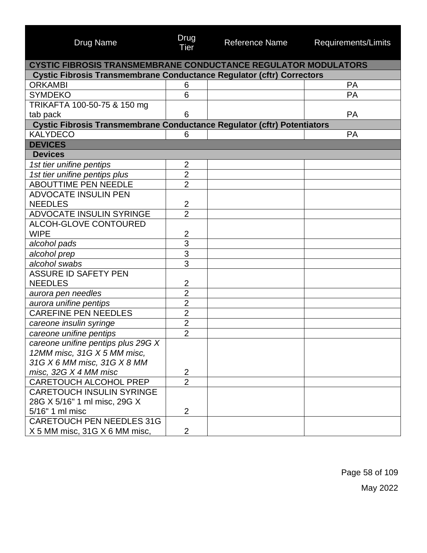| <b>Drug Name</b>                                                               | Drug<br><b>Tier</b> | <b>Reference Name</b> | Requirements/Limits |
|--------------------------------------------------------------------------------|---------------------|-----------------------|---------------------|
| <b>CYSTIC FIBROSIS TRANSMEMBRANE CONDUCTANCE REGULATOR MODULATORS</b>          |                     |                       |                     |
| <b>Cystic Fibrosis Transmembrane Conductance Regulator (cftr) Correctors</b>   |                     |                       |                     |
| <b>ORKAMBI</b>                                                                 | 6                   |                       | PA                  |
| <b>SYMDEKO</b>                                                                 | 6                   |                       | PA                  |
| TRIKAFTA 100-50-75 & 150 mg                                                    |                     |                       |                     |
| tab pack                                                                       | 6                   |                       | <b>PA</b>           |
| <b>Cystic Fibrosis Transmembrane Conductance Regulator (cftr) Potentiators</b> |                     |                       |                     |
| <b>KALYDECO</b>                                                                | 6                   |                       | <b>PA</b>           |
| <b>DEVICES</b>                                                                 |                     |                       |                     |
| <b>Devices</b>                                                                 |                     |                       |                     |
| 1st tier unifine pentips                                                       | $\overline{2}$      |                       |                     |
| 1st tier unifine pentips plus                                                  | $\overline{2}$      |                       |                     |
| <b>ABOUTTIME PEN NEEDLE</b>                                                    | $\overline{2}$      |                       |                     |
| <b>ADVOCATE INSULIN PEN</b>                                                    |                     |                       |                     |
| <b>NEEDLES</b>                                                                 | $\overline{2}$      |                       |                     |
| <b>ADVOCATE INSULIN SYRINGE</b>                                                | $\overline{2}$      |                       |                     |
| <b>ALCOH-GLOVE CONTOURED</b>                                                   |                     |                       |                     |
| <b>WIPE</b>                                                                    | $\overline{2}$      |                       |                     |
| alcohol pads                                                                   | $\overline{3}$      |                       |                     |
| alcohol prep                                                                   | $\overline{3}$      |                       |                     |
| alcohol swabs                                                                  | $\overline{3}$      |                       |                     |
| <b>ASSURE ID SAFETY PEN</b>                                                    |                     |                       |                     |
| <b>NEEDLES</b>                                                                 | 2                   |                       |                     |
| aurora pen needles                                                             | $\overline{2}$      |                       |                     |
| aurora unifine pentips                                                         | $\overline{2}$      |                       |                     |
| <b>CAREFINE PEN NEEDLES</b>                                                    | $\overline{2}$      |                       |                     |
| careone insulin syringe                                                        | $\overline{2}$      |                       |                     |
| careone unifine pentips                                                        | $\overline{2}$      |                       |                     |
| careone unifine pentips plus 29G X                                             |                     |                       |                     |
| 12MM misc, 31G X 5 MM misc,                                                    |                     |                       |                     |
| 31G X 6 MM misc, 31G X 8 MM                                                    |                     |                       |                     |
| misc, $32G X 4 MM$ misc                                                        | 2                   |                       |                     |
| <b>CARETOUCH ALCOHOL PREP</b>                                                  | $\overline{2}$      |                       |                     |
| <b>CARETOUCH INSULIN SYRINGE</b>                                               |                     |                       |                     |
| 28G X 5/16" 1 ml misc, 29G X                                                   |                     |                       |                     |
| 5/16" 1 ml misc                                                                | $\overline{2}$      |                       |                     |
| <b>CARETOUCH PEN NEEDLES 31G</b>                                               |                     |                       |                     |
| X 5 MM misc, 31G X 6 MM misc,                                                  | $\overline{2}$      |                       |                     |

Page 58 of 109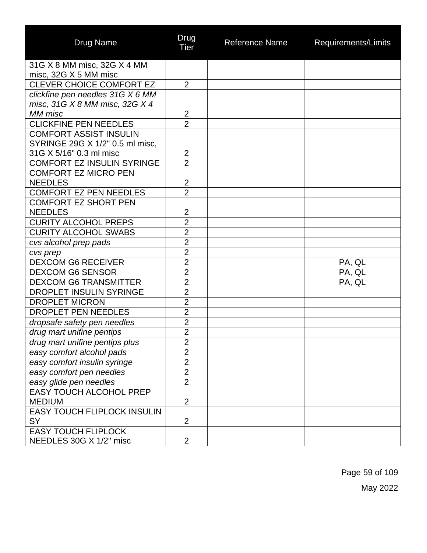| <b>Drug Name</b>                                                   | Drug<br>Tier                     | <b>Reference Name</b> | Requirements/Limits |
|--------------------------------------------------------------------|----------------------------------|-----------------------|---------------------|
| 31G X 8 MM misc, 32G X 4 MM                                        |                                  |                       |                     |
| misc, 32G X 5 MM misc                                              |                                  |                       |                     |
| <b>CLEVER CHOICE COMFORT EZ</b>                                    | 2                                |                       |                     |
| clickfine pen needles 31G X 6 MM<br>misc, 31G X 8 MM misc, 32G X 4 |                                  |                       |                     |
| MM misc                                                            | $\overline{2}$                   |                       |                     |
| <b>CLICKFINE PEN NEEDLES</b>                                       | $\overline{2}$                   |                       |                     |
| <b>COMFORT ASSIST INSULIN</b>                                      |                                  |                       |                     |
| SYRINGE 29G X 1/2" 0.5 ml misc,                                    |                                  |                       |                     |
| 31G X 5/16" 0.3 ml misc                                            | $\overline{2}$                   |                       |                     |
| <b>COMFORT EZ INSULIN SYRINGE</b>                                  | $\overline{2}$                   |                       |                     |
| <b>COMFORT EZ MICRO PEN</b>                                        |                                  |                       |                     |
| <b>NEEDLES</b>                                                     | $\overline{2}$                   |                       |                     |
| <b>COMFORT EZ PEN NEEDLES</b>                                      | $\overline{2}$                   |                       |                     |
| <b>COMFORT EZ SHORT PEN</b>                                        |                                  |                       |                     |
| <b>NEEDLES</b>                                                     | $\overline{2}$                   |                       |                     |
| <b>CURITY ALCOHOL PREPS</b>                                        | $\overline{2}$                   |                       |                     |
| <b>CURITY ALCOHOL SWABS</b>                                        | $\overline{2}$                   |                       |                     |
| cvs alcohol prep pads                                              | $\overline{2}$                   |                       |                     |
| cvs prep                                                           | $\overline{2}$                   |                       |                     |
| <b>DEXCOM G6 RECEIVER</b>                                          | $\overline{2}$                   |                       | PA, QL              |
| <b>DEXCOM G6 SENSOR</b>                                            | $\overline{2}$                   |                       | PA, QL              |
| <b>DEXCOM G6 TRANSMITTER</b>                                       | $\overline{2}$                   |                       | PA, QL              |
| <b>DROPLET INSULIN SYRINGE</b>                                     | $\overline{2}$                   |                       |                     |
| <b>DROPLET MICRON</b>                                              | $\overline{2}$                   |                       |                     |
| DROPLET PEN NEEDLES                                                | $\overline{2}$                   |                       |                     |
| dropsafe safety pen needles                                        | $\overline{2}$                   |                       |                     |
| drug mart unifine pentips                                          | $\overline{2}$                   |                       |                     |
| drug mart unifine pentips plus                                     | $\overline{2}$                   |                       |                     |
| easy comfort alcohol pads                                          | $\overline{2}$<br>$\overline{2}$ |                       |                     |
| easy comfort insulin syringe                                       | $\overline{2}$                   |                       |                     |
| easy comfort pen needles<br>easy glide pen needles                 | $\overline{2}$                   |                       |                     |
| <b>EASY TOUCH ALCOHOL PREP</b>                                     |                                  |                       |                     |
| <b>MEDIUM</b>                                                      | $\overline{2}$                   |                       |                     |
| <b>EASY TOUCH FLIPLOCK INSULIN</b>                                 |                                  |                       |                     |
| <b>SY</b>                                                          | $\overline{2}$                   |                       |                     |
| <b>EASY TOUCH FLIPLOCK</b>                                         |                                  |                       |                     |
| NEEDLES 30G X 1/2" misc                                            | $\overline{2}$                   |                       |                     |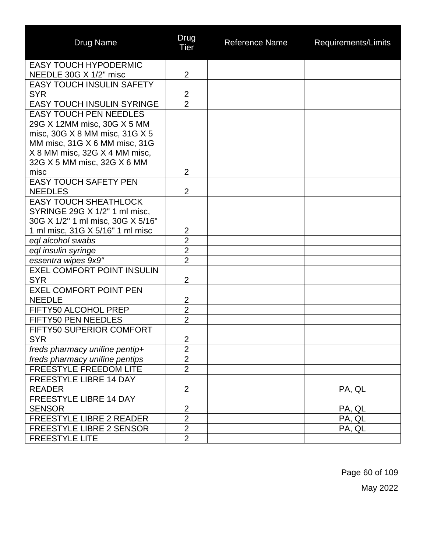| <b>Drug Name</b>                  | Drug<br>Tier   | <b>Reference Name</b> | Requirements/Limits |
|-----------------------------------|----------------|-----------------------|---------------------|
| <b>EASY TOUCH HYPODERMIC</b>      |                |                       |                     |
| NEEDLE 30G X 1/2" misc            | $\overline{2}$ |                       |                     |
| <b>EASY TOUCH INSULIN SAFETY</b>  |                |                       |                     |
| <b>SYR</b>                        | $\overline{2}$ |                       |                     |
| <b>EASY TOUCH INSULIN SYRINGE</b> | $\overline{2}$ |                       |                     |
| <b>EASY TOUCH PEN NEEDLES</b>     |                |                       |                     |
| 29G X 12MM misc, 30G X 5 MM       |                |                       |                     |
| misc, 30G X 8 MM misc, 31G X 5    |                |                       |                     |
| MM misc, 31G X 6 MM misc, 31G     |                |                       |                     |
| X 8 MM misc, 32G X 4 MM misc,     |                |                       |                     |
| 32G X 5 MM misc, 32G X 6 MM       |                |                       |                     |
| misc                              | $\overline{2}$ |                       |                     |
| <b>EASY TOUCH SAFETY PEN</b>      |                |                       |                     |
| <b>NEEDLES</b>                    | $\overline{2}$ |                       |                     |
| <b>EASY TOUCH SHEATHLOCK</b>      |                |                       |                     |
| SYRINGE 29G X 1/2" 1 ml misc,     |                |                       |                     |
| 30G X 1/2" 1 ml misc, 30G X 5/16" |                |                       |                     |
| 1 ml misc, 31G X 5/16" 1 ml misc  | $\overline{2}$ |                       |                     |
| eql alcohol swabs                 | $\overline{2}$ |                       |                     |
| eql insulin syringe               | $\overline{2}$ |                       |                     |
| essentra wipes 9x9"               | $\overline{2}$ |                       |                     |
| <b>EXEL COMFORT POINT INSULIN</b> |                |                       |                     |
| <b>SYR</b>                        | $\overline{2}$ |                       |                     |
| <b>EXEL COMFORT POINT PEN</b>     |                |                       |                     |
| <b>NEEDLE</b>                     | $\overline{c}$ |                       |                     |
| FIFTY50 ALCOHOL PREP              | $\overline{2}$ |                       |                     |
| FIFTY50 PEN NEEDLES               | $\overline{2}$ |                       |                     |
| FIFTY50 SUPERIOR COMFORT          |                |                       |                     |
| <b>SYR</b>                        | $\overline{2}$ |                       |                     |
| freds pharmacy unifine pentip+    | $\overline{2}$ |                       |                     |
| freds pharmacy unifine pentips    | $\overline{2}$ |                       |                     |
| FREESTYLE FREEDOM LITE            | $\overline{2}$ |                       |                     |
| <b>FREESTYLE LIBRE 14 DAY</b>     |                |                       |                     |
| <b>READER</b>                     | $\overline{2}$ |                       | PA, QL              |
| FREESTYLE LIBRE 14 DAY            |                |                       |                     |
| <b>SENSOR</b>                     | $\overline{2}$ |                       | PA, QL              |
| <b>FREESTYLE LIBRE 2 READER</b>   | $\overline{2}$ |                       | PA, QL              |
| FREESTYLE LIBRE 2 SENSOR          | $\overline{2}$ |                       | PA, QL              |
| <b>FREESTYLE LITE</b>             | $\overline{2}$ |                       |                     |

Page 60 of 109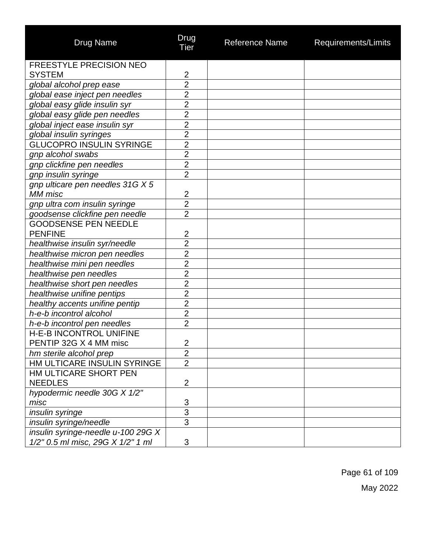| <b>Drug Name</b>                                                        | Drug<br>Tier   | <b>Reference Name</b> | Requirements/Limits |
|-------------------------------------------------------------------------|----------------|-----------------------|---------------------|
| <b>FREESTYLE PRECISION NEO</b>                                          |                |                       |                     |
| <b>SYSTEM</b>                                                           | $\overline{2}$ |                       |                     |
| global alcohol prep ease                                                | $\overline{2}$ |                       |                     |
| global ease inject pen needles                                          | $\overline{2}$ |                       |                     |
| global easy glide insulin syr                                           | $\overline{2}$ |                       |                     |
| global easy glide pen needles                                           | $\overline{2}$ |                       |                     |
| global inject ease insulin syr                                          | $\overline{2}$ |                       |                     |
| global insulin syringes                                                 | $\overline{2}$ |                       |                     |
| <b>GLUCOPRO INSULIN SYRINGE</b>                                         | $\overline{2}$ |                       |                     |
| gnp alcohol swabs                                                       | $\overline{2}$ |                       |                     |
| gnp clickfine pen needles                                               | $\overline{2}$ |                       |                     |
| gnp insulin syringe                                                     | $\overline{2}$ |                       |                     |
| gnp ulticare pen needles 31G X 5<br>MM misc                             | $\overline{2}$ |                       |                     |
| gnp ultra com insulin syringe                                           | $\overline{2}$ |                       |                     |
| goodsense clickfine pen needle                                          | $\overline{2}$ |                       |                     |
| <b>GOODSENSE PEN NEEDLE</b>                                             |                |                       |                     |
| <b>PENFINE</b>                                                          | $\overline{2}$ |                       |                     |
| healthwise insulin syr/needle                                           | $\overline{2}$ |                       |                     |
| healthwise micron pen needles                                           | $\overline{2}$ |                       |                     |
| healthwise mini pen needles                                             | $\overline{2}$ |                       |                     |
| healthwise pen needles                                                  | $\overline{2}$ |                       |                     |
| healthwise short pen needles                                            | $\overline{2}$ |                       |                     |
| healthwise unifine pentips                                              | $\overline{2}$ |                       |                     |
| healthy accents unifine pentip                                          | $\overline{2}$ |                       |                     |
| h-e-b incontrol alcohol                                                 | $\overline{2}$ |                       |                     |
| h-e-b incontrol pen needles                                             | $\overline{2}$ |                       |                     |
| <b>H-E-B INCONTROL UNIFINE</b>                                          |                |                       |                     |
| PENTIP 32G X 4 MM misc                                                  | 2              |                       |                     |
| hm sterile alcohol prep                                                 | $\overline{2}$ |                       |                     |
| HM ULTICARE INSULIN SYRINGE                                             | $\overline{2}$ |                       |                     |
| HM ULTICARE SHORT PEN                                                   |                |                       |                     |
| <b>NEEDLES</b>                                                          | $\overline{2}$ |                       |                     |
| hypodermic needle 30G X 1/2"                                            |                |                       |                     |
| misc                                                                    | 3              |                       |                     |
| insulin syringe                                                         | $\overline{3}$ |                       |                     |
| insulin syringe/needle                                                  | $\overline{3}$ |                       |                     |
| insulin syringe-needle u-100 29G X<br>1/2" 0.5 ml misc, 29G X 1/2" 1 ml | 3              |                       |                     |
|                                                                         |                |                       |                     |

Page 61 of 109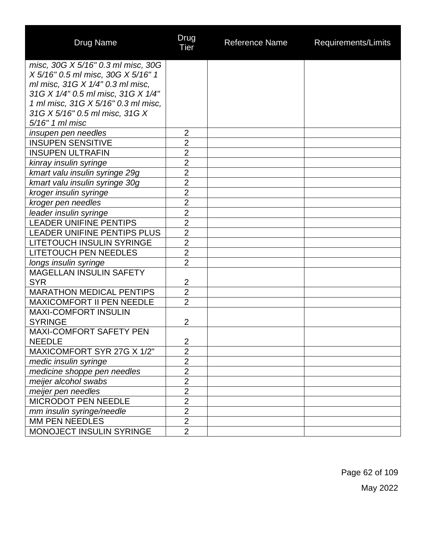| <b>Drug Name</b>                                                    | Drug<br><b>Tier</b>              | <b>Reference Name</b> | Requirements/Limits |
|---------------------------------------------------------------------|----------------------------------|-----------------------|---------------------|
| misc, 30G X 5/16" 0.3 ml misc, 30G                                  |                                  |                       |                     |
| X 5/16" 0.5 ml misc, 30G X 5/16" 1                                  |                                  |                       |                     |
| ml misc, 31G X 1/4" 0.3 ml misc,                                    |                                  |                       |                     |
| 31G X 1/4" 0.5 ml misc, 31G X 1/4"                                  |                                  |                       |                     |
| 1 ml misc, 31G X 5/16" 0.3 ml misc,                                 |                                  |                       |                     |
| 31G X 5/16" 0.5 ml misc, 31G X                                      |                                  |                       |                     |
| 5/16" 1 ml misc                                                     |                                  |                       |                     |
| insupen pen needles                                                 | $\overline{2}$<br>$\overline{2}$ |                       |                     |
| <b>INSUPEN SENSITIVE</b>                                            |                                  |                       |                     |
| <b>INSUPEN ULTRAFIN</b>                                             | $\overline{2}$                   |                       |                     |
| kinray insulin syringe                                              | $\overline{2}$<br>$\overline{2}$ |                       |                     |
| kmart valu insulin syringe 29g                                      |                                  |                       |                     |
| kmart valu insulin syringe 30g                                      | $\overline{2}$<br>$\overline{2}$ |                       |                     |
| kroger insulin syringe                                              |                                  |                       |                     |
| kroger pen needles                                                  | $\overline{2}$                   |                       |                     |
| leader insulin syringe                                              | $\overline{2}$<br>$\overline{2}$ |                       |                     |
| <b>LEADER UNIFINE PENTIPS</b><br><b>LEADER UNIFINE PENTIPS PLUS</b> |                                  |                       |                     |
|                                                                     | $\overline{2}$                   |                       |                     |
| <b>LITETOUCH INSULIN SYRINGE</b>                                    | $\overline{2}$<br>$\overline{2}$ |                       |                     |
| <b>LITETOUCH PEN NEEDLES</b>                                        | $\overline{2}$                   |                       |                     |
| longs insulin syringe<br><b>MAGELLAN INSULIN SAFETY</b>             |                                  |                       |                     |
| <b>SYR</b>                                                          | $\overline{2}$                   |                       |                     |
| <b>MARATHON MEDICAL PENTIPS</b>                                     | $\overline{2}$                   |                       |                     |
| <b>MAXICOMFORT II PEN NEEDLE</b>                                    | $\overline{2}$                   |                       |                     |
| <b>MAXI-COMFORT INSULIN</b>                                         |                                  |                       |                     |
| <b>SYRINGE</b>                                                      | $\overline{2}$                   |                       |                     |
| <b>MAXI-COMFORT SAFETY PEN</b>                                      |                                  |                       |                     |
| <b>NEEDLE</b>                                                       | $\overline{c}$                   |                       |                     |
| MAXICOMFORT SYR 27G X 1/2"                                          | $\overline{2}$                   |                       |                     |
| medic insulin syringe                                               | $\overline{2}$                   |                       |                     |
| medicine shoppe pen needles                                         | $\overline{2}$                   |                       |                     |
| meijer alcohol swabs                                                | $\overline{2}$                   |                       |                     |
| meijer pen needles                                                  | $\overline{2}$                   |                       |                     |
| <b>MICRODOT PEN NEEDLE</b>                                          | $\overline{2}$                   |                       |                     |
| mm insulin syringe/needle                                           | $\overline{2}$                   |                       |                     |
| MM PEN NEEDLES                                                      | $\overline{2}$                   |                       |                     |
| MONOJECT INSULIN SYRINGE                                            | $\overline{2}$                   |                       |                     |

Page 62 of 109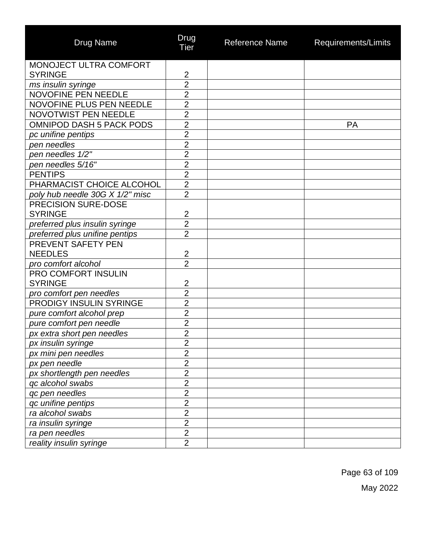| <b>Drug Name</b>                | Drug<br>Tier   | <b>Reference Name</b> | Requirements/Limits |
|---------------------------------|----------------|-----------------------|---------------------|
| MONOJECT ULTRA COMFORT          |                |                       |                     |
| <b>SYRINGE</b>                  | $\overline{2}$ |                       |                     |
| ms insulin syringe              | $\overline{2}$ |                       |                     |
| <b>NOVOFINE PEN NEEDLE</b>      | $\overline{2}$ |                       |                     |
| NOVOFINE PLUS PEN NEEDLE        | $\overline{2}$ |                       |                     |
| <b>NOVOTWIST PEN NEEDLE</b>     | $\overline{2}$ |                       |                     |
| <b>OMNIPOD DASH 5 PACK PODS</b> | $\overline{2}$ |                       | PA                  |
| pc unifine pentips              | $\overline{2}$ |                       |                     |
| pen needles                     | $\overline{2}$ |                       |                     |
| pen needles 1/2"                | $\overline{2}$ |                       |                     |
| pen needles 5/16"               | $\overline{2}$ |                       |                     |
| <b>PENTIPS</b>                  | $\overline{2}$ |                       |                     |
| PHARMACIST CHOICE ALCOHOL       | $\overline{2}$ |                       |                     |
| poly hub needle 30G X 1/2" misc | $\overline{2}$ |                       |                     |
| <b>PRECISION SURE-DOSE</b>      |                |                       |                     |
| <b>SYRINGE</b>                  | $\overline{2}$ |                       |                     |
| preferred plus insulin syringe  | $\overline{2}$ |                       |                     |
| preferred plus unifine pentips  | $\overline{2}$ |                       |                     |
| PREVENT SAFETY PEN              |                |                       |                     |
| <b>NEEDLES</b>                  | $\overline{c}$ |                       |                     |
| pro comfort alcohol             | $\overline{2}$ |                       |                     |
| PRO COMFORT INSULIN             |                |                       |                     |
| <b>SYRINGE</b>                  | $\overline{2}$ |                       |                     |
| pro comfort pen needles         | $\overline{2}$ |                       |                     |
| PRODIGY INSULIN SYRINGE         | $\overline{2}$ |                       |                     |
| pure comfort alcohol prep       | $\overline{2}$ |                       |                     |
| pure comfort pen needle         | $\overline{2}$ |                       |                     |
| px extra short pen needles      | $\overline{2}$ |                       |                     |
| px insulin syringe              | $\overline{2}$ |                       |                     |
| px mini pen needles             | $\overline{2}$ |                       |                     |
| px pen needle                   | $\overline{c}$ |                       |                     |
| px shortlength pen needles      | $\overline{2}$ |                       |                     |
| qc alcohol swabs                | $\overline{2}$ |                       |                     |
| qc pen needles                  | $\overline{2}$ |                       |                     |
| qc unifine pentips              | $\overline{2}$ |                       |                     |
| ra alcohol swabs                | $\overline{2}$ |                       |                     |
| ra insulin syringe              | $\overline{2}$ |                       |                     |
| ra pen needles                  | $\overline{2}$ |                       |                     |
| reality insulin syringe         | $\overline{2}$ |                       |                     |

Page 63 of 109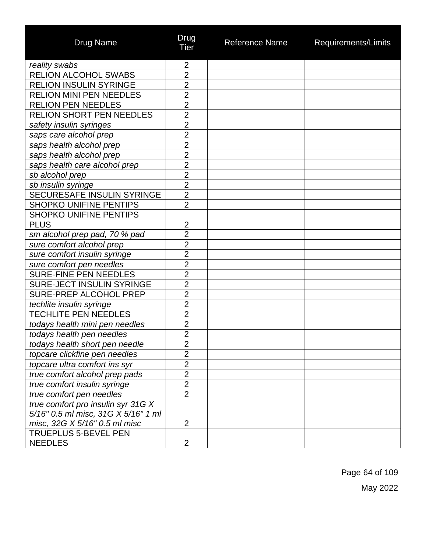| <b>Drug Name</b>                    | Drug<br>Tier   | <b>Reference Name</b> | Requirements/Limits |
|-------------------------------------|----------------|-----------------------|---------------------|
| reality swabs                       | $\overline{2}$ |                       |                     |
| <b>RELION ALCOHOL SWABS</b>         | $\overline{2}$ |                       |                     |
| <b>RELION INSULIN SYRINGE</b>       | $\overline{2}$ |                       |                     |
| <b>RELION MINI PEN NEEDLES</b>      | $\overline{2}$ |                       |                     |
| <b>RELION PEN NEEDLES</b>           | $\overline{2}$ |                       |                     |
| <b>RELION SHORT PEN NEEDLES</b>     | $\overline{2}$ |                       |                     |
| safety insulin syringes             | $\overline{2}$ |                       |                     |
| saps care alcohol prep              | $\overline{2}$ |                       |                     |
| saps health alcohol prep            | $\overline{2}$ |                       |                     |
| saps health alcohol prep            | $\overline{2}$ |                       |                     |
| saps health care alcohol prep       | $\overline{2}$ |                       |                     |
| sb alcohol prep                     | $\overline{2}$ |                       |                     |
| sb insulin syringe                  | $\overline{2}$ |                       |                     |
| SECURESAFE INSULIN SYRINGE          | $\overline{2}$ |                       |                     |
| <b>SHOPKO UNIFINE PENTIPS</b>       | $\overline{2}$ |                       |                     |
| <b>SHOPKO UNIFINE PENTIPS</b>       |                |                       |                     |
| <b>PLUS</b>                         | $\overline{2}$ |                       |                     |
| sm alcohol prep pad, 70 % pad       | $\overline{2}$ |                       |                     |
| sure comfort alcohol prep           | $\overline{2}$ |                       |                     |
| sure comfort insulin syringe        | $\overline{2}$ |                       |                     |
| sure comfort pen needles            | $\overline{2}$ |                       |                     |
| SURE-FINE PEN NEEDLES               | $\overline{2}$ |                       |                     |
| <b>SURE-JECT INSULIN SYRINGE</b>    | $\overline{2}$ |                       |                     |
| SURE-PREP ALCOHOL PREP              | $\overline{2}$ |                       |                     |
| techlite insulin syringe            | $\overline{2}$ |                       |                     |
| <b>TECHLITE PEN NEEDLES</b>         | $\overline{2}$ |                       |                     |
| todays health mini pen needles      | $\overline{2}$ |                       |                     |
| todays health pen needles           | $\overline{2}$ |                       |                     |
| todays health short pen needle      | $\overline{2}$ |                       |                     |
| topcare clickfine pen needles       | $\overline{2}$ |                       |                     |
| topcare ultra comfort ins syr       | $\overline{2}$ |                       |                     |
| true comfort alcohol prep pads      | $\overline{2}$ |                       |                     |
| true comfort insulin syringe        | $\overline{2}$ |                       |                     |
| true comfort pen needles            | $\overline{2}$ |                       |                     |
| true comfort pro insulin syr 31G X  |                |                       |                     |
| 5/16" 0.5 ml misc, 31G X 5/16" 1 ml |                |                       |                     |
| misc, 32G X 5/16" 0.5 ml misc       | $\overline{2}$ |                       |                     |
| <b>TRUEPLUS 5-BEVEL PEN</b>         |                |                       |                     |
| <b>NEEDLES</b>                      | $\overline{2}$ |                       |                     |

Page 64 of 109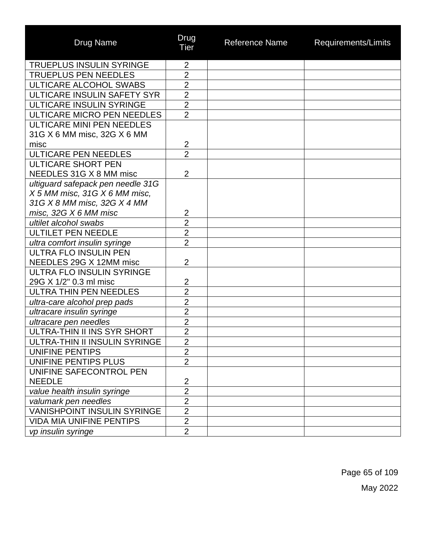| <b>Drug Name</b>                   | Drug<br><b>Tier</b> | <b>Reference Name</b> | Requirements/Limits |
|------------------------------------|---------------------|-----------------------|---------------------|
| <b>TRUEPLUS INSULIN SYRINGE</b>    | $\overline{2}$      |                       |                     |
| <b>TRUEPLUS PEN NEEDLES</b>        | $\overline{2}$      |                       |                     |
| ULTICARE ALCOHOL SWABS             | $\overline{2}$      |                       |                     |
| ULTICARE INSULIN SAFETY SYR        | $\overline{2}$      |                       |                     |
| ULTICARE INSULIN SYRINGE           | $\overline{2}$      |                       |                     |
| ULTICARE MICRO PEN NEEDLES         | $\overline{2}$      |                       |                     |
| ULTICARE MINI PEN NEEDLES          |                     |                       |                     |
| 31G X 6 MM misc, 32G X 6 MM        |                     |                       |                     |
| misc                               | $\overline{2}$      |                       |                     |
| <b>ULTICARE PEN NEEDLES</b>        | $\overline{2}$      |                       |                     |
| <b>ULTICARE SHORT PEN</b>          |                     |                       |                     |
| NEEDLES 31G X 8 MM misc            | $\overline{2}$      |                       |                     |
| ultiguard safepack pen needle 31G  |                     |                       |                     |
| X 5 MM misc, 31G X 6 MM misc,      |                     |                       |                     |
| 31G X 8 MM misc, 32G X 4 MM        |                     |                       |                     |
| misc, 32G X 6 MM misc              | 2                   |                       |                     |
| ultilet alcohol swabs              | $\overline{2}$      |                       |                     |
| <b>ULTILET PEN NEEDLE</b>          | $\overline{2}$      |                       |                     |
| ultra comfort insulin syringe      | $\overline{2}$      |                       |                     |
| ULTRA FLO INSULIN PEN              |                     |                       |                     |
| NEEDLES 29G X 12MM misc            | $\overline{2}$      |                       |                     |
| ULTRA FLO INSULIN SYRINGE          |                     |                       |                     |
| 29G X 1/2" 0.3 ml misc             | $\overline{2}$      |                       |                     |
| <b>ULTRA THIN PEN NEEDLES</b>      | $\overline{2}$      |                       |                     |
| ultra-care alcohol prep pads       | $\overline{2}$      |                       |                     |
| ultracare insulin syringe          | $\overline{2}$      |                       |                     |
| ultracare pen needles              | $\overline{2}$      |                       |                     |
| ULTRA-THIN II INS SYR SHORT        | $\overline{2}$      |                       |                     |
| ULTRA-THIN II INSULIN SYRINGE      | $\overline{2}$      |                       |                     |
| UNIFINE PENTIPS                    | $\overline{2}$      |                       |                     |
| UNIFINE PENTIPS PLUS               | $\overline{2}$      |                       |                     |
| UNIFINE SAFECONTROL PEN            |                     |                       |                     |
| <b>NEEDLE</b>                      | $\overline{2}$      |                       |                     |
| value health insulin syringe       | $\overline{2}$      |                       |                     |
| valumark pen needles               | $\overline{2}$      |                       |                     |
| <b>VANISHPOINT INSULIN SYRINGE</b> | $\overline{2}$      |                       |                     |
| <b>VIDA MIA UNIFINE PENTIPS</b>    | $\overline{2}$      |                       |                     |
| vp insulin syringe                 | $\overline{2}$      |                       |                     |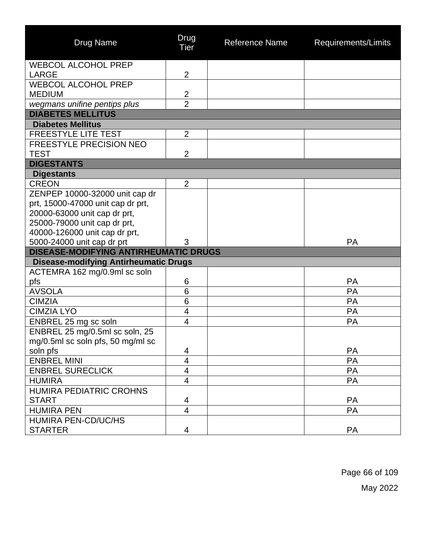| <b>Drug Name</b>                             | Drug<br><b>Tier</b>     | <b>Reference Name</b> | Requirements/Limits |
|----------------------------------------------|-------------------------|-----------------------|---------------------|
| <b>WEBCOL ALCOHOL PREP</b>                   |                         |                       |                     |
| LARGE                                        | $\overline{2}$          |                       |                     |
| <b>WEBCOL ALCOHOL PREP</b>                   |                         |                       |                     |
| <b>MEDIUM</b>                                | $\overline{2}$          |                       |                     |
| wegmans unifine pentips plus                 | $\overline{2}$          |                       |                     |
| <b>DIABETES MELLITUS</b>                     |                         |                       |                     |
| <b>Diabetes Mellitus</b>                     |                         |                       |                     |
| <b>FREESTYLE LITE TEST</b>                   | $\overline{2}$          |                       |                     |
| <b>FREESTYLE PRECISION NEO</b>               |                         |                       |                     |
| TEST                                         | $\overline{2}$          |                       |                     |
| <b>DIGESTANTS</b>                            |                         |                       |                     |
| <b>Digestants</b>                            |                         |                       |                     |
| <b>CREON</b>                                 | $\overline{2}$          |                       |                     |
| ZENPEP 10000-32000 unit cap dr               |                         |                       |                     |
| prt, 15000-47000 unit cap dr prt,            |                         |                       |                     |
| 20000-63000 unit cap dr prt,                 |                         |                       |                     |
| 25000-79000 unit cap dr prt,                 |                         |                       |                     |
| 40000-126000 unit cap dr prt,                |                         |                       |                     |
| 5000-24000 unit cap dr prt                   | 3                       |                       | <b>PA</b>           |
| <b>DISEASE-MODIFYING ANTIRHEUMATIC DRUGS</b> |                         |                       |                     |
| <b>Disease-modifying Antirheumatic Drugs</b> |                         |                       |                     |
| ACTEMRA 162 mg/0.9ml sc soln                 |                         |                       |                     |
| pfs                                          | 6                       |                       | <b>PA</b>           |
| <b>AVSOLA</b>                                | 6                       |                       | PA                  |
| <b>CIMZIA</b>                                | $6\phantom{1}6$         |                       | <b>PA</b>           |
| <b>CIMZIA LYO</b>                            | $\overline{\mathbf{4}}$ |                       | PA                  |
| ENBREL 25 mg sc soln                         | $\overline{4}$          |                       | PA                  |
| ENBREL 25 mg/0.5ml sc soln, 25               |                         |                       |                     |
| mg/0.5ml sc soln pfs, 50 mg/ml sc            |                         |                       |                     |
| soln pfs                                     | 4                       |                       | <b>PA</b>           |
| <b>ENBREL MINI</b>                           | 4                       |                       | PA                  |
| <b>ENBREL SURECLICK</b>                      | 4                       |                       | PA                  |
| <b>HUMIRA</b>                                | $\overline{4}$          |                       | <b>PA</b>           |
| <b>HUMIRA PEDIATRIC CROHNS</b>               |                         |                       |                     |
| <b>START</b>                                 | 4                       |                       | <b>PA</b>           |
| <b>HUMIRA PEN</b>                            | $\overline{4}$          |                       | <b>PA</b>           |
| <b>HUMIRA PEN-CD/UC/HS</b>                   |                         |                       |                     |
| <b>STARTER</b>                               | 4                       |                       | <b>PA</b>           |

Page 66 of 109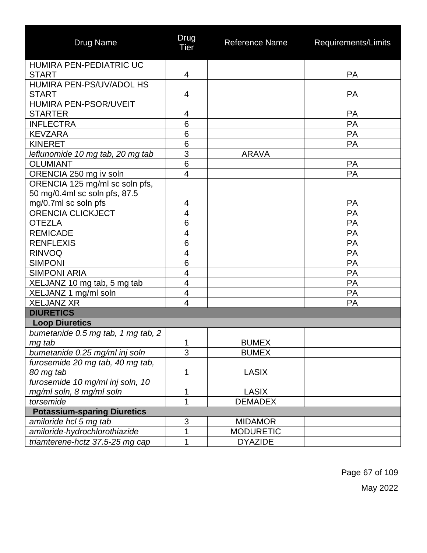| <b>Drug Name</b>                   | Drug<br><b>Tier</b>       | <b>Reference Name</b> | Requirements/Limits |
|------------------------------------|---------------------------|-----------------------|---------------------|
| HUMIRA PEN-PEDIATRIC UC            |                           |                       |                     |
| <b>START</b>                       | 4                         |                       | <b>PA</b>           |
| HUMIRA PEN-PS/UV/ADOL HS           |                           |                       |                     |
| <b>START</b>                       | 4                         |                       | <b>PA</b>           |
| HUMIRA PEN-PSOR/UVEIT              |                           |                       |                     |
| <b>STARTER</b>                     | 4                         |                       | <b>PA</b>           |
| <b>INFLECTRA</b>                   | 6                         |                       | PA                  |
| <b>KEVZARA</b>                     | $\overline{6}$            |                       | PA                  |
| <b>KINERET</b>                     | 6                         |                       | PA                  |
| leflunomide 10 mg tab, 20 mg tab   | $\overline{3}$            | <b>ARAVA</b>          |                     |
| <b>OLUMIANT</b>                    | 6                         |                       | <b>PA</b>           |
| ORENCIA 250 mg iv soln             | $\overline{\mathcal{A}}$  |                       | PA                  |
| ORENCIA 125 mg/ml sc soln pfs,     |                           |                       |                     |
| 50 mg/0.4ml sc soln pfs, 87.5      |                           |                       |                     |
| mg/0.7ml sc soln pfs               | 4                         |                       | <b>PA</b>           |
| <b>ORENCIA CLICKJECT</b>           | $\overline{4}$            |                       | PA                  |
| <b>OTEZLA</b>                      | 6                         |                       | <b>PA</b>           |
| <b>REMICADE</b>                    | $\overline{4}$            |                       | PA                  |
| <b>RENFLEXIS</b>                   | $6\phantom{1}6$           |                       | PA                  |
| <b>RINVOQ</b>                      | $\overline{4}$            |                       | PA                  |
| <b>SIMPONI</b>                     | $\overline{6}$            |                       | PA                  |
| <b>SIMPONI ARIA</b>                | $\overline{4}$            |                       | PA                  |
| XELJANZ 10 mg tab, 5 mg tab        | 4                         |                       | PA                  |
| XELJANZ 1 mg/ml soln               | 4                         |                       | <b>PA</b>           |
| <b>XELJANZ XR</b>                  | 4                         |                       | PA                  |
| <b>DIURETICS</b>                   |                           |                       |                     |
| <b>Loop Diuretics</b>              |                           |                       |                     |
| bumetanide 0.5 mg tab, 1 mg tab, 2 |                           |                       |                     |
| mg tab                             | $\mathbf{1}$              | <b>BUMEX</b>          |                     |
| bumetanide 0.25 mg/ml inj soln     | 3                         | <b>BUMEX</b>          |                     |
| furosemide 20 mg tab, 40 mg tab,   |                           |                       |                     |
| 80 mg tab                          | 1                         | LASIX                 |                     |
| furosemide 10 mg/ml inj soln, 10   |                           |                       |                     |
| mg/ml soln, 8 mg/ml soln           | 1                         | <b>LASIX</b>          |                     |
| torsemide                          | 1                         | <b>DEMADEX</b>        |                     |
| <b>Potassium-sparing Diuretics</b> |                           |                       |                     |
| amiloride hcl 5 mg tab             | $\ensuremath{\mathsf{3}}$ | <b>MIDAMOR</b>        |                     |
| amiloride-hydrochlorothiazide      | 1                         | <b>MODURETIC</b>      |                     |
| triamterene-hctz 37.5-25 mg cap    | 1                         | <b>DYAZIDE</b>        |                     |

Page 67 of 109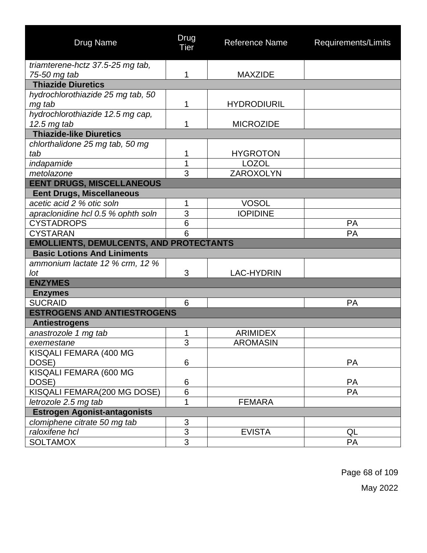| <b>Drug Name</b>                                     | Drug<br><b>Tier</b> | <b>Reference Name</b> | Requirements/Limits |  |  |
|------------------------------------------------------|---------------------|-----------------------|---------------------|--|--|
| triamterene-hctz 37.5-25 mg tab,                     |                     |                       |                     |  |  |
| 75-50 mg tab                                         | 1                   | <b>MAXZIDE</b>        |                     |  |  |
| <b>Thiazide Diuretics</b>                            |                     |                       |                     |  |  |
| hydrochlorothiazide 25 mg tab, 50                    |                     |                       |                     |  |  |
| mg tab                                               | 1                   | <b>HYDRODIURIL</b>    |                     |  |  |
| hydrochlorothiazide 12.5 mg cap,                     |                     |                       |                     |  |  |
| 12.5 mg tab                                          | 1                   | <b>MICROZIDE</b>      |                     |  |  |
| <b>Thiazide-like Diuretics</b>                       |                     |                       |                     |  |  |
| chlorthalidone 25 mg tab, 50 mg<br>tab               | 1                   | <b>HYGROTON</b>       |                     |  |  |
| indapamide                                           | 1                   | <b>LOZOL</b>          |                     |  |  |
| metolazone                                           | 3                   | ZAROXOLYN             |                     |  |  |
| <b>EENT DRUGS, MISCELLANEOUS</b>                     |                     |                       |                     |  |  |
| <b>Eent Drugs, Miscellaneous</b>                     |                     |                       |                     |  |  |
| acetic acid 2 % otic soln                            | 1                   | <b>VOSOL</b>          |                     |  |  |
| apraclonidine hcl 0.5 % ophth soln                   | 3                   | <b>IOPIDINE</b>       |                     |  |  |
| <b>CYSTADROPS</b>                                    | $6\phantom{1}6$     |                       | PA                  |  |  |
| <b>CYSTARAN</b>                                      | 6                   |                       | PA                  |  |  |
| <b>EMOLLIENTS, DEMULCENTS, AND PROTECTANTS</b>       |                     |                       |                     |  |  |
| <b>Basic Lotions And Liniments</b>                   |                     |                       |                     |  |  |
| ammonium lactate 12 % crm, 12 %                      |                     |                       |                     |  |  |
| lot                                                  | 3                   | <b>LAC-HYDRIN</b>     |                     |  |  |
| <b>ENZYMES</b>                                       |                     |                       |                     |  |  |
| <b>Enzymes</b>                                       |                     |                       |                     |  |  |
| <b>SUCRAID</b><br><b>ESTROGENS AND ANTIESTROGENS</b> | 6                   |                       | <b>PA</b>           |  |  |
|                                                      |                     |                       |                     |  |  |
| <b>Antiestrogens</b><br>anastrozole 1 mg tab         | 1                   | <b>ARIMIDEX</b>       |                     |  |  |
| exemestane                                           | 3                   | <b>AROMASIN</b>       |                     |  |  |
| KISQALI FEMARA (400 MG                               |                     |                       |                     |  |  |
| DOSE)                                                | 6                   |                       | <b>PA</b>           |  |  |
| KISQALI FEMARA (600 MG                               |                     |                       |                     |  |  |
| DOSE)                                                | 6                   |                       | <b>PA</b>           |  |  |
| KISQALI FEMARA(200 MG DOSE)                          | 6                   |                       | PA                  |  |  |
| letrozole 2.5 mg tab                                 | 1                   | <b>FEMARA</b>         |                     |  |  |
| <b>Estrogen Agonist-antagonists</b>                  |                     |                       |                     |  |  |
| clomiphene citrate 50 mg tab                         | $\mathfrak{S}$      |                       |                     |  |  |
| raloxifene hcl                                       | $\overline{3}$      | <b>EVISTA</b>         | QL                  |  |  |
| <b>SOLTAMOX</b>                                      | 3                   |                       | PA                  |  |  |

Page 68 of 109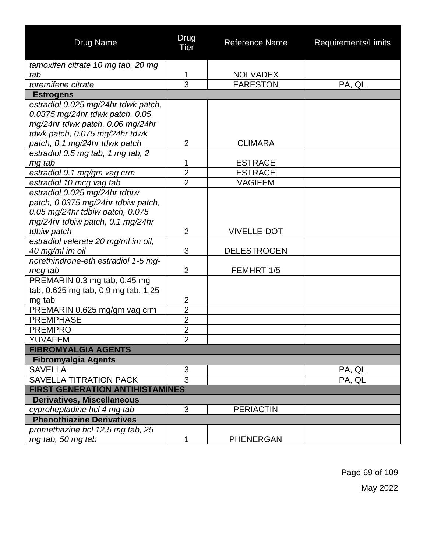| <b>Drug Name</b>                                                                                                                                                              | Drug<br><b>Tier</b> | <b>Reference Name</b> | Requirements/Limits |
|-------------------------------------------------------------------------------------------------------------------------------------------------------------------------------|---------------------|-----------------------|---------------------|
| tamoxifen citrate 10 mg tab, 20 mg                                                                                                                                            |                     |                       |                     |
| tab                                                                                                                                                                           | 1                   | <b>NOLVADEX</b>       |                     |
| toremifene citrate                                                                                                                                                            | 3                   | <b>FARESTON</b>       | PA, QL              |
| <b>Estrogens</b>                                                                                                                                                              |                     |                       |                     |
| estradiol 0.025 mg/24hr tdwk patch,<br>0.0375 mg/24hr tdwk patch, 0.05<br>mg/24hr tdwk patch, 0.06 mg/24hr<br>tdwk patch, 0.075 mg/24hr tdwk<br>patch, 0.1 mg/24hr tdwk patch | $\overline{2}$      | <b>CLIMARA</b>        |                     |
| estradiol 0.5 mg tab, 1 mg tab, 2                                                                                                                                             |                     |                       |                     |
| mg tab                                                                                                                                                                        | 1                   | <b>ESTRACE</b>        |                     |
| estradiol 0.1 mg/gm vag crm                                                                                                                                                   | $\overline{2}$      | <b>ESTRACE</b>        |                     |
| estradiol 10 mcg vag tab                                                                                                                                                      | $\overline{2}$      | <b>VAGIFEM</b>        |                     |
| estradiol 0.025 mg/24hr tdbiw<br>patch, 0.0375 mg/24hr tdbiw patch,<br>0.05 mg/24hr tdbiw patch, 0.075<br>mg/24hr tdbiw patch, 0.1 mg/24hr                                    |                     |                       |                     |
| tdbiw patch                                                                                                                                                                   | $\overline{2}$      | <b>VIVELLE-DOT</b>    |                     |
| estradiol valerate 20 mg/ml im oil,<br>40 mg/ml im oil                                                                                                                        | 3                   | <b>DELESTROGEN</b>    |                     |
| norethindrone-eth estradiol 1-5 mg-<br>mcg tab                                                                                                                                | $\overline{2}$      | FEMHRT 1/5            |                     |
| PREMARIN 0.3 mg tab, 0.45 mg<br>tab, 0.625 mg tab, 0.9 mg tab, 1.25<br>mg tab                                                                                                 | $\overline{2}$      |                       |                     |
| PREMARIN 0.625 mg/gm vag crm                                                                                                                                                  | $\overline{2}$      |                       |                     |
| <b>PREMPHASE</b>                                                                                                                                                              | $\overline{2}$      |                       |                     |
| <b>PREMPRO</b>                                                                                                                                                                | $\overline{2}$      |                       |                     |
| <b>YUVAFEM</b>                                                                                                                                                                | $\overline{2}$      |                       |                     |
| <b>FIBROMYALGIA AGENTS</b>                                                                                                                                                    |                     |                       |                     |
| <b>Fibromyalgia Agents</b>                                                                                                                                                    |                     |                       |                     |
| <b>SAVELLA</b>                                                                                                                                                                | 3                   |                       | PA, QL              |
| <b>SAVELLA TITRATION PACK</b>                                                                                                                                                 | 3                   |                       | PA, QL              |
| <b>FIRST GENERATION ANTIHISTAMINES</b>                                                                                                                                        |                     |                       |                     |
| <b>Derivatives, Miscellaneous</b>                                                                                                                                             |                     |                       |                     |
| cyproheptadine hcl 4 mg tab                                                                                                                                                   | 3                   | <b>PERIACTIN</b>      |                     |
| <b>Phenothiazine Derivatives</b>                                                                                                                                              |                     |                       |                     |
| promethazine hcl 12.5 mg tab, 25<br>mg tab, 50 mg tab                                                                                                                         | 1                   | <b>PHENERGAN</b>      |                     |

Page 69 of 109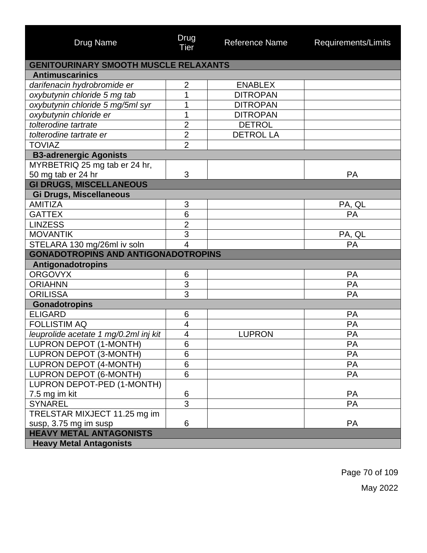| <b>Drug Name</b>                             | Drug<br>Tier            | <b>Reference Name</b> | Requirements/Limits |  |  |
|----------------------------------------------|-------------------------|-----------------------|---------------------|--|--|
| <b>GENITOURINARY SMOOTH MUSCLE RELAXANTS</b> |                         |                       |                     |  |  |
| <b>Antimuscarinics</b>                       |                         |                       |                     |  |  |
| darifenacin hydrobromide er                  | $\overline{2}$          | <b>ENABLEX</b>        |                     |  |  |
| oxybutynin chloride 5 mg tab                 | 1                       | <b>DITROPAN</b>       |                     |  |  |
| oxybutynin chloride 5 mg/5ml syr             | 1                       | <b>DITROPAN</b>       |                     |  |  |
| oxybutynin chloride er                       | 1                       | <b>DITROPAN</b>       |                     |  |  |
| tolterodine tartrate                         | $\overline{2}$          | <b>DETROL</b>         |                     |  |  |
| tolterodine tartrate er                      | $\overline{2}$          | <b>DETROL LA</b>      |                     |  |  |
| <b>TOVIAZ</b>                                | $\overline{2}$          |                       |                     |  |  |
| <b>B3-adrenergic Agonists</b>                |                         |                       |                     |  |  |
| MYRBETRIQ 25 mg tab er 24 hr,                |                         |                       |                     |  |  |
| 50 mg tab er 24 hr                           | 3                       |                       | <b>PA</b>           |  |  |
| <b>GI DRUGS, MISCELLANEOUS</b>               |                         |                       |                     |  |  |
| Gi Drugs, Miscellaneous                      |                         |                       |                     |  |  |
| <b>AMITIZA</b>                               | 3                       |                       | PA, QL              |  |  |
| <b>GATTEX</b>                                | 6                       |                       | PA                  |  |  |
| <b>LINZESS</b>                               | $\overline{2}$          |                       |                     |  |  |
| <b>MOVANTIK</b>                              | 3                       |                       | PA, QL              |  |  |
| STELARA 130 mg/26ml iv soln                  | $\overline{\mathbf{4}}$ |                       | PA                  |  |  |
| <b>GONADOTROPINS AND ANTIGONADOTROPINS</b>   |                         |                       |                     |  |  |
| Antigonadotropins                            |                         |                       |                     |  |  |
| <b>ORGOVYX</b>                               | 6                       |                       | <b>PA</b>           |  |  |
| <b>ORIAHNN</b>                               | $\overline{3}$          |                       | PA                  |  |  |
| <b>ORILISSA</b>                              | 3                       |                       | PA                  |  |  |
| <b>Gonadotropins</b>                         |                         |                       |                     |  |  |
| <b>ELIGARD</b>                               | 6                       |                       | PA                  |  |  |
| <b>FOLLISTIM AQ</b>                          | 4                       |                       | PA                  |  |  |
| leuprolide acetate 1 mg/0.2ml inj kit        | $\overline{4}$          | <b>LUPRON</b>         | PA                  |  |  |
| LUPRON DEPOT (1-MONTH)                       | 6                       |                       | PA                  |  |  |
| LUPRON DEPOT (3-MONTH)                       | $\overline{6}$          |                       | PA                  |  |  |
| LUPRON DEPOT (4-MONTH)                       | 6                       |                       | <b>PA</b>           |  |  |
| <b>LUPRON DEPOT (6-MONTH)</b>                | 6                       |                       | PA                  |  |  |
| LUPRON DEPOT-PED (1-MONTH)                   |                         |                       |                     |  |  |
| 7.5 mg im kit                                | 6                       |                       | <b>PA</b>           |  |  |
| <b>SYNAREL</b>                               | $\overline{3}$          |                       | PA                  |  |  |
| TRELSTAR MIXJECT 11.25 mg im                 |                         |                       |                     |  |  |
| susp, 3.75 mg im susp                        | 6                       |                       | <b>PA</b>           |  |  |
| <b>HEAVY METAL ANTAGONISTS</b>               |                         |                       |                     |  |  |
| <b>Heavy Metal Antagonists</b>               |                         |                       |                     |  |  |

Page 70 of 109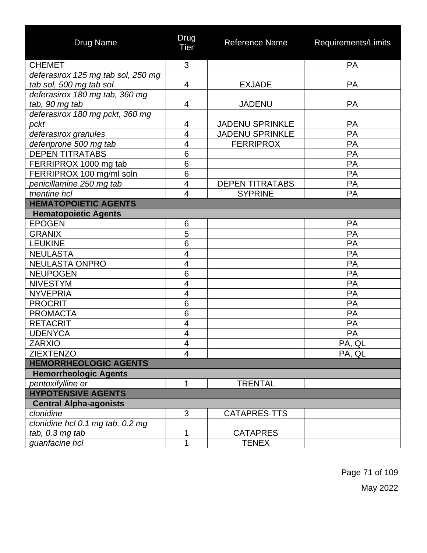| <b>Drug Name</b>                   | Drug<br>Tier             | Reference Name         | Requirements/Limits |
|------------------------------------|--------------------------|------------------------|---------------------|
| <b>CHEMET</b>                      | 3                        |                        | PA                  |
| deferasirox 125 mg tab sol, 250 mg |                          |                        |                     |
| tab sol, 500 mg tab sol            | 4                        | <b>EXJADE</b>          | <b>PA</b>           |
| deferasirox 180 mg tab, 360 mg     |                          |                        |                     |
| tab, 90 mg tab                     | 4                        | <b>JADENU</b>          | <b>PA</b>           |
| deferasirox 180 mg pckt, 360 mg    |                          |                        |                     |
| pckt                               | 4                        | <b>JADENU SPRINKLE</b> | PA                  |
| deferasirox granules               | $\overline{4}$           | <b>JADENU SPRINKLE</b> | PA                  |
| deferiprone 500 mg tab             | $\overline{\mathcal{A}}$ | <b>FERRIPROX</b>       | PA                  |
| <b>DEPEN TITRATABS</b>             | 6                        |                        | PA                  |
| FERRIPROX 1000 mg tab              | $6\phantom{1}6$          |                        | PA                  |
| FERRIPROX 100 mg/ml soln           | 6                        |                        | PA                  |
| penicillamine 250 mg tab           | $\overline{4}$           | <b>DEPEN TITRATABS</b> | <b>PA</b>           |
| trientine hcl                      | 4                        | <b>SYPRINE</b>         | <b>PA</b>           |
| <b>HEMATOPOIETIC AGENTS</b>        |                          |                        |                     |
| <b>Hematopoietic Agents</b>        |                          |                        |                     |
| <b>EPOGEN</b>                      | 6                        |                        | PA                  |
| <b>GRANIX</b>                      | 5                        |                        | PA                  |
| <b>LEUKINE</b>                     | 6                        |                        | PA                  |
| <b>NEULASTA</b>                    | 4                        |                        | PA                  |
| <b>NEULASTA ONPRO</b>              | 4                        |                        | PA                  |
| <b>NEUPOGEN</b>                    | 6                        |                        | PA                  |
| <b>NIVESTYM</b>                    | $\overline{\mathbf{4}}$  |                        | PA                  |
| <b>NYVEPRIA</b>                    | $\overline{4}$           |                        | PA                  |
| <b>PROCRIT</b>                     | 6                        |                        | PA                  |
| <b>PROMACTA</b>                    | $\overline{6}$           |                        | PA                  |
| <b>RETACRIT</b>                    | 4                        |                        | PA                  |
| <b>UDENYCA</b>                     | 4                        |                        | PA                  |
| <b>ZARXIO</b>                      | 4                        |                        | PA, QL              |
| <b>ZIEXTENZO</b>                   | $\overline{4}$           |                        | PA, QL              |
| <b>HEMORRHEOLOGIC AGENTS</b>       |                          |                        |                     |
| <b>Hemorrheologic Agents</b>       |                          |                        |                     |
| pentoxifylline er                  | 1                        | <b>TRENTAL</b>         |                     |
| <b>HYPOTENSIVE AGENTS</b>          |                          |                        |                     |
| <b>Central Alpha-agonists</b>      |                          |                        |                     |
| clonidine                          | 3                        | CATAPRES-TTS           |                     |
| clonidine hcl 0.1 mg tab, 0.2 mg   |                          |                        |                     |
| tab, 0.3 mg tab                    | 1                        | <b>CATAPRES</b>        |                     |
| guanfacine hcl                     | 1                        | <b>TENEX</b>           |                     |

Page 71 of 109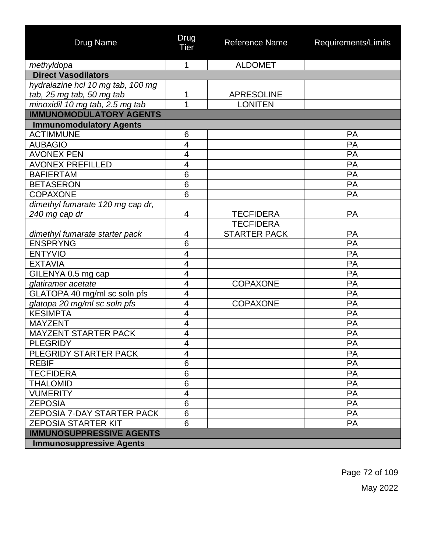| <b>Drug Name</b>                  | Drug<br>Tier            | <b>Reference Name</b> | Requirements/Limits |
|-----------------------------------|-------------------------|-----------------------|---------------------|
| methyldopa                        | 1                       | <b>ALDOMET</b>        |                     |
| <b>Direct Vasodilators</b>        |                         |                       |                     |
| hydralazine hcl 10 mg tab, 100 mg |                         |                       |                     |
| tab, 25 mg tab, 50 mg tab         | 1                       | <b>APRESOLINE</b>     |                     |
| minoxidil 10 mg tab, 2.5 mg tab   | 1                       | <b>LONITEN</b>        |                     |
| <b>IMMUNOMODULATORY AGENTS</b>    |                         |                       |                     |
| <b>Immunomodulatory Agents</b>    |                         |                       |                     |
| <b>ACTIMMUNE</b>                  | 6                       |                       | PA                  |
| <b>AUBAGIO</b>                    | 4                       |                       | PA                  |
| <b>AVONEX PEN</b>                 | $\overline{\mathbf{4}}$ |                       | PA                  |
| <b>AVONEX PREFILLED</b>           | 4                       |                       | PA                  |
| <b>BAFIERTAM</b>                  | 6                       |                       | PA                  |
| <b>BETASERON</b>                  | 6                       |                       | PA                  |
| <b>COPAXONE</b>                   | 6                       |                       | PA                  |
| dimethyl fumarate 120 mg cap dr,  |                         |                       |                     |
| 240 mg cap dr                     | 4                       | <b>TECFIDERA</b>      | PA                  |
|                                   |                         | <b>TECFIDERA</b>      |                     |
| dimethyl fumarate starter pack    | 4                       | <b>STARTER PACK</b>   | PA                  |
| <b>ENSPRYNG</b>                   | 6                       |                       | PA                  |
| <b>ENTYVIO</b>                    | $\overline{\mathbf{4}}$ |                       | PA                  |
| <b>EXTAVIA</b>                    | 4                       |                       | PA                  |
| GILENYA 0.5 mg cap                | 4                       |                       | PA                  |
| glatiramer acetate                | $\overline{\mathbf{4}}$ | <b>COPAXONE</b>       | PA                  |
| GLATOPA 40 mg/ml sc soln pfs      | $\overline{\mathbf{4}}$ |                       | PA                  |
| glatopa 20 mg/ml sc soln pfs      | 4                       | <b>COPAXONE</b>       | PA                  |
| <b>KESIMPTA</b>                   | $\overline{\mathbf{4}}$ |                       | PA                  |
| <b>MAYZENT</b>                    | $\overline{\mathbf{4}}$ |                       | PA                  |
| <b>MAYZENT STARTER PACK</b>       | 4                       |                       | PA                  |
| <b>PLEGRIDY</b>                   | 4                       |                       | PА                  |
| PLEGRIDY STARTER PACK             | 4                       |                       | PA                  |
| <b>REBIF</b>                      | 6                       |                       | PA                  |
| <b>TECFIDERA</b>                  | 6                       |                       | PA                  |
| <b>THALOMID</b>                   | 6                       |                       | PA                  |
| <b>VUMERITY</b>                   | 4                       |                       | PA                  |
| <b>ZEPOSIA</b>                    | $6\phantom{1}$          |                       | PA                  |
| ZEPOSIA 7-DAY STARTER PACK        | $6\phantom{1}$          |                       | PA                  |
| <b>ZEPOSIA STARTER KIT</b>        | 6                       |                       | <b>PA</b>           |
| <b>IMMUNOSUPPRESSIVE AGENTS</b>   |                         |                       |                     |
| <b>Immunosuppressive Agents</b>   |                         |                       |                     |

Page 72 of 109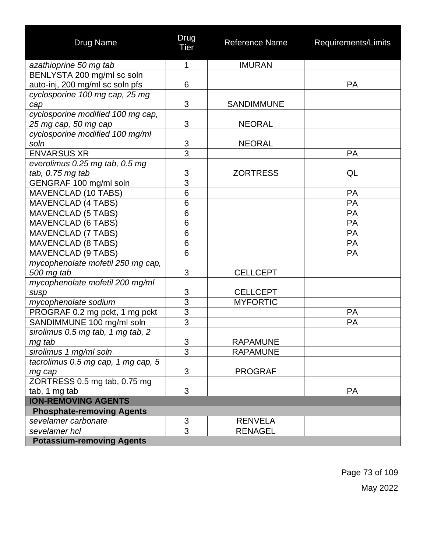| <b>Drug Name</b>                   | Drug<br>Tier    | Reference Name    | Requirements/Limits |
|------------------------------------|-----------------|-------------------|---------------------|
| azathioprine 50 mg tab             | 1               | <b>IMURAN</b>     |                     |
| BENLYSTA 200 mg/ml sc soln         |                 |                   |                     |
| auto-inj, 200 mg/ml sc soln pfs    | 6               |                   | <b>PA</b>           |
| cyclosporine 100 mg cap, 25 mg     |                 |                   |                     |
| cap                                | 3               | <b>SANDIMMUNE</b> |                     |
| cyclosporine modified 100 mg cap,  |                 |                   |                     |
| 25 mg cap, 50 mg cap               | 3               | <b>NEORAL</b>     |                     |
| cyclosporine modified 100 mg/ml    |                 |                   |                     |
| soln                               | $\frac{3}{3}$   | <b>NEORAL</b>     |                     |
| <b>ENVARSUS XR</b>                 |                 |                   | <b>PA</b>           |
| everolimus 0.25 mg tab, 0.5 mg     |                 |                   |                     |
| tab, 0.75 mg tab                   | 3               | <b>ZORTRESS</b>   | QL                  |
| GENGRAF 100 mg/ml soln             | 3               |                   |                     |
| <b>MAVENCLAD (10 TABS)</b>         | $\overline{6}$  |                   | <b>PA</b>           |
| <b>MAVENCLAD (4 TABS)</b>          | $6\phantom{1}6$ |                   | PA                  |
| <b>MAVENCLAD (5 TABS)</b>          | $\overline{6}$  |                   | PA                  |
| <b>MAVENCLAD (6 TABS)</b>          | 6               |                   | PA                  |
| <b>MAVENCLAD (7 TABS)</b>          | $\overline{6}$  |                   | <b>PA</b>           |
| <b>MAVENCLAD (8 TABS)</b>          | $6\phantom{1}6$ |                   | PA                  |
| <b>MAVENCLAD (9 TABS)</b>          | 6               |                   | PA                  |
| mycophenolate mofetil 250 mg cap,  |                 |                   |                     |
| 500 mg tab                         | 3               | <b>CELLCEPT</b>   |                     |
| mycophenolate mofetil 200 mg/ml    |                 |                   |                     |
| susp                               | 3               | <b>CELLCEPT</b>   |                     |
| mycophenolate sodium               | $\overline{3}$  | <b>MYFORTIC</b>   |                     |
| PROGRAF 0.2 mg pckt, 1 mg pckt     | $\overline{3}$  |                   | PA                  |
| SANDIMMUNE 100 mg/ml soln          | $\overline{3}$  |                   | PA                  |
| sirolimus 0.5 mg tab, 1 mg tab, 2  |                 |                   |                     |
| mg tab                             | $\overline{3}$  | <b>RAPAMUNE</b>   |                     |
| sirolimus 1 mg/ml soln             | 3               | <b>RAPAMUNE</b>   |                     |
| tacrolimus 0.5 mg cap, 1 mg cap, 5 |                 |                   |                     |
| mg cap                             | 3               | <b>PROGRAF</b>    |                     |
| ZORTRESS 0.5 mg tab, 0.75 mg       |                 |                   |                     |
| tab, 1 mg tab                      | 3               |                   | <b>PA</b>           |
| <b>ION-REMOVING AGENTS</b>         |                 |                   |                     |
| <b>Phosphate-removing Agents</b>   |                 |                   |                     |
| sevelamer carbonate                | 3               | <b>RENVELA</b>    |                     |
| sevelamer hcl                      | $\overline{3}$  | <b>RENAGEL</b>    |                     |
| <b>Potassium-removing Agents</b>   |                 |                   |                     |

Page 73 of 109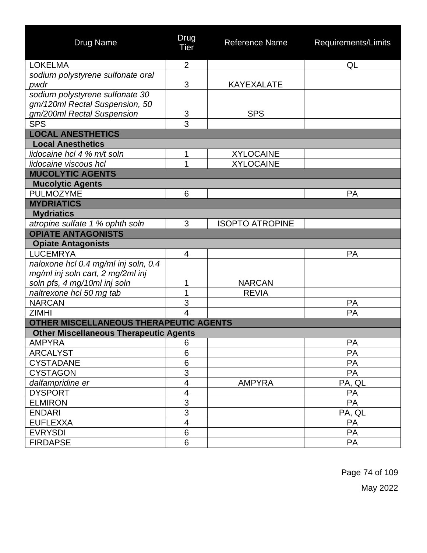| <b>Drug Name</b>                              | Drug<br>Tier             | <b>Reference Name</b>  | Requirements/Limits |
|-----------------------------------------------|--------------------------|------------------------|---------------------|
| <b>LOKELMA</b>                                | $\overline{2}$           |                        | QL                  |
| sodium polystyrene sulfonate oral             |                          |                        |                     |
| pwdr                                          | 3                        | <b>KAYEXALATE</b>      |                     |
| sodium polystyrene sulfonate 30               |                          |                        |                     |
| gm/120ml Rectal Suspension, 50                |                          |                        |                     |
| gm/200ml Rectal Suspension                    | 3                        | <b>SPS</b>             |                     |
| <b>SPS</b>                                    | 3                        |                        |                     |
| <b>LOCAL ANESTHETICS</b>                      |                          |                        |                     |
| <b>Local Anesthetics</b>                      |                          |                        |                     |
| lidocaine hcl 4 % m/t soln                    | 1                        | <b>XYLOCAINE</b>       |                     |
| lidocaine viscous hcl                         | 1                        | <b>XYLOCAINE</b>       |                     |
| <b>MUCOLYTIC AGENTS</b>                       |                          |                        |                     |
| <b>Mucolytic Agents</b>                       |                          |                        |                     |
| <b>PULMOZYME</b>                              | 6                        |                        | <b>PA</b>           |
| <b>MYDRIATICS</b>                             |                          |                        |                     |
| <b>Mydriatics</b>                             |                          |                        |                     |
| atropine sulfate 1 % ophth soln               | 3                        | <b>ISOPTO ATROPINE</b> |                     |
| <b>OPIATE ANTAGONISTS</b>                     |                          |                        |                     |
| <b>Opiate Antagonists</b>                     |                          |                        |                     |
| <b>LUCEMRYA</b>                               | 4                        |                        | <b>PA</b>           |
| naloxone hcl 0.4 mg/ml inj soln, 0.4          |                          |                        |                     |
| mg/ml inj soln cart, 2 mg/2ml inj             |                          |                        |                     |
| soln pfs, 4 mg/10ml inj soln                  | 1                        | <b>NARCAN</b>          |                     |
| naltrexone hcl 50 mg tab                      | 1                        | <b>REVIA</b>           |                     |
| <b>NARCAN</b>                                 | 3                        |                        | PA                  |
| <b>ZIMHI</b>                                  | $\overline{4}$           |                        | PA                  |
| OTHER MISCELLANEOUS THERAPEUTIC AGENTS        |                          |                        |                     |
| <b>Other Miscellaneous Therapeutic Agents</b> |                          |                        |                     |
| AMPYRA                                        | 6                        |                        | <b>PA</b>           |
| <b>ARCALYST</b>                               | 6                        |                        | PA                  |
| <b>CYSTADANE</b>                              | $\,6$                    |                        | <b>PA</b>           |
| <b>CYSTAGON</b>                               | $\overline{3}$           |                        | PA                  |
| dalfampridine er                              | $\overline{\mathbf{4}}$  | <b>AMPYRA</b>          | PA, QL              |
| <b>DYSPORT</b>                                | $\overline{\mathcal{A}}$ |                        | PA                  |
| <b>ELMIRON</b>                                | $\overline{3}$           |                        | PA                  |
| <b>ENDARI</b>                                 | $\overline{3}$           |                        | PA, QL              |
| <b>EUFLEXXA</b>                               | $\overline{\mathbf{4}}$  |                        | <b>PA</b>           |
| <b>EVRYSDI</b>                                | 6                        |                        | PA                  |
| <b>FIRDAPSE</b>                               | 6                        |                        | PA                  |

Page 74 of 109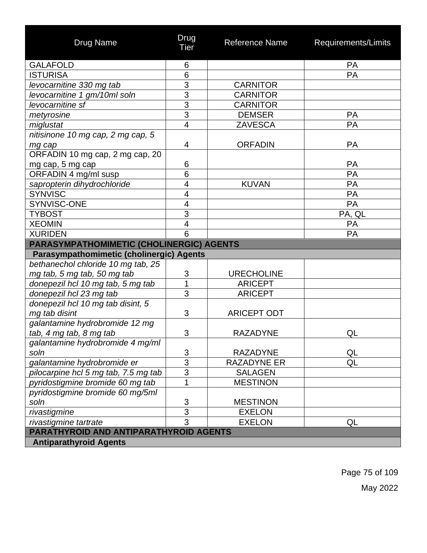| <b>Drug Name</b>                         | Drug<br><b>Tier</b>     | Reference Name     | Requirements/Limits |
|------------------------------------------|-------------------------|--------------------|---------------------|
| <b>GALAFOLD</b>                          | 6                       |                    | PA                  |
| <b>ISTURISA</b>                          | 6                       |                    | PA                  |
| levocarnitine 330 mg tab                 | $\overline{3}$          | <b>CARNITOR</b>    |                     |
| levocarnitine 1 gm/10ml soln             | $\overline{3}$          | <b>CARNITOR</b>    |                     |
| levocarnitine sf                         | $\overline{3}$          | <b>CARNITOR</b>    |                     |
| metyrosine                               | $\overline{3}$          | <b>DEMSER</b>      | PA                  |
| miglustat                                | $\overline{4}$          | <b>ZAVESCA</b>     | PA                  |
| nitisinone 10 mg cap, 2 mg cap, 5        |                         |                    |                     |
| mg cap                                   | 4                       | <b>ORFADIN</b>     | PA                  |
| ORFADIN 10 mg cap, 2 mg cap, 20          |                         |                    |                     |
| mg cap, 5 mg cap                         | 6                       |                    | PA                  |
| ORFADIN 4 mg/ml susp                     | 6                       |                    | PA                  |
| sapropterin dihydrochloride              | $\overline{\mathbf{4}}$ | <b>KUVAN</b>       | PA                  |
| <b>SYNVISC</b>                           | 4                       |                    | PA                  |
| SYNVISC-ONE                              | $\overline{\mathbf{4}}$ |                    | PA                  |
| <b>TYBOST</b>                            | 3                       |                    | PA, QL              |
| <b>XEOMIN</b>                            | $\overline{\mathbf{4}}$ |                    | PA                  |
| <b>XURIDEN</b>                           | 6                       |                    | <b>PA</b>           |
| PARASYMPATHOMIMETIC (CHOLINERGIC) AGENTS |                         |                    |                     |
| Parasympathomimetic (cholinergic) Agents |                         |                    |                     |
| bethanechol chloride 10 mg tab, 25       |                         |                    |                     |
| mg tab, 5 mg tab, 50 mg tab              | 3                       | <b>URECHOLINE</b>  |                     |
| donepezil hcl 10 mg tab, 5 mg tab        | 1                       | <b>ARICEPT</b>     |                     |
| donepezil hcl 23 mg tab                  | $\overline{3}$          | <b>ARICEPT</b>     |                     |
| donepezil hcl 10 mg tab disint, 5        |                         |                    |                     |
| mg tab disint                            | 3                       | <b>ARICEPT ODT</b> |                     |
| galantamine hydrobromide 12 mg           |                         |                    |                     |
| tab, 4 mg tab, 8 mg tab                  | $\mathfrak{B}$          | <b>RAZADYNE</b>    | QL                  |
| galantamine hydrobromide 4 mg/ml         |                         |                    |                     |
| soln                                     | 3                       | <b>RAZADYNE</b>    | QL                  |
| galantamine hydrobromide er              | $\overline{3}$          | <b>RAZADYNE ER</b> | QL                  |
| pilocarpine hcl 5 mg tab, 7.5 mg tab     | $\overline{3}$          | <b>SALAGEN</b>     |                     |
| pyridostigmine bromide 60 mg tab         | $\overline{1}$          | <b>MESTINON</b>    |                     |
| pyridostigmine bromide 60 mg/5ml         |                         |                    |                     |
| soln                                     | $\overline{3}$          | <b>MESTINON</b>    |                     |
| rivastigmine                             | $\overline{3}$          | <b>EXELON</b>      |                     |
| rivastigmine tartrate                    | $\overline{3}$          | <b>EXELON</b>      | QL                  |
| PARATHYROID AND ANTIPARATHYROID AGENTS   |                         |                    |                     |
| <b>Antiparathyroid Agents</b>            |                         |                    |                     |

Page 75 of 109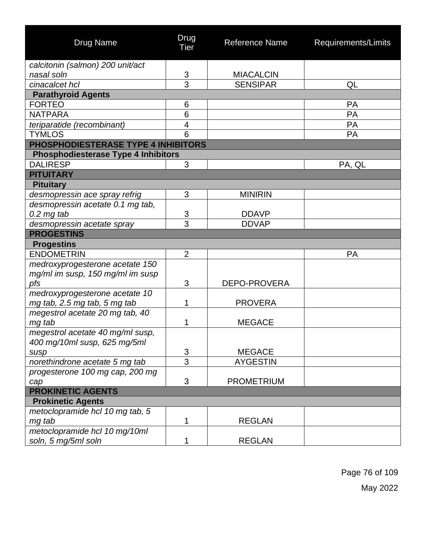| <b>Drug Name</b>                           | Drug<br>Tier            | <b>Reference Name</b> | Requirements/Limits |
|--------------------------------------------|-------------------------|-----------------------|---------------------|
| calcitonin (salmon) 200 unit/act           |                         |                       |                     |
| nasal soln                                 | 3                       | <b>MIACALCIN</b>      |                     |
| cinacalcet hcl                             | 3                       | <b>SENSIPAR</b>       | QL                  |
| <b>Parathyroid Agents</b>                  |                         |                       |                     |
| <b>FORTEO</b>                              | 6                       |                       | <b>PA</b>           |
| <b>NATPARA</b>                             | 6                       |                       | PA                  |
| teriparatide (recombinant)                 | $\overline{\mathbf{4}}$ |                       | PA                  |
| <b>TYMLOS</b>                              | 6                       |                       | PA                  |
| PHOSPHODIESTERASE TYPE 4 INHIBITORS        |                         |                       |                     |
| <b>Phosphodiesterase Type 4 Inhibitors</b> |                         |                       |                     |
| <b>DALIRESP</b>                            | 3                       |                       | PA, QL              |
| <b>PITUITARY</b>                           |                         |                       |                     |
| <b>Pituitary</b>                           |                         |                       |                     |
| desmopressin ace spray refrig              | 3                       | <b>MINIRIN</b>        |                     |
| desmopressin acetate 0.1 mg tab,           |                         |                       |                     |
| $0.2$ mg tab                               | 3                       | <b>DDAVP</b>          |                     |
| desmopressin acetate spray                 | 3                       | <b>DDVAP</b>          |                     |
| <b>PROGESTINS</b>                          |                         |                       |                     |
| <b>Progestins</b>                          |                         |                       |                     |
| <b>ENDOMETRIN</b>                          | $\overline{2}$          |                       | <b>PA</b>           |
| medroxyprogesterone acetate 150            |                         |                       |                     |
| mg/ml im susp, 150 mg/ml im susp           |                         |                       |                     |
| pfs                                        | 3                       | DEPO-PROVERA          |                     |
| medroxyprogesterone acetate 10             |                         |                       |                     |
| mg tab, 2.5 mg tab, 5 mg tab               | 1                       | <b>PROVERA</b>        |                     |
| megestrol acetate 20 mg tab, 40            |                         |                       |                     |
| mg tab                                     | 1                       | <b>MEGACE</b>         |                     |
| megestrol acetate 40 mg/ml susp,           |                         |                       |                     |
| 400 mg/10ml susp, 625 mg/5ml               |                         |                       |                     |
| susp                                       | 3                       | <b>MEGACE</b>         |                     |
| norethindrone acetate 5 mg tab             | $\overline{3}$          | <b>AYGESTIN</b>       |                     |
| progesterone 100 mg cap, 200 mg            |                         |                       |                     |
| cap                                        | 3                       | <b>PROMETRIUM</b>     |                     |
| <b>PROKINETIC AGENTS</b>                   |                         |                       |                     |
| <b>Prokinetic Agents</b>                   |                         |                       |                     |
| metoclopramide hcl 10 mg tab, 5            |                         |                       |                     |
| mg tab                                     | 1                       | <b>REGLAN</b>         |                     |
| metoclopramide hcl 10 mg/10ml              |                         |                       |                     |
| soln, 5 mg/5ml soln                        | 1                       | <b>REGLAN</b>         |                     |

Page 76 of 109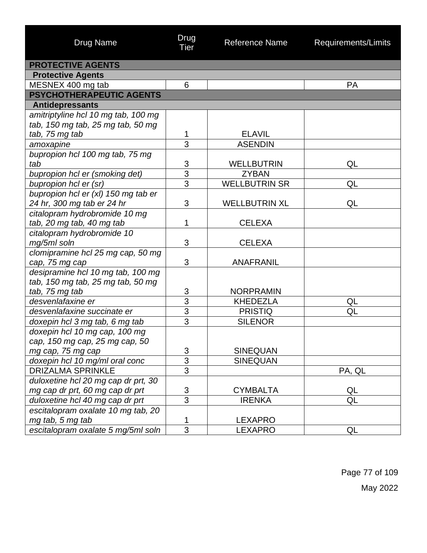| <b>Drug Name</b>                    | Drug<br><b>Tier</b> | <b>Reference Name</b> | Requirements/Limits |
|-------------------------------------|---------------------|-----------------------|---------------------|
| <b>PROTECTIVE AGENTS</b>            |                     |                       |                     |
| <b>Protective Agents</b>            |                     |                       |                     |
| MESNEX 400 mg tab                   | 6                   |                       | <b>PA</b>           |
| PSYCHOTHERAPEUTIC AGENTS            |                     |                       |                     |
| <b>Antidepressants</b>              |                     |                       |                     |
| amitriptyline hcl 10 mg tab, 100 mg |                     |                       |                     |
| tab, 150 mg tab, 25 mg tab, 50 mg   |                     |                       |                     |
| tab, 75 mg tab                      | 1                   | <b>ELAVIL</b>         |                     |
| amoxapine                           | $\overline{3}$      | <b>ASENDIN</b>        |                     |
| bupropion hcl 100 mg tab, 75 mg     |                     |                       |                     |
| tab                                 | 3                   | <b>WELLBUTRIN</b>     | QL                  |
| bupropion hcl er (smoking det)      | $\overline{3}$      | <b>ZYBAN</b>          |                     |
| bupropion hcl er (sr)               | $\overline{3}$      | <b>WELLBUTRIN SR</b>  | QL                  |
| bupropion hcl er (xl) 150 mg tab er |                     |                       |                     |
| 24 hr, 300 mg tab er 24 hr          | 3                   | <b>WELLBUTRIN XL</b>  | QL                  |
| citalopram hydrobromide 10 mg       |                     |                       |                     |
| tab, 20 mg tab, 40 mg tab           | 1                   | <b>CELEXA</b>         |                     |
| citalopram hydrobromide 10          |                     |                       |                     |
| mg/5ml soln                         | 3                   | <b>CELEXA</b>         |                     |
| clomipramine hcl 25 mg cap, 50 mg   |                     |                       |                     |
| cap, 75 mg cap                      | 3                   | <b>ANAFRANIL</b>      |                     |
| desipramine hcl 10 mg tab, 100 mg   |                     |                       |                     |
| tab, 150 mg tab, 25 mg tab, 50 mg   |                     |                       |                     |
| tab, 75 mg tab                      | 3                   | <b>NORPRAMIN</b>      |                     |
| desvenlafaxine er                   | $\overline{3}$      | <b>KHEDEZLA</b>       | QL                  |
| desvenlafaxine succinate er         | $\overline{3}$      | <b>PRISTIQ</b>        | QL                  |
| doxepin hcl 3 mg tab, 6 mg tab      | $\overline{3}$      | <b>SILENOR</b>        |                     |
| doxepin hcl 10 mg cap, 100 mg       |                     |                       |                     |
| cap, 150 mg cap, 25 mg cap, 50      |                     |                       |                     |
| mg cap, 75 mg cap                   | 3                   | <b>SINEQUAN</b>       |                     |
| doxepin hcl 10 mg/ml oral conc      | $\overline{3}$      | <b>SINEQUAN</b>       |                     |
| <b>DRIZALMA SPRINKLE</b>            | $\overline{3}$      |                       | PA, QL              |
| duloxetine hcl 20 mg cap dr prt, 30 |                     |                       |                     |
| mg cap dr prt, 60 mg cap dr prt     | $\mathfrak{S}$      | <b>CYMBALTA</b>       | QL                  |
| duloxetine hcl 40 mg cap dr prt     | $\overline{3}$      | <b>IRENKA</b>         | QL                  |
| escitalopram oxalate 10 mg tab, 20  |                     |                       |                     |
| mg tab, 5 mg tab                    | 1                   | <b>LEXAPRO</b>        |                     |
| escitalopram oxalate 5 mg/5ml soln  | 3                   | <b>LEXAPRO</b>        | QL                  |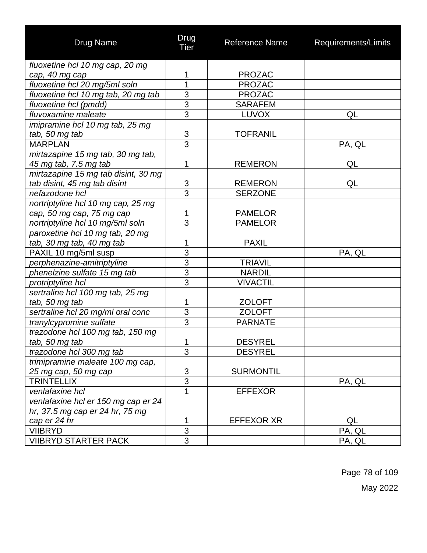| <b>Drug Name</b>                    | Drug<br><b>Tier</b> | <b>Reference Name</b> | Requirements/Limits |
|-------------------------------------|---------------------|-----------------------|---------------------|
| fluoxetine hcl 10 mg cap, 20 mg     |                     |                       |                     |
| cap, 40 mg cap                      | 1                   | <b>PROZAC</b>         |                     |
| fluoxetine hcl 20 mg/5ml soln       | 1                   | <b>PROZAC</b>         |                     |
| fluoxetine hcl 10 mg tab, 20 mg tab | 3                   | <b>PROZAC</b>         |                     |
| fluoxetine hcl (pmdd)               | $\overline{3}$      | <b>SARAFEM</b>        |                     |
| fluvoxamine maleate                 | 3                   | <b>LUVOX</b>          | QL                  |
| imipramine hcl 10 mg tab, 25 mg     |                     |                       |                     |
| tab, 50 mg tab                      | $\frac{3}{3}$       | <b>TOFRANIL</b>       |                     |
| <b>MARPLAN</b>                      |                     |                       | PA, QL              |
| mirtazapine 15 mg tab, 30 mg tab,   |                     |                       |                     |
| 45 mg tab, 7.5 mg tab               | 1                   | <b>REMERON</b>        | QL                  |
| mirtazapine 15 mg tab disint, 30 mg |                     |                       |                     |
| tab disint, 45 mg tab disint        | $\sqrt{3}$          | <b>REMERON</b>        | QL                  |
| nefazodone hcl                      | $\overline{3}$      | <b>SERZONE</b>        |                     |
| nortriptyline hcl 10 mg cap, 25 mg  |                     |                       |                     |
| cap, 50 mg cap, 75 mg cap           | 1                   | <b>PAMELOR</b>        |                     |
| nortriptyline hcl 10 mg/5ml soln    | $\overline{3}$      | <b>PAMELOR</b>        |                     |
| paroxetine hcl 10 mg tab, 20 mg     |                     |                       |                     |
| tab, 30 mg tab, 40 mg tab           | 1                   | <b>PAXIL</b>          |                     |
| PAXIL 10 mg/5ml susp                | 3                   |                       | PA, QL              |
| perphenazine-amitriptyline          | $\overline{3}$      | <b>TRIAVIL</b>        |                     |
| phenelzine sulfate 15 mg tab        | $\overline{3}$      | <b>NARDIL</b>         |                     |
| protriptyline hcl                   | 3                   | <b>VIVACTIL</b>       |                     |
| sertraline hcl 100 mg tab, 25 mg    |                     |                       |                     |
| tab, 50 mg tab                      | 1                   | <b>ZOLOFT</b>         |                     |
| sertraline hcl 20 mg/ml oral conc   | 3                   | <b>ZOLOFT</b>         |                     |
| tranylcypromine sulfate             | $\overline{3}$      | <b>PARNATE</b>        |                     |
| trazodone hcl 100 mg tab, 150 mg    |                     |                       |                     |
| tab, 50 mg tab                      | $\mathbf{1}$        | <b>DESYREL</b>        |                     |
| trazodone hcl 300 mg tab            | 3                   | <b>DESYREL</b>        |                     |
| trimipramine maleate 100 mg cap,    |                     |                       |                     |
| 25 mg cap, 50 mg cap                | $\sqrt{3}$          | <b>SURMONTIL</b>      |                     |
| <b>TRINTELLIX</b>                   | $\overline{3}$      |                       | PA, QL              |
| venlafaxine hcl                     | 1                   | <b>EFFEXOR</b>        |                     |
| venlafaxine hcl er 150 mg cap er 24 |                     |                       |                     |
| hr, 37.5 mg cap er 24 hr, 75 mg     |                     |                       |                     |
| cap er 24 hr                        | 1                   | <b>EFFEXOR XR</b>     | QL                  |
| <b>VIIBRYD</b>                      | $\overline{3}$      |                       | PA, QL              |
| <b>VIIBRYD STARTER PACK</b>         | $\overline{3}$      |                       | PA, QL              |

Page 78 of 109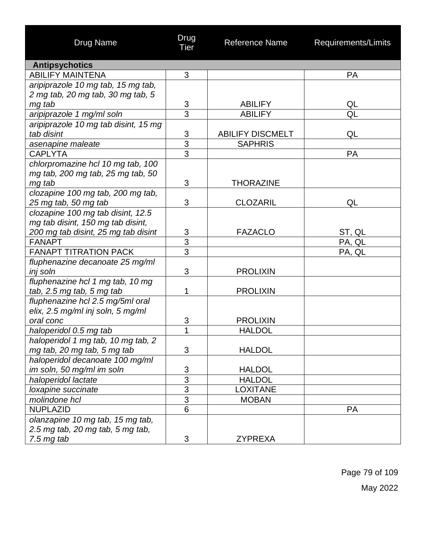| Drug Name                            | Drug<br>Tier              | <b>Reference Name</b>   | Requirements/Limits      |
|--------------------------------------|---------------------------|-------------------------|--------------------------|
| <b>Antipsychotics</b>                |                           |                         |                          |
| <b>ABILIFY MAINTENA</b>              | 3                         |                         | <b>PA</b>                |
| aripiprazole 10 mg tab, 15 mg tab,   |                           |                         |                          |
| 2 mg tab, 20 mg tab, 30 mg tab, 5    |                           |                         |                          |
| mg tab                               | $\frac{3}{3}$             | <b>ABILIFY</b>          | QL                       |
| aripiprazole 1 mg/ml soln            |                           | <b>ABILIFY</b>          | $\overline{\mathsf{QL}}$ |
| aripiprazole 10 mg tab disint, 15 mg |                           |                         |                          |
| tab disint                           | $\mathfrak{S}$            | <b>ABILIFY DISCMELT</b> | QL                       |
| asenapine maleate                    | $\overline{3}$            | <b>SAPHRIS</b>          |                          |
| <b>CAPLYTA</b>                       | $\overline{3}$            |                         | <b>PA</b>                |
| chlorpromazine hcl 10 mg tab, 100    |                           |                         |                          |
| mg tab, 200 mg tab, 25 mg tab, 50    |                           |                         |                          |
| mg tab                               | 3                         | <b>THORAZINE</b>        |                          |
| clozapine 100 mg tab, 200 mg tab,    |                           |                         |                          |
| 25 mg tab, 50 mg tab                 | 3                         | <b>CLOZARIL</b>         | QL                       |
| clozapine 100 mg tab disint, 12.5    |                           |                         |                          |
| mg tab disint, 150 mg tab disint,    |                           |                         |                          |
| 200 mg tab disint, 25 mg tab disint  |                           | <b>FAZACLO</b>          | ST, QL                   |
| <b>FANAPT</b>                        | $rac{3}{3}$               |                         | PA, QL                   |
| <b>FANAPT TITRATION PACK</b>         | $\overline{3}$            |                         | PA, QL                   |
| fluphenazine decanoate 25 mg/ml      |                           |                         |                          |
| inj soln                             | 3                         | <b>PROLIXIN</b>         |                          |
| fluphenazine hcl 1 mg tab, 10 mg     |                           |                         |                          |
| tab, 2.5 mg tab, 5 mg tab            | 1                         | <b>PROLIXIN</b>         |                          |
| fluphenazine hcl 2.5 mg/5ml oral     |                           |                         |                          |
| elix, 2.5 mg/ml inj soln, 5 mg/ml    |                           |                         |                          |
| oral conc                            | $\ensuremath{\mathsf{3}}$ | <b>PROLIXIN</b>         |                          |
| haloperidol 0.5 mg tab               | 1                         | <b>HALDOL</b>           |                          |
| haloperidol 1 mg tab, 10 mg tab, 2   |                           |                         |                          |
| mg tab, 20 mg tab, 5 mg tab          | 3                         | <b>HALDOL</b>           |                          |
| haloperidol decanoate 100 mg/ml      |                           |                         |                          |
| im soln, 50 mg/ml im soln            | 3                         | <b>HALDOL</b>           |                          |
| haloperidol lactate                  | $\overline{3}$            | <b>HALDOL</b>           |                          |
| loxapine succinate                   | $\overline{3}$            | <b>LOXITANE</b>         |                          |
| molindone hcl                        | $\overline{3}$            | <b>MOBAN</b>            |                          |
| <b>NUPLAZID</b>                      | $\overline{6}$            |                         | <b>PA</b>                |
| olanzapine 10 mg tab, 15 mg tab,     |                           |                         |                          |
| 2.5 mg tab, 20 mg tab, 5 mg tab,     |                           |                         |                          |
| $7.5$ mg tab                         | 3                         | <b>ZYPREXA</b>          |                          |

Page 79 of 109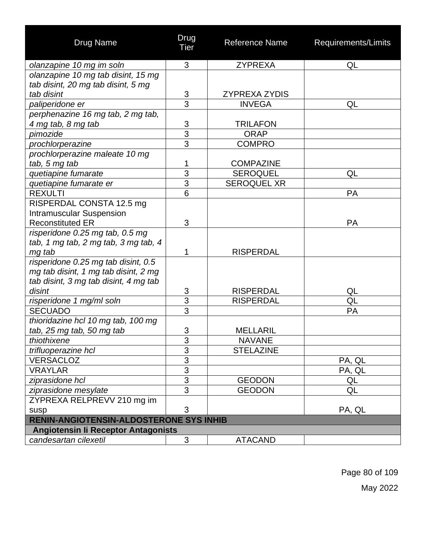| <b>Drug Name</b>                               | Drug<br>Tier   | Reference Name       | Requirements/Limits |
|------------------------------------------------|----------------|----------------------|---------------------|
| olanzapine 10 mg im soln                       | 3              | <b>ZYPREXA</b>       | QL                  |
| olanzapine 10 mg tab disint, 15 mg             |                |                      |                     |
| tab disint, 20 mg tab disint, 5 mg             |                |                      |                     |
| tab disint                                     | 3              | <b>ZYPREXA ZYDIS</b> |                     |
| paliperidone er                                | $\overline{3}$ | <b>INVEGA</b>        | QL                  |
| perphenazine 16 mg tab, 2 mg tab,              |                |                      |                     |
| 4 mg tab, 8 mg tab                             | $\frac{3}{3}$  | <b>TRILAFON</b>      |                     |
| pimozide                                       |                | <b>ORAP</b>          |                     |
| prochlorperazine                               | $\overline{3}$ | <b>COMPRO</b>        |                     |
| prochlorperazine maleate 10 mg                 |                |                      |                     |
| tab, 5 mg tab                                  | 1              | <b>COMPAZINE</b>     |                     |
| quetiapine fumarate                            | 3              | <b>SEROQUEL</b>      | QL                  |
| quetiapine fumarate er                         | $\overline{3}$ | <b>SEROQUEL XR</b>   |                     |
| <b>REXULTI</b>                                 | 6              |                      | <b>PA</b>           |
| RISPERDAL CONSTA 12.5 mg                       |                |                      |                     |
| <b>Intramuscular Suspension</b>                |                |                      |                     |
| <b>Reconstituted ER</b>                        | 3              |                      | PA                  |
| risperidone 0.25 mg tab, 0.5 mg                |                |                      |                     |
| tab, 1 mg tab, 2 mg tab, 3 mg tab, 4           |                |                      |                     |
| mg tab                                         | 1              | <b>RISPERDAL</b>     |                     |
| risperidone 0.25 mg tab disint, 0.5            |                |                      |                     |
| mg tab disint, 1 mg tab disint, 2 mg           |                |                      |                     |
| tab disint, 3 mg tab disint, 4 mg tab          |                |                      |                     |
| disint                                         | $\sqrt{3}$     | <b>RISPERDAL</b>     | QL                  |
| risperidone 1 mg/ml soln                       | $\overline{3}$ | <b>RISPERDAL</b>     | QL                  |
| <b>SECUADO</b>                                 | $\overline{3}$ |                      | PA                  |
| thioridazine hcl 10 mg tab, 100 mg             |                |                      |                     |
| tab, 25 mg tab, 50 mg tab                      | 3              | <b>MELLARIL</b>      |                     |
| thiothixene                                    | <u>3</u>       | <b>NAVANE</b>        |                     |
| trifluoperazine hcl                            | $\overline{3}$ | <b>STELAZINE</b>     |                     |
| <b>VERSACLOZ</b>                               | 3              |                      | PA, QL              |
| <b>VRAYLAR</b>                                 | $\overline{3}$ |                      | PA, QL              |
| ziprasidone hcl                                | $\overline{3}$ | <b>GEODON</b>        | QL                  |
| ziprasidone mesylate                           | $\overline{3}$ | <b>GEODON</b>        | QL                  |
| ZYPREXA RELPREVV 210 mg im                     |                |                      |                     |
| susp                                           | 3              |                      | PA, QL              |
| <b>RENIN-ANGIOTENSIN-ALDOSTERONE SYS INHIB</b> |                |                      |                     |
| <b>Angiotensin li Receptor Antagonists</b>     |                |                      |                     |
| candesartan cilexetil                          | 3              | <b>ATACAND</b>       |                     |

Page 80 of 109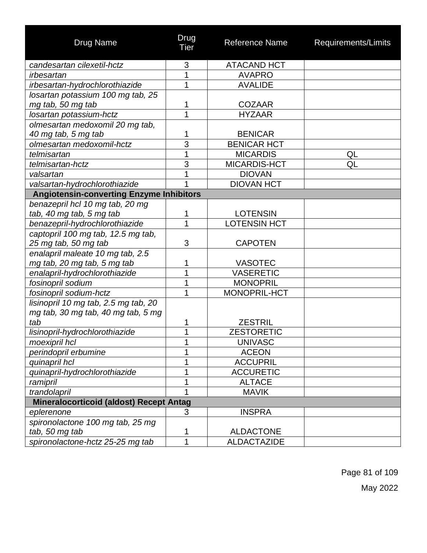| Drug Name                                       | Drug<br>Tier   | <b>Reference Name</b> | Requirements/Limits |
|-------------------------------------------------|----------------|-----------------------|---------------------|
| candesartan cilexetil-hctz                      | 3              | <b>ATACAND HCT</b>    |                     |
| irbesartan                                      | 1              | <b>AVAPRO</b>         |                     |
| irbesartan-hydrochlorothiazide                  | 1              | <b>AVALIDE</b>        |                     |
| losartan potassium 100 mg tab, 25               |                |                       |                     |
| mg tab, 50 mg tab                               | 1              | <b>COZAAR</b>         |                     |
| losartan potassium-hctz                         | $\overline{1}$ | <b>HYZAAR</b>         |                     |
| olmesartan medoxomil 20 mg tab,                 |                |                       |                     |
| 40 mg tab, 5 mg tab                             | 1              | <b>BENICAR</b>        |                     |
| olmesartan medoxomil-hctz                       | 3              | <b>BENICAR HCT</b>    |                     |
| telmisartan                                     | 1              | <b>MICARDIS</b>       | QL                  |
| telmisartan-hctz                                | 3              | MICARDIS-HCT          | QL                  |
| valsartan                                       | 1              | <b>DIOVAN</b>         |                     |
| valsartan-hydrochlorothiazide                   | 1              | <b>DIOVAN HCT</b>     |                     |
| <b>Angiotensin-converting Enzyme Inhibitors</b> |                |                       |                     |
| benazepril hcl 10 mg tab, 20 mg                 |                |                       |                     |
| tab, 40 mg tab, 5 mg tab                        | 1              | <b>LOTENSIN</b>       |                     |
| benazepril-hydrochlorothiazide                  | 1              | <b>LOTENSIN HCT</b>   |                     |
| captopril 100 mg tab, 12.5 mg tab,              |                |                       |                     |
| 25 mg tab, 50 mg tab                            | 3              | <b>CAPOTEN</b>        |                     |
| enalapril maleate 10 mg tab, 2.5                |                |                       |                     |
| mg tab, 20 mg tab, 5 mg tab                     | 1              | <b>VASOTEC</b>        |                     |
| enalapril-hydrochlorothiazide                   | 1              | <b>VASERETIC</b>      |                     |
| fosinopril sodium                               | 1              | <b>MONOPRIL</b>       |                     |
| fosinopril sodium-hctz                          | 1              | MONOPRIL-HCT          |                     |
| lisinopril 10 mg tab, 2.5 mg tab, 20            |                |                       |                     |
| mg tab, 30 mg tab, 40 mg tab, 5 mg              |                |                       |                     |
| tab                                             | 1              | <b>ZESTRIL</b>        |                     |
| lisinopril-hydrochlorothiazide                  | 1              | <b>ZESTORETIC</b>     |                     |
| moexipril hcl                                   |                | <b>UNIVASC</b>        |                     |
| perindopril erbumine                            | 1              | <b>ACEON</b>          |                     |
| quinapril hcl                                   | 1              | <b>ACCUPRIL</b>       |                     |
| quinapril-hydrochlorothiazide                   | 1              | <b>ACCURETIC</b>      |                     |
| ramipril                                        | 1              | <b>ALTACE</b>         |                     |
| trandolapril                                    |                | <b>MAVIK</b>          |                     |
| <b>Mineralocorticoid (aldost) Recept Antag</b>  |                |                       |                     |
| eplerenone                                      | 3              | <b>INSPRA</b>         |                     |
| spironolactone 100 mg tab, 25 mg                |                |                       |                     |
| tab, 50 mg tab                                  | 1              | <b>ALDACTONE</b>      |                     |
| spironolactone-hctz 25-25 mg tab                | 1              | <b>ALDACTAZIDE</b>    |                     |

Page 81 of 109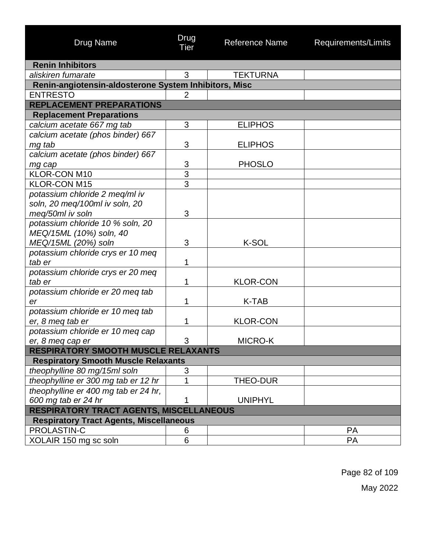| <b>Drug Name</b>                                      | Drug<br>Tier   | <b>Reference Name</b> | Requirements/Limits |
|-------------------------------------------------------|----------------|-----------------------|---------------------|
| <b>Renin Inhibitors</b>                               |                |                       |                     |
| aliskiren fumarate                                    | 3              | <b>TEKTURNA</b>       |                     |
| Renin-angiotensin-aldosterone System Inhibitors, Misc |                |                       |                     |
| <b>ENTRESTO</b>                                       | $\overline{2}$ |                       |                     |
| <b>REPLACEMENT PREPARATIONS</b>                       |                |                       |                     |
| <b>Replacement Preparations</b>                       |                |                       |                     |
| calcium acetate 667 mg tab                            | 3              | <b>ELIPHOS</b>        |                     |
| calcium acetate (phos binder) 667                     |                |                       |                     |
| mg tab                                                | 3              | <b>ELIPHOS</b>        |                     |
| calcium acetate (phos binder) 667                     |                |                       |                     |
| mg cap                                                | 3              | <b>PHOSLO</b>         |                     |
| KLOR-CON M10                                          | 3              |                       |                     |
| <b>KLOR-CON M15</b>                                   | $\overline{3}$ |                       |                     |
| potassium chloride 2 meg/ml iv                        |                |                       |                     |
| soln, 20 meg/100ml iv soln, 20                        |                |                       |                     |
| meq/50ml iv soln                                      | 3              |                       |                     |
| potassium chloride 10 % soln, 20                      |                |                       |                     |
| MEQ/15ML (10%) soln, 40                               |                |                       |                     |
| MEQ/15ML (20%) soln                                   | 3              | K-SOL                 |                     |
| potassium chloride crys er 10 meg                     |                |                       |                     |
| tab er                                                | 1              |                       |                     |
| potassium chloride crys er 20 meq                     |                |                       |                     |
| tab er                                                | 1              | <b>KLOR-CON</b>       |                     |
| potassium chloride er 20 meg tab                      |                |                       |                     |
| er                                                    | 1              | K-TAB                 |                     |
| potassium chloride er 10 meg tab                      |                |                       |                     |
| er, 8 meg tab er                                      | 1              | <b>KLOR-CON</b>       |                     |
| potassium chloride er 10 meg cap                      |                |                       |                     |
| er, 8 meq cap er                                      | 3              | MICRO-K               |                     |
| <b>RESPIRATORY SMOOTH MUSCLE RELAXANTS</b>            |                |                       |                     |
| <b>Respiratory Smooth Muscle Relaxants</b>            |                |                       |                     |
| theophylline 80 mg/15ml soln                          | 3              |                       |                     |
| theophylline er 300 mg tab er 12 hr                   | 1              | THEO-DUR              |                     |
| theophylline er 400 mg tab er 24 hr,                  |                |                       |                     |
| 600 mg tab er 24 hr                                   |                | <b>UNIPHYL</b>        |                     |
| RESPIRATORY TRACT AGENTS, MISCELLANEOUS               |                |                       |                     |
| <b>Respiratory Tract Agents, Miscellaneous</b>        |                |                       |                     |
| <b>PROLASTIN-C</b>                                    | 6              |                       | <b>PA</b>           |
| XOLAIR 150 mg sc soln                                 | 6              |                       | PA                  |

Page 82 of 109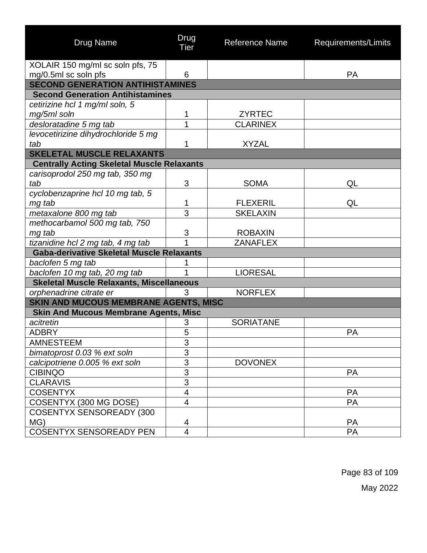| <b>Drug Name</b>                                  | Drug<br>Tier            | <b>Reference Name</b> | Requirements/Limits |
|---------------------------------------------------|-------------------------|-----------------------|---------------------|
| XOLAIR 150 mg/ml sc soln pfs, 75                  |                         |                       |                     |
| mg/0.5ml sc soln pfs                              | 6                       |                       | <b>PA</b>           |
| <b>SECOND GENERATION ANTIHISTAMINES</b>           |                         |                       |                     |
| <b>Second Generation Antihistamines</b>           |                         |                       |                     |
| cetirizine hcl 1 mg/ml soln, 5                    |                         |                       |                     |
| mg/5ml soln                                       | 1                       | <b>ZYRTEC</b>         |                     |
| desloratadine 5 mg tab                            | 1                       | <b>CLARINEX</b>       |                     |
| levocetirizine dihydrochloride 5 mg               |                         |                       |                     |
| tab                                               | 1                       | <b>XYZAL</b>          |                     |
| <b>SKELETAL MUSCLE RELAXANTS</b>                  |                         |                       |                     |
| <b>Centrally Acting Skeletal Muscle Relaxants</b> |                         |                       |                     |
| carisoprodol 250 mg tab, 350 mg                   |                         |                       |                     |
| tab                                               | 3                       | <b>SOMA</b>           | QL                  |
| cyclobenzaprine hcl 10 mg tab, 5                  |                         |                       |                     |
| mg tab                                            | 1                       | <b>FLEXERIL</b>       | QL                  |
| metaxalone 800 mg tab                             | $\overline{3}$          | <b>SKELAXIN</b>       |                     |
| methocarbamol 500 mg tab, 750                     |                         |                       |                     |
| mg tab                                            | 3                       | <b>ROBAXIN</b>        |                     |
| tizanidine hcl 2 mg tab, 4 mg tab                 | 1                       | <b>ZANAFLEX</b>       |                     |
| <b>Gaba-derivative Skeletal Muscle Relaxants</b>  |                         |                       |                     |
| baclofen 5 mg tab                                 |                         |                       |                     |
| baclofen 10 mg tab, 20 mg tab                     | 1                       | <b>LIORESAL</b>       |                     |
| <b>Skeletal Muscle Relaxants, Miscellaneous</b>   |                         |                       |                     |
| orphenadrine citrate er                           | 3                       | <b>NORFLEX</b>        |                     |
| <b>SKIN AND MUCOUS MEMBRANE AGENTS, MISC</b>      |                         |                       |                     |
| <b>Skin And Mucous Membrane Agents, Misc</b>      |                         |                       |                     |
| acitretin                                         | 3                       | <b>SORIATANE</b>      |                     |
| <b>ADBRY</b>                                      | 5                       |                       | PA                  |
| <b>AMNESTEEM</b>                                  | 3                       |                       |                     |
| bimatoprost 0.03 % ext soln                       | 3                       |                       |                     |
| calcipotriene 0.005 % ext soln                    | $\overline{3}$          | <b>DOVONEX</b>        |                     |
| <b>CIBINQO</b>                                    | $\overline{3}$          |                       | <b>PA</b>           |
| <b>CLARAVIS</b>                                   | $\overline{3}$          |                       |                     |
| <b>COSENTYX</b>                                   | $\overline{\mathbf{4}}$ |                       | <b>PA</b>           |
| COSENTYX (300 MG DOSE)                            | $\overline{\mathbf{4}}$ |                       | PA                  |
| <b>COSENTYX SENSOREADY (300</b>                   |                         |                       |                     |
| MG)                                               | 4                       |                       | PA                  |
| <b>COSENTYX SENSOREADY PEN</b>                    | 4                       |                       | PA                  |

Page 83 of 109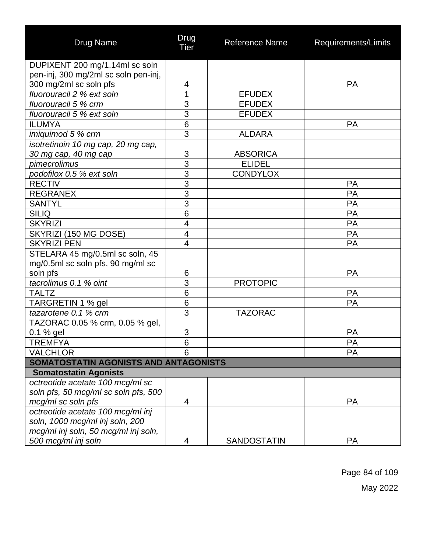| <b>Drug Name</b>                      | Drug<br>Tier             | Reference Name  | Requirements/Limits |
|---------------------------------------|--------------------------|-----------------|---------------------|
| DUPIXENT 200 mg/1.14ml sc soln        |                          |                 |                     |
| pen-inj, 300 mg/2ml sc soln pen-inj,  |                          |                 |                     |
| 300 mg/2ml sc soln pfs                | 4                        |                 | <b>PA</b>           |
| fluorouracil 2 % ext soln             | 1                        | <b>EFUDEX</b>   |                     |
| fluorouracil 5 % crm                  | 3                        | <b>EFUDEX</b>   |                     |
| fluorouracil 5 % ext soln             | $\overline{3}$           | <b>EFUDEX</b>   |                     |
| <b>ILUMYA</b>                         | $6\phantom{1}6$          |                 | <b>PA</b>           |
| imiquimod 5 % crm                     | 3                        | <b>ALDARA</b>   |                     |
| isotretinoin 10 mg cap, 20 mg cap,    |                          |                 |                     |
| 30 mg cap, 40 mg cap                  | 3                        | <b>ABSORICA</b> |                     |
| pimecrolimus                          | $\overline{3}$           | <b>ELIDEL</b>   |                     |
| podofilox 0.5 % ext soln              | $\overline{3}$           | <b>CONDYLOX</b> |                     |
| <b>RECTIV</b>                         | $\overline{3}$           |                 | PA                  |
| <b>REGRANEX</b>                       | $\overline{3}$           |                 | PA                  |
| <b>SANTYL</b>                         | $\overline{3}$           |                 | <b>PA</b>           |
| <b>SILIQ</b>                          | $6\phantom{1}6$          |                 | PA                  |
| <b>SKYRIZI</b>                        | 4                        |                 | <b>PA</b>           |
| SKYRIZI (150 MG DOSE)                 | $\overline{\mathcal{A}}$ |                 | <b>PA</b>           |
| <b>SKYRIZI PEN</b>                    | 4                        |                 | <b>PA</b>           |
| STELARA 45 mg/0.5ml sc soln, 45       |                          |                 |                     |
| mg/0.5ml sc soln pfs, 90 mg/ml sc     |                          |                 |                     |
| soln pfs                              | 6                        |                 | <b>PA</b>           |
| tacrolimus 0.1 % oint                 | 3                        | <b>PROTOPIC</b> |                     |
| <b>TALTZ</b>                          | 6                        |                 | <b>PA</b>           |
| TARGRETIN 1 % gel                     | 6                        |                 | PA                  |
| tazarotene 0.1 % crm                  | 3                        | <b>TAZORAC</b>  |                     |
| TAZORAC 0.05 % crm, 0.05 % gel,       |                          |                 |                     |
| 0.1 % gel                             | 3                        |                 | PA                  |
| <b>TREMFYA</b>                        | 6                        |                 | PA                  |
| <b>VALCHLOR</b>                       | 6                        |                 | <b>PA</b>           |
| SOMATOSTATIN AGONISTS AND ANTAGONISTS |                          |                 |                     |
| <b>Somatostatin Agonists</b>          |                          |                 |                     |
| octreotide acetate 100 mcg/ml sc      |                          |                 |                     |
| soln pfs, 50 mcq/ml sc soln pfs, 500  |                          |                 |                     |
| mcg/ml sc soln pfs                    | 4                        |                 | <b>PA</b>           |
| octreotide acetate 100 mcg/ml inj     |                          |                 |                     |
| soln, 1000 mcg/ml inj soln, 200       |                          |                 |                     |
| mcg/ml inj soln, 50 mcg/ml inj soln,  |                          |                 |                     |
| 500 mcg/ml inj soln                   | 4                        | SANDOSTATIN     | PA                  |

Page 84 of 109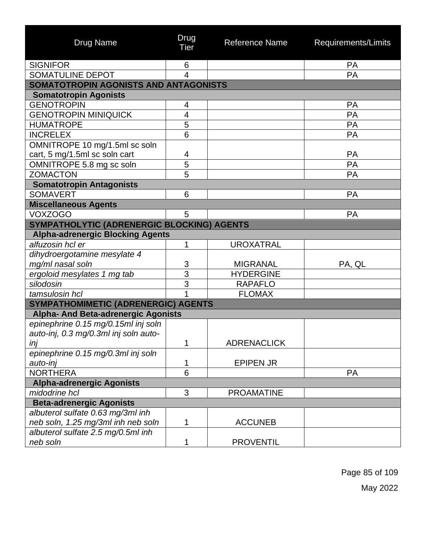| <b>Drug Name</b>                           | Drug<br><b>Tier</b> | <b>Reference Name</b> | Requirements/Limits |
|--------------------------------------------|---------------------|-----------------------|---------------------|
| <b>SIGNIFOR</b>                            | 6                   |                       | PA                  |
| SOMATULINE DEPOT                           | 4                   |                       | PA                  |
| SOMATOTROPIN AGONISTS AND ANTAGONISTS      |                     |                       |                     |
| <b>Somatotropin Agonists</b>               |                     |                       |                     |
| <b>GENOTROPIN</b>                          | 4                   |                       | <b>PA</b>           |
| <b>GENOTROPIN MINIQUICK</b>                | 4                   |                       | PA                  |
| <b>HUMATROPE</b>                           | 5                   |                       | PA                  |
| <b>INCRELEX</b>                            | 6                   |                       | PA                  |
| OMNITROPE 10 mg/1.5ml sc soln              |                     |                       |                     |
| cart, 5 mg/1.5ml sc soln cart              | 4                   |                       | PA                  |
| OMNITROPE 5.8 mg sc soln                   | 5                   |                       | PA                  |
| <b>ZOMACTON</b>                            | 5                   |                       | PA                  |
| <b>Somatotropin Antagonists</b>            |                     |                       |                     |
| <b>SOMAVERT</b>                            | 6                   |                       | <b>PA</b>           |
| <b>Miscellaneous Agents</b>                |                     |                       |                     |
| <b>VOXZOGO</b>                             | 5                   |                       | <b>PA</b>           |
| SYMPATHOLYTIC (ADRENERGIC BLOCKING) AGENTS |                     |                       |                     |
| <b>Alpha-adrenergic Blocking Agents</b>    |                     |                       |                     |
| alfuzosin hcl er                           | 1                   | <b>UROXATRAL</b>      |                     |
| dihydroergotamine mesylate 4               |                     |                       |                     |
| mg/ml nasal soln                           | 3                   | <b>MIGRANAL</b>       | PA, QL              |
| ergoloid mesylates 1 mg tab                | 3                   | <b>HYDERGINE</b>      |                     |
| silodosin                                  | $\overline{3}$      | <b>RAPAFLO</b>        |                     |
| tamsulosin hcl                             |                     | <b>FLOMAX</b>         |                     |
| SYMPATHOMIMETIC (ADRENERGIC) AGENTS        |                     |                       |                     |
| <b>Alpha- And Beta-adrenergic Agonists</b> |                     |                       |                     |
| epinephrine 0.15 mg/0.15ml inj soln        |                     |                       |                     |
| auto-inj, 0.3 mg/0.3ml inj soln auto-      |                     |                       |                     |
| inj                                        | $\overline{A}$      | <b>ADRENACLICK</b>    |                     |
| epinephrine 0.15 mg/0.3ml inj soln         |                     |                       |                     |
| auto-inj                                   | 1                   | <b>EPIPEN JR</b>      |                     |
| <b>NORTHERA</b>                            | $\overline{6}$      |                       | <b>PA</b>           |
| <b>Alpha-adrenergic Agonists</b>           |                     |                       |                     |
| midodrine hcl                              | 3                   | <b>PROAMATINE</b>     |                     |
| <b>Beta-adrenergic Agonists</b>            |                     |                       |                     |
| albuterol sulfate 0.63 mg/3ml inh          |                     |                       |                     |
| neb soln, 1.25 mg/3ml inh neb soln         | 1                   | <b>ACCUNEB</b>        |                     |
| albuterol sulfate 2.5 mg/0.5ml inh         |                     |                       |                     |
| neb soln                                   | 1                   | <b>PROVENTIL</b>      |                     |

Page 85 of 109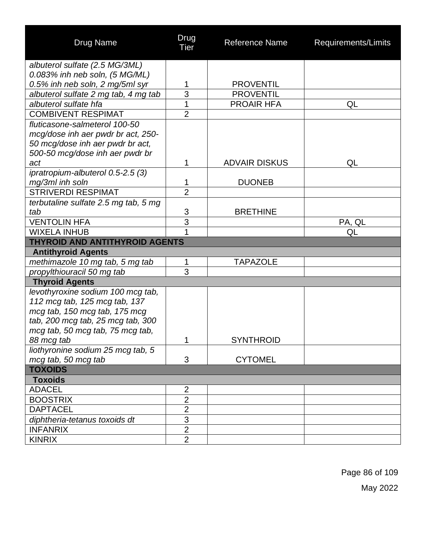| <b>Drug Name</b>                            | Drug<br>Tier   | <b>Reference Name</b> | Requirements/Limits |
|---------------------------------------------|----------------|-----------------------|---------------------|
| albuterol sulfate (2.5 MG/3ML)              |                |                       |                     |
| $0.083\%$ inh neb soln, $(5 \text{ MG/ML})$ |                |                       |                     |
| 0.5% inh neb soln, 2 mg/5ml syr             | 1              | <b>PROVENTIL</b>      |                     |
| albuterol sulfate 2 mg tab, 4 mg tab        | 3              | <b>PROVENTIL</b>      |                     |
| albuterol sulfate hfa                       | $\overline{1}$ | <b>PROAIR HFA</b>     | QL                  |
| <b>COMBIVENT RESPIMAT</b>                   | $\overline{2}$ |                       |                     |
| fluticasone-salmeterol 100-50               |                |                       |                     |
| mcg/dose inh aer pwdr br act, 250-          |                |                       |                     |
| 50 mcg/dose inh aer pwdr br act,            |                |                       |                     |
| 500-50 mcg/dose inh aer pwdr br             |                |                       |                     |
| act                                         | 1              | <b>ADVAIR DISKUS</b>  | QL                  |
| ipratropium-albuterol 0.5-2.5 (3)           |                |                       |                     |
| mg/3ml inh soln                             | 1              | <b>DUONEB</b>         |                     |
| <b>STRIVERDI RESPIMAT</b>                   | $\overline{2}$ |                       |                     |
| terbutaline sulfate 2.5 mg tab, 5 mg        |                |                       |                     |
| tab                                         | 3              | <b>BRETHINE</b>       |                     |
| <b>VENTOLIN HFA</b>                         | $\overline{3}$ |                       | PA, QL              |
| <b>WIXELA INHUB</b>                         | 1              |                       | QL                  |
| <b>THYROID AND ANTITHYROID AGENTS</b>       |                |                       |                     |
| <b>Antithyroid Agents</b>                   |                |                       |                     |
| methimazole 10 mg tab, 5 mg tab             | 1              | TAPAZOLE              |                     |
| propylthiouracil 50 mg tab                  | $\overline{3}$ |                       |                     |
| <b>Thyroid Agents</b>                       |                |                       |                     |
| levothyroxine sodium 100 mcg tab,           |                |                       |                     |
| 112 mcg tab, 125 mcg tab, 137               |                |                       |                     |
| mcg tab, 150 mcg tab, 175 mcg               |                |                       |                     |
| tab, 200 mcg tab, 25 mcg tab, 300           |                |                       |                     |
| mcg tab, 50 mcg tab, 75 mcg tab,            |                |                       |                     |
| 88 mcg tab                                  | 1              | <b>SYNTHROID</b>      |                     |
| liothyronine sodium 25 mcg tab, 5           |                |                       |                     |
| mcg tab, 50 mcg tab                         | 3              | <b>CYTOMEL</b>        |                     |
| <b>TOXOIDS</b>                              |                |                       |                     |
| <b>Toxoids</b>                              |                |                       |                     |
| <b>ADACEL</b>                               | $\overline{2}$ |                       |                     |
| <b>BOOSTRIX</b>                             | $\overline{2}$ |                       |                     |
| <b>DAPTACEL</b>                             | $\overline{2}$ |                       |                     |
| diphtheria-tetanus toxoids dt               | 3              |                       |                     |
| <b>INFANRIX</b>                             | $\overline{2}$ |                       |                     |
| <b>KINRIX</b>                               | $\overline{2}$ |                       |                     |

Page 86 of 109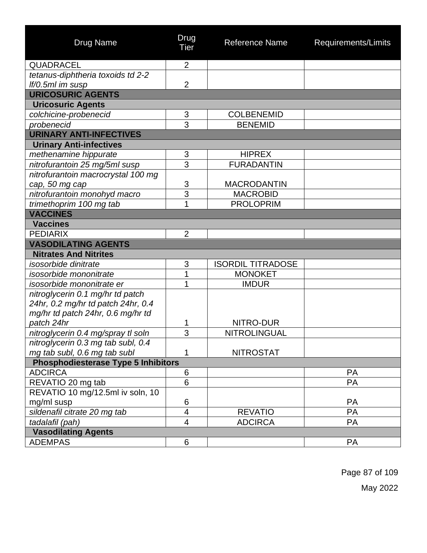| <b>Drug Name</b>                                             | Drug<br><b>Tier</b>     | <b>Reference Name</b>    | Requirements/Limits |
|--------------------------------------------------------------|-------------------------|--------------------------|---------------------|
| <b>QUADRACEL</b>                                             | $\overline{2}$          |                          |                     |
| tetanus-diphtheria toxoids td 2-2                            |                         |                          |                     |
| If/0.5ml im susp                                             | $\overline{2}$          |                          |                     |
| <b>URICOSURIC AGENTS</b>                                     |                         |                          |                     |
| <b>Uricosuric Agents</b>                                     |                         |                          |                     |
| colchicine-probenecid                                        | 3                       | <b>COLBENEMID</b>        |                     |
| probenecid                                                   | $\overline{3}$          | <b>BENEMID</b>           |                     |
| <b>URINARY ANTI-INFECTIVES</b>                               |                         |                          |                     |
| <b>Urinary Anti-infectives</b>                               |                         |                          |                     |
| methenamine hippurate                                        | 3                       | <b>HIPREX</b>            |                     |
| nitrofurantoin 25 mg/5ml susp                                | 3                       | <b>FURADANTIN</b>        |                     |
| nitrofurantoin macrocrystal 100 mg                           |                         |                          |                     |
| cap, 50 mg cap                                               | 3                       | <b>MACRODANTIN</b>       |                     |
| nitrofurantoin monohyd macro                                 | $\overline{3}$          | <b>MACROBID</b>          |                     |
| trimethoprim 100 mg tab                                      | 1                       | <b>PROLOPRIM</b>         |                     |
| <b>VACCINES</b>                                              |                         |                          |                     |
| <b>Vaccines</b>                                              |                         |                          |                     |
| <b>PEDIARIX</b>                                              | $\overline{2}$          |                          |                     |
| <b>VASODILATING AGENTS</b>                                   |                         |                          |                     |
| <b>Nitrates And Nitrites</b>                                 |                         |                          |                     |
| <i>isosorbide dinitrate</i>                                  | 3                       | <b>ISORDIL TITRADOSE</b> |                     |
| isosorbide mononitrate                                       | 1                       | <b>MONOKET</b>           |                     |
| isosorbide mononitrate er                                    | 1                       | <b>IMDUR</b>             |                     |
| nitroglycerin 0.1 mg/hr td patch                             |                         |                          |                     |
| 24hr, 0.2 mg/hr td patch 24hr, 0.4                           |                         |                          |                     |
| mg/hr td patch 24hr, 0.6 mg/hr td                            |                         |                          |                     |
| patch 24hr                                                   | 1                       | NITRO-DUR                |                     |
| nitroglycerin 0.4 mg/spray tl soln                           | 3                       | <b>NITROLINGUAL</b>      |                     |
| nitroglycerin 0.3 mg tab subl, 0.4                           |                         |                          |                     |
| mg tab subl, 0.6 mg tab subl                                 | 1                       | <b>NITROSTAT</b>         |                     |
| <b>Phosphodiesterase Type 5 Inhibitors</b><br><b>ADCIRCA</b> | 6                       |                          | <b>PA</b>           |
|                                                              | 6                       |                          | <b>PA</b>           |
| REVATIO 20 mg tab<br>REVATIO 10 mg/12.5ml iv soln, 10        |                         |                          |                     |
| mg/ml susp                                                   | 6                       |                          | <b>PA</b>           |
| sildenafil citrate 20 mg tab                                 | $\overline{\mathbf{4}}$ | <b>REVATIO</b>           | PA                  |
| tadalafil (pah)                                              | $\overline{\mathbf{4}}$ | <b>ADCIRCA</b>           | <b>PA</b>           |
| <b>Vasodilating Agents</b>                                   |                         |                          |                     |
| <b>ADEMPAS</b>                                               | 6                       |                          | <b>PA</b>           |
|                                                              |                         |                          |                     |

Page 87 of 109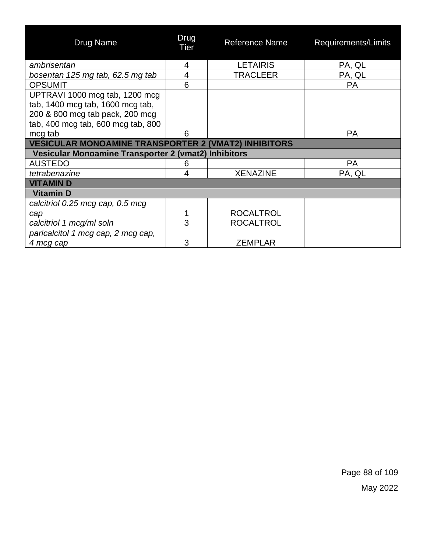| Drug Name                                                          | Drug<br>Tier | <b>Reference Name</b> | Requirements/Limits |
|--------------------------------------------------------------------|--------------|-----------------------|---------------------|
| ambrisentan                                                        | 4            | <b>LETAIRIS</b>       | PA, QL              |
| bosentan 125 mg tab, 62.5 mg tab                                   | 4            | <b>TRACLEER</b>       | PA, QL              |
| <b>OPSUMIT</b>                                                     | 6            |                       | <b>PA</b>           |
| UPTRAVI 1000 mcg tab, 1200 mcg<br>tab, 1400 mcg tab, 1600 mcg tab, |              |                       |                     |
| 200 & 800 mcg tab pack, 200 mcg                                    |              |                       |                     |
| tab, 400 mcg tab, 600 mcg tab, 800                                 |              |                       |                     |
| mcg tab                                                            | 6            |                       | <b>PA</b>           |
| <b>VESICULAR MONOAMINE TRANSPORTER 2 (VMAT2) INHIBITORS</b>        |              |                       |                     |
| Vesicular Monoamine Transporter 2 (vmat2) Inhibitors               |              |                       |                     |
| <b>AUSTEDO</b>                                                     | 6            |                       | <b>PA</b>           |
| tetrabenazine                                                      | 4            | <b>XENAZINE</b>       | PA, QL              |
| <b>VITAMIND</b>                                                    |              |                       |                     |
| <b>Vitamin D</b>                                                   |              |                       |                     |
| calcitriol 0.25 mcg cap, 0.5 mcg                                   |              |                       |                     |
| cap                                                                |              | <b>ROCALTROL</b>      |                     |
| calcitriol 1 mcg/ml soln                                           | 3            | <b>ROCALTROL</b>      |                     |
| paricalcitol 1 mcg cap, 2 mcg cap,                                 |              |                       |                     |
| 4 mcg cap                                                          | 3            | <b>ZEMPLAR</b>        |                     |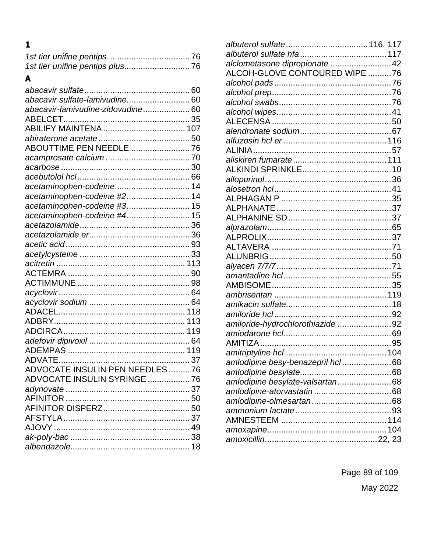# $\mathbf{1}$

## $\blacktriangle$

| abacavir sulfate-lamivudine 60          |  |
|-----------------------------------------|--|
| abacavir-lamivudine-zidovudine 60       |  |
|                                         |  |
| ABILIFY MAINTENA  107                   |  |
|                                         |  |
| ABOUTTIME PEN NEEDLE  76                |  |
|                                         |  |
|                                         |  |
|                                         |  |
| acetaminophen-codeine 14                |  |
| acetaminophen-codeine #2 14             |  |
| acetaminophen-codeine #3 15             |  |
| acetaminophen-codeine #4 15             |  |
|                                         |  |
|                                         |  |
|                                         |  |
|                                         |  |
|                                         |  |
|                                         |  |
|                                         |  |
|                                         |  |
|                                         |  |
|                                         |  |
|                                         |  |
|                                         |  |
|                                         |  |
|                                         |  |
|                                         |  |
| <b>ADVOCATE INSULIN PEN NEEDLES  76</b> |  |
| ADVOCATE INSULIN SYRINGE  76            |  |
|                                         |  |
|                                         |  |
|                                         |  |
|                                         |  |
|                                         |  |
|                                         |  |
|                                         |  |
|                                         |  |

| alclometasone dipropionate  42   |
|----------------------------------|
| ALCOH-GLOVE CONTOURED WIPE 76    |
|                                  |
|                                  |
|                                  |
|                                  |
|                                  |
|                                  |
|                                  |
|                                  |
|                                  |
|                                  |
|                                  |
|                                  |
|                                  |
|                                  |
|                                  |
|                                  |
|                                  |
|                                  |
|                                  |
|                                  |
|                                  |
|                                  |
|                                  |
|                                  |
|                                  |
| amiloride-hydrochlorothiazide 92 |
|                                  |
|                                  |
|                                  |
| amlodipine besy-benazepril hcl68 |
|                                  |
| amlodipine besylate-valsartan68  |
|                                  |
|                                  |
|                                  |
|                                  |
|                                  |
|                                  |
|                                  |

Page 89 of 109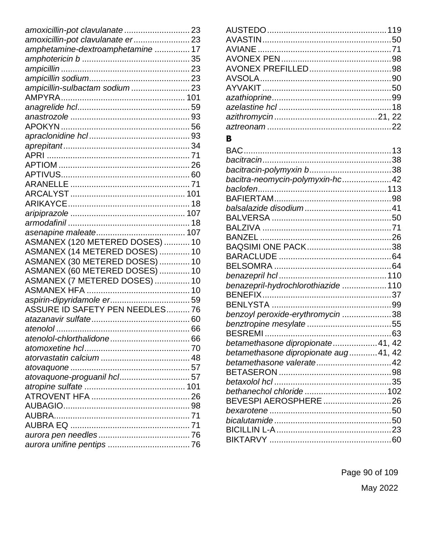| amoxicillin-pot clavulanate 23    |  |
|-----------------------------------|--|
| amoxicillin-pot clavulanate er 23 |  |
| amphetamine-dextroamphetamine  17 |  |
|                                   |  |
|                                   |  |
|                                   |  |
| ampicillin-sulbactam sodium 23    |  |
|                                   |  |
|                                   |  |
|                                   |  |
|                                   |  |
|                                   |  |
|                                   |  |
|                                   |  |
|                                   |  |
|                                   |  |
|                                   |  |
|                                   |  |
|                                   |  |
|                                   |  |
|                                   |  |
|                                   |  |
| ASMANEX (120 METERED DOSES)  10   |  |
| ASMANEX (14 METERED DOSES)  10    |  |
| ASMANEX (30 METERED DOSES)  10    |  |
| ASMANEX (60 METERED DOSES)  10    |  |
| ASMANEX (7 METERED DOSES)  10     |  |
|                                   |  |
|                                   |  |
| ASSURE ID SAFETY PEN NEEDLES 76   |  |
|                                   |  |
|                                   |  |
|                                   |  |
|                                   |  |
|                                   |  |
|                                   |  |
| atovaquone-proguanil hcl 57       |  |
|                                   |  |
|                                   |  |
|                                   |  |
|                                   |  |
|                                   |  |
|                                   |  |
|                                   |  |
|                                   |  |

### $\mathbf{B}$

| bacitra-neomycin-polymyxin-hc42       |  |
|---------------------------------------|--|
|                                       |  |
|                                       |  |
|                                       |  |
|                                       |  |
|                                       |  |
|                                       |  |
|                                       |  |
|                                       |  |
|                                       |  |
|                                       |  |
| benazepril-hydrochlorothiazide  110   |  |
|                                       |  |
|                                       |  |
| benzoyl peroxide-erythromycin 38      |  |
|                                       |  |
|                                       |  |
| betamethasone dipropionate41, 42      |  |
| betamethasone dipropionate aug 41, 42 |  |
|                                       |  |
|                                       |  |
|                                       |  |
|                                       |  |
| BEVESPI AEROSPHERE 26                 |  |
|                                       |  |
|                                       |  |
|                                       |  |
|                                       |  |

Page 90 of 109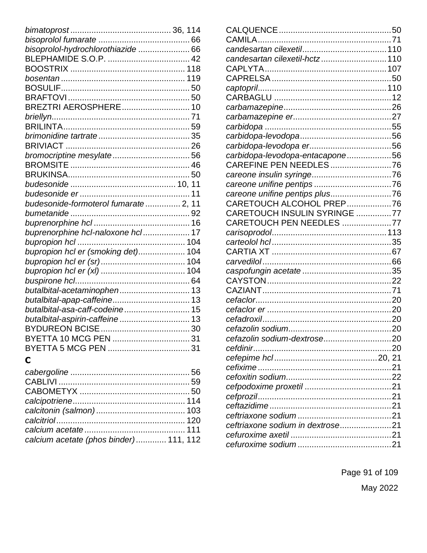| bisoprolol-hydrochlorothiazide  66   |  |
|--------------------------------------|--|
|                                      |  |
|                                      |  |
|                                      |  |
|                                      |  |
|                                      |  |
| BREZTRI AEROSPHERE 10                |  |
|                                      |  |
|                                      |  |
|                                      |  |
|                                      |  |
| bromocriptine mesylate 56            |  |
|                                      |  |
|                                      |  |
|                                      |  |
|                                      |  |
| budesonide-formoterol fumarate 2, 11 |  |
|                                      |  |
|                                      |  |
| buprenorphine hcl-naloxone hcl 17    |  |
|                                      |  |
| bupropion hcl er (smoking det) 104   |  |
|                                      |  |
|                                      |  |
|                                      |  |
| butalbital-acetaminophen 13          |  |
|                                      |  |
| butalbital-asa-caff-codeine 15       |  |
| butalbital-aspirin-caffeine 13       |  |
|                                      |  |
| BYETTA 10 MCG PEN  31                |  |
|                                      |  |

# $\mathbf C$

| calcium acetate (phos binder) 111, 112 |  |
|----------------------------------------|--|

| candesartan cilexetil-hctz 110   |  |
|----------------------------------|--|
|                                  |  |
|                                  |  |
|                                  |  |
|                                  |  |
|                                  |  |
|                                  |  |
|                                  |  |
|                                  |  |
|                                  |  |
| carbidopa-levodopa-entacapone56  |  |
| CAREFINE PEN NEEDLES76           |  |
|                                  |  |
|                                  |  |
|                                  |  |
| CARETOUCH ALCOHOL PREP76         |  |
| CARETOUCH INSULIN SYRINGE 77     |  |
| CARETOUCH PEN NEEDLES 77         |  |
|                                  |  |
|                                  |  |
|                                  |  |
|                                  |  |
|                                  |  |
|                                  |  |
|                                  |  |
|                                  |  |
|                                  |  |
|                                  |  |
|                                  |  |
|                                  |  |
|                                  |  |
|                                  |  |
|                                  |  |
|                                  |  |
|                                  |  |
|                                  |  |
|                                  |  |
|                                  |  |
| ceftriaxone sodium in dextrose21 |  |
|                                  |  |
|                                  |  |
|                                  |  |

Page 91 of 109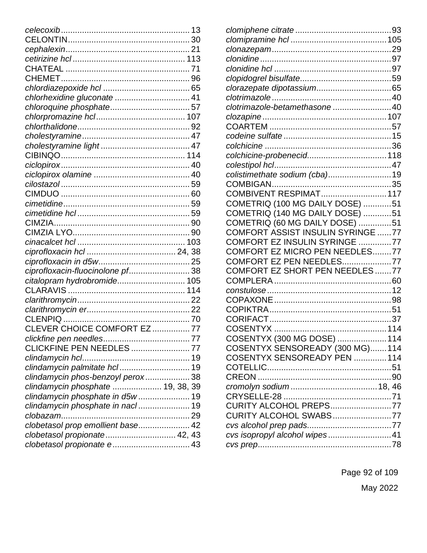| chlorhexidine gluconate  41       |  |
|-----------------------------------|--|
|                                   |  |
|                                   |  |
|                                   |  |
|                                   |  |
|                                   |  |
|                                   |  |
|                                   |  |
|                                   |  |
|                                   |  |
|                                   |  |
|                                   |  |
|                                   |  |
|                                   |  |
|                                   |  |
|                                   |  |
|                                   |  |
|                                   |  |
| ciprofloxacin-fluocinolone pf 38  |  |
| citalopram hydrobromide 105       |  |
|                                   |  |
|                                   |  |
|                                   |  |
|                                   |  |
| CLEVER CHOICE COMFORT EZ  77      |  |
|                                   |  |
| CLICKFINE PEN NEEDLES  77         |  |
|                                   |  |
| clindamycin palmitate hcl 19      |  |
| clindamycin phos-benzoyl perox 38 |  |
| clindamycin phosphate  19, 38, 39 |  |
| clindamycin phosphate in d5w 19   |  |
| clindamycin phosphate in nacl 19  |  |
|                                   |  |
| clobetasol prop emollient base 42 |  |
| clobetasol propionate 42, 43      |  |
| clobetasol propionate e 43        |  |
|                                   |  |

| clotrimazole-betamethasone  40    |  |
|-----------------------------------|--|
|                                   |  |
|                                   |  |
|                                   |  |
|                                   |  |
|                                   |  |
|                                   |  |
| colistimethate sodium (cba)19     |  |
|                                   |  |
|                                   |  |
| COMETRIQ (100 MG DAILY DOSE) 51   |  |
| COMETRIQ (140 MG DAILY DOSE) 51   |  |
| COMETRIQ (60 MG DAILY DOSE) 51    |  |
| COMFORT ASSIST INSULIN SYRINGE 77 |  |
| COMFORT EZ INSULIN SYRINGE 77     |  |
| COMFORT EZ MICRO PEN NEEDLES77    |  |
| COMFORT EZ PEN NEEDLES77          |  |
| COMFORT EZ SHORT PEN NEEDLES 77   |  |
|                                   |  |
|                                   |  |
|                                   |  |
|                                   |  |
|                                   |  |
|                                   |  |
| COSENTYX (300 MG DOSE)  114       |  |
| COSENTYX SENSOREADY (300 MG)114   |  |
| COSENTYX SENSOREADY PEN 114       |  |
|                                   |  |
|                                   |  |
|                                   |  |
|                                   |  |
| CURITY ALCOHOL PREPS77            |  |
| CURITY ALCOHOL SWABS77            |  |
|                                   |  |
| cvs isopropyl alcohol wipes41     |  |
|                                   |  |
|                                   |  |

Page 92 of 109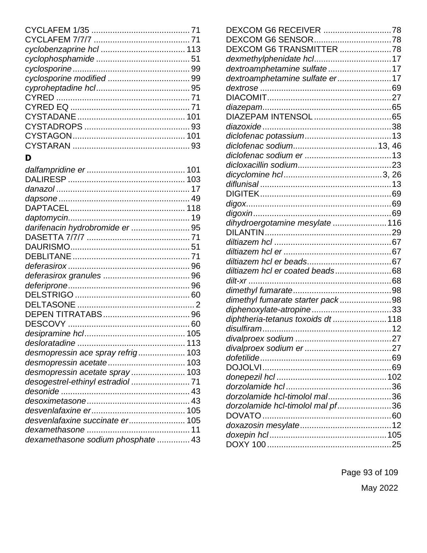# $\mathbf D$

| darifenacin hydrobromide er  95    |  |
|------------------------------------|--|
|                                    |  |
|                                    |  |
|                                    |  |
|                                    |  |
|                                    |  |
|                                    |  |
|                                    |  |
|                                    |  |
|                                    |  |
|                                    |  |
|                                    |  |
|                                    |  |
| desmopressin ace spray refrig 103  |  |
|                                    |  |
| desmopressin acetate spray 103     |  |
|                                    |  |
|                                    |  |
|                                    |  |
|                                    |  |
| desvenlafaxine succinate er 105    |  |
|                                    |  |
| dexamethasone sodium phosphate  43 |  |
|                                    |  |

| DEXCOM G6 TRANSMITTER 78           |  |
|------------------------------------|--|
|                                    |  |
| dextroamphetamine sulfate17        |  |
| dextroamphetamine sulfate er17     |  |
|                                    |  |
|                                    |  |
|                                    |  |
|                                    |  |
|                                    |  |
|                                    |  |
|                                    |  |
|                                    |  |
|                                    |  |
|                                    |  |
|                                    |  |
|                                    |  |
|                                    |  |
|                                    |  |
| dihydroergotamine mesylate  116    |  |
|                                    |  |
|                                    |  |
|                                    |  |
|                                    |  |
| diltiazem hcl er coated beads68    |  |
|                                    |  |
|                                    |  |
| dimethyl fumarate starter pack98   |  |
|                                    |  |
| diphtheria-tetanus toxoids dt  118 |  |
|                                    |  |
| divalproex sodium                  |  |
|                                    |  |
|                                    |  |
|                                    |  |
|                                    |  |
|                                    |  |
| dorzolamide hcl-timolol mal36      |  |
| dorzolamide hcl-timolol mal pf36   |  |
|                                    |  |
|                                    |  |
|                                    |  |
|                                    |  |
|                                    |  |

Page 93 of 109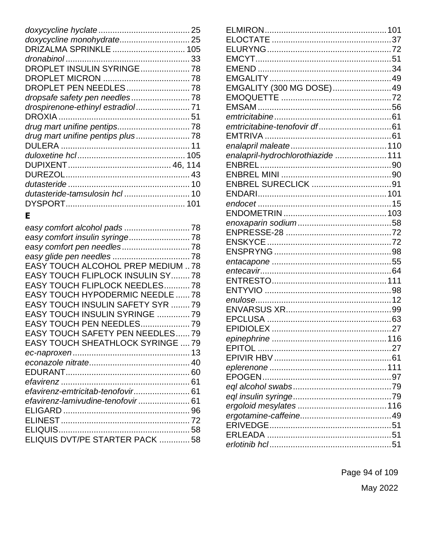| DRIZALMA SPRINKLE  105            |  |
|-----------------------------------|--|
|                                   |  |
| DROPLET INSULIN SYRINGE 78        |  |
|                                   |  |
| DROPLET PEN NEEDLES 78            |  |
|                                   |  |
| drospirenone-ethinyl estradiol 71 |  |
|                                   |  |
|                                   |  |
|                                   |  |
|                                   |  |
|                                   |  |
|                                   |  |
|                                   |  |
|                                   |  |
| dutasteride-tamsulosin hcl  10    |  |
|                                   |  |
|                                   |  |

## $\mathsf E$

| easy comfort insulin syringe 78          |  |
|------------------------------------------|--|
|                                          |  |
|                                          |  |
| <b>EASY TOUCH ALCOHOL PREP MEDIUM 78</b> |  |
| EASY TOUCH FLIPLOCK INSULIN SY 78        |  |
| EASY TOUCH FLIPLOCK NEEDLES78            |  |
| <b>EASY TOUCH HYPODERMIC NEEDLE  78</b>  |  |
| <b>EASY TOUCH INSULIN SAFETY SYR 79</b>  |  |
| EASY TOUCH INSULIN SYRINGE  79           |  |
| EASY TOUCH PEN NEEDLES 79                |  |
| <b>EASY TOUCH SAFETY PEN NEEDLES79</b>   |  |
| <b>EASY TOUCH SHEATHLOCK SYRINGE  79</b> |  |
|                                          |  |
|                                          |  |
|                                          |  |
|                                          |  |
| efavirenz-emtricitab-tenofovir 61        |  |
| efavirenz-lamivudine-tenofovir 61        |  |
|                                          |  |
|                                          |  |
|                                          |  |
| ELIQUIS DVT/PE STARTER PACK  58          |  |

| EMGALITY (300 MG DOSE)49           |  |
|------------------------------------|--|
|                                    |  |
|                                    |  |
|                                    |  |
|                                    |  |
|                                    |  |
|                                    |  |
| enalapril-hydrochlorothiazide  111 |  |
|                                    |  |
|                                    |  |
|                                    |  |
|                                    |  |
|                                    |  |
|                                    |  |
|                                    |  |
|                                    |  |
|                                    |  |
|                                    |  |
|                                    |  |
|                                    |  |
|                                    |  |
|                                    |  |
|                                    |  |
|                                    |  |
|                                    |  |
|                                    |  |
|                                    |  |
|                                    |  |
|                                    |  |
|                                    |  |
|                                    |  |
|                                    |  |
|                                    |  |
|                                    |  |
|                                    |  |
|                                    |  |
|                                    |  |
|                                    |  |

Page 94 of 109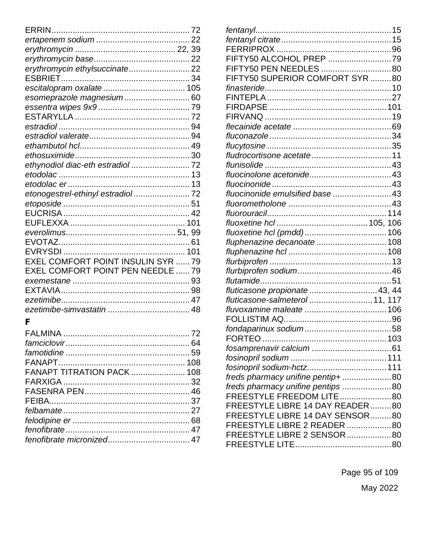| erythromycin ethylsuccinate 22     |  |
|------------------------------------|--|
|                                    |  |
|                                    |  |
| esomeprazole magnesium 60          |  |
|                                    |  |
|                                    |  |
|                                    |  |
|                                    |  |
|                                    |  |
|                                    |  |
| ethynodiol diac-eth estradiol  72  |  |
|                                    |  |
|                                    |  |
| etonogestrel-ethinyl estradiol 72  |  |
|                                    |  |
|                                    |  |
|                                    |  |
|                                    |  |
|                                    |  |
|                                    |  |
| EXEL COMFORT POINT INSULIN SYR  79 |  |
| EXEL COMFORT POINT PEN NEEDLE  79  |  |
|                                    |  |
|                                    |  |
|                                    |  |
|                                    |  |
| F                                  |  |
|                                    |  |
|                                    |  |
|                                    |  |
|                                    |  |
| FANAPT TITRATION PACK 108          |  |
|                                    |  |
|                                    |  |
|                                    |  |
|                                    |  |
|                                    |  |
|                                    |  |
|                                    |  |

| FIFTY50 ALCOHOL PREP 79           |  |
|-----------------------------------|--|
| FIFTY50 PEN NEEDLES 80            |  |
| FIFTY50 SUPERIOR COMFORT SYR 80   |  |
|                                   |  |
|                                   |  |
|                                   |  |
|                                   |  |
|                                   |  |
|                                   |  |
|                                   |  |
|                                   |  |
|                                   |  |
|                                   |  |
|                                   |  |
| fluocinonide emulsified base 43   |  |
|                                   |  |
|                                   |  |
|                                   |  |
|                                   |  |
| fluphenazine decanoate  108       |  |
|                                   |  |
|                                   |  |
|                                   |  |
|                                   |  |
| fluticasone propionate  43, 44    |  |
| fluticasone-salmeterol  11, 117   |  |
|                                   |  |
|                                   |  |
|                                   |  |
|                                   |  |
|                                   |  |
|                                   |  |
| fosinopril sodium-hctz 111        |  |
| freds pharmacy unifine pentip+80  |  |
| freds pharmacy unifine pentips 80 |  |
| FREESTYLE FREEDOM LITE80          |  |
| FREESTYLE LIBRE 14 DAY READER80   |  |
| FREESTYLE LIBRE 14 DAY SENSOR80   |  |
| FREESTYLE LIBRE 2 READER 80       |  |
| FREESTYLE LIBRE 2 SENSOR 80       |  |
|                                   |  |

Page 95 of 109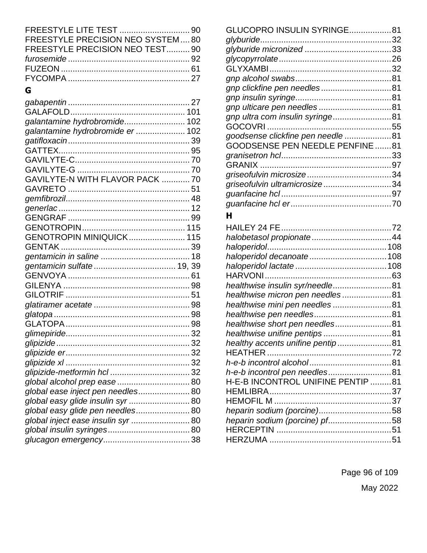| FREESTYLE PRECISION NEO SYSTEM80 |  |
|----------------------------------|--|
| FREESTYLE PRECISION NEO TEST 90  |  |
|                                  |  |
|                                  |  |
|                                  |  |
|                                  |  |

# **G**

| galantamine hydrobromide 102       |  |
|------------------------------------|--|
| galantamine hydrobromide er  102   |  |
|                                    |  |
|                                    |  |
|                                    |  |
|                                    |  |
| GAVILYTE-N WITH FLAVOR PACK  70    |  |
|                                    |  |
|                                    |  |
|                                    |  |
|                                    |  |
|                                    |  |
| <b>GENOTROPIN MINIQUICK 115</b>    |  |
|                                    |  |
|                                    |  |
|                                    |  |
|                                    |  |
|                                    |  |
|                                    |  |
|                                    |  |
|                                    |  |
|                                    |  |
|                                    |  |
|                                    |  |
|                                    |  |
|                                    |  |
|                                    |  |
|                                    |  |
| global ease inject pen needles 80  |  |
| global easy glide insulin syr  80  |  |
| global easy glide pen needles 80   |  |
| global inject ease insulin syr  80 |  |
|                                    |  |
|                                    |  |
|                                    |  |

| GLUCOPRO INSULIN SYRINGE81             |  |
|----------------------------------------|--|
|                                        |  |
|                                        |  |
|                                        |  |
|                                        |  |
|                                        |  |
| gnp clickfine pen needles81            |  |
|                                        |  |
|                                        |  |
| gnp ultra com insulin syringe81        |  |
|                                        |  |
| goodsense clickfine pen needle 81      |  |
| <b>GOODSENSE PEN NEEDLE PENFINE 81</b> |  |
|                                        |  |
|                                        |  |
|                                        |  |
| griseofulvin ultramicrosize34          |  |
|                                        |  |
|                                        |  |
|                                        |  |

#### **H**

| haloperidol decanoate 108         |  |
|-----------------------------------|--|
|                                   |  |
|                                   |  |
| healthwise insulin syr/needle81   |  |
| healthwise micron pen needles81   |  |
| healthwise mini pen needles81     |  |
|                                   |  |
| healthwise short pen needles81    |  |
| healthwise unifine pentips81      |  |
| healthy accents unifine pentip81  |  |
|                                   |  |
|                                   |  |
| h-e-b incontrol pen needles81     |  |
| H-E-B INCONTROL UNIFINE PENTIP 81 |  |
|                                   |  |
|                                   |  |
| heparin sodium (porcine)58        |  |
| heparin sodium (porcine) pf58     |  |
|                                   |  |
|                                   |  |
|                                   |  |

Page 96 of 109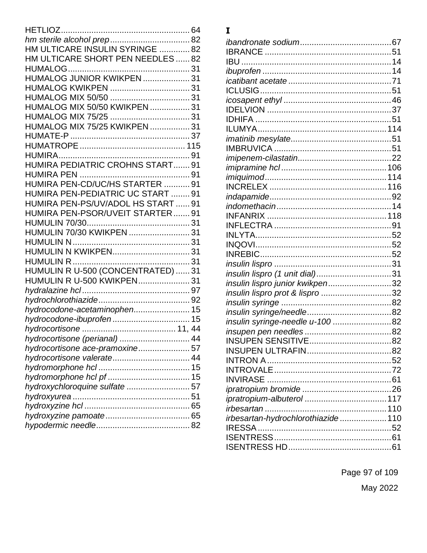| HM ULTICARE INSULIN SYRINGE 82     |  |
|------------------------------------|--|
| HM ULTICARE SHORT PEN NEEDLES  82  |  |
|                                    |  |
| HUMALOG JUNIOR KWIKPEN  31         |  |
|                                    |  |
|                                    |  |
| HUMALOG MIX 50/50 KWIKPEN  31      |  |
|                                    |  |
| HUMALOG MIX 75/25 KWIKPEN  31      |  |
|                                    |  |
|                                    |  |
|                                    |  |
| HUMIRA PEDIATRIC CROHNS START 91   |  |
|                                    |  |
| HUMIRA PEN-CD/UC/HS STARTER  91    |  |
| HUMIRA PEN-PEDIATRIC UC START  91  |  |
| HUMIRA PEN-PS/UV/ADOL HS START  91 |  |
| HUMIRA PEN-PSOR/UVEIT STARTER 91   |  |
|                                    |  |
| HUMULIN 70/30 KWIKPEN  31          |  |
|                                    |  |
|                                    |  |
|                                    |  |
| HUMULIN R U-500 (CONCENTRATED)  31 |  |
| HUMULIN R U-500 KWIKPEN 31         |  |
|                                    |  |
|                                    |  |
| hydrocodone-acetaminophen 15       |  |
| hydrocodone-ibuprofen 15           |  |
|                                    |  |
| hydrocortisone (perianal)  44      |  |
| hydrocortisone ace-pramoxine 57    |  |
|                                    |  |
|                                    |  |
|                                    |  |
| hydroxychloroquine sulfate  57     |  |
|                                    |  |
|                                    |  |
|                                    |  |
|                                    |  |

## **I**

| insulin lispro (1 unit dial)31     |  |
|------------------------------------|--|
| insulin lispro junior kwikpen32    |  |
| insulin lispro prot & lispro 32    |  |
|                                    |  |
|                                    |  |
| insulin syringe-needle u-100 82    |  |
|                                    |  |
|                                    |  |
| <b>INSUPEN ULTRAFIN</b>            |  |
|                                    |  |
|                                    |  |
|                                    |  |
|                                    |  |
|                                    |  |
|                                    |  |
| irbesartan-hydrochlorothiazide 110 |  |
|                                    |  |
|                                    |  |
|                                    |  |
|                                    |  |

Page 97 of 109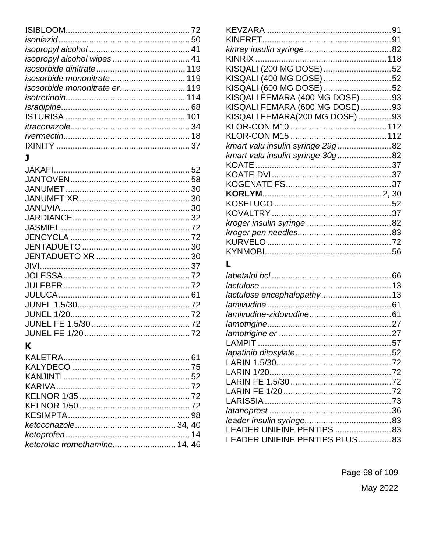| isosorbide mononitrate er 119 |  |
|-------------------------------|--|
|                               |  |
|                               |  |
|                               |  |
|                               |  |
|                               |  |
|                               |  |
|                               |  |

# $\mathbf K$

| ketorolac tromethamine 14, 46 |  |
|-------------------------------|--|
|                               |  |

| KISQALI (200 MG DOSE) 52         |  |
|----------------------------------|--|
| KISQALI (400 MG DOSE) 52         |  |
| KISQALI (600 MG DOSE) 52         |  |
| KISQALI FEMARA (400 MG DOSE) 93  |  |
| KISQALI FEMARA (600 MG DOSE) 93  |  |
| KISQALI FEMARA(200 MG DOSE) 93   |  |
|                                  |  |
|                                  |  |
| kmart valu insulin syringe 29g82 |  |
| kmart valu insulin syringe 30g82 |  |
|                                  |  |
|                                  |  |
|                                  |  |
|                                  |  |
|                                  |  |
|                                  |  |
|                                  |  |
|                                  |  |
|                                  |  |
|                                  |  |
|                                  |  |

# $\mathbf{L}$

| LEADER UNIFINE PENTIPS PLUS83 |  |
|-------------------------------|--|
|                               |  |

Page 98 of 109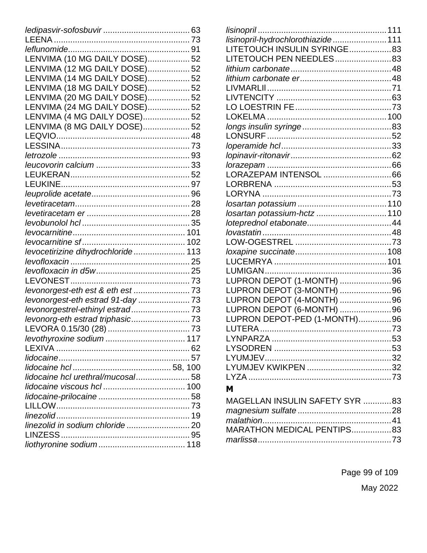| LENVIMA (10 MG DAILY DOSE) 52      |  |
|------------------------------------|--|
| LENVIMA (12 MG DAILY DOSE) 52      |  |
| LENVIMA (14 MG DAILY DOSE) 52      |  |
| LENVIMA (18 MG DAILY DOSE) 52      |  |
| LENVIMA (20 MG DAILY DOSE) 52      |  |
| LENVIMA (24 MG DAILY DOSE) 52      |  |
| LENVIMA (4 MG DAILY DOSE) 52       |  |
| LENVIMA (8 MG DAILY DOSE) 52       |  |
|                                    |  |
|                                    |  |
|                                    |  |
|                                    |  |
|                                    |  |
|                                    |  |
|                                    |  |
|                                    |  |
|                                    |  |
|                                    |  |
|                                    |  |
|                                    |  |
| levocetirizine dihydrochloride 113 |  |
|                                    |  |
|                                    |  |
|                                    |  |
|                                    |  |
| levonorgest-eth estrad 91-day  73  |  |
|                                    |  |
| levonorg-eth estrad triphasic 73   |  |
|                                    |  |
|                                    |  |
|                                    |  |
|                                    |  |
|                                    |  |
| lidocaine hcl urethral/mucosal 58  |  |
|                                    |  |
|                                    |  |
|                                    |  |
|                                    |  |
|                                    |  |
|                                    |  |
|                                    |  |
|                                    |  |

| LITETOUCH INSULIN SYRINGE83  |  |
|------------------------------|--|
| LITETOUCH PEN NEEDLES83      |  |
|                              |  |
|                              |  |
|                              |  |
|                              |  |
|                              |  |
|                              |  |
|                              |  |
|                              |  |
|                              |  |
|                              |  |
|                              |  |
|                              |  |
|                              |  |
|                              |  |
|                              |  |
| losartan potassium-hctz  110 |  |
|                              |  |
|                              |  |
|                              |  |
|                              |  |
|                              |  |
|                              |  |
| LUPRON DEPOT (1-MONTH) 96    |  |
| LUPRON DEPOT (3-MONTH) 96    |  |
| LUPRON DEPOT (4-MONTH) 96    |  |
| LUPRON DEPOT (6-MONTH) 96    |  |
| LUPRON DEPOT-PED (1-MONTH)96 |  |
|                              |  |
|                              |  |
|                              |  |
|                              |  |
|                              |  |
|                              |  |
|                              |  |

#### M

| MAGELLAN INSULIN SAFETY SYR 83 |  |
|--------------------------------|--|
|                                |  |
|                                |  |
| MARATHON MEDICAL PENTIPS83     |  |
|                                |  |

Page 99 of 109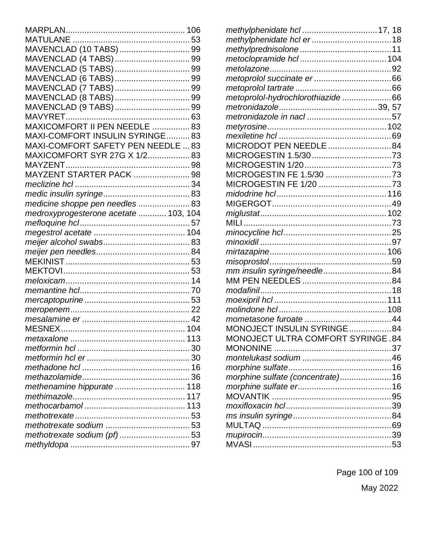| MAVENCLAD (10 TABS)  99               |  |
|---------------------------------------|--|
|                                       |  |
|                                       |  |
|                                       |  |
|                                       |  |
|                                       |  |
|                                       |  |
|                                       |  |
| MAXICOMFORT II PEN NEEDLE 83          |  |
| MAXI-COMFORT INSULIN SYRINGE83        |  |
| MAXI-COMFORT SAFETY PEN NEEDLE  83    |  |
| MAXICOMFORT SYR 27G X 1/2 83          |  |
|                                       |  |
| MAYZENT STARTER PACK  98              |  |
|                                       |  |
|                                       |  |
| medicine shoppe pen needles  83       |  |
| medroxyprogesterone acetate  103, 104 |  |
|                                       |  |
|                                       |  |
|                                       |  |
|                                       |  |
|                                       |  |
|                                       |  |
|                                       |  |
|                                       |  |
|                                       |  |
|                                       |  |
|                                       |  |
|                                       |  |
|                                       |  |
|                                       |  |
|                                       |  |
|                                       |  |
|                                       |  |
| methenamine hippurate  118            |  |
|                                       |  |
|                                       |  |
|                                       |  |
|                                       |  |
|                                       |  |
|                                       |  |
|                                       |  |

| methylphenidate hcl  17, 18       |  |
|-----------------------------------|--|
|                                   |  |
|                                   |  |
|                                   |  |
|                                   |  |
|                                   |  |
|                                   |  |
| metoprolol-hydrochlorothiazide66  |  |
|                                   |  |
|                                   |  |
|                                   |  |
|                                   |  |
| MICRODOT PEN NEEDLE 84            |  |
|                                   |  |
|                                   |  |
| MICROGESTIN FE 1.5/30 73          |  |
| MICROGESTIN FE 1/20 73            |  |
|                                   |  |
|                                   |  |
|                                   |  |
|                                   |  |
|                                   |  |
|                                   |  |
|                                   |  |
|                                   |  |
| mm insulin syringe/needle84       |  |
|                                   |  |
|                                   |  |
|                                   |  |
|                                   |  |
|                                   |  |
| MONOJECT INSULIN SYRINGE84        |  |
| MONOJECT ULTRA COMFORT SYRINGE.84 |  |
|                                   |  |
|                                   |  |
|                                   |  |
| morphine sulfate (concentrate) 16 |  |
|                                   |  |
|                                   |  |
|                                   |  |
|                                   |  |
|                                   |  |
|                                   |  |
|                                   |  |

Page 100 of 109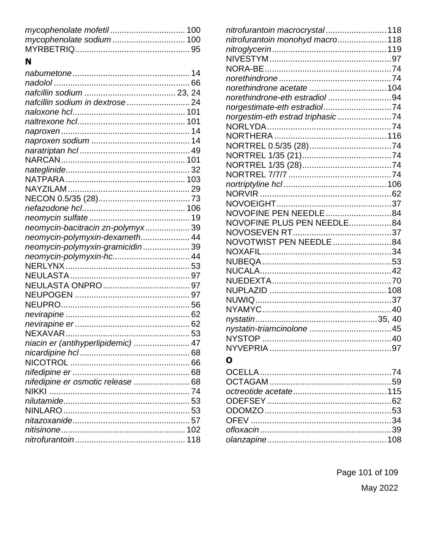| N                                  |  |
|------------------------------------|--|
|                                    |  |
|                                    |  |
|                                    |  |
| nafcillin sodium in dextrose 24    |  |
|                                    |  |
|                                    |  |
|                                    |  |
|                                    |  |
|                                    |  |
|                                    |  |
|                                    |  |
|                                    |  |
|                                    |  |
|                                    |  |
|                                    |  |
|                                    |  |
| neomycin-bacitracin zn-polymyx 39  |  |
| neomycin-polymyxin-dexameth 44     |  |
| neomycin-polymyxin-gramicidin 39   |  |
|                                    |  |
|                                    |  |
|                                    |  |
|                                    |  |
|                                    |  |
|                                    |  |
|                                    |  |
|                                    |  |
|                                    |  |
| niacin er (antihyperlipidemic)  47 |  |
|                                    |  |
|                                    |  |
|                                    |  |
| nifedipine er osmotic release  68  |  |
|                                    |  |
|                                    |  |
|                                    |  |
|                                    |  |
|                                    |  |
|                                    |  |
|                                    |  |

| nitrofurantoin macrocrystal 118  |  |
|----------------------------------|--|
| nitrofurantoin monohyd macro 118 |  |
|                                  |  |
|                                  |  |
|                                  |  |
|                                  |  |
|                                  |  |
| norethindrone-eth estradiol 94   |  |
| norgestimate-eth estradiol74     |  |
| norgestim-eth estrad triphasic74 |  |
|                                  |  |
|                                  |  |
|                                  |  |
|                                  |  |
|                                  |  |
|                                  |  |
|                                  |  |
|                                  |  |
|                                  |  |
| NOVOFINE PEN NEEDLE84            |  |
| NOVOFINE PLUS PEN NEEDLE84       |  |
|                                  |  |
| NOVOTWIST PEN NEEDLE 84          |  |
|                                  |  |
|                                  |  |
|                                  |  |
|                                  |  |
|                                  |  |
|                                  |  |
|                                  |  |
|                                  |  |
|                                  |  |
|                                  |  |
|                                  |  |

# $\mathbf 0$

Page 101 of 109 May 2022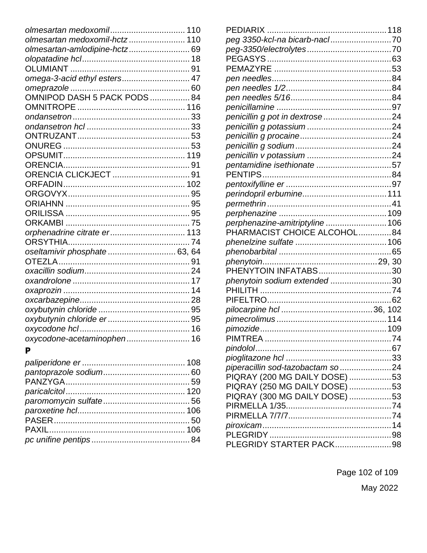| olmesartan medoxomil 110      |  |
|-------------------------------|--|
| olmesartan medoxomil-hctz 110 |  |
| olmesartan-amlodipine-hctz 69 |  |
|                               |  |
|                               |  |
| omega-3-acid ethyl esters 47  |  |
|                               |  |
|                               |  |
|                               |  |
|                               |  |
|                               |  |
|                               |  |
|                               |  |
|                               |  |
|                               |  |
| ORENCIA CLICKJECT  91         |  |
|                               |  |
|                               |  |
|                               |  |
|                               |  |
|                               |  |
| orphenadrine citrate er 113   |  |
|                               |  |
| oseltamivir phosphate  63, 64 |  |
|                               |  |
|                               |  |
|                               |  |
|                               |  |
|                               |  |
|                               |  |
|                               |  |
|                               |  |
| oxycodone-acetaminophen 16    |  |
|                               |  |

### $\mathbf{P}$

| penicillin g pot in dextrose24    |  |
|-----------------------------------|--|
|                                   |  |
|                                   |  |
|                                   |  |
|                                   |  |
| pentamidine isethionate 57        |  |
|                                   |  |
|                                   |  |
|                                   |  |
|                                   |  |
|                                   |  |
| perphenazine-amitriptyline106     |  |
| PHARMACIST CHOICE ALCOHOL84       |  |
|                                   |  |
|                                   |  |
|                                   |  |
| PHENYTOIN INFATABS30              |  |
| phenytoin sodium extended 30      |  |
|                                   |  |
|                                   |  |
|                                   |  |
|                                   |  |
|                                   |  |
|                                   |  |
|                                   |  |
|                                   |  |
| piperacillin sod-tazobactam so 24 |  |
| PIQRAY (200 MG DAILY DOSE) 53     |  |
| PIQRAY (250 MG DAILY DOSE) 53     |  |
| PIQRAY (300 MG DAILY DOSE) 53     |  |
|                                   |  |
|                                   |  |
|                                   |  |
|                                   |  |
| PLEGRIDY STARTER PACK98           |  |
|                                   |  |

Page 102 of 109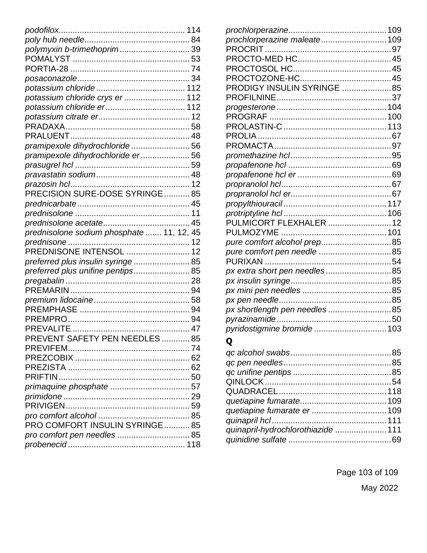| polymyxin b-trimethoprim 39               |  |
|-------------------------------------------|--|
|                                           |  |
|                                           |  |
|                                           |  |
|                                           |  |
| potassium chloride crys er  112           |  |
|                                           |  |
|                                           |  |
|                                           |  |
|                                           |  |
| pramipexole dihydrochloride 56            |  |
| pramipexole dihydrochloride er 56         |  |
|                                           |  |
|                                           |  |
|                                           |  |
| .<br>PRECISION SURE-DOSE SYRINGE85        |  |
|                                           |  |
|                                           |  |
|                                           |  |
|                                           |  |
| prednisolone sodium phosphate  11, 12, 45 |  |
| .<br>PREDNISONE INTENSOL  12              |  |
|                                           |  |
| preferred plus insulin syringe  85        |  |
| preferred plus unifine pentips 85         |  |
|                                           |  |
|                                           |  |
|                                           |  |
|                                           |  |
|                                           |  |
|                                           |  |
| PREVENT SAFETY PEN NEEDLES  85            |  |
|                                           |  |
|                                           |  |
|                                           |  |
|                                           |  |
|                                           |  |
|                                           |  |
|                                           |  |
|                                           |  |
| PRO COMFORT INSULIN SYRINGE85             |  |
|                                           |  |
|                                           |  |

| prochlorperazine maleate 109 |  |
|------------------------------|--|
|                              |  |
|                              |  |
|                              |  |
|                              |  |
| DIGY INSULIN SYRINGE 85      |  |
|                              |  |
|                              |  |
|                              |  |
|                              |  |
|                              |  |
|                              |  |
|                              |  |
|                              |  |
|                              |  |
|                              |  |
|                              |  |
|                              |  |
|                              |  |
| PULMICORT FLEXHALER  12      |  |
|                              |  |
|                              |  |
| pure comfort pen needle 85   |  |
|                              |  |
| px extra short pen needles85 |  |
|                              |  |
|                              |  |
|                              |  |
| px shortlength pen needles85 |  |
|                              |  |
| pyridostigmine bromide 103   |  |
|                              |  |

# $\mathbf Q$

| quinapril-hydrochlorothiazide 111 |  |
|-----------------------------------|--|
|                                   |  |

Page 103 of 109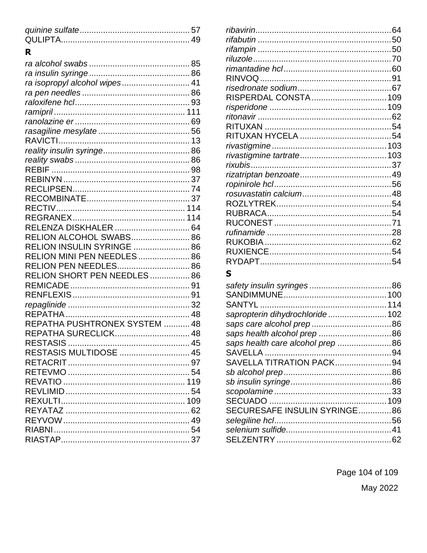# $\overline{\mathbf{R}}$

| ra isopropyl alcohol wipes 41 |  |
|-------------------------------|--|
|                               |  |
|                               |  |
|                               |  |
|                               |  |
|                               |  |
|                               |  |
|                               |  |
|                               |  |
|                               |  |
|                               |  |
|                               |  |
|                               |  |
|                               |  |
|                               |  |
| RELENZA DISKHALER  64         |  |
| RELION ALCOHOL SWABS 86       |  |
| RELION INSULIN SYRINGE  86    |  |
| RELION MINI PEN NEEDLES 86    |  |
| RELION PEN NEEDLES 86         |  |
| RELION SHORT PEN NEEDLES  86  |  |
|                               |  |
|                               |  |
|                               |  |
|                               |  |
| REPATHA PUSHTRONEX SYSTEM  48 |  |
| REPATHA SURECLICK 48          |  |
|                               |  |
| RESTASIS MULTIDOSE  45        |  |
|                               |  |
|                               |  |
|                               |  |
|                               |  |
|                               |  |
|                               |  |
|                               |  |
|                               |  |
|                               |  |

| RISPERDAL CONSTA  109 |  |
|-----------------------|--|
|                       |  |
|                       |  |
|                       |  |
|                       |  |
|                       |  |
|                       |  |
|                       |  |
|                       |  |
|                       |  |
|                       |  |
|                       |  |
|                       |  |
|                       |  |
|                       |  |
|                       |  |
|                       |  |
|                       |  |
|                       |  |

# S

| sapropterin dihydrochloride 102  |  |
|----------------------------------|--|
|                                  |  |
|                                  |  |
| saps health care alcohol prep 86 |  |
|                                  |  |
| SAVELLA TITRATION PACK94         |  |
|                                  |  |
|                                  |  |
|                                  |  |
|                                  |  |
| SECURESAFE INSULIN SYRINGE86     |  |
|                                  |  |
|                                  |  |
|                                  |  |
|                                  |  |

Page 104 of 109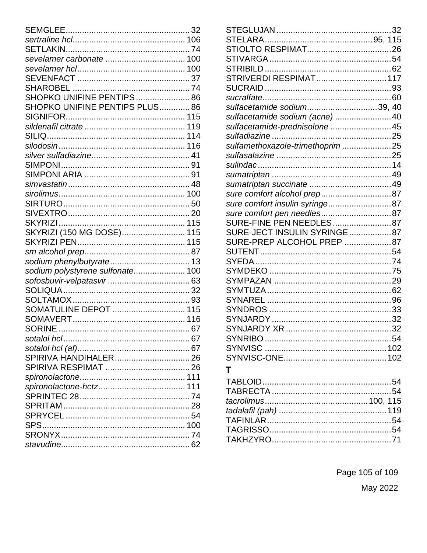| SHOPKO UNIFINE PENTIPS 86        |  |
|----------------------------------|--|
| SHOPKO UNIFINE PENTIPS PLUS86    |  |
|                                  |  |
|                                  |  |
|                                  |  |
|                                  |  |
|                                  |  |
|                                  |  |
|                                  |  |
|                                  |  |
|                                  |  |
|                                  |  |
|                                  |  |
|                                  |  |
| SKYRIZI (150 MG DOSE) 115        |  |
|                                  |  |
|                                  |  |
|                                  |  |
| sodium polystyrene sulfonate 100 |  |
|                                  |  |
|                                  |  |
|                                  |  |
| SOMATULINE DEPOT  115            |  |
|                                  |  |
|                                  |  |
|                                  |  |
|                                  |  |
| SPIRIVA HANDIHALER 26            |  |
|                                  |  |
|                                  |  |
|                                  |  |
|                                  |  |
|                                  |  |
|                                  |  |
|                                  |  |
|                                  |  |
|                                  |  |
|                                  |  |

| STRIVERDI RESPIMAT 117           |  |
|----------------------------------|--|
|                                  |  |
|                                  |  |
| sulfacetamide sodium39, 40       |  |
| sulfacetamide sodium (acne) 40   |  |
| sulfacetamide-prednisolone  45   |  |
|                                  |  |
| sulfamethoxazole-trimethoprim 25 |  |
|                                  |  |
|                                  |  |
|                                  |  |
|                                  |  |
|                                  |  |
| sure comfort insulin syringe87   |  |
|                                  |  |
| SURE-FINE PEN NEEDLES87          |  |
| SURE-JECT INSULIN SYRINGE87      |  |
| SURE-PREP ALCOHOL PREP 87        |  |
|                                  |  |
|                                  |  |
|                                  |  |
|                                  |  |
|                                  |  |
|                                  |  |
|                                  |  |
|                                  |  |
|                                  |  |
|                                  |  |
|                                  |  |
|                                  |  |
| т                                |  |

#### 

Page 105 of 109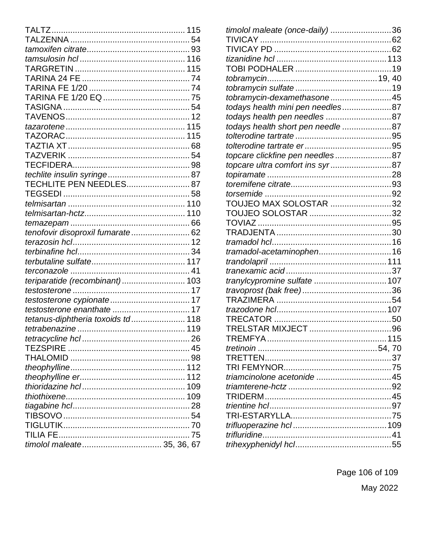| TECHLITE PEN NEEDLES 87           |  |
|-----------------------------------|--|
|                                   |  |
|                                   |  |
|                                   |  |
|                                   |  |
| tenofovir disoproxil fumarate 62  |  |
|                                   |  |
|                                   |  |
|                                   |  |
|                                   |  |
| teriparatide (recombinant) 103    |  |
|                                   |  |
|                                   |  |
|                                   |  |
| tetanus-diphtheria toxoids td 118 |  |
|                                   |  |
|                                   |  |
|                                   |  |
|                                   |  |
|                                   |  |
|                                   |  |
|                                   |  |
|                                   |  |
|                                   |  |
|                                   |  |
|                                   |  |
|                                   |  |
|                                   |  |
|                                   |  |

| timolol maleate (once-daily) 36   |  |
|-----------------------------------|--|
|                                   |  |
|                                   |  |
|                                   |  |
|                                   |  |
|                                   |  |
|                                   |  |
| tobramycin-dexamethasone45        |  |
| todays health mini pen needles87  |  |
| todays health pen needles 87      |  |
| todays health short pen needle 87 |  |
|                                   |  |
|                                   |  |
| topcare clickfine pen needles87   |  |
| topcare ultra comfort ins syr87   |  |
|                                   |  |
|                                   |  |
|                                   |  |
| TOUJEO MAX SOLOSTAR 32            |  |
|                                   |  |
|                                   |  |
|                                   |  |
|                                   |  |
| tramadol-acetaminophen16          |  |
|                                   |  |
|                                   |  |
| tranylcypromine sulfate  107      |  |
|                                   |  |
|                                   |  |
|                                   |  |
|                                   |  |
|                                   |  |
| TRFMFYA                           |  |
|                                   |  |
|                                   |  |
|                                   |  |
|                                   |  |
|                                   |  |
|                                   |  |
|                                   |  |
|                                   |  |
|                                   |  |
|                                   |  |
|                                   |  |
|                                   |  |

Page 106 of 109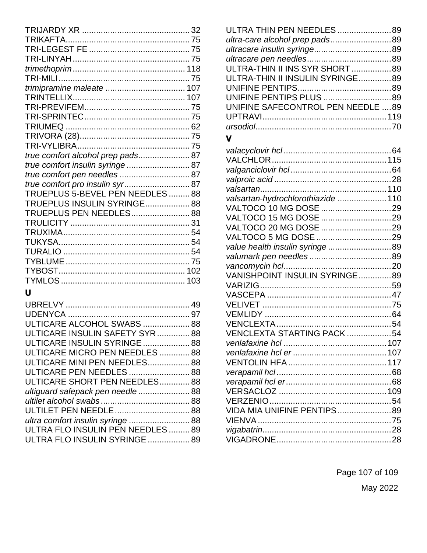| true comfort alcohol prep pads 87 |  |
|-----------------------------------|--|
| true comfort insulin syringe 87   |  |
| true comfort pen needles  87      |  |
| true comfort pro insulin syr 87   |  |
| TRUEPLUS 5-BEVEL PEN NEEDLES88    |  |
| TRUEPLUS INSULIN SYRINGE 88       |  |
| TRUEPLUS PEN NEEDLES 88           |  |
|                                   |  |
|                                   |  |
|                                   |  |
|                                   |  |
|                                   |  |
|                                   |  |
|                                   |  |
| Ù                                 |  |
|                                   |  |
|                                   |  |
| ULTICARE ALCOHOL SWABS  88        |  |
| ULTICARE INSULIN SAFETY SYR88     |  |
| ULTICARE INSULIN SYRINGE  88      |  |
| ULTICARE MICRO PEN NEEDLES 88     |  |
| ULTICARE MINI PEN NEEDLES 88      |  |
| ULTICARE PEN NEEDLES  88          |  |
| ULTICARE SHORT PEN NEEDLES88      |  |

*ultiguard safepack pen needle* ...................... 88 *ultilet alcohol swabs* ...................................... 88 ULTILET PEN NEEDLE................................ 88 *ultra comfort insulin syringe* .......................... 88 ULTRA FLO INSULIN PEN NEEDLES ......... 89 ULTRA FLO INSULIN SYRINGE.................. 89

| ULTRA THIN PEN NEEDLES  89        |  |
|-----------------------------------|--|
| ultra-care alcohol prep pads89    |  |
|                                   |  |
|                                   |  |
| ULTRA-THIN II INS SYR SHORT89     |  |
| ULTRA-THIN II INSULIN SYRINGE89   |  |
|                                   |  |
|                                   |  |
| UNIFINE SAFECONTROL PEN NEEDLE 89 |  |
|                                   |  |
|                                   |  |

#### **V**

| valsartan-hydrochlorothiazide  110 |  |
|------------------------------------|--|
| VALTOCO 10 MG DOSE 29              |  |
| VALTOCO 15 MG DOSE 29              |  |
| VALTOCO 20 MG DOSE 29              |  |
|                                    |  |
| value health insulin syringe 89    |  |
|                                    |  |
|                                    |  |
| VANISHPOINT INSULIN SYRINGE89      |  |
|                                    |  |
|                                    |  |
|                                    |  |
|                                    |  |
|                                    |  |
| VENCLEXTA STARTING PACK54          |  |
|                                    |  |
|                                    |  |
|                                    |  |
|                                    |  |
|                                    |  |
|                                    |  |
|                                    |  |
| VIDA MIA UNIFINE PENTIPS89         |  |
|                                    |  |
|                                    |  |
|                                    |  |

Page 107 of 109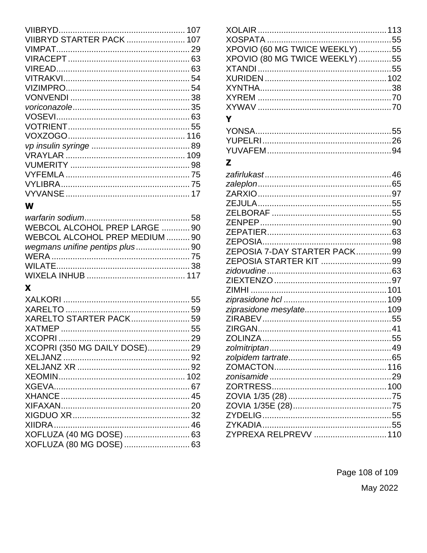| VIIBRYD STARTER PACK  107 |  |
|---------------------------|--|
|                           |  |
|                           |  |
|                           |  |
|                           |  |
|                           |  |
|                           |  |
|                           |  |
|                           |  |
|                           |  |
|                           |  |
|                           |  |
|                           |  |
|                           |  |
|                           |  |
|                           |  |
|                           |  |

## W

| WEBCOL ALCOHOL PREP LARGE  90  |  |
|--------------------------------|--|
| WEBCOL ALCOHOL PREP MEDIUM  90 |  |
|                                |  |
|                                |  |
|                                |  |
|                                |  |

# $\mathbf x$

| XARELTO STARTER PACK 59       |  |
|-------------------------------|--|
|                               |  |
|                               |  |
| XCOPRI (350 MG DAILY DOSE) 29 |  |
|                               |  |
|                               |  |
|                               |  |
|                               |  |
|                               |  |
|                               |  |
|                               |  |
|                               |  |
| XOFLUZA (40 MG DOSE)  63      |  |
| XOFLUZA (80 MG DOSE)  63      |  |
|                               |  |

| XPOVIO (60 MG TWICE WEEKLY) 55 |  |
|--------------------------------|--|
| XPOVIO (80 MG TWICE WEEKLY) 55 |  |
|                                |  |
|                                |  |
|                                |  |
|                                |  |
|                                |  |
| Y                              |  |
|                                |  |
|                                |  |
|                                |  |
|                                |  |
| Z                              |  |
|                                |  |
|                                |  |
|                                |  |
|                                |  |
|                                |  |
|                                |  |
|                                |  |
|                                |  |
| ZEPOSIA 7-DAY STARTER PACK99   |  |
| ZEPOSIA STARTER KIT 99         |  |
|                                |  |
|                                |  |
|                                |  |
|                                |  |
|                                |  |
|                                |  |
|                                |  |
|                                |  |
|                                |  |
|                                |  |
|                                |  |
|                                |  |
|                                |  |
|                                |  |
|                                |  |
|                                |  |
|                                |  |
|                                |  |
| ZYPREXA RELPREVV  110          |  |
|                                |  |

Page 108 of 109